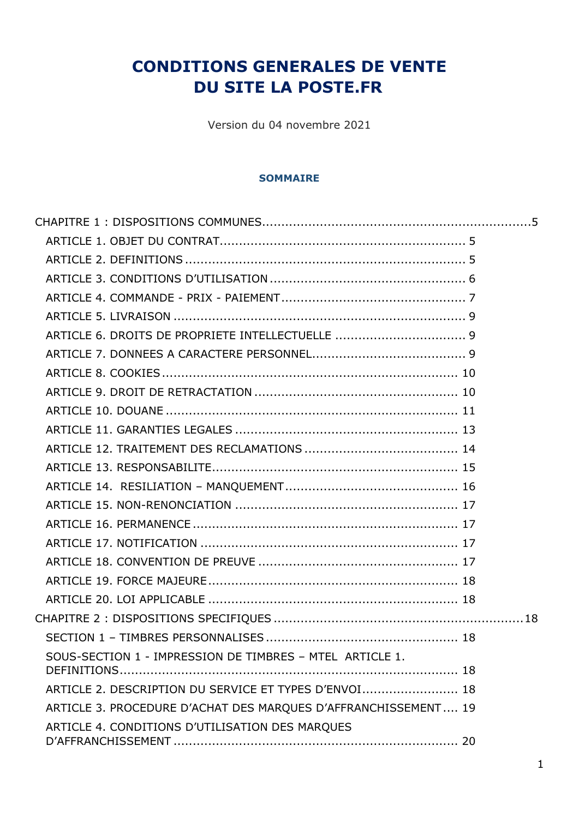# **CONDITIONS GENERALES DE VENTE DU SITE LA POSTE.FR**

Version du 04 novembre 2021

#### **SOMMAIRE**

| SOUS-SECTION 1 - IMPRESSION DE TIMBRES - MTEL ARTICLE 1.       |  |
|----------------------------------------------------------------|--|
| ARTICLE 2. DESCRIPTION DU SERVICE ET TYPES D'ENVOI 18          |  |
| ARTICLE 3. PROCEDURE D'ACHAT DES MARQUES D'AFFRANCHISSEMENT 19 |  |
| ARTICLE 4. CONDITIONS D'UTILISATION DES MARQUES                |  |
|                                                                |  |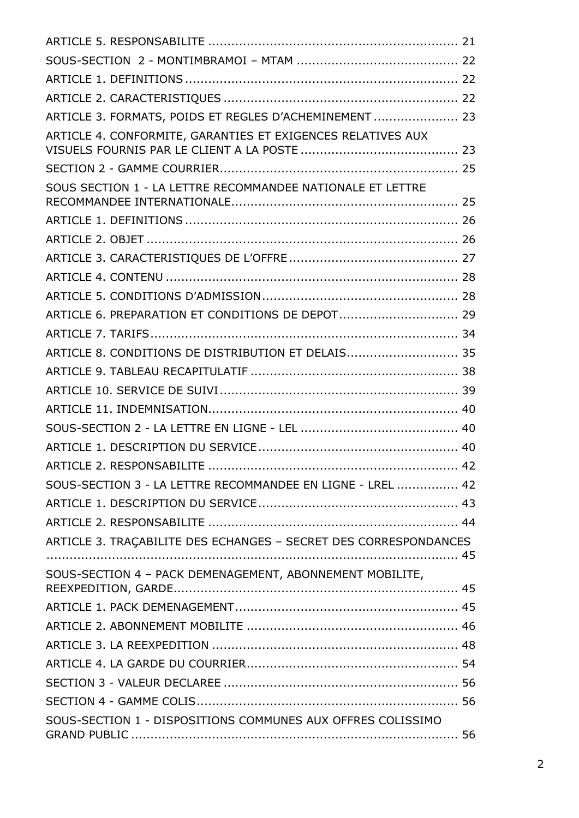| ARTICLE 3. FORMATS, POIDS ET REGLES D'ACHEMINEMENT  23           |  |
|------------------------------------------------------------------|--|
| ARTICLE 4. CONFORMITE, GARANTIES ET EXIGENCES RELATIVES AUX      |  |
|                                                                  |  |
| SOUS SECTION 1 - LA LETTRE RECOMMANDEE NATIONALE ET LETTRE       |  |
|                                                                  |  |
|                                                                  |  |
|                                                                  |  |
|                                                                  |  |
|                                                                  |  |
| ARTICLE 6. PREPARATION ET CONDITIONS DE DEPOT 29                 |  |
|                                                                  |  |
| ARTICLE 8. CONDITIONS DE DISTRIBUTION ET DELAIS 35               |  |
|                                                                  |  |
|                                                                  |  |
|                                                                  |  |
|                                                                  |  |
|                                                                  |  |
|                                                                  |  |
| SOUS-SECTION 3 - LA LETTRE RECOMMANDEE EN LIGNE - LREL  42       |  |
|                                                                  |  |
|                                                                  |  |
| ARTICLE 3. TRACABILITE DES ECHANGES - SECRET DES CORRESPONDANCES |  |
| SOUS-SECTION 4 - PACK DEMENAGEMENT, ABONNEMENT MOBILITE,         |  |
|                                                                  |  |
|                                                                  |  |
|                                                                  |  |
|                                                                  |  |
|                                                                  |  |
|                                                                  |  |
| SOUS-SECTION 1 - DISPOSITIONS COMMUNES AUX OFFRES COLISSIMO      |  |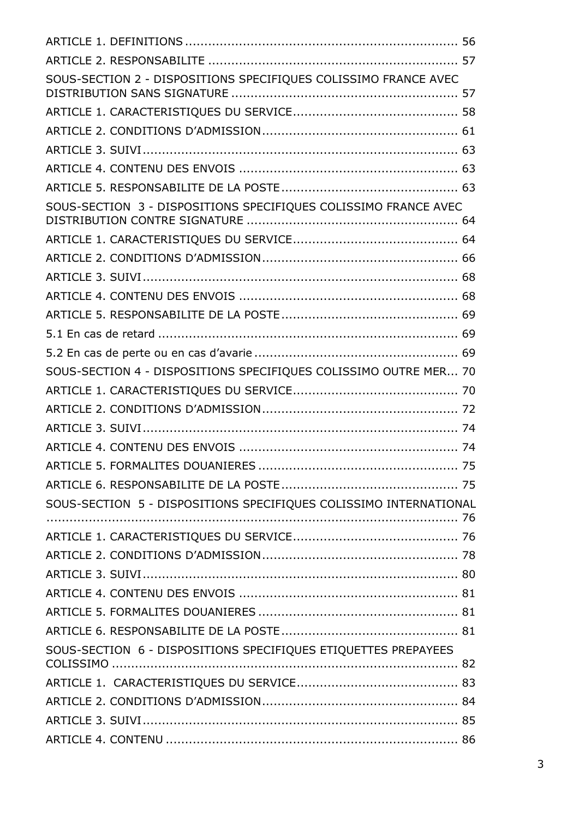| SOUS-SECTION 2 - DISPOSITIONS SPECIFIQUES COLISSIMO FRANCE AVEC   |  |
|-------------------------------------------------------------------|--|
|                                                                   |  |
|                                                                   |  |
|                                                                   |  |
|                                                                   |  |
|                                                                   |  |
| SOUS-SECTION 3 - DISPOSITIONS SPECIFIQUES COLISSIMO FRANCE AVEC   |  |
|                                                                   |  |
|                                                                   |  |
|                                                                   |  |
|                                                                   |  |
|                                                                   |  |
|                                                                   |  |
|                                                                   |  |
| SOUS-SECTION 4 - DISPOSITIONS SPECIFIQUES COLISSIMO OUTRE MER 70  |  |
|                                                                   |  |
|                                                                   |  |
|                                                                   |  |
|                                                                   |  |
|                                                                   |  |
|                                                                   |  |
| SOUS-SECTION 5 - DISPOSITIONS SPECIFIQUES COLISSIMO INTERNATIONAL |  |
|                                                                   |  |
|                                                                   |  |
|                                                                   |  |
|                                                                   |  |
|                                                                   |  |
|                                                                   |  |
| SOUS-SECTION 6 - DISPOSITIONS SPECIFIQUES ETIQUETTES PREPAYEES    |  |
|                                                                   |  |
|                                                                   |  |
|                                                                   |  |
|                                                                   |  |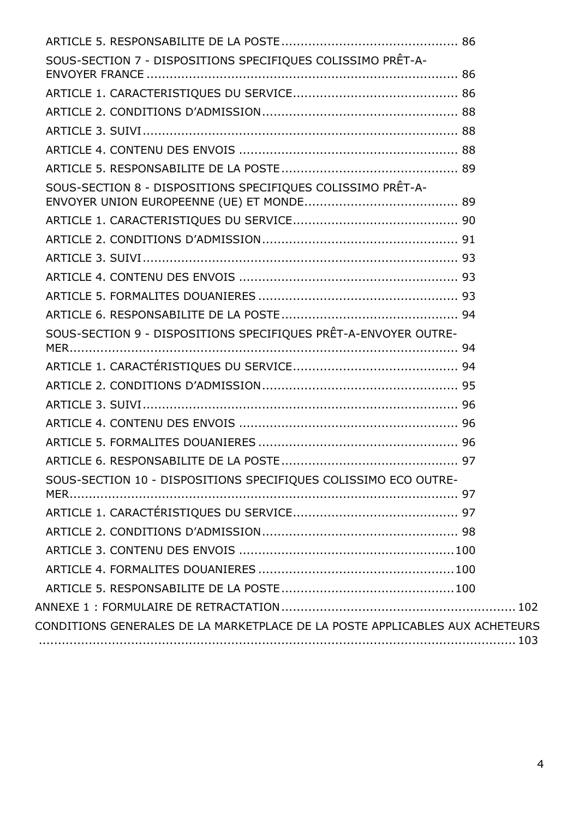| SOUS-SECTION 7 - DISPOSITIONS SPECIFIQUES COLISSIMO PRÊT-A-                  |  |
|------------------------------------------------------------------------------|--|
|                                                                              |  |
|                                                                              |  |
|                                                                              |  |
|                                                                              |  |
|                                                                              |  |
| SOUS-SECTION 8 - DISPOSITIONS SPECIFIQUES COLISSIMO PRÊT-A-                  |  |
|                                                                              |  |
|                                                                              |  |
|                                                                              |  |
|                                                                              |  |
|                                                                              |  |
|                                                                              |  |
| SOUS-SECTION 9 - DISPOSITIONS SPECIFIQUES PRÊT-A-ENVOYER OUTRE-              |  |
|                                                                              |  |
|                                                                              |  |
|                                                                              |  |
|                                                                              |  |
|                                                                              |  |
|                                                                              |  |
| SOUS-SECTION 10 - DISPOSITIONS SPECIFIQUES COLISSIMO ECO OUTRE-              |  |
|                                                                              |  |
|                                                                              |  |
|                                                                              |  |
|                                                                              |  |
|                                                                              |  |
|                                                                              |  |
| CONDITIONS GENERALES DE LA MARKETPLACE DE LA POSTE APPLICABLES AUX ACHETEURS |  |
|                                                                              |  |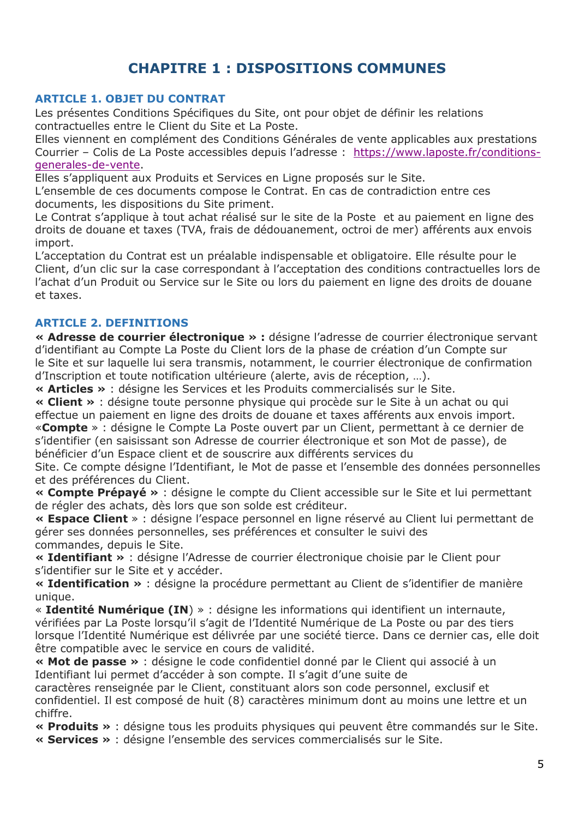## **CHAPITRE 1 : DISPOSITIONS COMMUNES**

### <span id="page-4-1"></span><span id="page-4-0"></span>**ARTICLE 1. OBJET DU CONTRAT**

Les présentes Conditions Spécifiques du Site, ont pour objet de définir les relations contractuelles entre le Client du Site et La Poste.

Elles viennent en complément des Conditions Générales de vente applicables aux prestations Courrier – Colis de La Poste accessibles depuis l'adresse : [https://www.laposte.fr/conditions](https://www.laposte.fr/conditions-generales-de-vente)[generales-de-vente.](https://www.laposte.fr/conditions-generales-de-vente)

Elles s'appliquent aux Produits et Services en Ligne proposés sur le Site.

L'ensemble de ces documents compose le Contrat. En cas de contradiction entre ces documents, les dispositions du Site priment.

Le Contrat s'applique à tout achat réalisé sur le site de la Poste et au paiement en ligne des droits de douane et taxes (TVA, frais de dédouanement, octroi de mer) afférents aux envois import.

L'acceptation du Contrat est un préalable indispensable et obligatoire. Elle résulte pour le Client, d'un clic sur la case correspondant à l'acceptation des conditions contractuelles lors de l'achat d'un Produit ou Service sur le Site ou lors du paiement en ligne des droits de douane et taxes.

### <span id="page-4-2"></span>**ARTICLE 2. DEFINITIONS**

**« Adresse de courrier électronique » :** désigne l'adresse de courrier électronique servant d'identifiant au Compte La Poste du Client lors de la phase de création d'un Compte sur le Site et sur laquelle lui sera transmis, notamment, le courrier électronique de confirmation d'Inscription et toute notification ultérieure (alerte, avis de réception, …).

**« Articles »** : désigne les Services et les Produits commercialisés sur le Site.

**« Client »** : désigne toute personne physique qui procède sur le Site à un achat ou qui effectue un paiement en ligne des droits de douane et taxes afférents aux envois import. «**Compte** » : désigne le Compte La Poste ouvert par un Client, permettant à ce dernier de s'identifier (en saisissant son Adresse de courrier électronique et son Mot de passe), de bénéficier d'un Espace client et de souscrire aux différents services du

Site. Ce compte désigne l'Identifiant, le Mot de passe et l'ensemble des données personnelles et des préférences du Client.

**« Compte Prépayé »** : désigne le compte du Client accessible sur le Site et lui permettant de régler des achats, dès lors que son solde est créditeur.

**« Espace Client** » : désigne l'espace personnel en ligne réservé au Client lui permettant de gérer ses données personnelles, ses préférences et consulter le suivi des commandes, depuis le Site.

**« Identifiant »** : désigne l'Adresse de courrier électronique choisie par le Client pour s'identifier sur le Site et y accéder.

**« Identification »** : désigne la procédure permettant au Client de s'identifier de manière unique.

« **Identité Numérique (IN**) » : désigne les informations qui identifient un internaute, vérifiées par La Poste lorsqu'il s'agit de l'Identité Numérique de La Poste ou par des tiers lorsque l'Identité Numérique est délivrée par une société tierce. Dans ce dernier cas, elle doit être compatible avec le service en cours de validité.

**« Mot de passe »** : désigne le code confidentiel donné par le Client qui associé à un Identifiant lui permet d'accéder à son compte. Il s'agit d'une suite de

caractères renseignée par le Client, constituant alors son code personnel, exclusif et confidentiel. Il est composé de huit (8) caractères minimum dont au moins une lettre et un chiffre.

**« Produits »** : désigne tous les produits physiques qui peuvent être commandés sur le Site.

**« Services »** : désigne l'ensemble des services commercialisés sur le Site.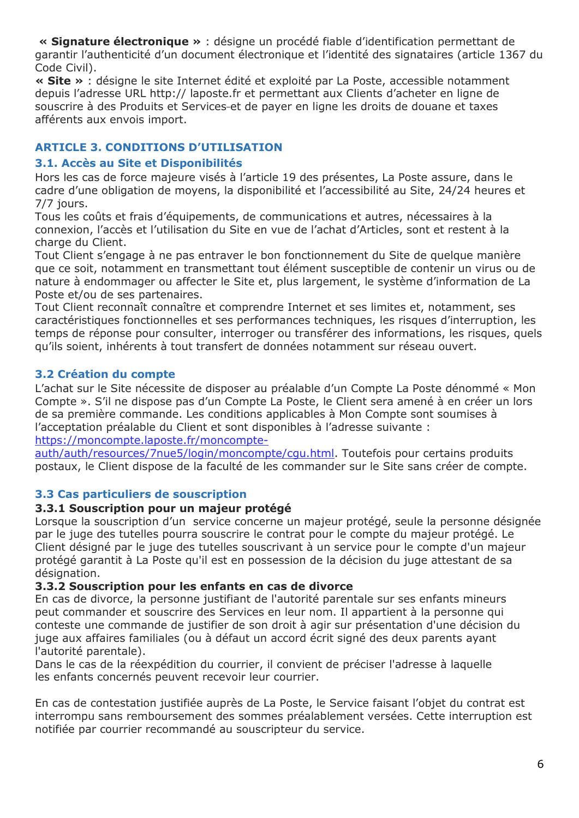**« Signature électronique »** : désigne un procédé fiable d'identification permettant de garantir l'authenticité d'un document électronique et l'identité des signataires (article 1367 du Code Civil).

**« Site »** : désigne le site Internet édité et exploité par La Poste, accessible notamment depuis l'adresse URL http:// laposte.fr et permettant aux Clients d'acheter en ligne de souscrire à des Produits et Services et de payer en ligne les droits de douane et taxes afférents aux envois import.

## <span id="page-5-0"></span>**ARTICLE 3. CONDITIONS D'UTILISATION**

### **3.1. Accès au Site et Disponibilités**

Hors les cas de force majeure visés à l'article 19 des présentes, La Poste assure, dans le cadre d'une obligation de moyens, la disponibilité et l'accessibilité au Site, 24/24 heures et 7/7 jours.

Tous les coûts et frais d'équipements, de communications et autres, nécessaires à la connexion, l'accès et l'utilisation du Site en vue de l'achat d'Articles, sont et restent à la charge du Client.

Tout Client s'engage à ne pas entraver le bon fonctionnement du Site de quelque manière que ce soit, notamment en transmettant tout élément susceptible de contenir un virus ou de nature à endommager ou affecter le Site et, plus largement, le système d'information de La Poste et/ou de ses partenaires.

Tout Client reconnaît connaître et comprendre Internet et ses limites et, notamment, ses caractéristiques fonctionnelles et ses performances techniques, les risques d'interruption, les temps de réponse pour consulter, interroger ou transférer des informations, les risques, quels qu'ils soient, inhérents à tout transfert de données notamment sur réseau ouvert.

## **3.2 Création du compte**

L'achat sur le Site nécessite de disposer au préalable d'un Compte La Poste dénommé « Mon Compte ». S'il ne dispose pas d'un Compte La Poste, le Client sera amené à en créer un lors de sa première commande. Les conditions applicables à Mon Compte sont soumises à l'acceptation préalable du Client et sont disponibles à l'adresse suivante :

[https://moncompte.laposte.fr/moncompte-](https://moncompte.laposte.fr/moncompte-auth/auth/resources/7nue5/login/moncompte/cgu.html)

[auth/auth/resources/7nue5/login/moncompte/cgu.html.](https://moncompte.laposte.fr/moncompte-auth/auth/resources/7nue5/login/moncompte/cgu.html) Toutefois pour certains produits postaux, le Client dispose de la faculté de les commander sur le Site sans créer de compte.

## **3.3 Cas particuliers de souscription**

## **3.3.1 Souscription pour un majeur protégé**

Lorsque la souscription d'un service concerne un majeur protégé, seule la personne désignée par le juge des tutelles pourra souscrire le contrat pour le compte du majeur protégé. Le Client désigné par le juge des tutelles souscrivant à un service pour le compte d'un majeur protégé garantit à La Poste qu'il est en possession de la décision du juge attestant de sa désignation.

## **3.3.2 Souscription pour les enfants en cas de divorce**

En cas de divorce, la personne justifiant de l'autorité parentale sur ses enfants mineurs peut commander et souscrire des Services en leur nom. Il appartient à la personne qui conteste une commande de justifier de son droit à agir sur présentation d'une décision du juge aux affaires familiales (ou à défaut un accord écrit signé des deux parents ayant l'autorité parentale).

Dans le cas de la réexpédition du courrier, il convient de préciser l'adresse à laquelle les enfants concernés peuvent recevoir leur courrier.

En cas de contestation justifiée auprès de La Poste, le Service faisant l'objet du contrat est interrompu sans remboursement des sommes préalablement versées. Cette interruption est notifiée par courrier recommandé au souscripteur du service.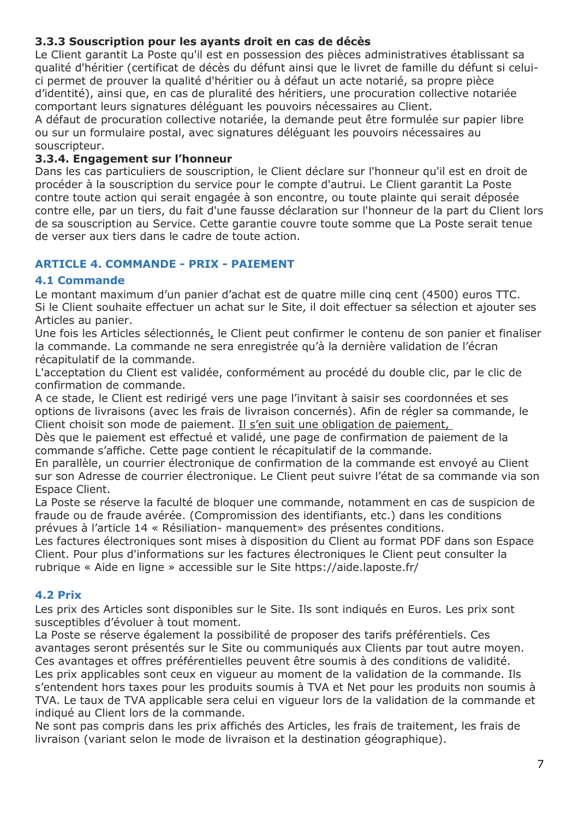## **3.3.3 Souscription pour les ayants droit en cas de décès**

Le Client garantit La Poste qu'il est en possession des pièces administratives établissant sa qualité d'héritier (certificat de décès du défunt ainsi que le livret de famille du défunt si celuici permet de prouver la qualité d'héritier ou à défaut un acte notarié, sa propre pièce d'identité), ainsi que, en cas de pluralité des héritiers, une procuration collective notariée comportant leurs signatures déléguant les pouvoirs nécessaires au Client.

A défaut de procuration collective notariée, la demande peut être formulée sur papier libre ou sur un formulaire postal, avec signatures déléguant les pouvoirs nécessaires au souscripteur.

### **3.3.4. Engagement sur l'honneur**

Dans les cas particuliers de souscription, le Client déclare sur l'honneur qu'il est en droit de procéder à la souscription du service pour le compte d'autrui. Le Client garantit La Poste contre toute action qui serait engagée à son encontre, ou toute plainte qui serait déposée contre elle, par un tiers, du fait d'une fausse déclaration sur l'honneur de la part du Client lors de sa souscription au Service. Cette garantie couvre toute somme que La Poste serait tenue de verser aux tiers dans le cadre de toute action.

## <span id="page-6-0"></span>**ARTICLE 4. COMMANDE - PRIX - PAIEMENT**

## **4.1 Commande**

Le montant maximum d'un panier d'achat est de quatre mille cinq cent (4500) euros TTC. Si le Client souhaite effectuer un achat sur le Site, il doit effectuer sa sélection et ajouter ses Articles au panier.

Une fois les Articles sélectionnés, le Client peut confirmer le contenu de son panier et finaliser la commande. La commande ne sera enregistrée qu'à la dernière validation de l'écran récapitulatif de la commande.

L'acceptation du Client est validée, conformément au procédé du double clic, par le clic de confirmation de commande.

A ce stade, le Client est redirigé vers une page l'invitant à saisir ses coordonnées et ses options de livraisons (avec les frais de livraison concernés). Afin de régler sa commande, le Client choisit son mode de paiement. Il s'en suit une obligation de paiement,

Dès que le paiement est effectué et validé, une page de confirmation de paiement de la commande s'affiche. Cette page contient le récapitulatif de la commande.

En parallèle, un courrier électronique de confirmation de la commande est envoyé au Client sur son Adresse de courrier électronique. Le Client peut suivre l'état de sa commande via son Espace Client.

La Poste se réserve la faculté de bloquer une commande, notamment en cas de suspicion de fraude ou de fraude avérée. (Compromission des identifiants, etc.) dans les conditions prévues à l'article 14 « Résiliation- manquement» des présentes conditions.

Les factures électroniques sont mises à disposition du Client au format PDF dans son Espace Client. Pour plus d'informations sur les factures électroniques le Client peut consulter la rubrique « Aide en ligne » accessible sur le Site https://aide.laposte.fr/

## **4.2 Prix**

Les prix des Articles sont disponibles sur le Site. Ils sont indiqués en Euros. Les prix sont susceptibles d'évoluer à tout moment.

La Poste se réserve également la possibilité de proposer des tarifs préférentiels. Ces avantages seront présentés sur le Site ou communiqués aux Clients par tout autre moyen. Ces avantages et offres préférentielles peuvent être soumis à des conditions de validité. Les prix applicables sont ceux en vigueur au moment de la validation de la commande. Ils s'entendent hors taxes pour les produits soumis à TVA et Net pour les produits non soumis à TVA. Le taux de TVA applicable sera celui en vigueur lors de la validation de la commande et indiqué au Client lors de la commande.

Ne sont pas compris dans les prix affichés des Articles, les frais de traitement, les frais de livraison (variant selon le mode de livraison et la destination géographique).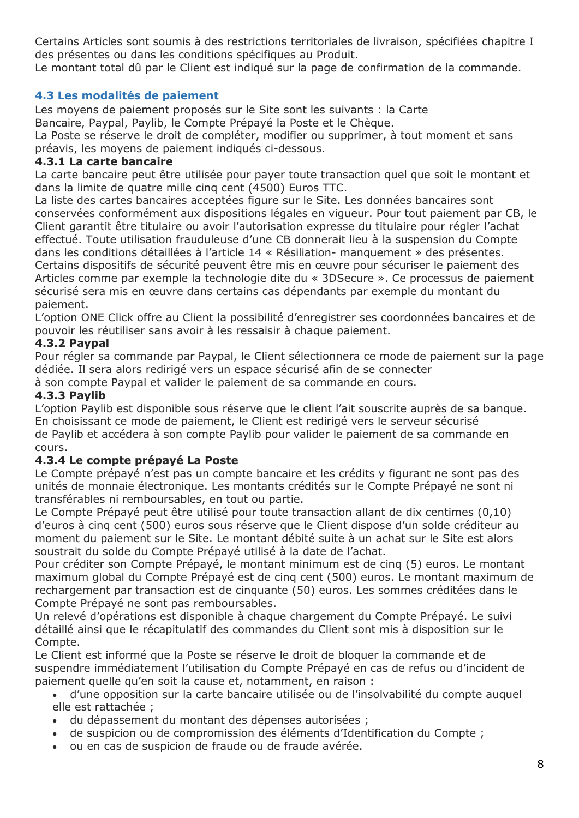Certains Articles sont soumis à des restrictions territoriales de livraison, spécifiées chapitre I des présentes ou dans les conditions spécifiques au Produit.

Le montant total dû par le Client est indiqué sur la page de confirmation de la commande.

## **4.3 Les modalités de paiement**

Les moyens de paiement proposés sur le Site sont les suivants : la Carte Bancaire, Paypal, Paylib, le Compte Prépayé la Poste et le Chèque.

La Poste se réserve le droit de compléter, modifier ou supprimer, à tout moment et sans préavis, les moyens de paiement indiqués ci-dessous.

### **4.3.1 La carte bancaire**

La carte bancaire peut être utilisée pour payer toute transaction quel que soit le montant et dans la limite de quatre mille cinq cent (4500) Euros TTC.

La liste des cartes bancaires acceptées figure sur le Site. Les données bancaires sont conservées conformément aux dispositions légales en vigueur. Pour tout paiement par CB, le Client garantit être titulaire ou avoir l'autorisation expresse du titulaire pour régler l'achat effectué. Toute utilisation frauduleuse d'une CB donnerait lieu à la suspension du Compte dans les conditions détaillées à l'article 14 « Résiliation- manquement » des présentes. Certains dispositifs de sécurité peuvent être mis en œuvre pour sécuriser le paiement des Articles comme par exemple la technologie dite du « 3DSecure ». Ce processus de paiement sécurisé sera mis en œuvre dans certains cas dépendants par exemple du montant du paiement.

L'option ONE Click offre au Client la possibilité d'enregistrer ses coordonnées bancaires et de pouvoir les réutiliser sans avoir à les ressaisir à chaque paiement.

### **4.3.2 Paypal**

Pour régler sa commande par Paypal, le Client sélectionnera ce mode de paiement sur la page dédiée. Il sera alors redirigé vers un espace sécurisé afin de se connecter

à son compte Paypal et valider le paiement de sa commande en cours.

### **4.3.3 Paylib**

L'option Paylib est disponible sous réserve que le client l'ait souscrite auprès de sa banque. En choisissant ce mode de paiement, le Client est redirigé vers le serveur sécurisé de Paylib et accédera à son compte Paylib pour valider le paiement de sa commande en cours.

## **4.3.4 Le compte prépayé La Poste**

Le Compte prépayé n'est pas un compte bancaire et les crédits y figurant ne sont pas des unités de monnaie électronique. Les montants crédités sur le Compte Prépayé ne sont ni transférables ni remboursables, en tout ou partie.

Le Compte Prépayé peut être utilisé pour toute transaction allant de dix centimes (0,10) d'euros à cinq cent (500) euros sous réserve que le Client dispose d'un solde créditeur au moment du paiement sur le Site. Le montant débité suite à un achat sur le Site est alors soustrait du solde du Compte Prépayé utilisé à la date de l'achat.

Pour créditer son Compte Prépayé, le montant minimum est de cinq (5) euros. Le montant maximum global du Compte Prépayé est de cinq cent (500) euros. Le montant maximum de rechargement par transaction est de cinquante (50) euros. Les sommes créditées dans le Compte Prépayé ne sont pas remboursables.

Un relevé d'opérations est disponible à chaque chargement du Compte Prépayé. Le suivi détaillé ainsi que le récapitulatif des commandes du Client sont mis à disposition sur le Compte.

Le Client est informé que la Poste se réserve le droit de bloquer la commande et de suspendre immédiatement l'utilisation du Compte Prépayé en cas de refus ou d'incident de paiement quelle qu'en soit la cause et, notamment, en raison :

- d'une opposition sur la carte bancaire utilisée ou de l'insolvabilité du compte auquel elle est rattachée ;
- du dépassement du montant des dépenses autorisées ;
- de suspicion ou de compromission des éléments d'Identification du Compte ;
- ou en cas de suspicion de fraude ou de fraude avérée.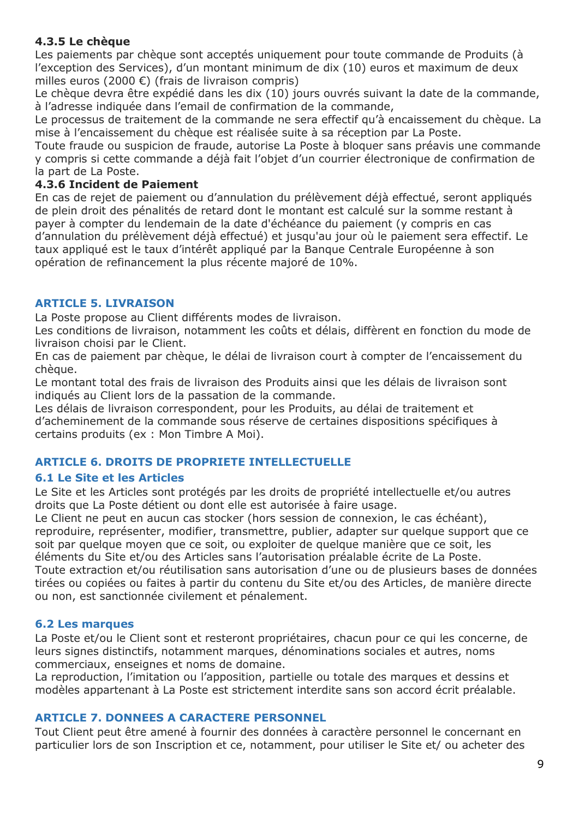### **4.3.5 Le chèque**

Les paiements par chèque sont acceptés uniquement pour toute commande de Produits (à l'exception des Services), d'un montant minimum de dix (10) euros et maximum de deux milles euros (2000 €) (frais de livraison compris)

Le chèque devra être expédié dans les dix (10) jours ouvrés suivant la date de la commande, à l'adresse indiquée dans l'email de confirmation de la commande,

Le processus de traitement de la commande ne sera effectif qu'à encaissement du chèque. La mise à l'encaissement du chèque est réalisée suite à sa réception par La Poste.

Toute fraude ou suspicion de fraude, autorise La Poste à bloquer sans préavis une commande y compris si cette commande a déjà fait l'objet d'un courrier électronique de confirmation de la part de La Poste.

### **4.3.6 Incident de Paiement**

En cas de rejet de paiement ou d'annulation du prélèvement déjà effectué, seront appliqués de plein droit des pénalités de retard dont le montant est calculé sur la somme restant à payer à compter du lendemain de la date d'échéance du paiement (y compris en cas d'annulation du prélèvement déjà effectué) et jusqu'au jour où le paiement sera effectif. Le taux appliqué est le taux d'intérêt appliqué par la Banque Centrale Européenne à son opération de refinancement la plus récente majoré de 10%.

## <span id="page-8-0"></span>**ARTICLE 5. LIVRAISON**

La Poste propose au Client différents modes de livraison.

Les conditions de livraison, notamment les coûts et délais, diffèrent en fonction du mode de livraison choisi par le Client.

En cas de paiement par chèque, le délai de livraison court à compter de l'encaissement du chèque.

Le montant total des frais de livraison des Produits ainsi que les délais de livraison sont indiqués au Client lors de la passation de la commande.

Les délais de livraison correspondent, pour les Produits, au délai de traitement et d'acheminement de la commande sous réserve de certaines dispositions spécifiques à certains produits (ex : Mon Timbre A Moi).

## <span id="page-8-1"></span>**ARTICLE 6. DROITS DE PROPRIETE INTELLECTUELLE**

## **6.1 Le Site et les Articles**

Le Site et les Articles sont protégés par les droits de propriété intellectuelle et/ou autres droits que La Poste détient ou dont elle est autorisée à faire usage.

Le Client ne peut en aucun cas stocker (hors session de connexion, le cas échéant), reproduire, représenter, modifier, transmettre, publier, adapter sur quelque support que ce soit par quelque moyen que ce soit, ou exploiter de quelque manière que ce soit, les éléments du Site et/ou des Articles sans l'autorisation préalable écrite de La Poste. Toute extraction et/ou réutilisation sans autorisation d'une ou de plusieurs bases de données tirées ou copiées ou faites à partir du contenu du Site et/ou des Articles, de manière directe

ou non, est sanctionnée civilement et pénalement.

### **6.2 Les marques**

La Poste et/ou le Client sont et resteront propriétaires, chacun pour ce qui les concerne, de leurs signes distinctifs, notamment marques, dénominations sociales et autres, noms commerciaux, enseignes et noms de domaine.

La reproduction, l'imitation ou l'apposition, partielle ou totale des marques et dessins et modèles appartenant à La Poste est strictement interdite sans son accord écrit préalable.

## <span id="page-8-2"></span>**ARTICLE 7. DONNEES A CARACTERE PERSONNEL**

Tout Client peut être amené à fournir des données à caractère personnel le concernant en particulier lors de son Inscription et ce, notamment, pour utiliser le Site et/ ou acheter des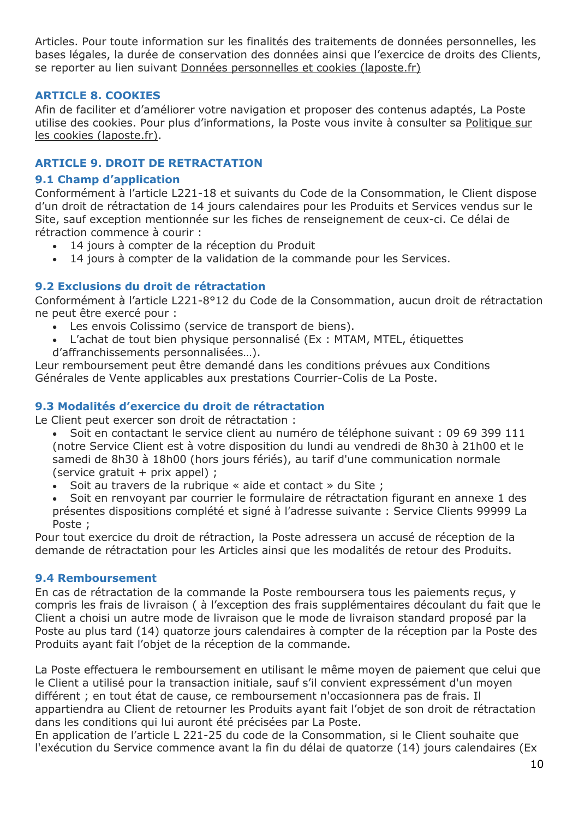Articles. Pour toute information sur les finalités des traitements de données personnelles, les bases légales, la durée de conservation des données ainsi que l'exercice de droits des Clients, se reporter au lien suivant [Données personnelles et cookies \(laposte.fr\)](https://www.laposte.fr/donnees-personnelles-et-cookies#8)

### <span id="page-9-0"></span>**ARTICLE 8. COOKIES**

Afin de faciliter et d'améliorer votre navigation et proposer des contenus adaptés, La Poste utilise des cookies. Pour plus d'informations, la Poste vous invite à consulter sa [Politique sur](https://www.laposte.fr/information-sur-les-cookies)  [les cookies \(laposte.fr\).](https://www.laposte.fr/information-sur-les-cookies)

### <span id="page-9-1"></span>**ARTICLE 9. DROIT DE RETRACTATION**

### **9.1 Champ d'application**

Conformément à l'article L221-18 et suivants du Code de la Consommation, le Client dispose d'un droit de rétractation de 14 jours calendaires pour les Produits et Services vendus sur le Site, sauf exception mentionnée sur les fiches de renseignement de ceux-ci. Ce délai de rétraction commence à courir :

- 14 jours à compter de la réception du Produit
- 14 jours à compter de la validation de la commande pour les Services.

### **9.2 Exclusions du droit de rétractation**

Conformément à l'article L221-8°12 du Code de la Consommation, aucun droit de rétractation ne peut être exercé pour :

- Les envois Colissimo (service de transport de biens).
- L'achat de tout bien physique personnalisé (Ex : MTAM, MTEL, étiquettes d'affranchissements personnalisées…).

Leur remboursement peut être demandé dans les conditions prévues aux Conditions Générales de Vente applicables aux prestations Courrier-Colis de La Poste.

### **9.3 Modalités d'exercice du droit de rétractation**

Le Client peut exercer son droit de rétractation :

- Soit en contactant le service client au numéro de téléphone suivant : 09 69 399 111 (notre Service Client est à votre disposition du lundi au vendredi de 8h30 à 21h00 et le samedi de 8h30 à 18h00 (hors jours fériés), au tarif d'une communication normale (service gratuit + prix appel) ;
- Soit au travers de la rubrique « aide et contact » du Site ;
- Soit en renvoyant par courrier le formulaire de rétractation figurant en annexe 1 des présentes dispositions complété et signé à l'adresse suivante : Service Clients 99999 La Poste ;

Pour tout exercice du droit de rétraction, la Poste adressera un accusé de réception de la demande de rétractation pour les Articles ainsi que les modalités de retour des Produits.

#### **9.4 Remboursement**

En cas de rétractation de la commande la Poste remboursera tous les paiements reçus, y compris les frais de livraison ( à l'exception des frais supplémentaires découlant du fait que le Client a choisi un autre mode de livraison que le mode de livraison standard proposé par la Poste au plus tard (14) quatorze jours calendaires à compter de la réception par la Poste des Produits ayant fait l'objet de la réception de la commande.

La Poste effectuera le remboursement en utilisant le même moyen de paiement que celui que le Client a utilisé pour la transaction initiale, sauf s'il convient expressément d'un moyen différent ; en tout état de cause, ce remboursement n'occasionnera pas de frais. Il appartiendra au Client de retourner les Produits ayant fait l'objet de son droit de rétractation dans les conditions qui lui auront été précisées par La Poste.

En application de l'article L 221-25 du code de la Consommation, si le Client souhaite que l'exécution du Service commence avant la fin du délai de quatorze (14) jours calendaires (Ex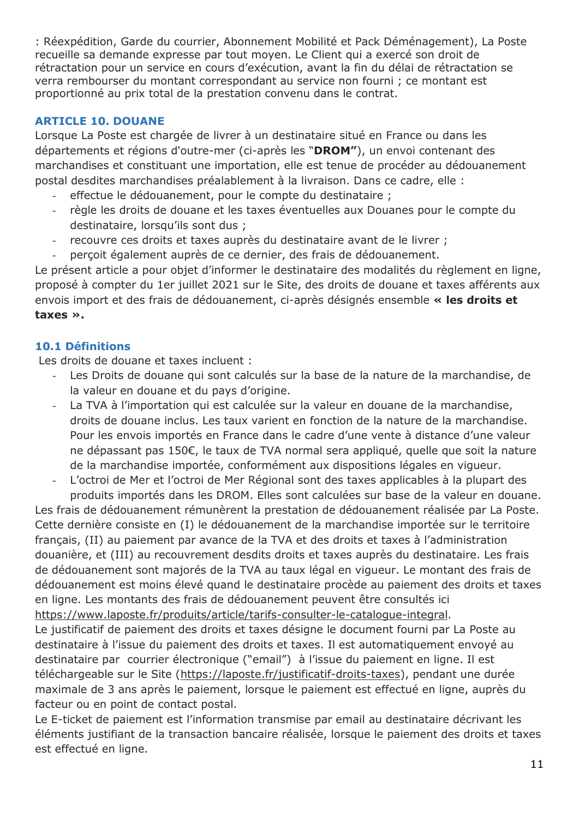: Réexpédition, Garde du courrier, Abonnement Mobilité et Pack Déménagement), La Poste recueille sa demande expresse par tout moyen. Le Client qui a exercé son droit de rétractation pour un service en cours d'exécution, avant la fin du délai de rétractation se verra rembourser du montant correspondant au service non fourni ; ce montant est proportionné au prix total de la prestation convenu dans le contrat.

## <span id="page-10-0"></span>**ARTICLE 10. DOUANE**

Lorsque La Poste est chargée de livrer à un destinataire situé en France ou dans les départements et régions d'outre-mer (ci-après les "**DROM"**), un envoi contenant des marchandises et constituant une importation, elle est tenue de procéder au dédouanement postal desdites marchandises préalablement à la livraison. Dans ce cadre, elle :

- effectue le dédouanement, pour le compte du destinataire ;
- règle les droits de douane et les taxes éventuelles aux Douanes pour le compte du destinataire, lorsqu'ils sont dus ;
- recouvre ces droits et taxes auprès du destinataire avant de le livrer ;
- perçoit également auprès de ce dernier, des frais de dédouanement.

Le présent article a pour objet d'informer le destinataire des modalités du règlement en ligne, proposé à compter du 1er juillet 2021 sur le Site, des droits de douane et taxes afférents aux envois import et des frais de dédouanement, ci-après désignés ensemble **« les droits et taxes ».**

## **10.1 Définitions**

Les droits de douane et taxes incluent :

- Les Droits de douane qui sont calculés sur la base de la nature de la marchandise, de la valeur en douane et du pays d'origine.
- La TVA à l'importation qui est calculée sur la valeur en douane de la marchandise, droits de douane inclus. Les taux varient en fonction de la nature de la marchandise. Pour les envois importés en France dans le cadre d'une vente à distance d'une valeur ne dépassant pas 150€, le taux de TVA normal sera appliqué, quelle que soit la nature de la marchandise importée, conformément aux dispositions légales en vigueur.
- L'octroi de Mer et l'octroi de Mer Régional sont des taxes applicables à la plupart des produits importés dans les DROM. Elles sont calculées sur base de la valeur en douane.

Les frais de dédouanement rémunèrent la prestation de dédouanement réalisée par La Poste. Cette dernière consiste en (I) le dédouanement de la marchandise importée sur le territoire français, (II) au paiement par avance de la TVA et des droits et taxes à l'administration douanière, et (III) au recouvrement desdits droits et taxes auprès du destinataire. Les frais de dédouanement sont majorés de la TVA au taux légal en vigueur. Le montant des frais de dédouanement est moins élevé quand le destinataire procède au paiement des droits et taxes en ligne. Les montants des frais de dédouanement peuvent être consultés ici [https://www.laposte.fr/produits/article/tarifs-consulter-le-catalogue-integral.](https://www.laposte.fr/produits/article/tarifs-consulter-le-catalogue-integral)

Le justificatif de paiement des droits et taxes désigne le document fourni par La Poste au destinataire à l'issue du paiement des droits et taxes. Il est automatiquement envoyé au destinataire par courrier électronique ("email") à l'issue du paiement en ligne. Il est téléchargeable sur le Site [\(https://laposte.fr/justificatif-droits-taxes\)](https://laposte.fr/justificatif-droits-taxes), pendant une durée maximale de 3 ans après le paiement, lorsque le paiement est effectué en ligne, auprès du facteur ou en point de contact postal.

Le E-ticket de paiement est l'information transmise par email au destinataire décrivant les éléments justifiant de la transaction bancaire réalisée, lorsque le paiement des droits et taxes est effectué en ligne.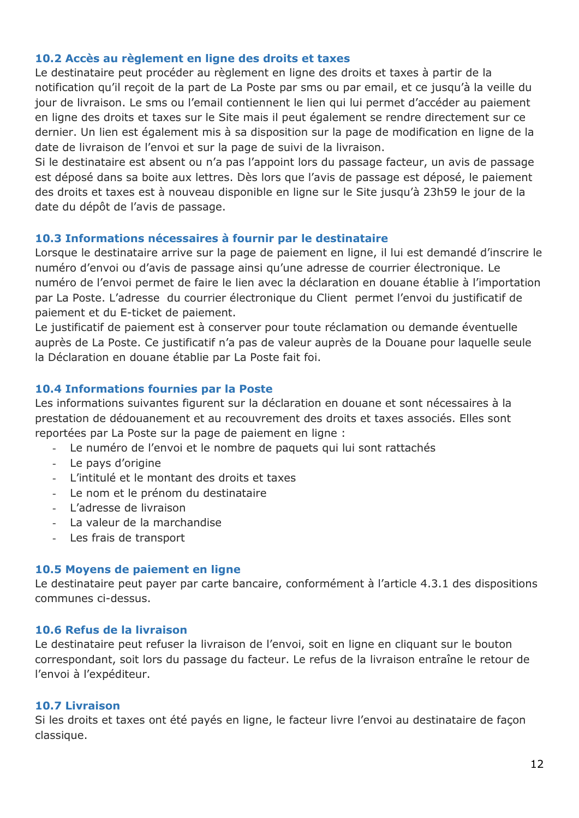### **10.2 Accès au règlement en ligne des droits et taxes**

Le destinataire peut procéder au règlement en ligne des droits et taxes à partir de la notification qu'il reçoit de la part de La Poste par sms ou par email, et ce jusqu'à la veille du jour de livraison. Le sms ou l'email contiennent le lien qui lui permet d'accéder au paiement en ligne des droits et taxes sur le Site mais il peut également se rendre directement sur ce dernier. Un lien est également mis à sa disposition sur la page de modification en ligne de la date de livraison de l'envoi et sur la page de suivi de la livraison.

Si le destinataire est absent ou n'a pas l'appoint lors du passage facteur, un avis de passage est déposé dans sa boite aux lettres. Dès lors que l'avis de passage est déposé, le paiement des droits et taxes est à nouveau disponible en ligne sur le Site jusqu'à 23h59 le jour de la date du dépôt de l'avis de passage.

### **10.3 Informations nécessaires à fournir par le destinataire**

Lorsque le destinataire arrive sur la page de paiement en ligne, il lui est demandé d'inscrire le numéro d'envoi ou d'avis de passage ainsi qu'une adresse de courrier électronique. Le numéro de l'envoi permet de faire le lien avec la déclaration en douane établie à l'importation par La Poste. L'adresse du courrier électronique du Client permet l'envoi du justificatif de paiement et du E-ticket de paiement.

Le justificatif de paiement est à conserver pour toute réclamation ou demande éventuelle auprès de La Poste. Ce justificatif n'a pas de valeur auprès de la Douane pour laquelle seule la Déclaration en douane établie par La Poste fait foi.

### **10.4 Informations fournies par la Poste**

Les informations suivantes figurent sur la déclaration en douane et sont nécessaires à la prestation de dédouanement et au recouvrement des droits et taxes associés. Elles sont reportées par La Poste sur la page de paiement en ligne :

- Le numéro de l'envoi et le nombre de paquets qui lui sont rattachés
- Le pays d'origine
- L'intitulé et le montant des droits et taxes
- Le nom et le prénom du destinataire
- L'adresse de livraison
- La valeur de la marchandise
- Les frais de transport

### **10.5 Moyens de paiement en ligne**

Le destinataire peut payer par carte bancaire, conformément à l'article 4.3.1 des dispositions communes ci-dessus.

### **10.6 Refus de la livraison**

Le destinataire peut refuser la livraison de l'envoi, soit en ligne en cliquant sur le bouton correspondant, soit lors du passage du facteur. Le refus de la livraison entraîne le retour de l'envoi à l'expéditeur.

### **10.7 Livraison**

Si les droits et taxes ont été payés en ligne, le facteur livre l'envoi au destinataire de façon classique.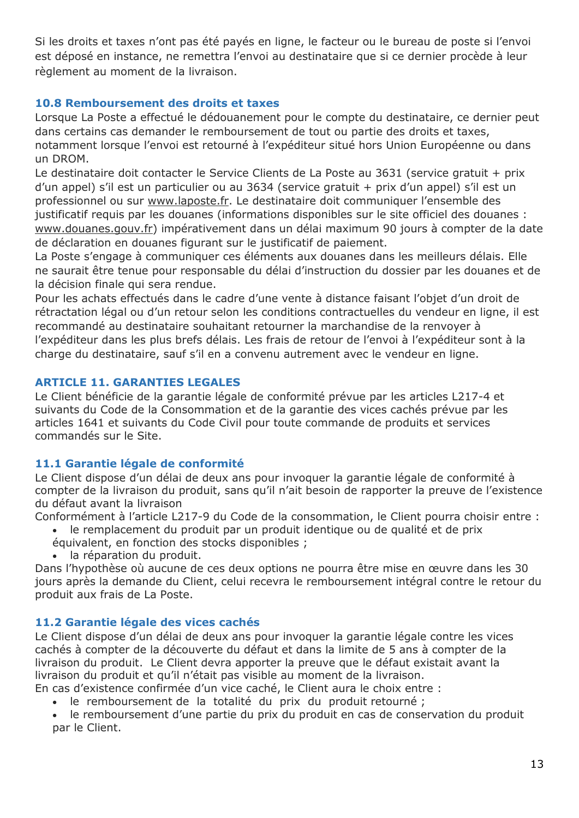Si les droits et taxes n'ont pas été payés en ligne, le facteur ou le bureau de poste si l'envoi est déposé en instance, ne remettra l'envoi au destinataire que si ce dernier procède à leur règlement au moment de la livraison.

### **10.8 Remboursement des droits et taxes**

Lorsque La Poste a effectué le dédouanement pour le compte du destinataire, ce dernier peut dans certains cas demander le remboursement de tout ou partie des droits et taxes, notamment lorsque l'envoi est retourné à l'expéditeur situé hors Union Européenne ou dans un DROM.

Le destinataire doit contacter le Service Clients de La Poste au 3631 (service gratuit + prix d'un appel) s'il est un particulier ou au 3634 (service gratuit + prix d'un appel) s'il est un professionnel ou sur www.laposte.fr. Le destinataire doit communiquer l'ensemble des justificatif requis par les douanes (informations disponibles sur le site officiel des douanes : www.douanes.gouv.fr) impérativement dans un délai maximum 90 jours à compter de la date de déclaration en douanes figurant sur le justificatif de paiement.

La Poste s'engage à communiquer ces éléments aux douanes dans les meilleurs délais. Elle ne saurait être tenue pour responsable du délai d'instruction du dossier par les douanes et de la décision finale qui sera rendue.

Pour les achats effectués dans le cadre d'une vente à distance faisant l'objet d'un droit de rétractation légal ou d'un retour selon les conditions contractuelles du vendeur en ligne, il est recommandé au destinataire souhaitant retourner la marchandise de la renvoyer à l'expéditeur dans les plus brefs délais. Les frais de retour de l'envoi à l'expéditeur sont à la charge du destinataire, sauf s'il en a convenu autrement avec le vendeur en ligne.

### <span id="page-12-0"></span>**ARTICLE 11. GARANTIES LEGALES**

Le Client bénéficie de la garantie légale de conformité prévue par les articles L217-4 et suivants du Code de la Consommation et de la garantie des vices cachés prévue par les articles 1641 et suivants du Code Civil pour toute commande de produits et services commandés sur le Site.

## **11.1 Garantie légale de conformité**

Le Client dispose d'un délai de deux ans pour invoquer la garantie légale de conformité à compter de la livraison du produit, sans qu'il n'ait besoin de rapporter la preuve de l'existence du défaut avant la livraison

Conformément à l'article L217-9 du Code de la consommation, le Client pourra choisir entre :

- le remplacement du produit par un produit identique ou de qualité et de prix
- équivalent, en fonction des stocks disponibles ;
- la réparation du produit.

Dans l'hypothèse où aucune de ces deux options ne pourra être mise en œuvre dans les 30 jours après la demande du Client, celui recevra le remboursement intégral contre le retour du produit aux frais de La Poste.

## **11.2 Garantie légale des vices cachés**

Le Client dispose d'un délai de deux ans pour invoquer la garantie légale contre les vices cachés à compter de la découverte du défaut et dans la limite de 5 ans à compter de la livraison du produit. Le Client devra apporter la preuve que le défaut existait avant la livraison du produit et qu'il n'était pas visible au moment de la livraison.

En cas d'existence confirmée d'un vice caché, le Client aura le choix entre :

- le remboursement de la totalité du prix du produit retourné ;
- le remboursement d'une partie du prix du produit en cas de conservation du produit par le Client.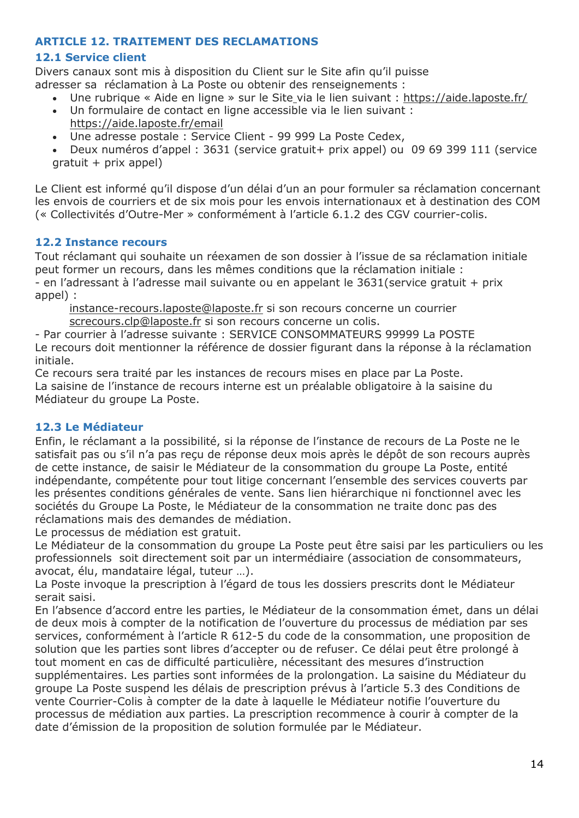### <span id="page-13-0"></span>**ARTICLE 12. TRAITEMENT DES RECLAMATIONS**

### **12.1 Service client**

Divers canaux sont mis à disposition du Client sur le Site afin qu'il puisse adresser sa réclamation à La Poste ou obtenir des renseignements :

- Une rubrique « Aide en ligne » sur le Site via le lien suivant :<https://aide.laposte.fr/>
	- Un formulaire de contact en ligne accessible via le lien suivant : <https://aide.laposte.fr/email>
- Une adresse postale : Service Client 99 999 La Poste Cedex,
- Deux numéros d'appel : 3631 (service gratuit+ prix appel) ou 09 69 399 111 (service  $gratuit + prix appel)$

Le Client est informé qu'il dispose d'un délai d'un an pour formuler sa réclamation concernant les envois de courriers et de six mois pour les envois internationaux et à destination des COM (« Collectivités d'Outre-Mer » conformément à l'article 6.1.2 des CGV courrier-colis.

### **12.2 Instance recours**

Tout réclamant qui souhaite un réexamen de son dossier à l'issue de sa réclamation initiale peut former un recours, dans les mêmes conditions que la réclamation initiale : - en l'adressant à l'adresse mail suivante ou en appelant le 3631(service gratuit + prix

appel) : [instance-recours.laposte@laposte.fr](mailto:instance-recours.laposte@laposte.fr) si son recours concerne un courrier screcours.clp@laposte.fr si son recours concerne un colis.

- Par courrier à l'adresse suivante : SERVICE CONSOMMATEURS 99999 La POSTE Le recours doit mentionner la référence de dossier figurant dans la réponse à la réclamation initiale.

Ce recours sera traité par les instances de recours mises en place par La Poste. La saisine de l'instance de recours interne est un préalable obligatoire à la saisine du Médiateur du groupe La Poste.

## **12.3 Le Médiateur**

Enfin, le réclamant a la possibilité, si la réponse de l'instance de recours de La Poste ne le satisfait pas ou s'il n'a pas reçu de réponse deux mois après le dépôt de son recours auprès de cette instance, de saisir le Médiateur de la consommation du groupe La Poste, entité indépendante, compétente pour tout litige concernant l'ensemble des services couverts par les présentes conditions générales de vente. Sans lien hiérarchique ni fonctionnel avec les sociétés du Groupe La Poste, le Médiateur de la consommation ne traite donc pas des réclamations mais des demandes de médiation.

Le processus de médiation est gratuit.

Le Médiateur de la consommation du groupe La Poste peut être saisi par les particuliers ou les professionnels soit directement soit par un intermédiaire (association de consommateurs, avocat, élu, mandataire légal, tuteur …).

La Poste invoque la prescription à l'égard de tous les dossiers prescrits dont le Médiateur serait saisi.

En l'absence d'accord entre les parties, le Médiateur de la consommation émet, dans un délai de deux mois à compter de la notification de l'ouverture du processus de médiation par ses services, conformément à l'article R 612-5 du code de la consommation, une proposition de solution que les parties sont libres d'accepter ou de refuser. Ce délai peut être prolongé à tout moment en cas de difficulté particulière, nécessitant des mesures d'instruction supplémentaires. Les parties sont informées de la prolongation. La saisine du Médiateur du groupe La Poste suspend les délais de prescription prévus à l'article 5.3 des Conditions de vente Courrier-Colis à compter de la date à laquelle le Médiateur notifie l'ouverture du processus de médiation aux parties. La prescription recommence à courir à compter de la date d'émission de la proposition de solution formulée par le Médiateur.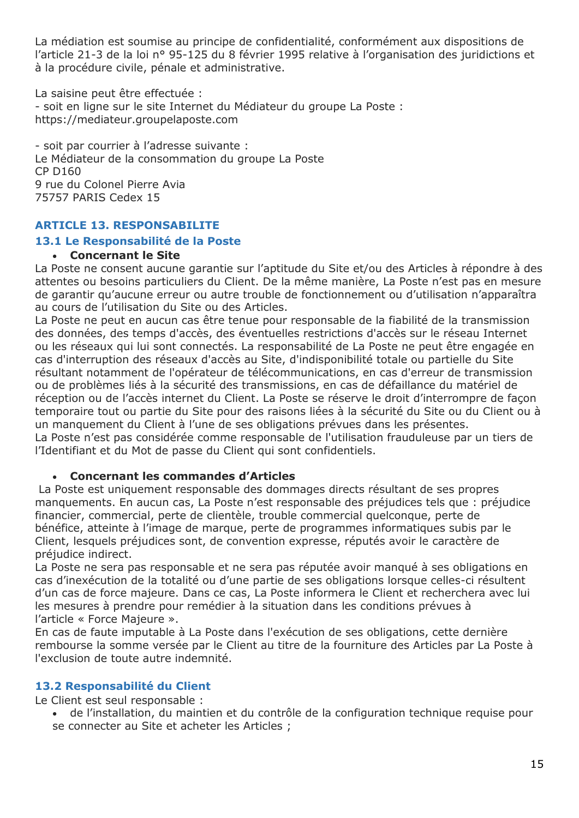La médiation est soumise au principe de confidentialité, conformément aux dispositions de l'article 21-3 de la loi n° 95-125 du 8 février 1995 relative à l'organisation des juridictions et à la procédure civile, pénale et administrative.

La saisine peut être effectuée : - soit en ligne sur le site Internet du Médiateur du groupe La Poste : https://mediateur.groupelaposte.com

- soit par courrier à l'adresse suivante : Le Médiateur de la consommation du groupe La Poste CP D160 9 rue du Colonel Pierre Avia 75757 PARIS Cedex 15

### <span id="page-14-0"></span>**ARTICLE 13. RESPONSABILITE**

### **13.1 Le Responsabilité de la Poste**

### **Concernant le Site**

La Poste ne consent aucune garantie sur l'aptitude du Site et/ou des Articles à répondre à des attentes ou besoins particuliers du Client. De la même manière, La Poste n'est pas en mesure de garantir qu'aucune erreur ou autre trouble de fonctionnement ou d'utilisation n'apparaîtra au cours de l'utilisation du Site ou des Articles.

La Poste ne peut en aucun cas être tenue pour responsable de la fiabilité de la transmission des données, des temps d'accès, des éventuelles restrictions d'accès sur le réseau Internet ou les réseaux qui lui sont connectés. La responsabilité de La Poste ne peut être engagée en cas d'interruption des réseaux d'accès au Site, d'indisponibilité totale ou partielle du Site résultant notamment de l'opérateur de télécommunications, en cas d'erreur de transmission ou de problèmes liés à la sécurité des transmissions, en cas de défaillance du matériel de réception ou de l'accès internet du Client. La Poste se réserve le droit d'interrompre de façon temporaire tout ou partie du Site pour des raisons liées à la sécurité du Site ou du Client ou à un manquement du Client à l'une de ses obligations prévues dans les présentes. La Poste n'est pas considérée comme responsable de l'utilisation frauduleuse par un tiers de l'Identifiant et du Mot de passe du Client qui sont confidentiels.

### **Concernant les commandes d'Articles**

La Poste est uniquement responsable des dommages directs résultant de ses propres manquements. En aucun cas, La Poste n'est responsable des préjudices tels que : préjudice financier, commercial, perte de clientèle, trouble commercial quelconque, perte de bénéfice, atteinte à l'image de marque, perte de programmes informatiques subis par le Client, lesquels préjudices sont, de convention expresse, réputés avoir le caractère de préjudice indirect.

La Poste ne sera pas responsable et ne sera pas réputée avoir manqué à ses obligations en cas d'inexécution de la totalité ou d'une partie de ses obligations lorsque celles-ci résultent d'un cas de force majeure. Dans ce cas, La Poste informera le Client et recherchera avec lui les mesures à prendre pour remédier à la situation dans les conditions prévues à l'article « Force Majeure ».

En cas de faute imputable à La Poste dans l'exécution de ses obligations, cette dernière rembourse la somme versée par le Client au titre de la fourniture des Articles par La Poste à l'exclusion de toute autre indemnité.

### **13.2 Responsabilité du Client**

Le Client est seul responsable :

 de l'installation, du maintien et du contrôle de la configuration technique requise pour se connecter au Site et acheter les Articles ;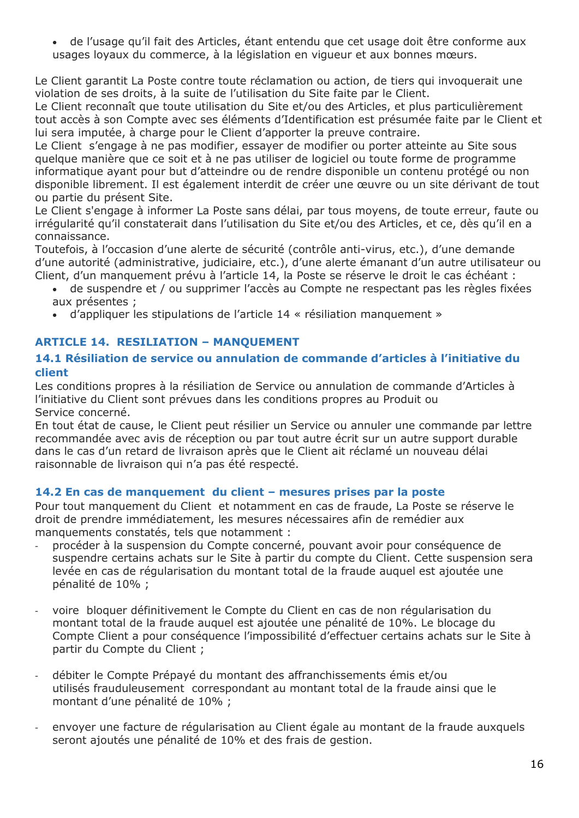de l'usage qu'il fait des Articles, étant entendu que cet usage doit être conforme aux usages loyaux du commerce, à la législation en vigueur et aux bonnes mœurs.

Le Client garantit La Poste contre toute réclamation ou action, de tiers qui invoquerait une violation de ses droits, à la suite de l'utilisation du Site faite par le Client.

Le Client reconnaît que toute utilisation du Site et/ou des Articles, et plus particulièrement tout accès à son Compte avec ses éléments d'Identification est présumée faite par le Client et lui sera imputée, à charge pour le Client d'apporter la preuve contraire.

Le Client s'engage à ne pas modifier, essayer de modifier ou porter atteinte au Site sous quelque manière que ce soit et à ne pas utiliser de logiciel ou toute forme de programme informatique ayant pour but d'atteindre ou de rendre disponible un contenu protégé ou non disponible librement. Il est également interdit de créer une œuvre ou un site dérivant de tout ou partie du présent Site.

Le Client s'engage à informer La Poste sans délai, par tous moyens, de toute erreur, faute ou irrégularité qu'il constaterait dans l'utilisation du Site et/ou des Articles, et ce, dès qu'il en a connaissance.

Toutefois, à l'occasion d'une alerte de sécurité (contrôle anti-virus, etc.), d'une demande d'une autorité (administrative, judiciaire, etc.), d'une alerte émanant d'un autre utilisateur ou Client, d'un manquement prévu à l'article 14, la Poste se réserve le droit le cas échéant :

- de suspendre et / ou supprimer l'accès au Compte ne respectant pas les règles fixées aux présentes ;
- d'appliquer les stipulations de l'article 14 « résiliation manquement »

## <span id="page-15-0"></span>**ARTICLE 14. RESILIATION – MANQUEMENT**

### **14.1 Résiliation de service ou annulation de commande d'articles à l'initiative du client**

Les conditions propres à la résiliation de Service ou annulation de commande d'Articles à l'initiative du Client sont prévues dans les conditions propres au Produit ou Service concerné.

En tout état de cause, le Client peut résilier un Service ou annuler une commande par lettre recommandée avec avis de réception ou par tout autre écrit sur un autre support durable dans le cas d'un retard de livraison après que le Client ait réclamé un nouveau délai raisonnable de livraison qui n'a pas été respecté.

## **14.2 En cas de manquement du client – mesures prises par la poste**

Pour tout manquement du Client et notamment en cas de fraude, La Poste se réserve le droit de prendre immédiatement, les mesures nécessaires afin de remédier aux manquements constatés, tels que notamment : 

- procéder à la suspension du Compte concerné, pouvant avoir pour conséquence de suspendre certains achats sur le Site à partir du compte du Client. Cette suspension sera levée en cas de régularisation du montant total de la fraude auquel est ajoutée une pénalité de 10% ;
- voire bloquer définitivement le Compte du Client en cas de non régularisation du montant total de la fraude auquel est ajoutée une pénalité de 10%. Le blocage du Compte Client a pour conséquence l'impossibilité d'effectuer certains achats sur le Site à partir du Compte du Client ;
- débiter le Compte Prépayé du montant des affranchissements émis et/ou utilisés frauduleusement correspondant au montant total de la fraude ainsi que le montant d'une pénalité de 10% ;
- envoyer une facture de régularisation au Client égale au montant de la fraude auxquels seront ajoutés une pénalité de 10% et des frais de gestion.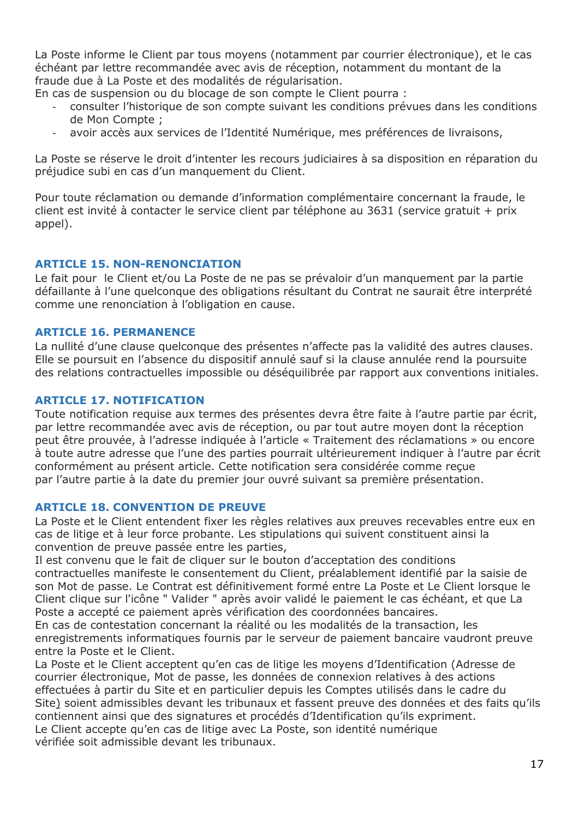La Poste informe le Client par tous moyens (notamment par courrier électronique), et le cas échéant par lettre recommandée avec avis de réception, notamment du montant de la fraude due à La Poste et des modalités de régularisation.

En cas de suspension ou du blocage de son compte le Client pourra :

- consulter l'historique de son compte suivant les conditions prévues dans les conditions de Mon Compte ;
- avoir accès aux services de l'Identité Numérique, mes préférences de livraisons,

La Poste se réserve le droit d'intenter les recours judiciaires à sa disposition en réparation du préjudice subi en cas d'un manquement du Client.

Pour toute réclamation ou demande d'information complémentaire concernant la fraude, le client est invité à contacter le service client par téléphone au 3631 (service gratuit + prix appel).

### <span id="page-16-0"></span>**ARTICLE 15. NON-RENONCIATION**

Le fait pour le Client et/ou La Poste de ne pas se prévaloir d'un manquement par la partie défaillante à l'une quelconque des obligations résultant du Contrat ne saurait être interprété comme une renonciation à l'obligation en cause.

### <span id="page-16-1"></span>**ARTICLE 16. PERMANENCE**

La nullité d'une clause quelconque des présentes n'affecte pas la validité des autres clauses. Elle se poursuit en l'absence du dispositif annulé sauf si la clause annulée rend la poursuite des relations contractuelles impossible ou déséquilibrée par rapport aux conventions initiales.

### <span id="page-16-2"></span>**ARTICLE 17. NOTIFICATION**

Toute notification requise aux termes des présentes devra être faite à l'autre partie par écrit, par lettre recommandée avec avis de réception, ou par tout autre moyen dont la réception peut être prouvée, à l'adresse indiquée à l'article « Traitement des réclamations » ou encore à toute autre adresse que l'une des parties pourrait ultérieurement indiquer à l'autre par écrit conformément au présent article. Cette notification sera considérée comme reçue par l'autre partie à la date du premier jour ouvré suivant sa première présentation.

### <span id="page-16-3"></span>**ARTICLE 18. CONVENTION DE PREUVE**

La Poste et le Client entendent fixer les règles relatives aux preuves recevables entre eux en cas de litige et à leur force probante. Les stipulations qui suivent constituent ainsi la convention de preuve passée entre les parties,

Il est convenu que le fait de cliquer sur le bouton d'acceptation des conditions contractuelles manifeste le consentement du Client, préalablement identifié par la saisie de son Mot de passe. Le Contrat est définitivement formé entre La Poste et Le Client lorsque le Client clique sur l'icône " Valider " après avoir validé le paiement le cas échéant, et que La Poste a accepté ce paiement après vérification des coordonnées bancaires.

En cas de contestation concernant la réalité ou les modalités de la transaction, les enregistrements informatiques fournis par le serveur de paiement bancaire vaudront preuve entre la Poste et le Client.

La Poste et le Client acceptent qu'en cas de litige les moyens d'Identification (Adresse de courrier électronique, Mot de passe, les données de connexion relatives à des actions effectuées à partir du Site et en particulier depuis les Comptes utilisés dans le cadre du Site) soient admissibles devant les tribunaux et fassent preuve des données et des faits qu'ils contiennent ainsi que des signatures et procédés d'Identification qu'ils expriment. Le Client accepte qu'en cas de litige avec La Poste, son identité numérique vérifiée soit admissible devant les tribunaux.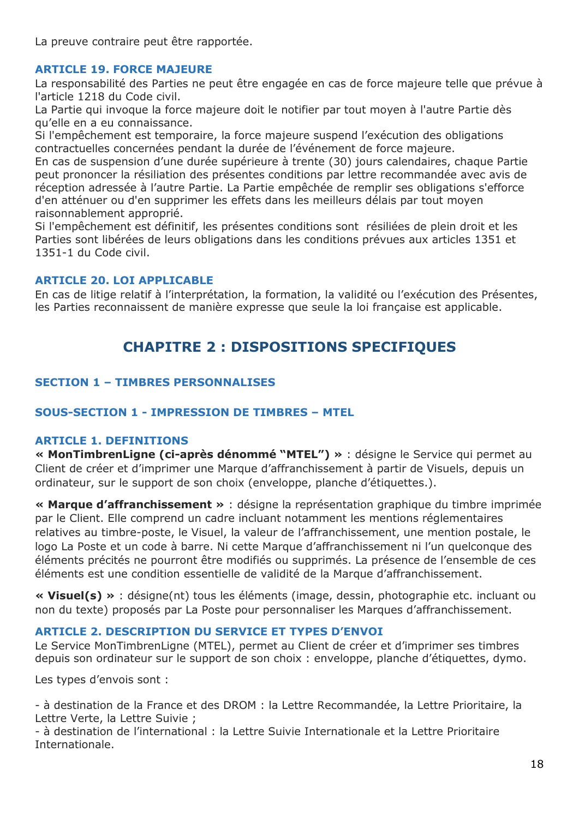La preuve contraire peut être rapportée.

### <span id="page-17-0"></span>**ARTICLE 19. FORCE MAJEURE**

La responsabilité des Parties ne peut être engagée en cas de force majeure telle que prévue à l'article 1218 du Code civil.

La Partie qui invoque la force majeure doit le notifier par tout moyen à l'autre Partie dès qu'elle en a eu connaissance.

Si l'empêchement est temporaire, la force majeure suspend l'exécution des obligations contractuelles concernées pendant la durée de l'événement de force majeure.

En cas de suspension d'une durée supérieure à trente (30) jours calendaires, chaque Partie peut prononcer la résiliation des présentes conditions par lettre recommandée avec avis de réception adressée à l'autre Partie. La Partie empêchée de remplir ses obligations s'efforce d'en atténuer ou d'en supprimer les effets dans les meilleurs délais par tout moyen raisonnablement approprié.

Si l'empêchement est définitif, les présentes conditions sont résiliées de plein droit et les Parties sont libérées de leurs obligations dans les conditions prévues aux articles [1351](https://www.legifrance.gouv.fr/affichCodeArticle.do?cidTexte=LEGITEXT000006070721&idArticle=LEGIARTI000006438354&dateTexte=&categorieLien=cid) et 1351-1 du Code civil.

### <span id="page-17-1"></span>**ARTICLE 20. LOI APPLICABLE**

<span id="page-17-2"></span>En cas de litige relatif à l'interprétation, la formation, la validité ou l'exécution des Présentes, les Parties reconnaissent de manière expresse que seule la loi française est applicable.

## **CHAPITRE 2 : DISPOSITIONS SPECIFIQUES**

## <span id="page-17-3"></span>**SECTION 1 – TIMBRES PERSONNALISES**

### <span id="page-17-4"></span>**SOUS-SECTION 1 - IMPRESSION DE TIMBRES – MTEL**

### **ARTICLE 1. DEFINITIONS**

**« MonTimbrenLigne (ci-après dénommé "MTEL") »** : désigne le Service qui permet au Client de créer et d'imprimer une Marque d'affranchissement à partir de Visuels, depuis un ordinateur, sur le support de son choix (enveloppe, planche d'étiquettes.).

**« Marque d'affranchissement »** : désigne la représentation graphique du timbre imprimée par le Client. Elle comprend un cadre incluant notamment les mentions réglementaires relatives au timbre-poste, le Visuel, la valeur de l'affranchissement, une mention postale, le logo La Poste et un code à barre. Ni cette Marque d'affranchissement ni l'un quelconque des éléments précités ne pourront être modifiés ou supprimés. La présence de l'ensemble de ces éléments est une condition essentielle de validité de la Marque d'affranchissement.

**« Visuel(s) »** : désigne(nt) tous les éléments (image, dessin, photographie etc. incluant ou non du texte) proposés par La Poste pour personnaliser les Marques d'affranchissement.

### <span id="page-17-5"></span>**ARTICLE 2. DESCRIPTION DU SERVICE ET TYPES D'ENVOI**

Le Service MonTimbrenLigne (MTEL), permet au Client de créer et d'imprimer ses timbres depuis son ordinateur sur le support de son choix : enveloppe, planche d'étiquettes, dymo.

Les types d'envois sont :

- à destination de la France et des DROM : la Lettre Recommandée, la Lettre Prioritaire, la Lettre Verte, la Lettre Suivie ;

- à destination de l'international : la Lettre Suivie Internationale et la Lettre Prioritaire Internationale.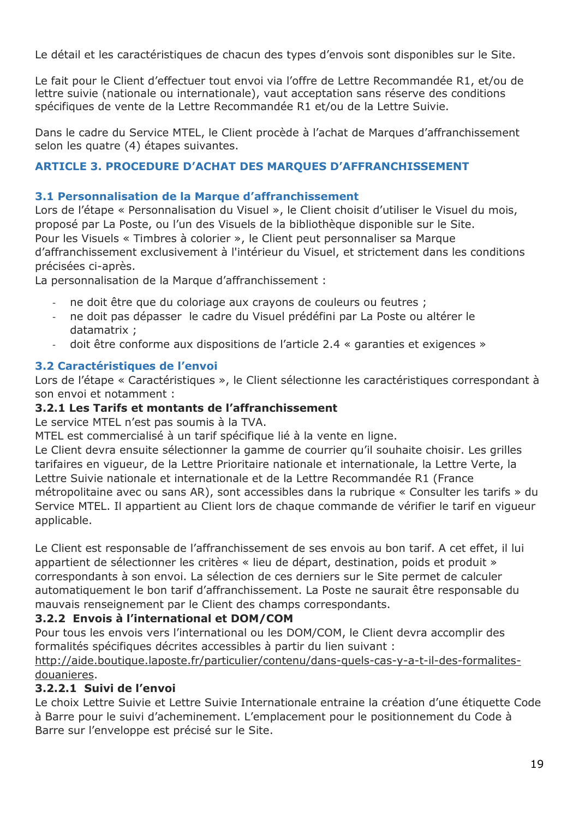Le détail et les caractéristiques de chacun des types d'envois sont disponibles sur le Site.

Le fait pour le Client d'effectuer tout envoi via l'offre de Lettre Recommandée R1, et/ou de lettre suivie (nationale ou internationale), vaut acceptation sans réserve des conditions spécifiques de vente de la Lettre Recommandée R1 et/ou de la Lettre Suivie.

Dans le cadre du Service MTEL, le Client procède à l'achat de Marques d'affranchissement selon les quatre (4) étapes suivantes.

## <span id="page-18-0"></span>**ARTICLE 3. PROCEDURE D'ACHAT DES MARQUES D'AFFRANCHISSEMENT**

## **3.1 Personnalisation de la Marque d'affranchissement**

Lors de l'étape « Personnalisation du Visuel », le Client choisit d'utiliser le Visuel du mois, proposé par La Poste, ou l'un des Visuels de la bibliothèque disponible sur le Site. Pour les Visuels « Timbres à colorier », le Client peut personnaliser sa Marque d'affranchissement exclusivement à l'intérieur du Visuel, et strictement dans les conditions précisées ci-après.

La personnalisation de la Marque d'affranchissement :

- ne doit être que du coloriage aux crayons de couleurs ou feutres ;
- ne doit pas dépasser le cadre du Visuel prédéfini par La Poste ou altérer le datamatrix ;
- doit être conforme aux dispositions de l'article 2.4 « garanties et exigences »

## **3.2 Caractéristiques de l'envoi**

Lors de l'étape « Caractéristiques », le Client sélectionne les caractéristiques correspondant à son envoi et notamment :

## **3.2.1 Les Tarifs et montants de l'affranchissement**

Le service MTEL n'est pas soumis à la TVA.

MTEL est commercialisé à un tarif spécifique lié à la vente en ligne.

Le Client devra ensuite sélectionner la gamme de courrier qu'il souhaite choisir. Les grilles tarifaires en vigueur, de la Lettre Prioritaire nationale et internationale, la Lettre Verte, la Lettre Suivie nationale et internationale et de la Lettre Recommandée R1 (France métropolitaine avec ou sans AR), sont accessibles dans la rubrique « Consulter les tarifs » du Service MTEL. Il appartient au Client lors de chaque commande de vérifier le tarif en vigueur applicable.

Le Client est responsable de l'affranchissement de ses envois au bon tarif. A cet effet, il lui appartient de sélectionner les critères « lieu de départ, destination, poids et produit » correspondants à son envoi. La sélection de ces derniers sur le Site permet de calculer automatiquement le bon tarif d'affranchissement. La Poste ne saurait être responsable du mauvais renseignement par le Client des champs correspondants.

## **3.2.2 Envois à l'international et DOM/COM**

Pour tous les envois vers l'international ou les DOM/COM, le Client devra accomplir des formalités spécifiques décrites accessibles à partir du lien suivant :

### [http://aide.boutique.laposte.fr/particulier/contenu/dans-quels-cas-y-a-t-il-des-formalites](http://aide.boutique.laposte.fr/particulier/contenu/dans-quels-cas-y-a-t-il-des-formalites-douanieres)[douanieres.](http://aide.boutique.laposte.fr/particulier/contenu/dans-quels-cas-y-a-t-il-des-formalites-douanieres)

## **3.2.2.1 Suivi de l'envoi**

Le choix Lettre Suivie et Lettre Suivie Internationale entraine la création d'une étiquette Code à Barre pour le suivi d'acheminement. L'emplacement pour le positionnement du Code à Barre sur l'enveloppe est précisé sur le Site.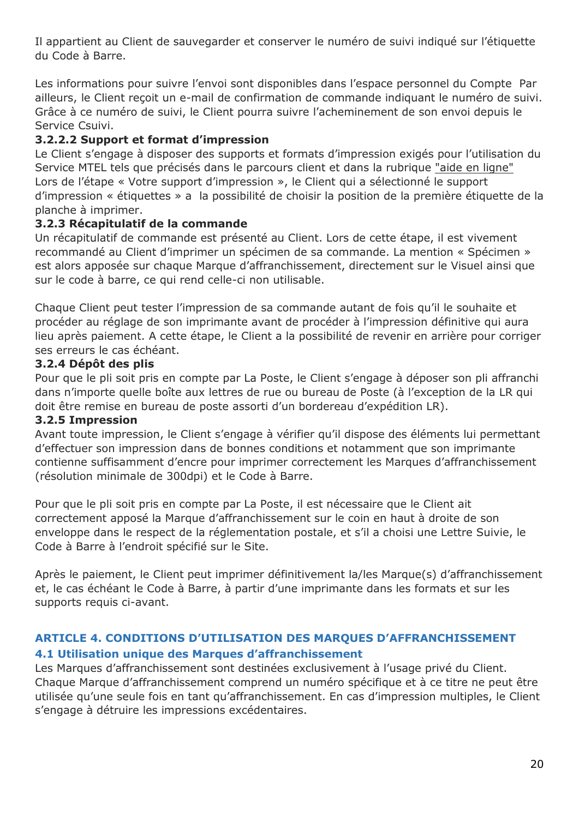Il appartient au Client de sauvegarder et conserver le numéro de suivi indiqué sur l'étiquette du Code à Barre.

Les informations pour suivre l'envoi sont disponibles dans l'espace personnel du Compte Par ailleurs, le Client reçoit un e-mail de confirmation de commande indiquant le numéro de suivi. Grâce à ce numéro de suivi, le Client pourra suivre l'acheminement de son envoi depuis le Service Csuivi.

## **3.2.2.2 Support et format d'impression**

Le Client s'engage à disposer des supports et formats d'impression exigés pour l'utilisation du Service MTEL tels que précisés dans le parcours client et dans la rubrique ["aide en ligne"](https://aide.laposte.fr/) Lors de l'étape « Votre support d'impression », le Client qui a sélectionné le support d'impression « étiquettes » a la possibilité de choisir la position de la première étiquette de la planche à imprimer.

## **3.2.3 Récapitulatif de la commande**

Un récapitulatif de commande est présenté au Client. Lors de cette étape, il est vivement recommandé au Client d'imprimer un spécimen de sa commande. La mention « Spécimen » est alors apposée sur chaque Marque d'affranchissement, directement sur le Visuel ainsi que sur le code à barre, ce qui rend celle-ci non utilisable.

Chaque Client peut tester l'impression de sa commande autant de fois qu'il le souhaite et procéder au réglage de son imprimante avant de procéder à l'impression définitive qui aura lieu après paiement. A cette étape, le Client a la possibilité de revenir en arrière pour corriger ses erreurs le cas échéant.

## **3.2.4 Dépôt des plis**

Pour que le pli soit pris en compte par La Poste, le Client s'engage à déposer son pli affranchi dans n'importe quelle boîte aux lettres de rue ou bureau de Poste (à l'exception de la LR qui doit être remise en bureau de poste assorti d'un bordereau d'expédition LR).

## **3.2.5 Impression**

Avant toute impression, le Client s'engage à vérifier qu'il dispose des éléments lui permettant d'effectuer son impression dans de bonnes conditions et notamment que son imprimante contienne suffisamment d'encre pour imprimer correctement les Marques d'affranchissement (résolution minimale de 300dpi) et le Code à Barre.

Pour que le pli soit pris en compte par La Poste, il est nécessaire que le Client ait correctement apposé la Marque d'affranchissement sur le coin en haut à droite de son enveloppe dans le respect de la réglementation postale, et s'il a choisi une Lettre Suivie, le Code à Barre à l'endroit spécifié sur le Site.

Après le paiement, le Client peut imprimer définitivement la/les Marque(s) d'affranchissement et, le cas échéant le Code à Barre, à partir d'une imprimante dans les formats et sur les supports requis ci-avant.

## <span id="page-19-0"></span>**ARTICLE 4. CONDITIONS D'UTILISATION DES MARQUES D'AFFRANCHISSEMENT 4.1 Utilisation unique des Marques d'affranchissement**

Les Marques d'affranchissement sont destinées exclusivement à l'usage privé du Client. Chaque Marque d'affranchissement comprend un numéro spécifique et à ce titre ne peut être utilisée qu'une seule fois en tant qu'affranchissement. En cas d'impression multiples, le Client s'engage à détruire les impressions excédentaires.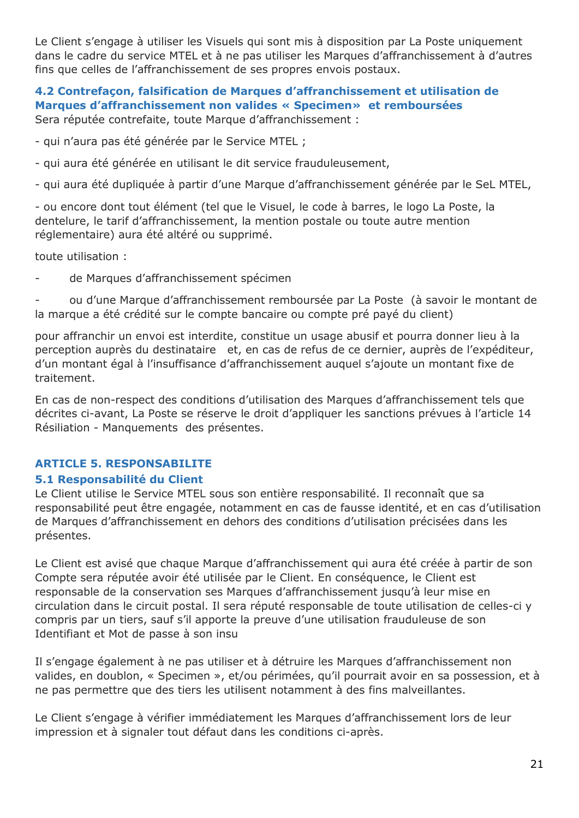Le Client s'engage à utiliser les Visuels qui sont mis à disposition par La Poste uniquement dans le cadre du service MTEL et à ne pas utiliser les Marques d'affranchissement à d'autres fins que celles de l'affranchissement de ses propres envois postaux.

### **4.2 Contrefaçon, falsification de Marques d'affranchissement et utilisation de Marques d'affranchissement non valides « Specimen» et remboursées** Sera réputée contrefaite, toute Marque d'affranchissement :

- qui n'aura pas été générée par le Service MTEL ;

- qui aura été générée en utilisant le dit service frauduleusement,

- qui aura été dupliquée à partir d'une Marque d'affranchissement générée par le SeL MTEL,

- ou encore dont tout élément (tel que le Visuel, le code à barres, le logo La Poste, la dentelure, le tarif d'affranchissement, la mention postale ou toute autre mention réglementaire) aura été altéré ou supprimé.

toute utilisation :

de Marques d'affranchissement spécimen

- ou d'une Marque d'affranchissement remboursée par La Poste (à savoir le montant de la marque a été crédité sur le compte bancaire ou compte pré payé du client)

pour affranchir un envoi est interdite, constitue un usage abusif et pourra donner lieu à la perception auprès du destinataire et, en cas de refus de ce dernier, auprès de l'expéditeur, d'un montant égal à l'insuffisance d'affranchissement auquel s'ajoute un montant fixe de traitement.

En cas de non-respect des conditions d'utilisation des Marques d'affranchissement tels que décrites ci-avant, La Poste se réserve le droit d'appliquer les sanctions prévues à l'article 14 Résiliation - Manquements des présentes.

### <span id="page-20-0"></span>**ARTICLE 5. RESPONSABILITE**

### **5.1 Responsabilité du Client**

Le Client utilise le Service MTEL sous son entière responsabilité. Il reconnaît que sa responsabilité peut être engagée, notamment en cas de fausse identité, et en cas d'utilisation de Marques d'affranchissement en dehors des conditions d'utilisation précisées dans les présentes.

Le Client est avisé que chaque Marque d'affranchissement qui aura été créée à partir de son Compte sera réputée avoir été utilisée par le Client. En conséquence, le Client est responsable de la conservation ses Marques d'affranchissement jusqu'à leur mise en circulation dans le circuit postal. Il sera réputé responsable de toute utilisation de celles-ci y compris par un tiers, sauf s'il apporte la preuve d'une utilisation frauduleuse de son Identifiant et Mot de passe à son insu

Il s'engage également à ne pas utiliser et à détruire les Marques d'affranchissement non valides, en doublon, « Specimen », et/ou périmées, qu'il pourrait avoir en sa possession, et à ne pas permettre que des tiers les utilisent notamment à des fins malveillantes.

Le Client s'engage à vérifier immédiatement les Marques d'affranchissement lors de leur impression et à signaler tout défaut dans les conditions ci-après.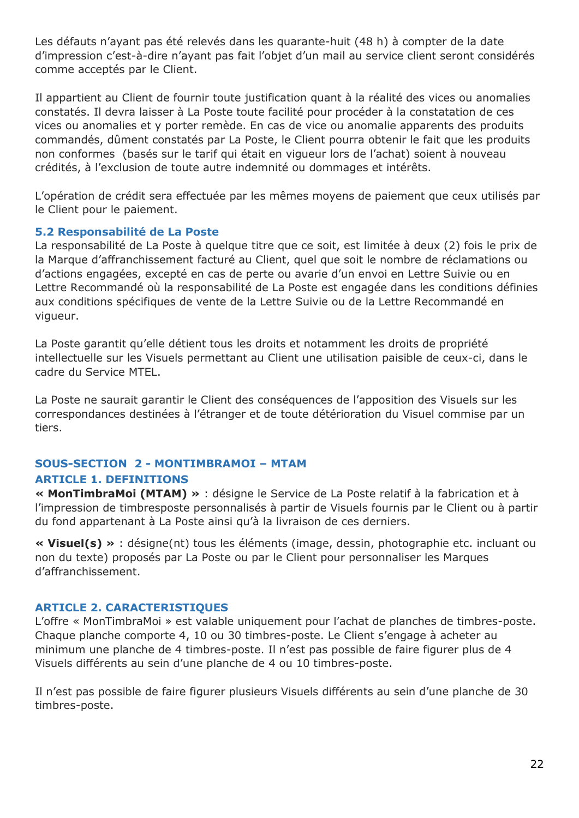Les défauts n'ayant pas été relevés dans les quarante-huit (48 h) à compter de la date d'impression c'est-à-dire n'ayant pas fait l'objet d'un mail au service client seront considérés comme acceptés par le Client.

Il appartient au Client de fournir toute justification quant à la réalité des vices ou anomalies constatés. Il devra laisser à La Poste toute facilité pour procéder à la constatation de ces vices ou anomalies et y porter remède. En cas de vice ou anomalie apparents des produits commandés, dûment constatés par La Poste, le Client pourra obtenir le fait que les produits non conformes (basés sur le tarif qui était en vigueur lors de l'achat) soient à nouveau crédités, à l'exclusion de toute autre indemnité ou dommages et intérêts.

L'opération de crédit sera effectuée par les mêmes moyens de paiement que ceux utilisés par le Client pour le paiement.

### **5.2 Responsabilité de La Poste**

La responsabilité de La Poste à quelque titre que ce soit, est limitée à deux (2) fois le prix de la Marque d'affranchissement facturé au Client, quel que soit le nombre de réclamations ou d'actions engagées, excepté en cas de perte ou avarie d'un envoi en Lettre Suivie ou en Lettre Recommandé où la responsabilité de La Poste est engagée dans les conditions définies aux conditions spécifiques de vente de la Lettre Suivie ou de la Lettre Recommandé en vigueur.

La Poste garantit qu'elle détient tous les droits et notamment les droits de propriété intellectuelle sur les Visuels permettant au Client une utilisation paisible de ceux-ci, dans le cadre du Service MTEL.

La Poste ne saurait garantir le Client des conséquences de l'apposition des Visuels sur les correspondances destinées à l'étranger et de toute détérioration du Visuel commise par un tiers.

## <span id="page-21-0"></span>**SOUS-SECTION 2 - MONTIMBRAMOI – MTAM**

## <span id="page-21-1"></span>**ARTICLE 1. DEFINITIONS**

**« MonTimbraMoi (MTAM) »** : désigne le Service de La Poste relatif à la fabrication et à l'impression de timbresposte personnalisés à partir de Visuels fournis par le Client ou à partir du fond appartenant à La Poste ainsi qu'à la livraison de ces derniers.

**« Visuel(s) »** : désigne(nt) tous les éléments (image, dessin, photographie etc. incluant ou non du texte) proposés par La Poste ou par le Client pour personnaliser les Marques d'affranchissement.

## <span id="page-21-2"></span>**ARTICLE 2. CARACTERISTIQUES**

L'offre « MonTimbraMoi » est valable uniquement pour l'achat de planches de timbres-poste. Chaque planche comporte 4, 10 ou 30 timbres-poste. Le Client s'engage à acheter au minimum une planche de 4 timbres-poste. Il n'est pas possible de faire figurer plus de 4 Visuels différents au sein d'une planche de 4 ou 10 timbres-poste.

Il n'est pas possible de faire figurer plusieurs Visuels différents au sein d'une planche de 30 timbres-poste.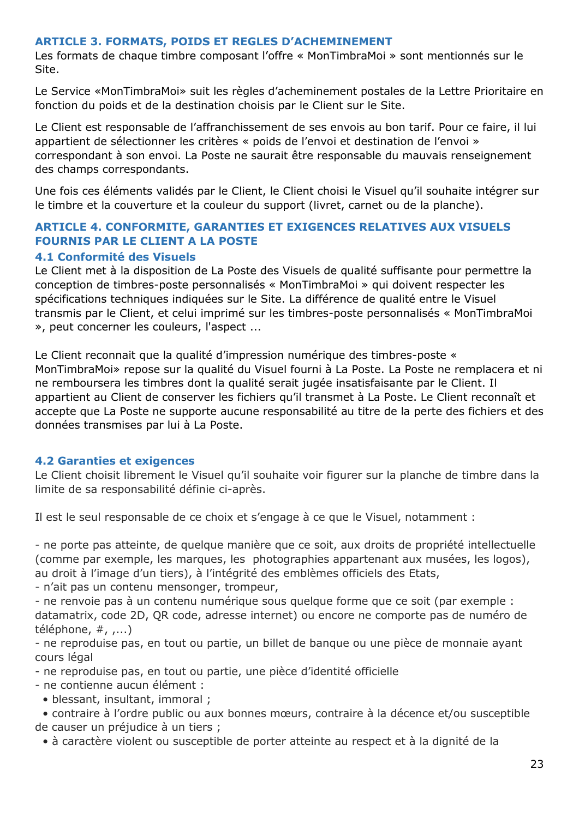### <span id="page-22-0"></span>**ARTICLE 3. FORMATS, POIDS ET REGLES D'ACHEMINEMENT**

Les formats de chaque timbre composant l'offre « MonTimbraMoi » sont mentionnés sur le Site.

Le Service «MonTimbraMoi» suit les règles d'acheminement postales de la Lettre Prioritaire en fonction du poids et de la destination choisis par le Client sur le Site.

Le Client est responsable de l'affranchissement de ses envois au bon tarif. Pour ce faire, il lui appartient de sélectionner les critères « poids de l'envoi et destination de l'envoi » correspondant à son envoi. La Poste ne saurait être responsable du mauvais renseignement des champs correspondants.

Une fois ces éléments validés par le Client, le Client choisi le Visuel qu'il souhaite intégrer sur le timbre et la couverture et la couleur du support (livret, carnet ou de la planche).

## <span id="page-22-1"></span>**ARTICLE 4. CONFORMITE, GARANTIES ET EXIGENCES RELATIVES AUX VISUELS FOURNIS PAR LE CLIENT A LA POSTE**

### **4.1 Conformité des Visuels**

Le Client met à la disposition de La Poste des Visuels de qualité suffisante pour permettre la conception de timbres-poste personnalisés « MonTimbraMoi » qui doivent respecter les spécifications techniques indiquées sur le Site. La différence de qualité entre le Visuel transmis par le Client, et celui imprimé sur les timbres-poste personnalisés « MonTimbraMoi », peut concerner les couleurs, l'aspect ...

Le Client reconnait que la qualité d'impression numérique des timbres-poste « MonTimbraMoi» repose sur la qualité du Visuel fourni à La Poste. La Poste ne remplacera et ni ne remboursera les timbres dont la qualité serait jugée insatisfaisante par le Client. Il appartient au Client de conserver les fichiers qu'il transmet à La Poste. Le Client reconnaît et accepte que La Poste ne supporte aucune responsabilité au titre de la perte des fichiers et des données transmises par lui à La Poste.

### **4.2 Garanties et exigences**

Le Client choisit librement le Visuel qu'il souhaite voir figurer sur la planche de timbre dans la limite de sa responsabilité définie ci-après.

Il est le seul responsable de ce choix et s'engage à ce que le Visuel, notamment :

- ne porte pas atteinte, de quelque manière que ce soit, aux droits de propriété intellectuelle (comme par exemple, les marques, les photographies appartenant aux musées, les logos), au droit à l'image d'un tiers), à l'intégrité des emblèmes officiels des Etats,

- n'ait pas un contenu mensonger, trompeur,

- ne renvoie pas à un contenu numérique sous quelque forme que ce soit (par exemple : datamatrix, code 2D, QR code, adresse internet) ou encore ne comporte pas de numéro de téléphone, #, ,...)

- ne reproduise pas, en tout ou partie, un billet de banque ou une pièce de monnaie ayant cours légal

- ne reproduise pas, en tout ou partie, une pièce d'identité officielle

- ne contienne aucun élément :

• blessant, insultant, immoral ;

 • contraire à l'ordre public ou aux bonnes mœurs, contraire à la décence et/ou susceptible de causer un préjudice à un tiers ;

• à caractère violent ou susceptible de porter atteinte au respect et à la dignité de la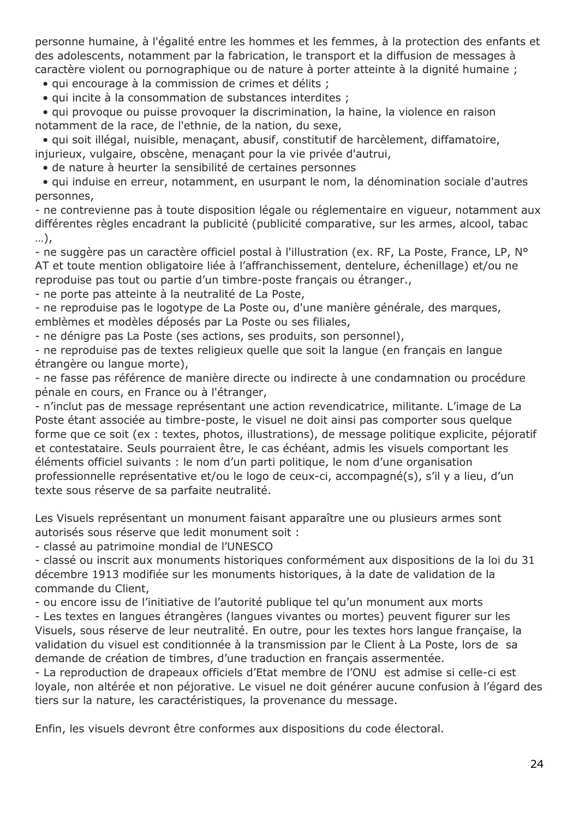personne humaine, à l'égalité entre les hommes et les femmes, à la protection des enfants et des adolescents, notamment par la fabrication, le transport et la diffusion de messages à caractère violent ou pornographique ou de nature à porter atteinte à la dignité humaine ;

• qui encourage à la commission de crimes et délits ;

• qui incite à la consommation de substances interdites ;

 • qui provoque ou puisse provoquer la discrimination, la haine, la violence en raison notamment de la race, de l'ethnie, de la nation, du sexe,

 • qui soit illégal, nuisible, menaçant, abusif, constitutif de harcèlement, diffamatoire, injurieux, vulgaire, obscène, menaçant pour la vie privée d'autrui,

• de nature à heurter la sensibilité de certaines personnes

 • qui induise en erreur, notamment, en usurpant le nom, la dénomination sociale d'autres personnes,

- ne contrevienne pas à toute disposition légale ou réglementaire en vigueur, notamment aux différentes règles encadrant la publicité (publicité comparative, sur les armes, alcool, tabac …),

- ne suggère pas un caractère officiel postal à l'illustration (ex. RF, La Poste, France, LP, N° AT et toute mention obligatoire liée à l'affranchissement, dentelure, échenillage) et/ou ne reproduise pas tout ou partie d'un timbre-poste français ou étranger.,

- ne porte pas atteinte à la neutralité de La Poste,

- ne reproduise pas le logotype de La Poste ou, d'une manière générale, des marques, emblèmes et modèles déposés par La Poste ou ses filiales,

- ne dénigre pas La Poste (ses actions, ses produits, son personnel),

- ne reproduise pas de textes religieux quelle que soit la langue (en français en langue étrangère ou langue morte),

- ne fasse pas référence de manière directe ou indirecte à une condamnation ou procédure pénale en cours, en France ou à l'étranger,

- n'inclut pas de message représentant une action revendicatrice, militante. L'image de La Poste étant associée au timbre-poste, le visuel ne doit ainsi pas comporter sous quelque forme que ce soit (ex : textes, photos, illustrations), de message politique explicite, péjoratif et contestataire. Seuls pourraient être, le cas échéant, admis les visuels comportant les éléments officiel suivants : le nom d'un parti politique, le nom d'une organisation professionnelle représentative et/ou le logo de ceux-ci, accompagné(s), s'il y a lieu, d'un texte sous réserve de sa parfaite neutralité.

Les Visuels représentant un monument faisant apparaître une ou plusieurs armes sont autorisés sous réserve que ledit monument soit :

- classé au patrimoine mondial de l'UNESCO

- classé ou inscrit aux monuments historiques conformément aux dispositions de la loi du 31 décembre 1913 modifiée sur les monuments historiques, à la date de validation de la commande du Client,

- ou encore issu de l'initiative de l'autorité publique tel qu'un monument aux morts

- Les textes en langues étrangères (langues vivantes ou mortes) peuvent figurer sur les Visuels, sous réserve de leur neutralité. En outre, pour les textes hors langue française, la validation du visuel est conditionnée à la transmission par le Client à La Poste, lors de sa demande de création de timbres, d'une traduction en français assermentée.

- La reproduction de drapeaux officiels d'Etat membre de l'ONU est admise si celle-ci est loyale, non altérée et non péjorative. Le visuel ne doit générer aucune confusion à l'égard des tiers sur la nature, les caractéristiques, la provenance du message.

Enfin, les visuels devront être conformes aux dispositions du code électoral.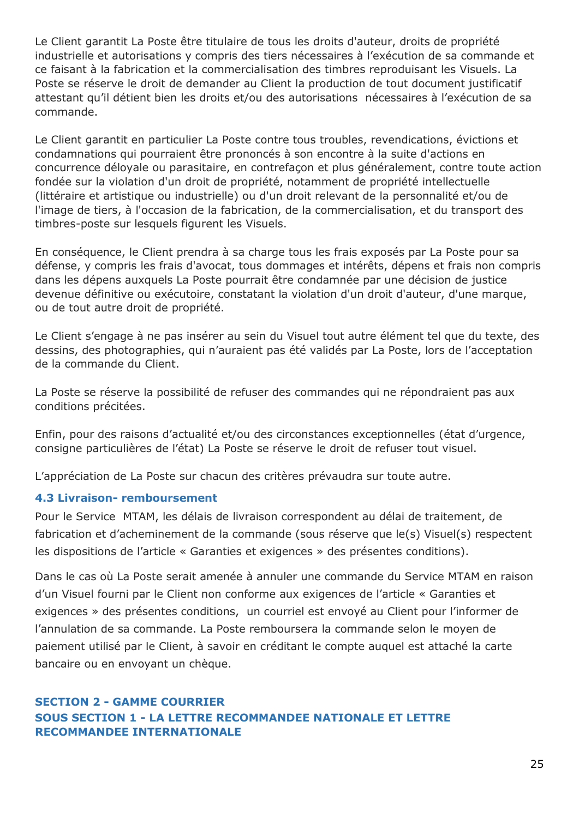Le Client garantit La Poste être titulaire de tous les droits d'auteur, droits de propriété industrielle et autorisations y compris des tiers nécessaires à l'exécution de sa commande et ce faisant à la fabrication et la commercialisation des timbres reproduisant les Visuels. La Poste se réserve le droit de demander au Client la production de tout document justificatif attestant qu'il détient bien les droits et/ou des autorisations nécessaires à l'exécution de sa commande.

Le Client garantit en particulier La Poste contre tous troubles, revendications, évictions et condamnations qui pourraient être prononcés à son encontre à la suite d'actions en concurrence déloyale ou parasitaire, en contrefaçon et plus généralement, contre toute action fondée sur la violation d'un droit de propriété, notamment de propriété intellectuelle (littéraire et artistique ou industrielle) ou d'un droit relevant de la personnalité et/ou de l'image de tiers, à l'occasion de la fabrication, de la commercialisation, et du transport des timbres-poste sur lesquels figurent les Visuels.

En conséquence, le Client prendra à sa charge tous les frais exposés par La Poste pour sa défense, y compris les frais d'avocat, tous dommages et intérêts, dépens et frais non compris dans les dépens auxquels La Poste pourrait être condamnée par une décision de justice devenue définitive ou exécutoire, constatant la violation d'un droit d'auteur, d'une marque, ou de tout autre droit de propriété.

Le Client s'engage à ne pas insérer au sein du Visuel tout autre élément tel que du texte, des dessins, des photographies, qui n'auraient pas été validés par La Poste, lors de l'acceptation de la commande du Client.

La Poste se réserve la possibilité de refuser des commandes qui ne répondraient pas aux conditions précitées.

Enfin, pour des raisons d'actualité et/ou des circonstances exceptionnelles (état d'urgence, consigne particulières de l'état) La Poste se réserve le droit de refuser tout visuel.

L'appréciation de La Poste sur chacun des critères prévaudra sur toute autre.

## **4.3 Livraison- remboursement**

Pour le Service MTAM, les délais de livraison correspondent au délai de traitement, de fabrication et d'acheminement de la commande (sous réserve que le(s) Visuel(s) respectent les dispositions de l'article « Garanties et exigences » des présentes conditions).

Dans le cas où La Poste serait amenée à annuler une commande du Service MTAM en raison d'un Visuel fourni par le Client non conforme aux exigences de l'article « Garanties et exigences » des présentes conditions, un courriel est envoyé au Client pour l'informer de l'annulation de sa commande. La Poste remboursera la commande selon le moyen de paiement utilisé par le Client, à savoir en créditant le compte auquel est attaché la carte bancaire ou en envoyant un chèque.

## <span id="page-24-1"></span><span id="page-24-0"></span>**SECTION 2 - GAMME COURRIER SOUS SECTION 1 - LA LETTRE RECOMMANDEE NATIONALE ET LETTRE RECOMMANDEE INTERNATIONALE**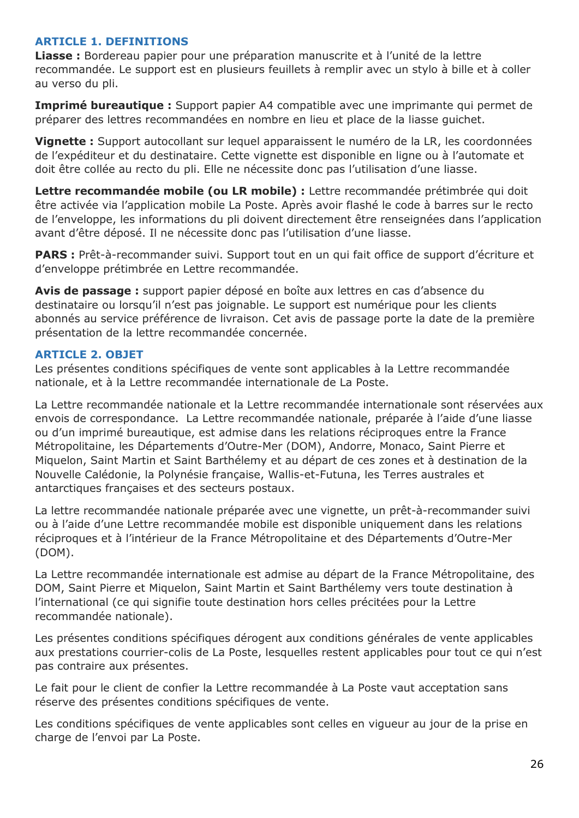### <span id="page-25-0"></span>**ARTICLE 1. DEFINITIONS**

**Liasse :** Bordereau papier pour une préparation manuscrite et à l'unité de la lettre recommandée. Le support est en plusieurs feuillets à remplir avec un stylo à bille et à coller au verso du pli.

**Imprimé bureautique :** Support papier A4 compatible avec une imprimante qui permet de préparer des lettres recommandées en nombre en lieu et place de la liasse guichet.

**Vignette :** Support autocollant sur lequel apparaissent le numéro de la LR, les coordonnées de l'expéditeur et du destinataire. Cette vignette est disponible en ligne ou à l'automate et doit être collée au recto du pli. Elle ne nécessite donc pas l'utilisation d'une liasse.

Lettre recommandée mobile (ou LR mobile) : Lettre recommandée prétimbrée qui doit être activée via l'application mobile La Poste. Après avoir flashé le code à barres sur le recto de l'enveloppe, les informations du pli doivent directement être renseignées dans l'application avant d'être déposé. Il ne nécessite donc pas l'utilisation d'une liasse.

**PARS :** Prêt-à-recommander suivi. Support tout en un qui fait office de support d'écriture et d'enveloppe prétimbrée en Lettre recommandée.

**Avis de passage :** support papier déposé en boîte aux lettres en cas d'absence du destinataire ou lorsqu'il n'est pas joignable. Le support est numérique pour les clients abonnés au service préférence de livraison. Cet avis de passage porte la date de la première présentation de la lettre recommandée concernée.

## <span id="page-25-1"></span>**ARTICLE 2. OBJET**

Les présentes conditions spécifiques de vente sont applicables à la Lettre recommandée nationale, et à la Lettre recommandée internationale de La Poste.

La Lettre recommandée nationale et la Lettre recommandée internationale sont réservées aux envois de correspondance. La Lettre recommandée nationale, préparée à l'aide d'une liasse ou d'un imprimé bureautique, est admise dans les relations réciproques entre la France Métropolitaine, les Départements d'Outre-Mer (DOM), Andorre, Monaco, Saint Pierre et Miquelon, Saint Martin et Saint Barthélemy et au départ de ces zones et à destination de la Nouvelle Calédonie, la Polynésie française, Wallis-et-Futuna, les Terres australes et antarctiques françaises et des secteurs postaux.

La lettre recommandée nationale préparée avec une vignette, un prêt-à-recommander suivi ou à l'aide d'une Lettre recommandée mobile est disponible uniquement dans les relations réciproques et à l'intérieur de la France Métropolitaine et des Départements d'Outre-Mer (DOM).

La Lettre recommandée internationale est admise au départ de la France Métropolitaine, des DOM, Saint Pierre et Miquelon, Saint Martin et Saint Barthélemy vers toute destination à l'international (ce qui signifie toute destination hors celles précitées pour la Lettre recommandée nationale).

Les présentes conditions spécifiques dérogent aux conditions générales de vente applicables aux prestations courrier-colis de La Poste, lesquelles restent applicables pour tout ce qui n'est pas contraire aux présentes.

Le fait pour le client de confier la Lettre recommandée à La Poste vaut acceptation sans réserve des présentes conditions spécifiques de vente.

Les conditions spécifiques de vente applicables sont celles en vigueur au jour de la prise en charge de l'envoi par La Poste.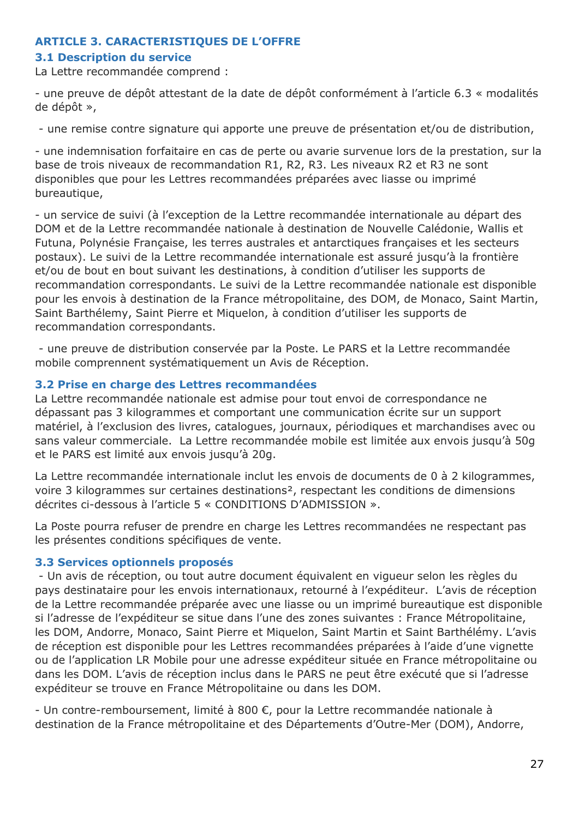### <span id="page-26-0"></span>**ARTICLE 3. CARACTERISTIQUES DE L'OFFRE**

### **3.1 Description du service**

La Lettre recommandée comprend :

- une preuve de dépôt attestant de la date de dépôt conformément à l'article 6.3 « modalités de dépôt »,

- une remise contre signature qui apporte une preuve de présentation et/ou de distribution,

- une indemnisation forfaitaire en cas de perte ou avarie survenue lors de la prestation, sur la base de trois niveaux de recommandation R1, R2, R3. Les niveaux R2 et R3 ne sont disponibles que pour les Lettres recommandées préparées avec liasse ou imprimé bureautique,

- un service de suivi (à l'exception de la Lettre recommandée internationale au départ des DOM et de la Lettre recommandée nationale à destination de Nouvelle Calédonie, Wallis et Futuna, Polynésie Française, les terres australes et antarctiques françaises et les secteurs postaux). Le suivi de la Lettre recommandée internationale est assuré jusqu'à la frontière et/ou de bout en bout suivant les destinations, à condition d'utiliser les supports de recommandation correspondants. Le suivi de la Lettre recommandée nationale est disponible pour les envois à destination de la France métropolitaine, des DOM, de Monaco, Saint Martin, Saint Barthélemy, Saint Pierre et Miquelon, à condition d'utiliser les supports de recommandation correspondants.

- une preuve de distribution conservée par la Poste. Le PARS et la Lettre recommandée mobile comprennent systématiquement un Avis de Réception.

### **3.2 Prise en charge des Lettres recommandées**

La Lettre recommandée nationale est admise pour tout envoi de correspondance ne dépassant pas 3 kilogrammes et comportant une communication écrite sur un support matériel, à l'exclusion des livres, catalogues, journaux, périodiques et marchandises avec ou sans valeur commerciale. La Lettre recommandée mobile est limitée aux envois jusqu'à 50g et le PARS est limité aux envois jusqu'à 20g.

La Lettre recommandée internationale inclut les envois de documents de 0 à 2 kilogrammes, voire 3 kilogrammes sur certaines destinations², respectant les conditions de dimensions décrites ci-dessous à l'article 5 « CONDITIONS D'ADMISSION ».

La Poste pourra refuser de prendre en charge les Lettres recommandées ne respectant pas les présentes conditions spécifiques de vente.

### **3.3 Services optionnels proposés**

- Un avis de réception, ou tout autre document équivalent en vigueur selon les règles du pays destinataire pour les envois internationaux, retourné à l'expéditeur. L'avis de réception de la Lettre recommandée préparée avec une liasse ou un imprimé bureautique est disponible si l'adresse de l'expéditeur se situe dans l'une des zones suivantes : France Métropolitaine, les DOM, Andorre, Monaco, Saint Pierre et Miquelon, Saint Martin et Saint Barthélémy. L'avis de réception est disponible pour les Lettres recommandées préparées à l'aide d'une vignette ou de l'application LR Mobile pour une adresse expéditeur située en France métropolitaine ou dans les DOM. L'avis de réception inclus dans le PARS ne peut être exécuté que si l'adresse expéditeur se trouve en France Métropolitaine ou dans les DOM.

- Un contre-remboursement, limité à 800 €, pour la Lettre recommandée nationale à destination de la France métropolitaine et des Départements d'Outre-Mer (DOM), Andorre,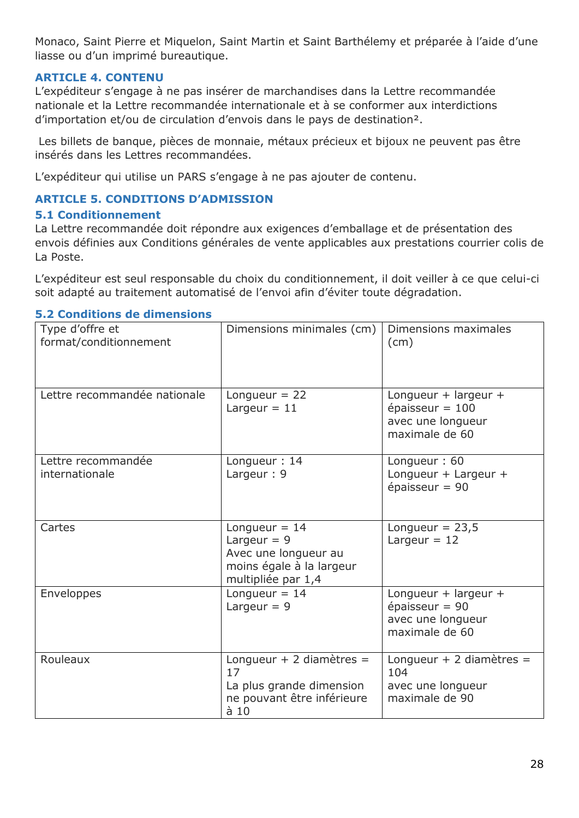Monaco, Saint Pierre et Miquelon, Saint Martin et Saint Barthélemy et préparée à l'aide d'une liasse ou d'un imprimé bureautique.

## <span id="page-27-0"></span>**ARTICLE 4. CONTENU**

L'expéditeur s'engage à ne pas insérer de marchandises dans la Lettre recommandée nationale et la Lettre recommandée internationale et à se conformer aux interdictions d'importation et/ou de circulation d'envois dans le pays de destination².

Les billets de banque, pièces de monnaie, métaux précieux et bijoux ne peuvent pas être insérés dans les Lettres recommandées.

L'expéditeur qui utilise un PARS s'engage à ne pas ajouter de contenu.

## <span id="page-27-1"></span>**ARTICLE 5. CONDITIONS D'ADMISSION**

### **5.1 Conditionnement**

La Lettre recommandée doit répondre aux exigences d'emballage et de présentation des envois définies aux Conditions générales de vente applicables aux prestations courrier colis de La Poste.

L'expéditeur est seul responsable du choix du conditionnement, il doit veiller à ce que celui-ci soit adapté au traitement automatisé de l'envoi afin d'éviter toute dégradation.

| Type d'offre et<br>format/conditionnement | Dimensions minimales (cm)                                                                                  | Dimensions maximales<br>(cm)                                                     |
|-------------------------------------------|------------------------------------------------------------------------------------------------------------|----------------------------------------------------------------------------------|
| Lettre recommandée nationale              | Longueur = $22$<br>Largeur $= 11$                                                                          | Longueur + largeur +<br>épaisseur = $100$<br>avec une longueur<br>maximale de 60 |
| Lettre recommandée<br>internationale      | Longueur: 14<br>Largeur: 9                                                                                 | Longueur: 60<br>Longueur + Largeur +<br>épaisseur = $90$                         |
| Cartes                                    | Longueur = $14$<br>Largeur = $9$<br>Avec une longueur au<br>moins égale à la largeur<br>multipliée par 1,4 | Longueur = $23,5$<br>Largeur = $12$                                              |
| Enveloppes                                | Longueur = $14$<br>Largeur = $9$                                                                           | Longueur + largeur +<br>épaisseur = $90$<br>avec une longueur<br>maximale de 60  |
| Rouleaux                                  | Longueur + 2 diamètres =<br>17<br>La plus grande dimension<br>ne pouvant être inférieure<br>$\dot{a}$ 10   | Longueur + 2 diamètres =<br>104<br>avec une longueur<br>maximale de 90           |

### **5.2 Conditions de dimensions**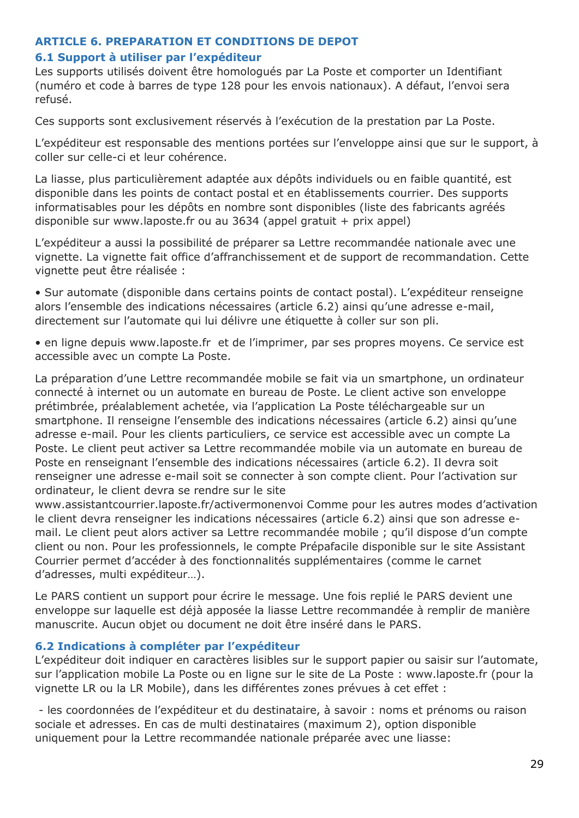## <span id="page-28-0"></span>**ARTICLE 6. PREPARATION ET CONDITIONS DE DEPOT**

### **6.1 Support à utiliser par l'expéditeur**

Les supports utilisés doivent être homologués par La Poste et comporter un Identifiant (numéro et code à barres de type 128 pour les envois nationaux). A défaut, l'envoi sera refusé.

Ces supports sont exclusivement réservés à l'exécution de la prestation par La Poste.

L'expéditeur est responsable des mentions portées sur l'enveloppe ainsi que sur le support, à coller sur celle-ci et leur cohérence.

La liasse, plus particulièrement adaptée aux dépôts individuels ou en faible quantité, est disponible dans les points de contact postal et en établissements courrier. Des supports informatisables pour les dépôts en nombre sont disponibles (liste des fabricants agréés disponible sur www.laposte.fr ou au 3634 (appel gratuit + prix appel)

L'expéditeur a aussi la possibilité de préparer sa Lettre recommandée nationale avec une vignette. La vignette fait office d'affranchissement et de support de recommandation. Cette vignette peut être réalisée :

• Sur automate (disponible dans certains points de contact postal). L'expéditeur renseigne alors l'ensemble des indications nécessaires (article 6.2) ainsi qu'une adresse e-mail, directement sur l'automate qui lui délivre une étiquette à coller sur son pli.

• en ligne depuis www.laposte.fr et de l'imprimer, par ses propres moyens. Ce service est accessible avec un compte La Poste.

La préparation d'une Lettre recommandée mobile se fait via un smartphone, un ordinateur connecté à internet ou un automate en bureau de Poste. Le client active son enveloppe prétimbrée, préalablement achetée, via l'application La Poste téléchargeable sur un smartphone. Il renseigne l'ensemble des indications nécessaires (article 6.2) ainsi qu'une adresse e-mail. Pour les clients particuliers, ce service est accessible avec un compte La Poste. Le client peut activer sa Lettre recommandée mobile via un automate en bureau de Poste en renseignant l'ensemble des indications nécessaires (article 6.2). Il devra soit renseigner une adresse e-mail soit se connecter à son compte client. Pour l'activation sur ordinateur, le client devra se rendre sur le site

www.assistantcourrier.laposte.fr/activermonenvoi Comme pour les autres modes d'activation le client devra renseigner les indications nécessaires (article 6.2) ainsi que son adresse email. Le client peut alors activer sa Lettre recommandée mobile ; qu'il dispose d'un compte client ou non. Pour les professionnels, le compte Prépafacile disponible sur le site Assistant Courrier permet d'accéder à des fonctionnalités supplémentaires (comme le carnet d'adresses, multi expéditeur…).

Le PARS contient un support pour écrire le message. Une fois replié le PARS devient une enveloppe sur laquelle est déjà apposée la liasse Lettre recommandée à remplir de manière manuscrite. Aucun objet ou document ne doit être inséré dans le PARS.

## **6.2 Indications à compléter par l'expéditeur**

L'expéditeur doit indiquer en caractères lisibles sur le support papier ou saisir sur l'automate, sur l'application mobile La Poste ou en ligne sur le site de La Poste : www.laposte.fr (pour la vignette LR ou la LR Mobile), dans les différentes zones prévues à cet effet :

- les coordonnées de l'expéditeur et du destinataire, à savoir : noms et prénoms ou raison sociale et adresses. En cas de multi destinataires (maximum 2), option disponible uniquement pour la Lettre recommandée nationale préparée avec une liasse: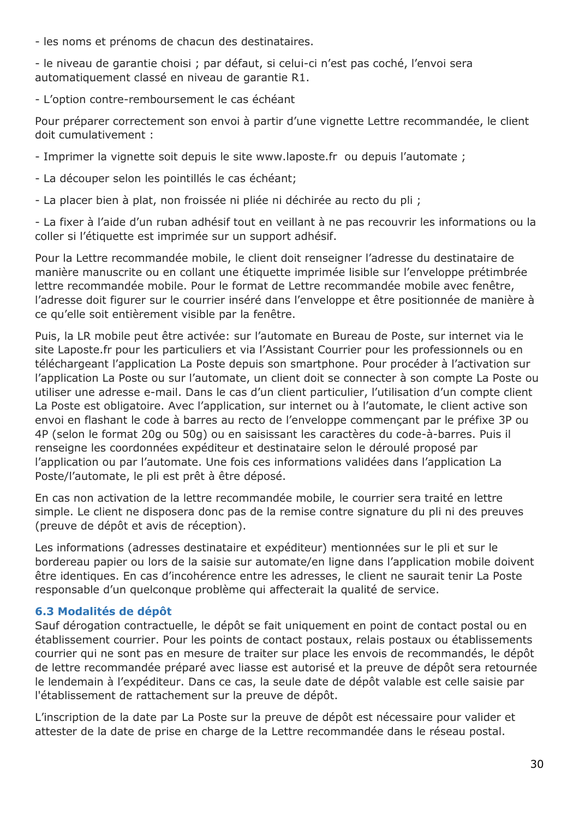- les noms et prénoms de chacun des destinataires.

- le niveau de garantie choisi ; par défaut, si celui-ci n'est pas coché, l'envoi sera automatiquement classé en niveau de garantie R1.

- L'option contre-remboursement le cas échéant

Pour préparer correctement son envoi à partir d'une vignette Lettre recommandée, le client doit cumulativement :

- Imprimer la vignette soit depuis le site www.laposte.fr ou depuis l'automate ;

- La découper selon les pointillés le cas échéant;
- La placer bien à plat, non froissée ni pliée ni déchirée au recto du pli ;

- La fixer à l'aide d'un ruban adhésif tout en veillant à ne pas recouvrir les informations ou la coller si l'étiquette est imprimée sur un support adhésif.

Pour la Lettre recommandée mobile, le client doit renseigner l'adresse du destinataire de manière manuscrite ou en collant une étiquette imprimée lisible sur l'enveloppe prétimbrée lettre recommandée mobile. Pour le format de Lettre recommandée mobile avec fenêtre, l'adresse doit figurer sur le courrier inséré dans l'enveloppe et être positionnée de manière à ce qu'elle soit entièrement visible par la fenêtre.

Puis, la LR mobile peut être activée: sur l'automate en Bureau de Poste, sur internet via le site Laposte.fr pour les particuliers et via l'Assistant Courrier pour les professionnels ou en téléchargeant l'application La Poste depuis son smartphone. Pour procéder à l'activation sur l'application La Poste ou sur l'automate, un client doit se connecter à son compte La Poste ou utiliser une adresse e-mail. Dans le cas d'un client particulier, l'utilisation d'un compte client La Poste est obligatoire. Avec l'application, sur internet ou à l'automate, le client active son envoi en flashant le code à barres au recto de l'enveloppe commençant par le préfixe 3P ou 4P (selon le format 20g ou 50g) ou en saisissant les caractères du code-à-barres. Puis il renseigne les coordonnées expéditeur et destinataire selon le déroulé proposé par l'application ou par l'automate. Une fois ces informations validées dans l'application La Poste/l'automate, le pli est prêt à être déposé.

En cas non activation de la lettre recommandée mobile, le courrier sera traité en lettre simple. Le client ne disposera donc pas de la remise contre signature du pli ni des preuves (preuve de dépôt et avis de réception).

Les informations (adresses destinataire et expéditeur) mentionnées sur le pli et sur le bordereau papier ou lors de la saisie sur automate/en ligne dans l'application mobile doivent être identiques. En cas d'incohérence entre les adresses, le client ne saurait tenir La Poste responsable d'un quelconque problème qui affecterait la qualité de service.

## **6.3 Modalités de dépôt**

Sauf dérogation contractuelle, le dépôt se fait uniquement en point de contact postal ou en établissement courrier. Pour les points de contact postaux, relais postaux ou établissements courrier qui ne sont pas en mesure de traiter sur place les envois de recommandés, le dépôt de lettre recommandée préparé avec liasse est autorisé et la preuve de dépôt sera retournée le lendemain à l'expéditeur. Dans ce cas, la seule date de dépôt valable est celle saisie par l'établissement de rattachement sur la preuve de dépôt.

L'inscription de la date par La Poste sur la preuve de dépôt est nécessaire pour valider et attester de la date de prise en charge de la Lettre recommandée dans le réseau postal.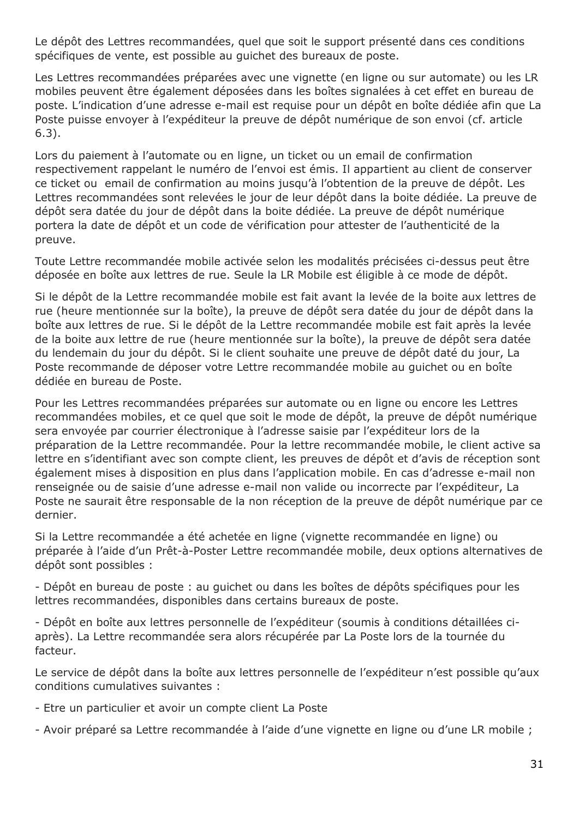Le dépôt des Lettres recommandées, quel que soit le support présenté dans ces conditions spécifiques de vente, est possible au guichet des bureaux de poste.

Les Lettres recommandées préparées avec une vignette (en ligne ou sur automate) ou les LR mobiles peuvent être également déposées dans les boîtes signalées à cet effet en bureau de poste. L'indication d'une adresse e-mail est requise pour un dépôt en boîte dédiée afin que La Poste puisse envoyer à l'expéditeur la preuve de dépôt numérique de son envoi (cf. article 6.3).

Lors du paiement à l'automate ou en ligne, un ticket ou un email de confirmation respectivement rappelant le numéro de l'envoi est émis. Il appartient au client de conserver ce ticket ou email de confirmation au moins jusqu'à l'obtention de la preuve de dépôt. Les Lettres recommandées sont relevées le jour de leur dépôt dans la boite dédiée. La preuve de dépôt sera datée du jour de dépôt dans la boite dédiée. La preuve de dépôt numérique portera la date de dépôt et un code de vérification pour attester de l'authenticité de la preuve.

Toute Lettre recommandée mobile activée selon les modalités précisées ci-dessus peut être déposée en boîte aux lettres de rue. Seule la LR Mobile est éligible à ce mode de dépôt.

Si le dépôt de la Lettre recommandée mobile est fait avant la levée de la boite aux lettres de rue (heure mentionnée sur la boîte), la preuve de dépôt sera datée du jour de dépôt dans la boîte aux lettres de rue. Si le dépôt de la Lettre recommandée mobile est fait après la levée de la boite aux lettre de rue (heure mentionnée sur la boîte), la preuve de dépôt sera datée du lendemain du jour du dépôt. Si le client souhaite une preuve de dépôt daté du jour, La Poste recommande de déposer votre Lettre recommandée mobile au guichet ou en boîte dédiée en bureau de Poste.

Pour les Lettres recommandées préparées sur automate ou en ligne ou encore les Lettres recommandées mobiles, et ce quel que soit le mode de dépôt, la preuve de dépôt numérique sera envoyée par courrier électronique à l'adresse saisie par l'expéditeur lors de la préparation de la Lettre recommandée. Pour la lettre recommandée mobile, le client active sa lettre en s'identifiant avec son compte client, les preuves de dépôt et d'avis de réception sont également mises à disposition en plus dans l'application mobile. En cas d'adresse e-mail non renseignée ou de saisie d'une adresse e-mail non valide ou incorrecte par l'expéditeur, La Poste ne saurait être responsable de la non réception de la preuve de dépôt numérique par ce dernier.

Si la Lettre recommandée a été achetée en ligne (vignette recommandée en ligne) ou préparée à l'aide d'un Prêt-à-Poster Lettre recommandée mobile, deux options alternatives de dépôt sont possibles :

- Dépôt en bureau de poste : au guichet ou dans les boîtes de dépôts spécifiques pour les lettres recommandées, disponibles dans certains bureaux de poste.

- Dépôt en boîte aux lettres personnelle de l'expéditeur (soumis à conditions détaillées ciaprès). La Lettre recommandée sera alors récupérée par La Poste lors de la tournée du facteur.

Le service de dépôt dans la boîte aux lettres personnelle de l'expéditeur n'est possible qu'aux conditions cumulatives suivantes :

- Etre un particulier et avoir un compte client La Poste
- Avoir préparé sa Lettre recommandée à l'aide d'une vignette en ligne ou d'une LR mobile ;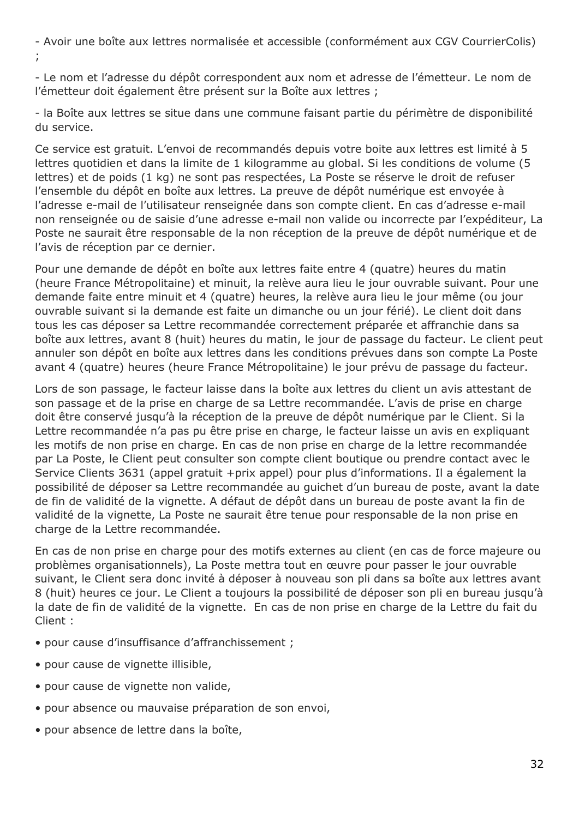- Avoir une boîte aux lettres normalisée et accessible (conformément aux CGV CourrierColis) ;

- Le nom et l'adresse du dépôt correspondent aux nom et adresse de l'émetteur. Le nom de l'émetteur doit également être présent sur la Boîte aux lettres ;

- la Boîte aux lettres se situe dans une commune faisant partie du périmètre de disponibilité du service.

Ce service est gratuit. L'envoi de recommandés depuis votre boite aux lettres est limité à 5 lettres quotidien et dans la limite de 1 kilogramme au global. Si les conditions de volume (5 lettres) et de poids (1 kg) ne sont pas respectées, La Poste se réserve le droit de refuser l'ensemble du dépôt en boîte aux lettres. La preuve de dépôt numérique est envoyée à l'adresse e-mail de l'utilisateur renseignée dans son compte client. En cas d'adresse e-mail non renseignée ou de saisie d'une adresse e-mail non valide ou incorrecte par l'expéditeur, La Poste ne saurait être responsable de la non réception de la preuve de dépôt numérique et de l'avis de réception par ce dernier.

Pour une demande de dépôt en boîte aux lettres faite entre 4 (quatre) heures du matin (heure France Métropolitaine) et minuit, la relève aura lieu le jour ouvrable suivant. Pour une demande faite entre minuit et 4 (quatre) heures, la relève aura lieu le jour même (ou jour ouvrable suivant si la demande est faite un dimanche ou un jour férié). Le client doit dans tous les cas déposer sa Lettre recommandée correctement préparée et affranchie dans sa boîte aux lettres, avant 8 (huit) heures du matin, le jour de passage du facteur. Le client peut annuler son dépôt en boîte aux lettres dans les conditions prévues dans son compte La Poste avant 4 (quatre) heures (heure France Métropolitaine) le jour prévu de passage du facteur.

Lors de son passage, le facteur laisse dans la boîte aux lettres du client un avis attestant de son passage et de la prise en charge de sa Lettre recommandée. L'avis de prise en charge doit être conservé jusqu'à la réception de la preuve de dépôt numérique par le Client. Si la Lettre recommandée n'a pas pu être prise en charge, le facteur laisse un avis en expliquant les motifs de non prise en charge. En cas de non prise en charge de la lettre recommandée par La Poste, le Client peut consulter son compte client boutique ou prendre contact avec le Service Clients 3631 (appel gratuit +prix appel) pour plus d'informations. Il a également la possibilité de déposer sa Lettre recommandée au guichet d'un bureau de poste, avant la date de fin de validité de la vignette. A défaut de dépôt dans un bureau de poste avant la fin de validité de la vignette, La Poste ne saurait être tenue pour responsable de la non prise en charge de la Lettre recommandée.

En cas de non prise en charge pour des motifs externes au client (en cas de force majeure ou problèmes organisationnels), La Poste mettra tout en œuvre pour passer le jour ouvrable suivant, le Client sera donc invité à déposer à nouveau son pli dans sa boîte aux lettres avant 8 (huit) heures ce jour. Le Client a toujours la possibilité de déposer son pli en bureau jusqu'à la date de fin de validité de la vignette. En cas de non prise en charge de la Lettre du fait du Client :

- pour cause d'insuffisance d'affranchissement ;
- pour cause de vignette illisible,
- pour cause de vignette non valide,
- pour absence ou mauvaise préparation de son envoi,
- pour absence de lettre dans la boîte,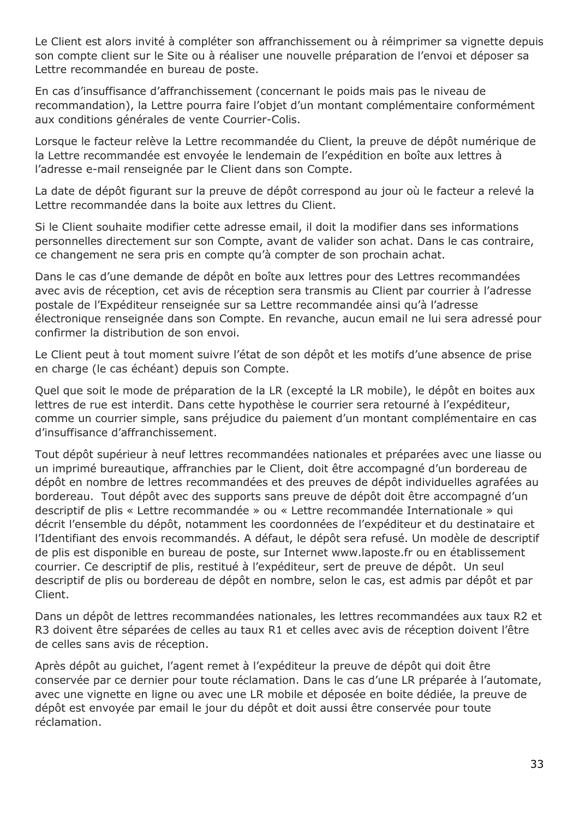Le Client est alors invité à compléter son affranchissement ou à réimprimer sa vignette depuis son compte client sur le Site ou à réaliser une nouvelle préparation de l'envoi et déposer sa Lettre recommandée en bureau de poste.

En cas d'insuffisance d'affranchissement (concernant le poids mais pas le niveau de recommandation), la Lettre pourra faire l'objet d'un montant complémentaire conformément aux conditions générales de vente Courrier-Colis.

Lorsque le facteur relève la Lettre recommandée du Client, la preuve de dépôt numérique de la Lettre recommandée est envoyée le lendemain de l'expédition en boîte aux lettres à l'adresse e-mail renseignée par le Client dans son Compte.

La date de dépôt figurant sur la preuve de dépôt correspond au jour où le facteur a relevé la Lettre recommandée dans la boite aux lettres du Client.

Si le Client souhaite modifier cette adresse email, il doit la modifier dans ses informations personnelles directement sur son Compte, avant de valider son achat. Dans le cas contraire, ce changement ne sera pris en compte qu'à compter de son prochain achat.

Dans le cas d'une demande de dépôt en boîte aux lettres pour des Lettres recommandées avec avis de réception, cet avis de réception sera transmis au Client par courrier à l'adresse postale de l'Expéditeur renseignée sur sa Lettre recommandée ainsi qu'à l'adresse électronique renseignée dans son Compte. En revanche, aucun email ne lui sera adressé pour confirmer la distribution de son envoi.

Le Client peut à tout moment suivre l'état de son dépôt et les motifs d'une absence de prise en charge (le cas échéant) depuis son Compte.

Quel que soit le mode de préparation de la LR (excepté la LR mobile), le dépôt en boites aux lettres de rue est interdit. Dans cette hypothèse le courrier sera retourné à l'expéditeur, comme un courrier simple, sans préjudice du paiement d'un montant complémentaire en cas d'insuffisance d'affranchissement.

Tout dépôt supérieur à neuf lettres recommandées nationales et préparées avec une liasse ou un imprimé bureautique, affranchies par le Client, doit être accompagné d'un bordereau de dépôt en nombre de lettres recommandées et des preuves de dépôt individuelles agrafées au bordereau. Tout dépôt avec des supports sans preuve de dépôt doit être accompagné d'un descriptif de plis « Lettre recommandée » ou « Lettre recommandée Internationale » qui décrit l'ensemble du dépôt, notamment les coordonnées de l'expéditeur et du destinataire et l'Identifiant des envois recommandés. A défaut, le dépôt sera refusé. Un modèle de descriptif de plis est disponible en bureau de poste, sur Internet www.laposte.fr ou en établissement courrier. Ce descriptif de plis, restitué à l'expéditeur, sert de preuve de dépôt. Un seul descriptif de plis ou bordereau de dépôt en nombre, selon le cas, est admis par dépôt et par Client.

Dans un dépôt de lettres recommandées nationales, les lettres recommandées aux taux R2 et R3 doivent être séparées de celles au taux R1 et celles avec avis de réception doivent l'être de celles sans avis de réception.

Après dépôt au guichet, l'agent remet à l'expéditeur la preuve de dépôt qui doit être conservée par ce dernier pour toute réclamation. Dans le cas d'une LR préparée à l'automate, avec une vignette en ligne ou avec une LR mobile et déposée en boite dédiée, la preuve de dépôt est envoyée par email le jour du dépôt et doit aussi être conservée pour toute réclamation.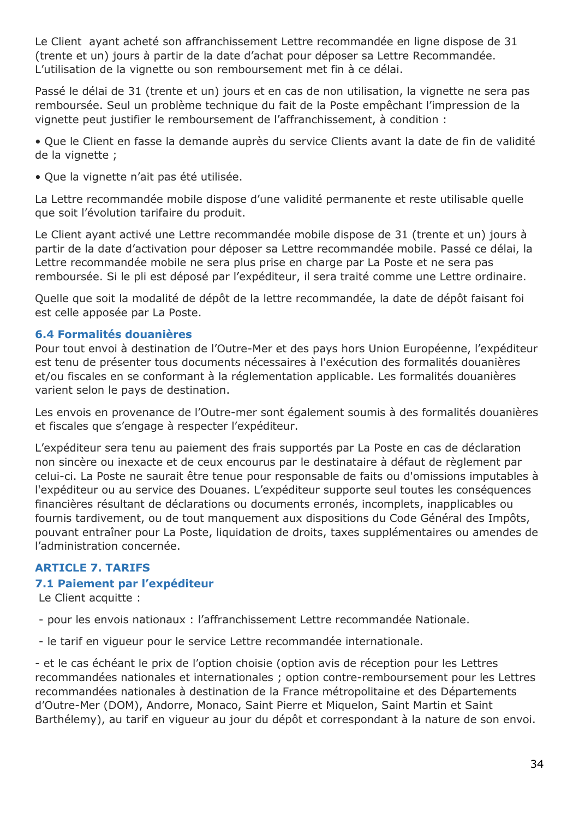Le Client ayant acheté son affranchissement Lettre recommandée en ligne dispose de 31 (trente et un) jours à partir de la date d'achat pour déposer sa Lettre Recommandée. L'utilisation de la vignette ou son remboursement met fin à ce délai.

Passé le délai de 31 (trente et un) jours et en cas de non utilisation, la vignette ne sera pas remboursée. Seul un problème technique du fait de la Poste empêchant l'impression de la vignette peut justifier le remboursement de l'affranchissement, à condition :

• Que le Client en fasse la demande auprès du service Clients avant la date de fin de validité de la vignette ;

• Que la vignette n'ait pas été utilisée.

La Lettre recommandée mobile dispose d'une validité permanente et reste utilisable quelle que soit l'évolution tarifaire du produit.

Le Client ayant activé une Lettre recommandée mobile dispose de 31 (trente et un) jours à partir de la date d'activation pour déposer sa Lettre recommandée mobile. Passé ce délai, la Lettre recommandée mobile ne sera plus prise en charge par La Poste et ne sera pas remboursée. Si le pli est déposé par l'expéditeur, il sera traité comme une Lettre ordinaire.

Quelle que soit la modalité de dépôt de la lettre recommandée, la date de dépôt faisant foi est celle apposée par La Poste.

### **6.4 Formalités douanières**

Pour tout envoi à destination de l'Outre-Mer et des pays hors Union Européenne, l'expéditeur est tenu de présenter tous documents nécessaires à l'exécution des formalités douanières et/ou fiscales en se conformant à la réglementation applicable. Les formalités douanières varient selon le pays de destination.

Les envois en provenance de l'Outre-mer sont également soumis à des formalités douanières et fiscales que s'engage à respecter l'expéditeur.

L'expéditeur sera tenu au paiement des frais supportés par La Poste en cas de déclaration non sincère ou inexacte et de ceux encourus par le destinataire à défaut de règlement par celui-ci. La Poste ne saurait être tenue pour responsable de faits ou d'omissions imputables à l'expéditeur ou au service des Douanes. L'expéditeur supporte seul toutes les conséquences financières résultant de déclarations ou documents erronés, incomplets, inapplicables ou fournis tardivement, ou de tout manquement aux dispositions du Code Général des Impôts, pouvant entraîner pour La Poste, liquidation de droits, taxes supplémentaires ou amendes de l'administration concernée.

## <span id="page-33-0"></span>**ARTICLE 7. TARIFS**

## **7.1 Paiement par l'expéditeur**

Le Client acquitte :

- pour les envois nationaux : l'affranchissement Lettre recommandée Nationale.

- le tarif en vigueur pour le service Lettre recommandée internationale.

- et le cas échéant le prix de l'option choisie (option avis de réception pour les Lettres recommandées nationales et internationales ; option contre-remboursement pour les Lettres recommandées nationales à destination de la France métropolitaine et des Départements d'Outre-Mer (DOM), Andorre, Monaco, Saint Pierre et Miquelon, Saint Martin et Saint Barthélemy), au tarif en vigueur au jour du dépôt et correspondant à la nature de son envoi.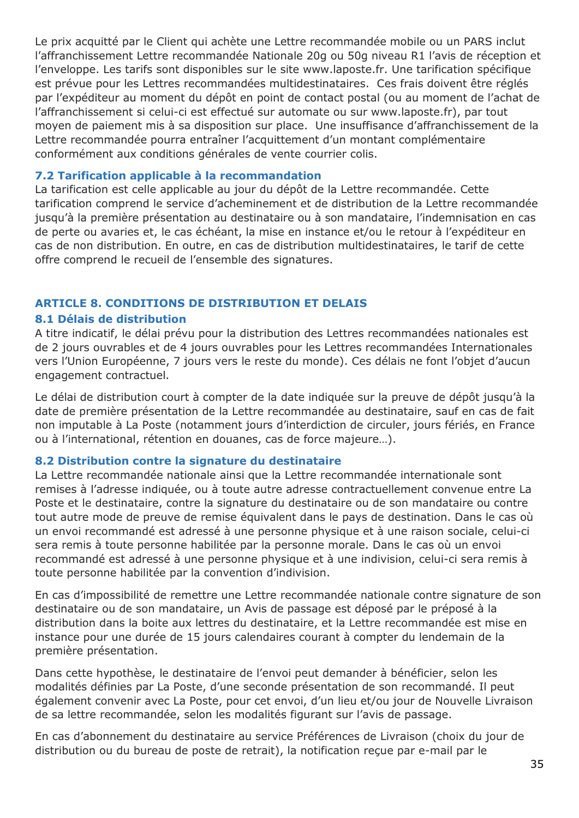Le prix acquitté par le Client qui achète une Lettre recommandée mobile ou un PARS inclut l'affranchissement Lettre recommandée Nationale 20g ou 50g niveau R1 l'avis de réception et l'enveloppe. Les tarifs sont disponibles sur le site www.laposte.fr. Une tarification spécifique est prévue pour les Lettres recommandées multidestinataires. Ces frais doivent être réglés par l'expéditeur au moment du dépôt en point de contact postal (ou au moment de l'achat de l'affranchissement si celui-ci est effectué sur automate ou sur www.laposte.fr), par tout moyen de paiement mis à sa disposition sur place. Une insuffisance d'affranchissement de la Lettre recommandée pourra entraîner l'acquittement d'un montant complémentaire conformément aux conditions générales de vente courrier colis.

### **7.2 Tarification applicable à la recommandation**

La tarification est celle applicable au jour du dépôt de la Lettre recommandée. Cette tarification comprend le service d'acheminement et de distribution de la Lettre recommandée jusqu'à la première présentation au destinataire ou à son mandataire, l'indemnisation en cas de perte ou avaries et, le cas échéant, la mise en instance et/ou le retour à l'expéditeur en cas de non distribution. En outre, en cas de distribution multidestinataires, le tarif de cette offre comprend le recueil de l'ensemble des signatures.

### <span id="page-34-0"></span>**ARTICLE 8. CONDITIONS DE DISTRIBUTION ET DELAIS**

### **8.1 Délais de distribution**

A titre indicatif, le délai prévu pour la distribution des Lettres recommandées nationales est de 2 jours ouvrables et de 4 jours ouvrables pour les Lettres recommandées Internationales vers l'Union Européenne, 7 jours vers le reste du monde). Ces délais ne font l'objet d'aucun engagement contractuel.

Le délai de distribution court à compter de la date indiquée sur la preuve de dépôt jusqu'à la date de première présentation de la Lettre recommandée au destinataire, sauf en cas de fait non imputable à La Poste (notamment jours d'interdiction de circuler, jours fériés, en France ou à l'international, rétention en douanes, cas de force majeure…).

#### **8.2 Distribution contre la signature du destinataire**

La Lettre recommandée nationale ainsi que la Lettre recommandée internationale sont remises à l'adresse indiquée, ou à toute autre adresse contractuellement convenue entre La Poste et le destinataire, contre la signature du destinataire ou de son mandataire ou contre tout autre mode de preuve de remise équivalent dans le pays de destination. Dans le cas où un envoi recommandé est adressé à une personne physique et à une raison sociale, celui-ci sera remis à toute personne habilitée par la personne morale. Dans le cas où un envoi recommandé est adressé à une personne physique et à une indivision, celui-ci sera remis à toute personne habilitée par la convention d'indivision.

En cas d'impossibilité de remettre une Lettre recommandée nationale contre signature de son destinataire ou de son mandataire, un Avis de passage est déposé par le préposé à la distribution dans la boite aux lettres du destinataire, et la Lettre recommandée est mise en instance pour une durée de 15 jours calendaires courant à compter du lendemain de la première présentation.

Dans cette hypothèse, le destinataire de l'envoi peut demander à bénéficier, selon les modalités définies par La Poste, d'une seconde présentation de son recommandé. Il peut également convenir avec La Poste, pour cet envoi, d'un lieu et/ou jour de Nouvelle Livraison de sa lettre recommandée, selon les modalités figurant sur l'avis de passage.

En cas d'abonnement du destinataire au service Préférences de Livraison (choix du jour de distribution ou du bureau de poste de retrait), la notification reçue par e-mail par le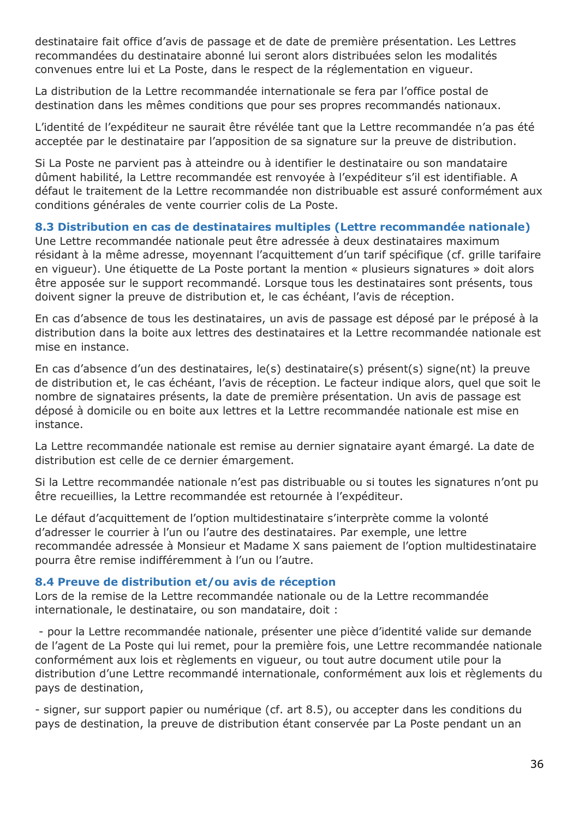destinataire fait office d'avis de passage et de date de première présentation. Les Lettres recommandées du destinataire abonné lui seront alors distribuées selon les modalités convenues entre lui et La Poste, dans le respect de la réglementation en vigueur.

La distribution de la Lettre recommandée internationale se fera par l'office postal de destination dans les mêmes conditions que pour ses propres recommandés nationaux.

L'identité de l'expéditeur ne saurait être révélée tant que la Lettre recommandée n'a pas été acceptée par le destinataire par l'apposition de sa signature sur la preuve de distribution.

Si La Poste ne parvient pas à atteindre ou à identifier le destinataire ou son mandataire dûment habilité, la Lettre recommandée est renvoyée à l'expéditeur s'il est identifiable. A défaut le traitement de la Lettre recommandée non distribuable est assuré conformément aux conditions générales de vente courrier colis de La Poste.

### **8.3 Distribution en cas de destinataires multiples (Lettre recommandée nationale)**

Une Lettre recommandée nationale peut être adressée à deux destinataires maximum résidant à la même adresse, moyennant l'acquittement d'un tarif spécifique (cf. grille tarifaire en vigueur). Une étiquette de La Poste portant la mention « plusieurs signatures » doit alors être apposée sur le support recommandé. Lorsque tous les destinataires sont présents, tous doivent signer la preuve de distribution et, le cas échéant, l'avis de réception.

En cas d'absence de tous les destinataires, un avis de passage est déposé par le préposé à la distribution dans la boite aux lettres des destinataires et la Lettre recommandée nationale est mise en instance.

En cas d'absence d'un des destinataires, le(s) destinataire(s) présent(s) signe(nt) la preuve de distribution et, le cas échéant, l'avis de réception. Le facteur indique alors, quel que soit le nombre de signataires présents, la date de première présentation. Un avis de passage est déposé à domicile ou en boite aux lettres et la Lettre recommandée nationale est mise en instance.

La Lettre recommandée nationale est remise au dernier signataire ayant émargé. La date de distribution est celle de ce dernier émargement.

Si la Lettre recommandée nationale n'est pas distribuable ou si toutes les signatures n'ont pu être recueillies, la Lettre recommandée est retournée à l'expéditeur.

Le défaut d'acquittement de l'option multidestinataire s'interprète comme la volonté d'adresser le courrier à l'un ou l'autre des destinataires. Par exemple, une lettre recommandée adressée à Monsieur et Madame X sans paiement de l'option multidestinataire pourra être remise indifféremment à l'un ou l'autre.

### **8.4 Preuve de distribution et/ou avis de réception**

Lors de la remise de la Lettre recommandée nationale ou de la Lettre recommandée internationale, le destinataire, ou son mandataire, doit :

- pour la Lettre recommandée nationale, présenter une pièce d'identité valide sur demande de l'agent de La Poste qui lui remet, pour la première fois, une Lettre recommandée nationale conformément aux lois et règlements en vigueur, ou tout autre document utile pour la distribution d'une Lettre recommandé internationale, conformément aux lois et règlements du pays de destination,

- signer, sur support papier ou numérique (cf. art 8.5), ou accepter dans les conditions du pays de destination, la preuve de distribution étant conservée par La Poste pendant un an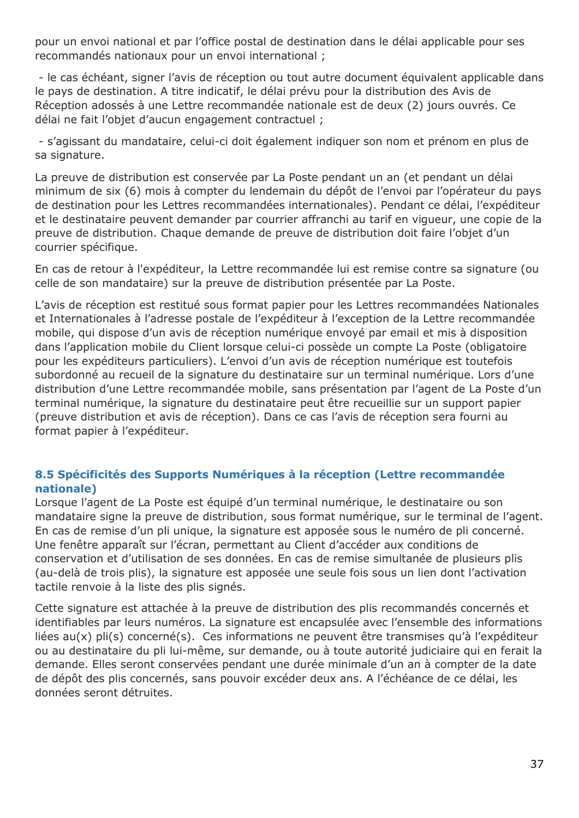pour un envoi national et par l'office postal de destination dans le délai applicable pour ses recommandés nationaux pour un envoi international ;

- le cas échéant, signer l'avis de réception ou tout autre document équivalent applicable dans le pays de destination. A titre indicatif, le délai prévu pour la distribution des Avis de Réception adossés à une Lettre recommandée nationale est de deux (2) jours ouvrés. Ce délai ne fait l'objet d'aucun engagement contractuel ;

- s'agissant du mandataire, celui-ci doit également indiquer son nom et prénom en plus de sa signature.

La preuve de distribution est conservée par La Poste pendant un an (et pendant un délai minimum de six (6) mois à compter du lendemain du dépôt de l'envoi par l'opérateur du pays de destination pour les Lettres recommandées internationales). Pendant ce délai, l'expéditeur et le destinataire peuvent demander par courrier affranchi au tarif en vigueur, une copie de la preuve de distribution. Chaque demande de preuve de distribution doit faire l'objet d'un courrier spécifique.

En cas de retour à l'expéditeur, la Lettre recommandée lui est remise contre sa signature (ou celle de son mandataire) sur la preuve de distribution présentée par La Poste.

L'avis de réception est restitué sous format papier pour les Lettres recommandées Nationales et Internationales à l'adresse postale de l'expéditeur à l'exception de la Lettre recommandée mobile, qui dispose d'un avis de réception numérique envoyé par email et mis à disposition dans l'application mobile du Client lorsque celui-ci possède un compte La Poste (obligatoire pour les expéditeurs particuliers). L'envoi d'un avis de réception numérique est toutefois subordonné au recueil de la signature du destinataire sur un terminal numérique. Lors d'une distribution d'une Lettre recommandée mobile, sans présentation par l'agent de La Poste d'un terminal numérique, la signature du destinataire peut être recueillie sur un support papier (preuve distribution et avis de réception). Dans ce cas l'avis de réception sera fourni au format papier à l'expéditeur.

### **8.5 Spécificités des Supports Numériques à la réception (Lettre recommandée nationale)**

Lorsque l'agent de La Poste est équipé d'un terminal numérique, le destinataire ou son mandataire signe la preuve de distribution, sous format numérique, sur le terminal de l'agent. En cas de remise d'un pli unique, la signature est apposée sous le numéro de pli concerné. Une fenêtre apparaît sur l'écran, permettant au Client d'accéder aux conditions de conservation et d'utilisation de ses données. En cas de remise simultanée de plusieurs plis (au-delà de trois plis), la signature est apposée une seule fois sous un lien dont l'activation tactile renvoie à la liste des plis signés.

Cette signature est attachée à la preuve de distribution des plis recommandés concernés et identifiables par leurs numéros. La signature est encapsulée avec l'ensemble des informations liées au(x) pli(s) concerné(s). Ces informations ne peuvent être transmises qu'à l'expéditeur ou au destinataire du pli lui-même, sur demande, ou à toute autorité judiciaire qui en ferait la demande. Elles seront conservées pendant une durée minimale d'un an à compter de la date de dépôt des plis concernés, sans pouvoir excéder deux ans. A l'échéance de ce délai, les données seront détruites.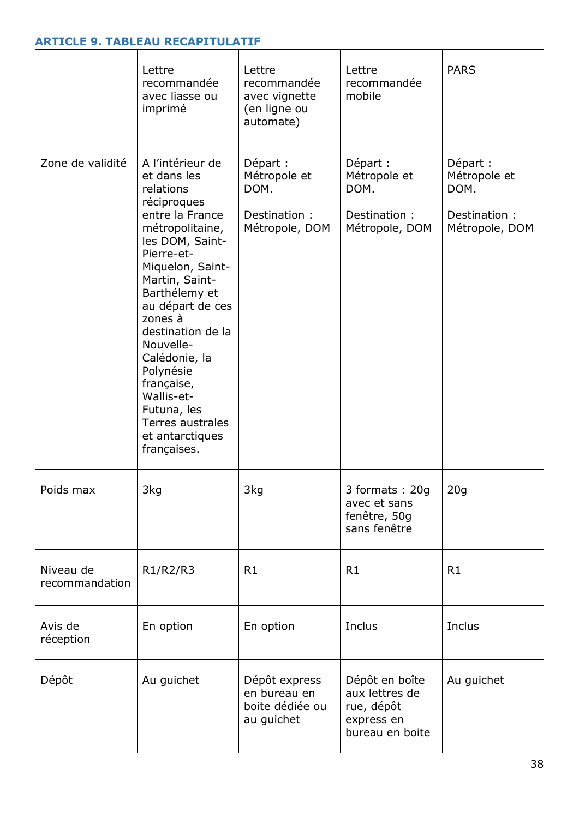## **ARTICLE 9. TABLEAU RECAPITULATIF**

|                             | Lettre<br>recommandée<br>avec liasse ou<br>imprimé                                                                                                                                                                                                                                                                                                                                        | Lettre<br>recommandée<br>avec vignette<br>(en ligne ou<br>automate) | Lettre<br>recommandée<br>mobile                                                 | <b>PARS</b>                                                         |
|-----------------------------|-------------------------------------------------------------------------------------------------------------------------------------------------------------------------------------------------------------------------------------------------------------------------------------------------------------------------------------------------------------------------------------------|---------------------------------------------------------------------|---------------------------------------------------------------------------------|---------------------------------------------------------------------|
| Zone de validité            | A l'intérieur de<br>et dans les<br>relations<br>réciproques<br>entre la France<br>métropolitaine,<br>les DOM, Saint-<br>Pierre-et-<br>Miquelon, Saint-<br>Martin, Saint-<br>Barthélemy et<br>au départ de ces<br>zones à<br>destination de la<br>Nouvelle-<br>Calédonie, la<br>Polynésie<br>française,<br>Wallis-et-<br>Futuna, les<br>Terres australes<br>et antarctiques<br>françaises. | Départ :<br>Métropole et<br>DOM.<br>Destination :<br>Métropole, DOM | Départ :<br>Métropole et<br>DOM.<br>Destination:<br>Métropole, DOM              | Départ :<br>Métropole et<br>DOM.<br>Destination :<br>Métropole, DOM |
| Poids max                   | 3kg                                                                                                                                                                                                                                                                                                                                                                                       | 3kg                                                                 | 3 formats: 20g<br>avec et sans<br>fenêtre, 50g<br>sans fenêtre                  | 20q                                                                 |
| Niveau de<br>recommandation | R1/R2/R3                                                                                                                                                                                                                                                                                                                                                                                  | R1                                                                  | R1                                                                              | R1                                                                  |
| Avis de<br>réception        | En option                                                                                                                                                                                                                                                                                                                                                                                 | En option                                                           | Inclus                                                                          | Inclus                                                              |
| Dépôt                       | Au guichet                                                                                                                                                                                                                                                                                                                                                                                | Dépôt express<br>en bureau en<br>boite dédiée ou<br>au guichet      | Dépôt en boîte<br>aux lettres de<br>rue, dépôt<br>express en<br>bureau en boite | Au guichet                                                          |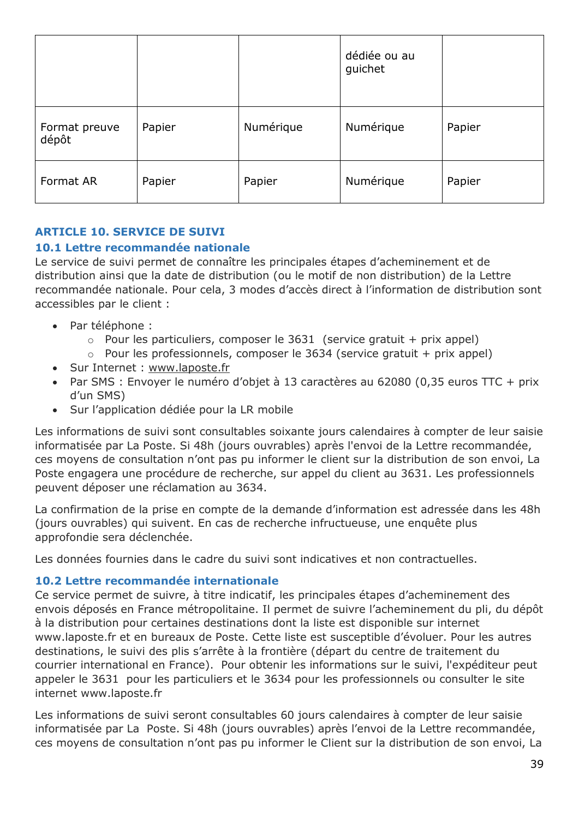|                        |        |           | dédiée ou au<br>guichet |        |
|------------------------|--------|-----------|-------------------------|--------|
| Format preuve<br>dépôt | Papier | Numérique | Numérique               | Papier |
| Format AR              | Papier | Papier    | Numérique               | Papier |

## **ARTICLE 10. SERVICE DE SUIVI**

#### **10.1 Lettre recommandée nationale**

Le service de suivi permet de connaître les principales étapes d'acheminement et de distribution ainsi que la date de distribution (ou le motif de non distribution) de la Lettre recommandée nationale. Pour cela, 3 modes d'accès direct à l'information de distribution sont accessibles par le client :

- Par téléphone :
	- $\circ$  Pour les particuliers, composer le 3631 (service gratuit + prix appel)
	- $\circ$  Pour les professionnels, composer le 3634 (service gratuit + prix appel)
- Sur Internet : [www.laposte.fr](file:///C:/Users/PSZX448/AppData/Local/Microsoft/Windows/INetCache/Content.Outlook/49H3BVPE/www.laposte.fr)
- Par SMS : Envoyer le numéro d'objet à 13 caractères au 62080 (0,35 euros TTC + prix d'un SMS)
- Sur l'application dédiée pour la LR mobile

Les informations de suivi sont consultables soixante jours calendaires à compter de leur saisie informatisée par La Poste. Si 48h (jours ouvrables) après l'envoi de la Lettre recommandée, ces moyens de consultation n'ont pas pu informer le client sur la distribution de son envoi, La Poste engagera une procédure de recherche, sur appel du client au 3631. Les professionnels peuvent déposer une réclamation au 3634.

La confirmation de la prise en compte de la demande d'information est adressée dans les 48h (jours ouvrables) qui suivent. En cas de recherche infructueuse, une enquête plus approfondie sera déclenchée.

Les données fournies dans le cadre du suivi sont indicatives et non contractuelles.

#### **10.2 Lettre recommandée internationale**

Ce service permet de suivre, à titre indicatif, les principales étapes d'acheminement des envois déposés en France métropolitaine. Il permet de suivre l'acheminement du pli, du dépôt à la distribution pour certaines destinations dont la liste est disponible sur internet www.laposte.fr et en bureaux de Poste. Cette liste est susceptible d'évoluer. Pour les autres destinations, le suivi des plis s'arrête à la frontière (départ du centre de traitement du courrier international en France). Pour obtenir les informations sur le suivi, l'expéditeur peut appeler le 3631 pour les particuliers et le 3634 pour les professionnels ou consulter le site internet www.laposte.fr

Les informations de suivi seront consultables 60 jours calendaires à compter de leur saisie informatisée par La Poste. Si 48h (jours ouvrables) après l'envoi de la Lettre recommandée, ces moyens de consultation n'ont pas pu informer le Client sur la distribution de son envoi, La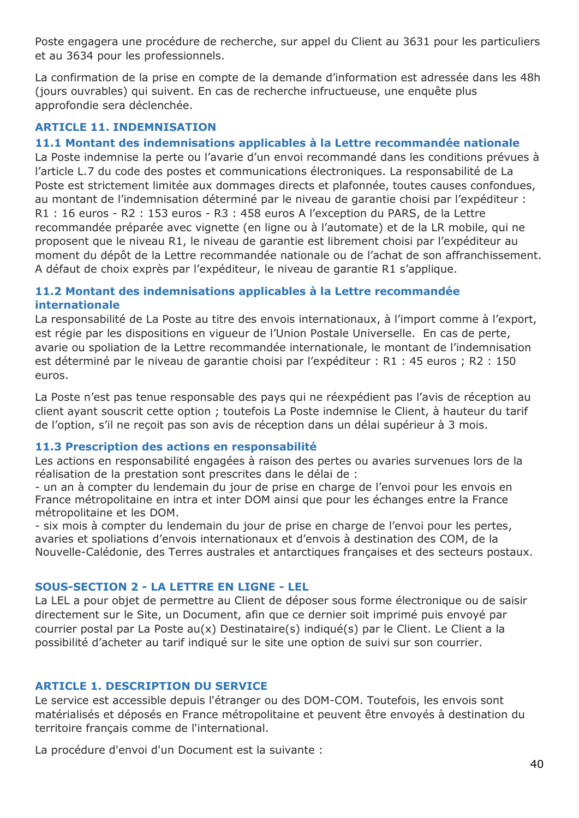Poste engagera une procédure de recherche, sur appel du Client au 3631 pour les particuliers et au 3634 pour les professionnels.

La confirmation de la prise en compte de la demande d'information est adressée dans les 48h (jours ouvrables) qui suivent. En cas de recherche infructueuse, une enquête plus approfondie sera déclenchée.

### **ARTICLE 11. INDEMNISATION**

#### **11.1 Montant des indemnisations applicables à la Lettre recommandée nationale**

La Poste indemnise la perte ou l'avarie d'un envoi recommandé dans les conditions prévues à l'article L.7 du code des postes et communications électroniques. La responsabilité de La Poste est strictement limitée aux dommages directs et plafonnée, toutes causes confondues, au montant de l'indemnisation déterminé par le niveau de garantie choisi par l'expéditeur : R1 : 16 euros - R2 : 153 euros - R3 : 458 euros A l'exception du PARS, de la Lettre recommandée préparée avec vignette (en ligne ou à l'automate) et de la LR mobile, qui ne proposent que le niveau R1, le niveau de garantie est librement choisi par l'expéditeur au moment du dépôt de la Lettre recommandée nationale ou de l'achat de son affranchissement. A défaut de choix exprès par l'expéditeur, le niveau de garantie R1 s'applique.

#### **11.2 Montant des indemnisations applicables à la Lettre recommandée internationale**

La responsabilité de La Poste au titre des envois internationaux, à l'import comme à l'export, est régie par les dispositions en vigueur de l'Union Postale Universelle. En cas de perte, avarie ou spoliation de la Lettre recommandée internationale, le montant de l'indemnisation est déterminé par le niveau de garantie choisi par l'expéditeur : R1 : 45 euros ; R2 : 150 euros.

La Poste n'est pas tenue responsable des pays qui ne réexpédient pas l'avis de réception au client ayant souscrit cette option ; toutefois La Poste indemnise le Client, à hauteur du tarif de l'option, s'il ne reçoit pas son avis de réception dans un délai supérieur à 3 mois.

#### **11.3 Prescription des actions en responsabilité**

Les actions en responsabilité engagées à raison des pertes ou avaries survenues lors de la réalisation de la prestation sont prescrites dans le délai de :

- un an à compter du lendemain du jour de prise en charge de l'envoi pour les envois en France métropolitaine en intra et inter DOM ainsi que pour les échanges entre la France métropolitaine et les DOM.

- six mois à compter du lendemain du jour de prise en charge de l'envoi pour les pertes, avaries et spoliations d'envois internationaux et d'envois à destination des COM, de la Nouvelle-Calédonie, des Terres australes et antarctiques françaises et des secteurs postaux.

#### **SOUS-SECTION 2 - LA LETTRE EN LIGNE - LEL**

La LEL a pour objet de permettre au Client de déposer sous forme électronique ou de saisir directement sur le Site, un Document, afin que ce dernier soit imprimé puis envoyé par courrier postal par La Poste au(x) Destinataire(s) indiqué(s) par le Client. Le Client a la possibilité d'acheter au tarif indiqué sur le site une option de suivi sur son courrier.

#### **ARTICLE 1. DESCRIPTION DU SERVICE**

Le service est accessible depuis l'étranger ou des DOM-COM. Toutefois, les envois sont matérialisés et déposés en France métropolitaine et peuvent être envoyés à destination du territoire français comme de l'international.

La procédure d'envoi d'un Document est la suivante :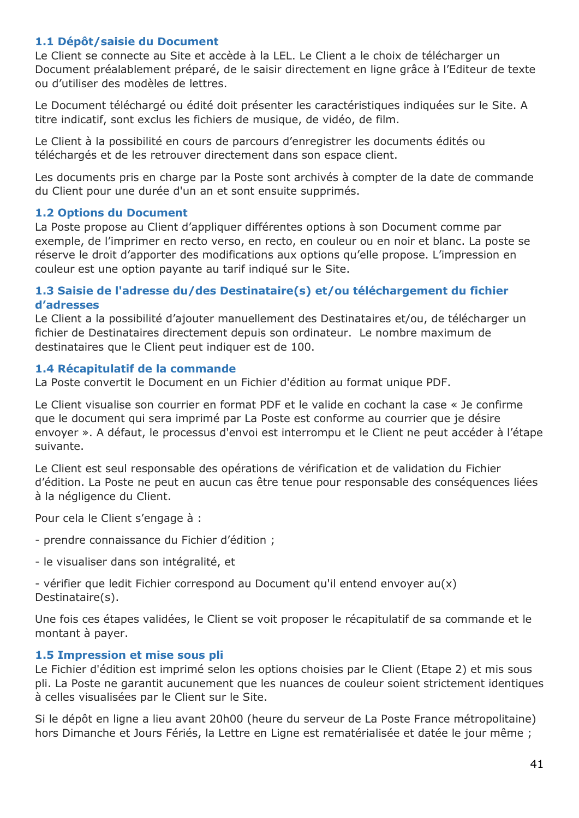### **1.1 Dépôt/saisie du Document**

Le Client se connecte au Site et accède à la LEL. Le Client a le choix de télécharger un Document préalablement préparé, de le saisir directement en ligne grâce à l'Editeur de texte ou d'utiliser des modèles de lettres.

Le Document téléchargé ou édité doit présenter les caractéristiques indiquées sur le Site. A titre indicatif, sont exclus les fichiers de musique, de vidéo, de film.

Le Client à la possibilité en cours de parcours d'enregistrer les documents édités ou téléchargés et de les retrouver directement dans son espace client.

Les documents pris en charge par la Poste sont archivés à compter de la date de commande du Client pour une durée d'un an et sont ensuite supprimés.

#### **1.2 Options du Document**

La Poste propose au Client d'appliquer différentes options à son Document comme par exemple, de l'imprimer en recto verso, en recto, en couleur ou en noir et blanc. La poste se réserve le droit d'apporter des modifications aux options qu'elle propose. L'impression en couleur est une option payante au tarif indiqué sur le Site.

#### **1.3 Saisie de l'adresse du/des Destinataire(s) et/ou téléchargement du fichier d'adresses**

Le Client a la possibilité d'ajouter manuellement des Destinataires et/ou, de télécharger un fichier de Destinataires directement depuis son ordinateur. Le nombre maximum de destinataires que le Client peut indiquer est de 100.

#### **1.4 Récapitulatif de la commande**

La Poste convertit le Document en un Fichier d'édition au format unique PDF.

Le Client visualise son courrier en format PDF et le valide en cochant la case « Je confirme que le document qui sera imprimé par La Poste est conforme au courrier que je désire envoyer ». A défaut, le processus d'envoi est interrompu et le Client ne peut accéder à l'étape suivante.

Le Client est seul responsable des opérations de vérification et de validation du Fichier d'édition. La Poste ne peut en aucun cas être tenue pour responsable des conséquences liées à la négligence du Client.

Pour cela le Client s'engage à :

- prendre connaissance du Fichier d'édition ;

- le visualiser dans son intégralité, et

- vérifier que ledit Fichier correspond au Document qu'il entend envoyer au(x) Destinataire(s).

Une fois ces étapes validées, le Client se voit proposer le récapitulatif de sa commande et le montant à payer.

#### **1.5 Impression et mise sous pli**

Le Fichier d'édition est imprimé selon les options choisies par le Client (Etape 2) et mis sous pli. La Poste ne garantit aucunement que les nuances de couleur soient strictement identiques à celles visualisées par le Client sur le Site.

Si le dépôt en ligne a lieu avant 20h00 (heure du serveur de La Poste France métropolitaine) hors Dimanche et Jours Fériés, la Lettre en Ligne est rematérialisée et datée le jour même ;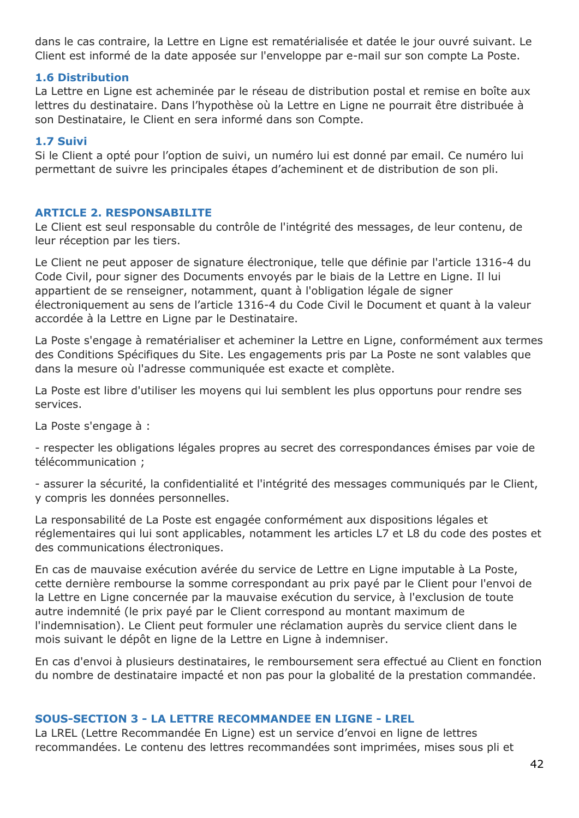dans le cas contraire, la Lettre en Ligne est rematérialisée et datée le jour ouvré suivant. Le Client est informé de la date apposée sur l'enveloppe par e-mail sur son compte La Poste.

#### **1.6 Distribution**

La Lettre en Ligne est acheminée par le réseau de distribution postal et remise en boîte aux lettres du destinataire. Dans l'hypothèse où la Lettre en Ligne ne pourrait être distribuée à son Destinataire, le Client en sera informé dans son Compte.

#### **1.7 Suivi**

Si le Client a opté pour l'option de suivi, un numéro lui est donné par email. Ce numéro lui permettant de suivre les principales étapes d'acheminent et de distribution de son pli.

#### **ARTICLE 2. RESPONSABILITE**

Le Client est seul responsable du contrôle de l'intégrité des messages, de leur contenu, de leur réception par les tiers.

Le Client ne peut apposer de signature électronique, telle que définie par l'article 1316-4 du Code Civil, pour signer des Documents envoyés par le biais de la Lettre en Ligne. Il lui appartient de se renseigner, notamment, quant à l'obligation légale de signer électroniquement au sens de l'article 1316-4 du Code Civil le Document et quant à la valeur accordée à la Lettre en Ligne par le Destinataire.

La Poste s'engage à rematérialiser et acheminer la Lettre en Ligne, conformément aux termes des Conditions Spécifiques du Site. Les engagements pris par La Poste ne sont valables que dans la mesure où l'adresse communiquée est exacte et complète.

La Poste est libre d'utiliser les moyens qui lui semblent les plus opportuns pour rendre ses services.

La Poste s'engage à :

- respecter les obligations légales propres au secret des correspondances émises par voie de télécommunication ;

- assurer la sécurité, la confidentialité et l'intégrité des messages communiqués par le Client, y compris les données personnelles.

La responsabilité de La Poste est engagée conformément aux dispositions légales et réglementaires qui lui sont applicables, notamment les articles L7 et L8 du code des postes et des communications électroniques.

En cas de mauvaise exécution avérée du service de Lettre en Ligne imputable à La Poste, cette dernière rembourse la somme correspondant au prix payé par le Client pour l'envoi de la Lettre en Ligne concernée par la mauvaise exécution du service, à l'exclusion de toute autre indemnité (le prix payé par le Client correspond au montant maximum de l'indemnisation). Le Client peut formuler une réclamation auprès du service client dans le mois suivant le dépôt en ligne de la Lettre en Ligne à indemniser.

En cas d'envoi à plusieurs destinataires, le remboursement sera effectué au Client en fonction du nombre de destinataire impacté et non pas pour la globalité de la prestation commandée.

#### **SOUS-SECTION 3 - LA LETTRE RECOMMANDEE EN LIGNE - LREL**

La LREL (Lettre Recommandée En Ligne) est un service d'envoi en ligne de lettres recommandées. Le contenu des lettres recommandées sont imprimées, mises sous pli et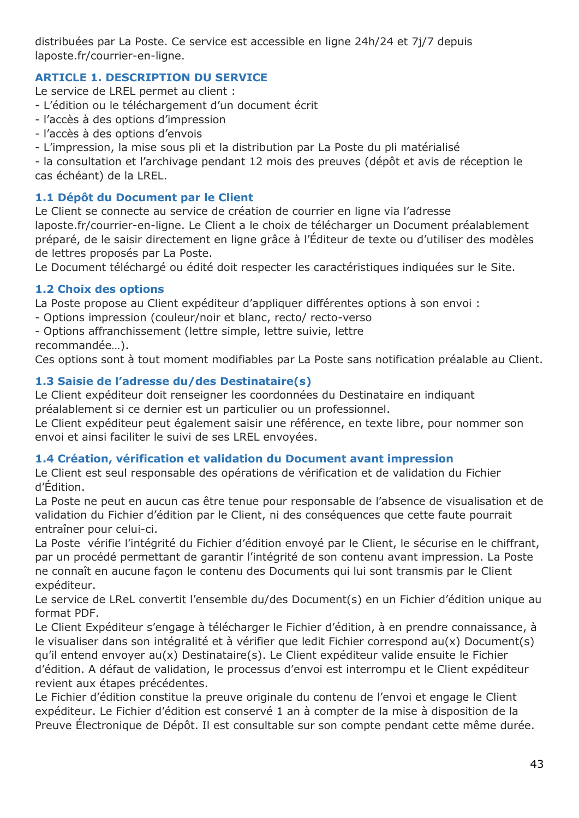distribuées par La Poste. Ce service est accessible en ligne 24h/24 et 7j/7 depuis laposte.fr/courrier-en-ligne.

## **ARTICLE 1. DESCRIPTION DU SERVICE**

Le service de LREL permet au client :

- L'édition ou le téléchargement d'un document écrit
- l'accès à des options d'impression
- l'accès à des options d'envois
- L'impression, la mise sous pli et la distribution par La Poste du pli matérialisé

- la consultation et l'archivage pendant 12 mois des preuves (dépôt et avis de réception le cas échéant) de la LREL.

## **1.1 Dépôt du Document par le Client**

Le Client se connecte au service de création de courrier en ligne via l'adresse laposte.fr/courrier-en-ligne. Le Client a le choix de télécharger un Document préalablement préparé, de le saisir directement en ligne grâce à l'Éditeur de texte ou d'utiliser des modèles de lettres proposés par La Poste.

Le Document téléchargé ou édité doit respecter les caractéristiques indiquées sur le Site.

# **1.2 Choix des options**

La Poste propose au Client expéditeur d'appliquer différentes options à son envoi :

- Options impression (couleur/noir et blanc, recto/ recto-verso
- Options affranchissement (lettre simple, lettre suivie, lettre

recommandée…).

Ces options sont à tout moment modifiables par La Poste sans notification préalable au Client.

# **1.3 Saisie de l'adresse du/des Destinataire(s)**

Le Client expéditeur doit renseigner les coordonnées du Destinataire en indiquant préalablement si ce dernier est un particulier ou un professionnel.

Le Client expéditeur peut également saisir une référence, en texte libre, pour nommer son envoi et ainsi faciliter le suivi de ses LREL envoyées.

## **1.4 Création, vérification et validation du Document avant impression**

Le Client est seul responsable des opérations de vérification et de validation du Fichier d'Édition.

La Poste ne peut en aucun cas être tenue pour responsable de l'absence de visualisation et de validation du Fichier d'édition par le Client, ni des conséquences que cette faute pourrait entraîner pour celui-ci.

La Poste vérifie l'intégrité du Fichier d'édition envoyé par le Client, le sécurise en le chiffrant, par un procédé permettant de garantir l'intégrité de son contenu avant impression. La Poste ne connaît en aucune façon le contenu des Documents qui lui sont transmis par le Client expéditeur.

Le service de LReL convertit l'ensemble du/des Document(s) en un Fichier d'édition unique au format PDF.

Le Client Expéditeur s'engage à télécharger le Fichier d'édition, à en prendre connaissance, à le visualiser dans son intégralité et à vérifier que ledit Fichier correspond au(x) Document(s) qu'il entend envoyer au(x) Destinataire(s). Le Client expéditeur valide ensuite le Fichier d'édition. A défaut de validation, le processus d'envoi est interrompu et le Client expéditeur revient aux étapes précédentes.

Le Fichier d'édition constitue la preuve originale du contenu de l'envoi et engage le Client expéditeur. Le Fichier d'édition est conservé 1 an à compter de la mise à disposition de la Preuve Électronique de Dépôt. Il est consultable sur son compte pendant cette même durée.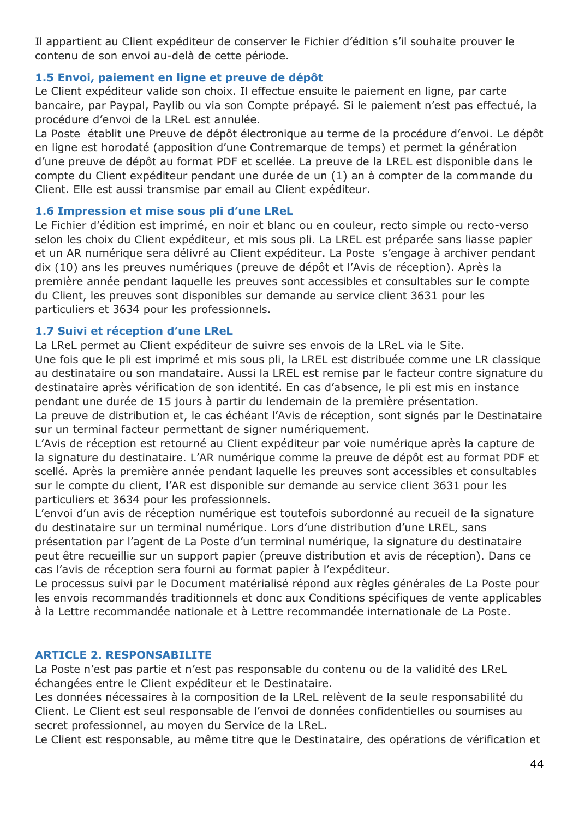Il appartient au Client expéditeur de conserver le Fichier d'édition s'il souhaite prouver le contenu de son envoi au-delà de cette période.

### **1.5 Envoi, paiement en ligne et preuve de dépôt**

Le Client expéditeur valide son choix. Il effectue ensuite le paiement en ligne, par carte bancaire, par Paypal, Paylib ou via son Compte prépayé. Si le paiement n'est pas effectué, la procédure d'envoi de la LReL est annulée.

La Poste établit une Preuve de dépôt électronique au terme de la procédure d'envoi. Le dépôt en ligne est horodaté (apposition d'une Contremarque de temps) et permet la génération d'une preuve de dépôt au format PDF et scellée. La preuve de la LREL est disponible dans le compte du Client expéditeur pendant une durée de un (1) an à compter de la commande du Client. Elle est aussi transmise par email au Client expéditeur.

#### **1.6 Impression et mise sous pli d'une LReL**

Le Fichier d'édition est imprimé, en noir et blanc ou en couleur, recto simple ou recto-verso selon les choix du Client expéditeur, et mis sous pli. La LREL est préparée sans liasse papier et un AR numérique sera délivré au Client expéditeur. La Poste s'engage à archiver pendant dix (10) ans les preuves numériques (preuve de dépôt et l'Avis de réception). Après la première année pendant laquelle les preuves sont accessibles et consultables sur le compte du Client, les preuves sont disponibles sur demande au service client 3631 pour les particuliers et 3634 pour les professionnels.

#### **1.7 Suivi et réception d'une LReL**

La LReL permet au Client expéditeur de suivre ses envois de la LReL via le Site.

Une fois que le pli est imprimé et mis sous pli, la LREL est distribuée comme une LR classique au destinataire ou son mandataire. Aussi la LREL est remise par le facteur contre signature du destinataire après vérification de son identité. En cas d'absence, le pli est mis en instance pendant une durée de 15 jours à partir du lendemain de la première présentation.

La preuve de distribution et, le cas échéant l'Avis de réception, sont signés par le Destinataire sur un terminal facteur permettant de signer numériquement.

L'Avis de réception est retourné au Client expéditeur par voie numérique après la capture de la signature du destinataire. L'AR numérique comme la preuve de dépôt est au format PDF et scellé. Après la première année pendant laquelle les preuves sont accessibles et consultables sur le compte du client, l'AR est disponible sur demande au service client 3631 pour les particuliers et 3634 pour les professionnels.

L'envoi d'un avis de réception numérique est toutefois subordonné au recueil de la signature du destinataire sur un terminal numérique. Lors d'une distribution d'une LREL, sans présentation par l'agent de La Poste d'un terminal numérique, la signature du destinataire peut être recueillie sur un support papier (preuve distribution et avis de réception). Dans ce cas l'avis de réception sera fourni au format papier à l'expéditeur.

Le processus suivi par le Document matérialisé répond aux règles générales de La Poste pour les envois recommandés traditionnels et donc aux Conditions spécifiques de vente applicables à la Lettre recommandée nationale et à Lettre recommandée internationale de La Poste.

#### **ARTICLE 2. RESPONSABILITE**

La Poste n'est pas partie et n'est pas responsable du contenu ou de la validité des LReL échangées entre le Client expéditeur et le Destinataire.

Les données nécessaires à la composition de la LReL relèvent de la seule responsabilité du Client. Le Client est seul responsable de l'envoi de données confidentielles ou soumises au secret professionnel, au moyen du Service de la LReL.

Le Client est responsable, au même titre que le Destinataire, des opérations de vérification et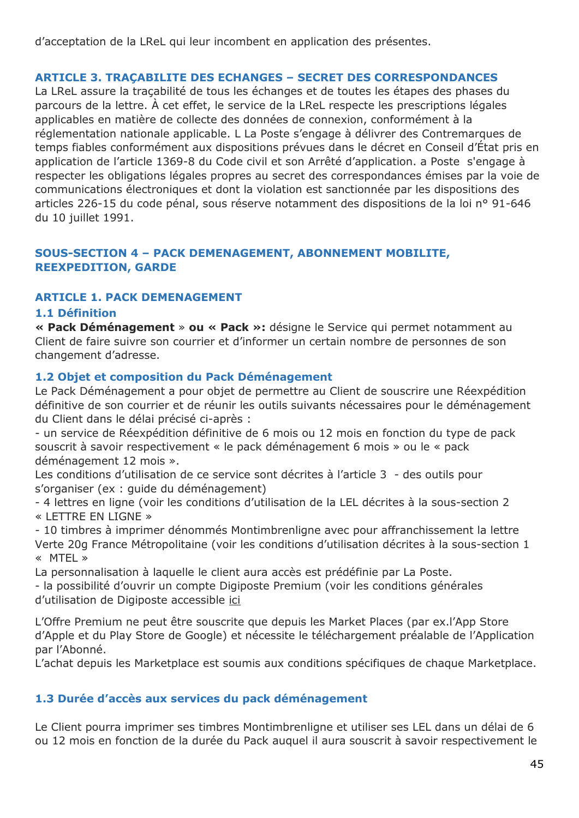d'acceptation de la LReL qui leur incombent en application des présentes.

## **ARTICLE 3. TRAÇABILITE DES ECHANGES – SECRET DES CORRESPONDANCES**

La LReL assure la traçabilité de tous les échanges et de toutes les étapes des phases du parcours de la lettre. À cet effet, le service de la LReL respecte les prescriptions légales applicables en matière de collecte des données de connexion, conformément à la réglementation nationale applicable. L La Poste s'engage à délivrer des Contremarques de temps fiables conformément aux dispositions prévues dans le décret en Conseil d'État pris en application de l'article 1369-8 du Code civil et son Arrêté d'application. a Poste s'engage à respecter les obligations légales propres au secret des correspondances émises par la voie de communications électroniques et dont la violation est sanctionnée par les dispositions des articles 226-15 du code pénal, sous réserve notamment des dispositions de la loi n° 91-646 du 10 juillet 1991.

## **SOUS-SECTION 4 – PACK DEMENAGEMENT, ABONNEMENT MOBILITE, REEXPEDITION, GARDE**

### **ARTICLE 1. PACK DEMENAGEMENT**

#### **1.1 Définition**

**« Pack Déménagement** » **ou « Pack »:** désigne le Service qui permet notamment au Client de faire suivre son courrier et d'informer un certain nombre de personnes de son changement d'adresse.

### **1.2 Objet et composition du Pack Déménagement**

Le Pack Déménagement a pour objet de permettre au Client de souscrire une Réexpédition définitive de son courrier et de réunir les outils suivants nécessaires pour le déménagement du Client dans le délai précisé ci-après :

- un service de Réexpédition définitive de 6 mois ou 12 mois en fonction du type de pack souscrit à savoir respectivement « le pack déménagement 6 mois » ou le « pack déménagement 12 mois ».

Les conditions d'utilisation de ce service sont décrites à l'article 3 - des outils pour s'organiser (ex : guide du déménagement)

- 4 lettres en ligne (voir les conditions d'utilisation de la LEL décrites à la sous-section 2 « LETTRE EN LIGNE »

- 10 timbres à imprimer dénommés Montimbrenligne avec pour affranchissement la lettre Verte 20g France Métropolitaine (voir les conditions d'utilisation décrites à la sous-section 1 « MTEL »

La personnalisation à laquelle le client aura accès est prédéfinie par La Poste.

- la possibilité d'ouvrir un compte Digiposte Premium (voir les conditions générales d'utilisation de Digiposte accessible [ici](https://secure.digiposte.fr/conditions_generales)

L'Offre Premium ne peut être souscrite que depuis les Market Places (par ex.l'App Store d'Apple et du Play Store de Google) et nécessite le téléchargement préalable de l'Application par l'Abonné.

L'achat depuis les Marketplace est soumis aux conditions spécifiques de chaque Marketplace.

### **1.3 Durée d'accès aux services du pack déménagement**

Le Client pourra imprimer ses timbres Montimbrenligne et utiliser ses LEL dans un délai de 6 ou 12 mois en fonction de la durée du Pack auquel il aura souscrit à savoir respectivement le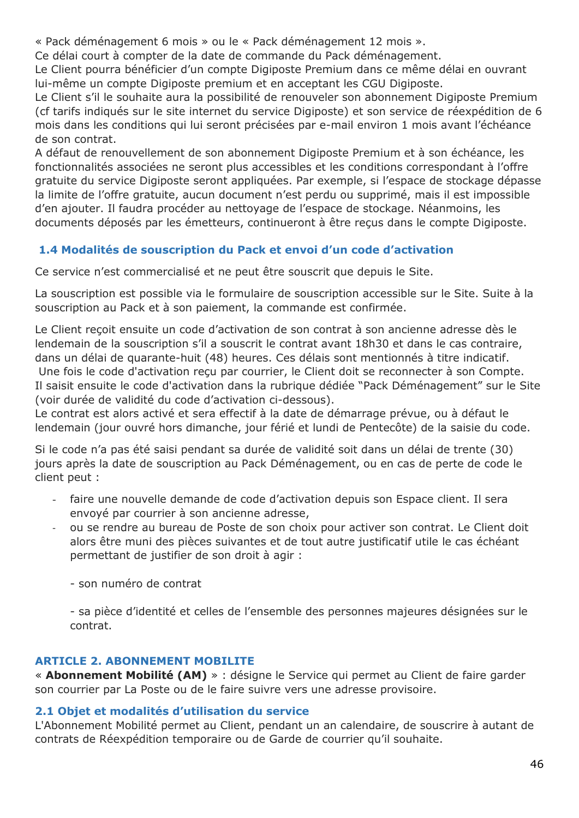« Pack déménagement 6 mois » ou le « Pack déménagement 12 mois ».

Ce délai court à compter de la date de commande du Pack déménagement.

Le Client pourra bénéficier d'un compte Digiposte Premium dans ce même délai en ouvrant lui-même un compte Digiposte premium et en acceptant les CGU Digiposte.

Le Client s'il le souhaite aura la possibilité de renouveler son abonnement Digiposte Premium (cf tarifs indiqués sur le site internet du service Digiposte) et son service de réexpédition de 6 mois dans les conditions qui lui seront précisées par e-mail environ 1 mois avant l'échéance de son contrat.

A défaut de renouvellement de son abonnement Digiposte Premium et à son échéance, les fonctionnalités associées ne seront plus accessibles et les conditions correspondant à l'offre gratuite du service Digiposte seront appliquées. Par exemple, si l'espace de stockage dépasse la limite de l'offre gratuite, aucun document n'est perdu ou supprimé, mais il est impossible d'en ajouter. Il faudra procéder au nettoyage de l'espace de stockage. Néanmoins, les documents déposés par les émetteurs, continueront à être reçus dans le compte Digiposte.

# **1.4 Modalités de souscription du Pack et envoi d'un code d'activation**

Ce service n'est commercialisé et ne peut être souscrit que depuis le Site.

La souscription est possible via le formulaire de souscription accessible sur le Site. Suite à la souscription au Pack et à son paiement, la commande est confirmée.

Le Client reçoit ensuite un code d'activation de son contrat à son ancienne adresse dès le lendemain de la souscription s'il a souscrit le contrat avant 18h30 et dans le cas contraire, dans un délai de quarante-huit (48) heures. Ces délais sont mentionnés à titre indicatif. Une fois le code d'activation reçu par courrier, le Client doit se reconnecter à son Compte. Il saisit ensuite le code d'activation dans la rubrique dédiée "Pack Déménagement" sur le Site (voir durée de validité du code d'activation ci-dessous).

Le contrat est alors activé et sera effectif à la date de démarrage prévue, ou à défaut le lendemain (jour ouvré hors dimanche, jour férié et lundi de Pentecôte) de la saisie du code.

Si le code n'a pas été saisi pendant sa durée de validité soit dans un délai de trente (30) jours après la date de souscription au Pack Déménagement, ou en cas de perte de code le client peut :

- faire une nouvelle demande de code d'activation depuis son Espace client. Il sera envoyé par courrier à son ancienne adresse,
- ou se rendre au bureau de Poste de son choix pour activer son contrat. Le Client doit alors être muni des pièces suivantes et de tout autre justificatif utile le cas échéant permettant de justifier de son droit à agir :
	- son numéro de contrat

- sa pièce d'identité et celles de l'ensemble des personnes majeures désignées sur le contrat.

## **ARTICLE 2. ABONNEMENT MOBILITE**

« **Abonnement Mobilité (AM)** » : désigne le Service qui permet au Client de faire garder son courrier par La Poste ou de le faire suivre vers une adresse provisoire.

## **2.1 Objet et modalités d'utilisation du service**

L'Abonnement Mobilité permet au Client, pendant un an calendaire, de souscrire à autant de contrats de Réexpédition temporaire ou de Garde de courrier qu'il souhaite.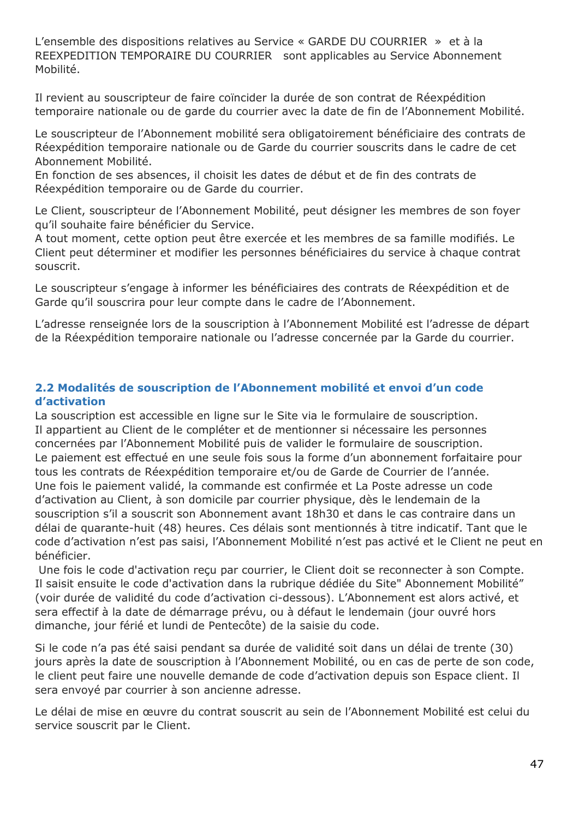L'ensemble des dispositions relatives au Service « GARDE DU COURRIER » et à la REEXPEDITION TEMPORAIRE DU COURRIER sont applicables au Service Abonnement Mobilité.

Il revient au souscripteur de faire coïncider la durée de son contrat de Réexpédition temporaire nationale ou de garde du courrier avec la date de fin de l'Abonnement Mobilité.

Le souscripteur de l'Abonnement mobilité sera obligatoirement bénéficiaire des contrats de Réexpédition temporaire nationale ou de Garde du courrier souscrits dans le cadre de cet Abonnement Mobilité.

En fonction de ses absences, il choisit les dates de début et de fin des contrats de Réexpédition temporaire ou de Garde du courrier.

Le Client, souscripteur de l'Abonnement Mobilité, peut désigner les membres de son foyer qu'il souhaite faire bénéficier du Service.

A tout moment, cette option peut être exercée et les membres de sa famille modifiés. Le Client peut déterminer et modifier les personnes bénéficiaires du service à chaque contrat souscrit.

Le souscripteur s'engage à informer les bénéficiaires des contrats de Réexpédition et de Garde qu'il souscrira pour leur compte dans le cadre de l'Abonnement.

L'adresse renseignée lors de la souscription à l'Abonnement Mobilité est l'adresse de départ de la Réexpédition temporaire nationale ou l'adresse concernée par la Garde du courrier.

### **2.2 Modalités de souscription de l'Abonnement mobilité et envoi d'un code d'activation**

La souscription est accessible en ligne sur le Site via le formulaire de souscription. Il appartient au Client de le compléter et de mentionner si nécessaire les personnes concernées par l'Abonnement Mobilité puis de valider le formulaire de souscription. Le paiement est effectué en une seule fois sous la forme d'un abonnement forfaitaire pour tous les contrats de Réexpédition temporaire et/ou de Garde de Courrier de l'année. Une fois le paiement validé, la commande est confirmée et La Poste adresse un code d'activation au Client, à son domicile par courrier physique, dès le lendemain de la souscription s'il a souscrit son Abonnement avant 18h30 et dans le cas contraire dans un délai de quarante-huit (48) heures. Ces délais sont mentionnés à titre indicatif. Tant que le code d'activation n'est pas saisi, l'Abonnement Mobilité n'est pas activé et le Client ne peut en bénéficier.

Une fois le code d'activation reçu par courrier, le Client doit se reconnecter à son Compte. Il saisit ensuite le code d'activation dans la rubrique dédiée du Site" Abonnement Mobilité" (voir durée de validité du code d'activation ci-dessous). L'Abonnement est alors activé, et sera effectif à la date de démarrage prévu, ou à défaut le lendemain (jour ouvré hors dimanche, jour férié et lundi de Pentecôte) de la saisie du code.

Si le code n'a pas été saisi pendant sa durée de validité soit dans un délai de trente (30) jours après la date de souscription à l'Abonnement Mobilité, ou en cas de perte de son code, le client peut faire une nouvelle demande de code d'activation depuis son Espace client. Il sera envoyé par courrier à son ancienne adresse.

Le délai de mise en œuvre du contrat souscrit au sein de l'Abonnement Mobilité est celui du service souscrit par le Client.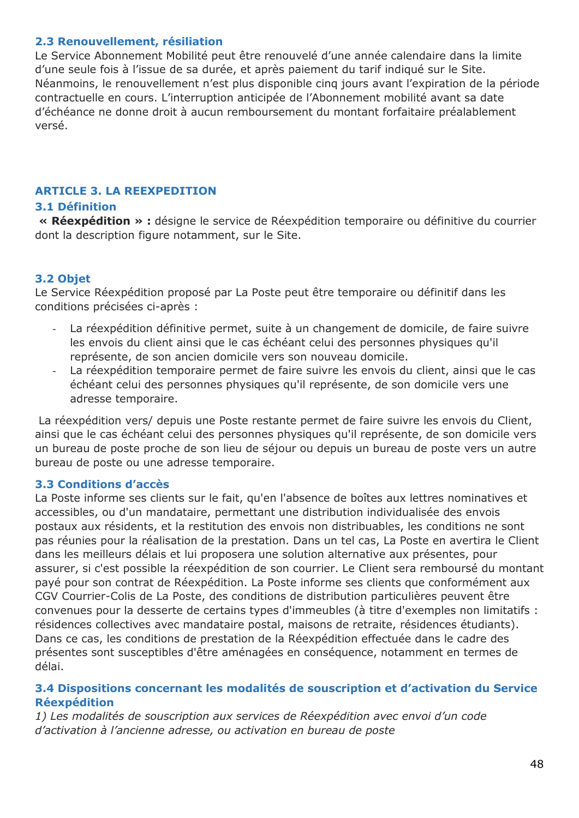#### **2.3 Renouvellement, résiliation**

Le Service Abonnement Mobilité peut être renouvelé d'une année calendaire dans la limite d'une seule fois à l'issue de sa durée, et après paiement du tarif indiqué sur le Site. Néanmoins, le renouvellement n'est plus disponible cinq jours avant l'expiration de la période contractuelle en cours. L'interruption anticipée de l'Abonnement mobilité avant sa date d'échéance ne donne droit à aucun remboursement du montant forfaitaire préalablement versé.

### **ARTICLE 3. LA REEXPEDITION**

# **3.1 Définition**

**« Réexpédition » :** désigne le service de Réexpédition temporaire ou définitive du courrier dont la description figure notamment, sur le Site.

## **3.2 Objet**

Le Service Réexpédition proposé par La Poste peut être temporaire ou définitif dans les conditions précisées ci-après :

- La réexpédition définitive permet, suite à un changement de domicile, de faire suivre les envois du client ainsi que le cas échéant celui des personnes physiques qu'il représente, de son ancien domicile vers son nouveau domicile.
- La réexpédition temporaire permet de faire suivre les envois du client, ainsi que le cas échéant celui des personnes physiques qu'il représente, de son domicile vers une adresse temporaire.

La réexpédition vers/ depuis une Poste restante permet de faire suivre les envois du Client, ainsi que le cas échéant celui des personnes physiques qu'il représente, de son domicile vers un bureau de poste proche de son lieu de séjour ou depuis un bureau de poste vers un autre bureau de poste ou une adresse temporaire.

### **3.3 Conditions d'accès**

La Poste informe ses clients sur le fait, qu'en l'absence de boîtes aux lettres nominatives et accessibles, ou d'un mandataire, permettant une distribution individualisée des envois postaux aux résidents, et la restitution des envois non distribuables, les conditions ne sont pas réunies pour la réalisation de la prestation. Dans un tel cas, La Poste en avertira le Client dans les meilleurs délais et lui proposera une solution alternative aux présentes, pour assurer, si c'est possible la réexpédition de son courrier. Le Client sera remboursé du montant payé pour son contrat de Réexpédition. La Poste informe ses clients que conformément aux CGV Courrier-Colis de La Poste, des conditions de distribution particulières peuvent être convenues pour la desserte de certains types d'immeubles (à titre d'exemples non limitatifs : résidences collectives avec mandataire postal, maisons de retraite, résidences étudiants). Dans ce cas, les conditions de prestation de la Réexpédition effectuée dans le cadre des présentes sont susceptibles d'être aménagées en conséquence, notamment en termes de délai.

#### **3.4 Dispositions concernant les modalités de souscription et d'activation du Service Réexpédition**

*1) Les modalités de souscription aux services de Réexpédition avec envoi d'un code d'activation à l'ancienne adresse, ou activation en bureau de poste*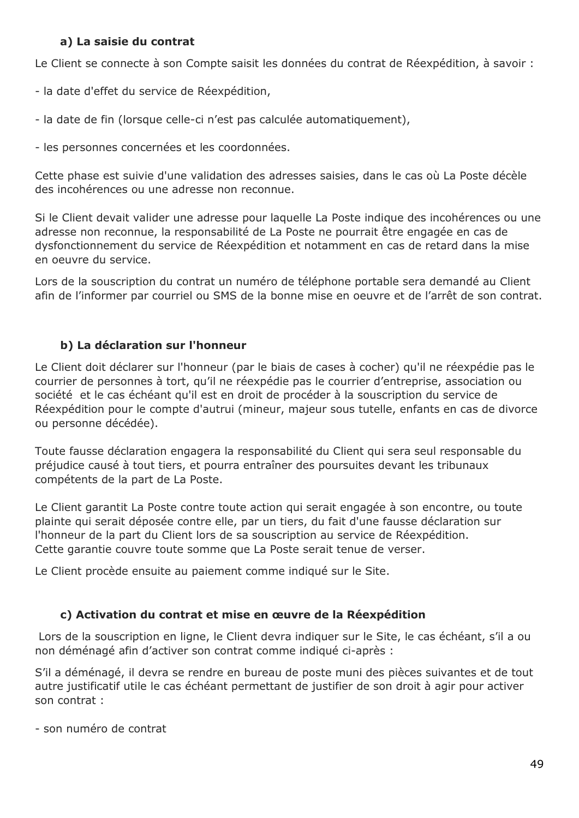### **a) La saisie du contrat**

Le Client se connecte à son Compte saisit les données du contrat de Réexpédition, à savoir :

- la date d'effet du service de Réexpédition,
- la date de fin (lorsque celle-ci n'est pas calculée automatiquement),
- les personnes concernées et les coordonnées.

Cette phase est suivie d'une validation des adresses saisies, dans le cas où La Poste décèle des incohérences ou une adresse non reconnue.

Si le Client devait valider une adresse pour laquelle La Poste indique des incohérences ou une adresse non reconnue, la responsabilité de La Poste ne pourrait être engagée en cas de dysfonctionnement du service de Réexpédition et notamment en cas de retard dans la mise en oeuvre du service.

Lors de la souscription du contrat un numéro de téléphone portable sera demandé au Client afin de l'informer par courriel ou SMS de la bonne mise en oeuvre et de l'arrêt de son contrat.

# **b) La déclaration sur l'honneur**

Le Client doit déclarer sur l'honneur (par le biais de cases à cocher) qu'il ne réexpédie pas le courrier de personnes à tort, qu'il ne réexpédie pas le courrier d'entreprise, association ou société et le cas échéant qu'il est en droit de procéder à la souscription du service de Réexpédition pour le compte d'autrui (mineur, majeur sous tutelle, enfants en cas de divorce ou personne décédée).

Toute fausse déclaration engagera la responsabilité du Client qui sera seul responsable du préjudice causé à tout tiers, et pourra entraîner des poursuites devant les tribunaux compétents de la part de La Poste.

Le Client garantit La Poste contre toute action qui serait engagée à son encontre, ou toute plainte qui serait déposée contre elle, par un tiers, du fait d'une fausse déclaration sur l'honneur de la part du Client lors de sa souscription au service de Réexpédition. Cette garantie couvre toute somme que La Poste serait tenue de verser.

Le Client procède ensuite au paiement comme indiqué sur le Site.

## **c) Activation du contrat et mise en œuvre de la Réexpédition**

Lors de la souscription en ligne, le Client devra indiquer sur le Site, le cas échéant, s'il a ou non déménagé afin d'activer son contrat comme indiqué ci-après :

S'il a déménagé, il devra se rendre en bureau de poste muni des pièces suivantes et de tout autre justificatif utile le cas échéant permettant de justifier de son droit à agir pour activer son contrat :

- son numéro de contrat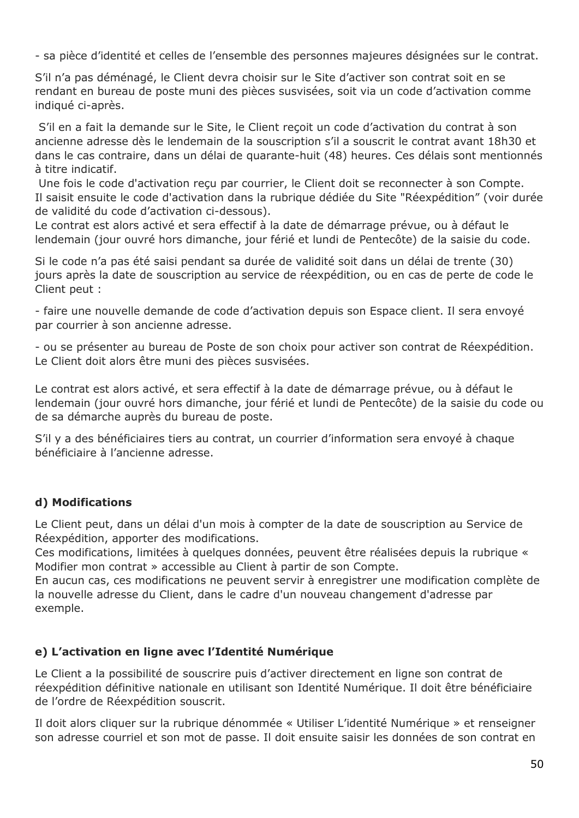- sa pièce d'identité et celles de l'ensemble des personnes majeures désignées sur le contrat.

S'il n'a pas déménagé, le Client devra choisir sur le Site d'activer son contrat soit en se rendant en bureau de poste muni des pièces susvisées, soit via un code d'activation comme indiqué ci-après.

S'il en a fait la demande sur le Site, le Client reçoit un code d'activation du contrat à son ancienne adresse dès le lendemain de la souscription s'il a souscrit le contrat avant 18h30 et dans le cas contraire, dans un délai de quarante-huit (48) heures. Ces délais sont mentionnés à titre indicatif.

Une fois le code d'activation reçu par courrier, le Client doit se reconnecter à son Compte. Il saisit ensuite le code d'activation dans la rubrique dédiée du Site "Réexpédition" (voir durée de validité du code d'activation ci-dessous).

Le contrat est alors activé et sera effectif à la date de démarrage prévue, ou à défaut le lendemain (jour ouvré hors dimanche, jour férié et lundi de Pentecôte) de la saisie du code.

Si le code n'a pas été saisi pendant sa durée de validité soit dans un délai de trente (30) jours après la date de souscription au service de réexpédition, ou en cas de perte de code le Client peut :

- faire une nouvelle demande de code d'activation depuis son Espace client. Il sera envoyé par courrier à son ancienne adresse.

- ou se présenter au bureau de Poste de son choix pour activer son contrat de Réexpédition. Le Client doit alors être muni des pièces susvisées.

Le contrat est alors activé, et sera effectif à la date de démarrage prévue, ou à défaut le lendemain (jour ouvré hors dimanche, jour férié et lundi de Pentecôte) de la saisie du code ou de sa démarche auprès du bureau de poste.

S'il y a des bénéficiaires tiers au contrat, un courrier d'information sera envoyé à chaque bénéficiaire à l'ancienne adresse.

## **d) Modifications**

Le Client peut, dans un délai d'un mois à compter de la date de souscription au Service de Réexpédition, apporter des modifications.

Ces modifications, limitées à quelques données, peuvent être réalisées depuis la rubrique « Modifier mon contrat » accessible au Client à partir de son Compte.

En aucun cas, ces modifications ne peuvent servir à enregistrer une modification complète de la nouvelle adresse du Client, dans le cadre d'un nouveau changement d'adresse par exemple.

### **e) L'activation en ligne avec l'Identité Numérique**

Le Client a la possibilité de souscrire puis d'activer directement en ligne son contrat de réexpédition définitive nationale en utilisant son Identité Numérique. Il doit être bénéficiaire de l'ordre de Réexpédition souscrit.

Il doit alors cliquer sur la rubrique dénommée « Utiliser L'identité Numérique » et renseigner son adresse courriel et son mot de passe. Il doit ensuite saisir les données de son contrat en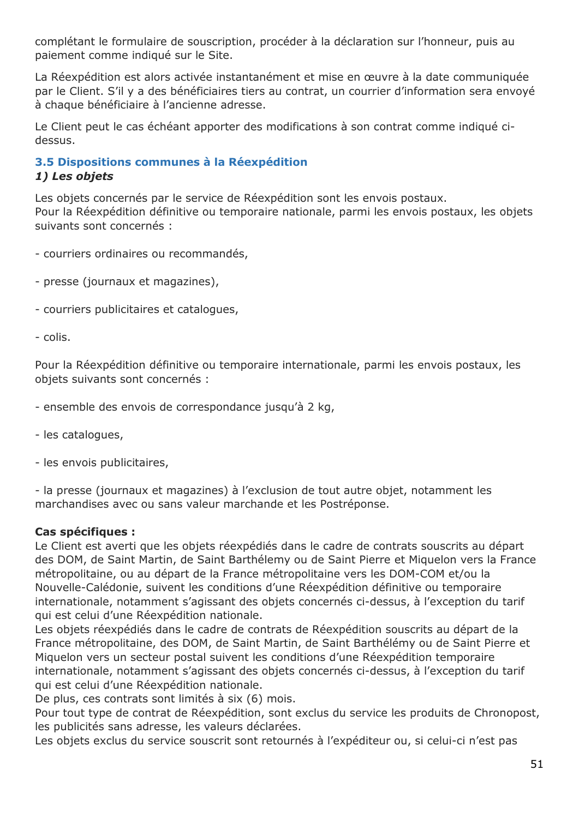complétant le formulaire de souscription, procéder à la déclaration sur l'honneur, puis au paiement comme indiqué sur le Site.

La Réexpédition est alors activée instantanément et mise en œuvre à la date communiquée par le Client. S'il y a des bénéficiaires tiers au contrat, un courrier d'information sera envoyé à chaque bénéficiaire à l'ancienne adresse.

Le Client peut le cas échéant apporter des modifications à son contrat comme indiqué cidessus.

#### **3.5 Dispositions communes à la Réexpédition** *1) Les objets*

Les objets concernés par le service de Réexpédition sont les envois postaux. Pour la Réexpédition définitive ou temporaire nationale, parmi les envois postaux, les objets suivants sont concernés :

- courriers ordinaires ou recommandés,
- presse (journaux et magazines),
- courriers publicitaires et catalogues,

#### - colis.

Pour la Réexpédition définitive ou temporaire internationale, parmi les envois postaux, les objets suivants sont concernés :

- ensemble des envois de correspondance jusqu'à 2 kg,
- les catalogues,
- les envois publicitaires,

- la presse (journaux et magazines) à l'exclusion de tout autre objet, notamment les marchandises avec ou sans valeur marchande et les Postréponse.

#### **Cas spécifiques :**

Le Client est averti que les objets réexpédiés dans le cadre de contrats souscrits au départ des DOM, de Saint Martin, de Saint Barthélemy ou de Saint Pierre et Miquelon vers la France métropolitaine, ou au départ de la France métropolitaine vers les DOM-COM et/ou la Nouvelle-Calédonie, suivent les conditions d'une Réexpédition définitive ou temporaire internationale, notamment s'agissant des objets concernés ci-dessus, à l'exception du tarif qui est celui d'une Réexpédition nationale.

Les objets réexpédiés dans le cadre de contrats de Réexpédition souscrits au départ de la France métropolitaine, des DOM, de Saint Martin, de Saint Barthélémy ou de Saint Pierre et Miquelon vers un secteur postal suivent les conditions d'une Réexpédition temporaire internationale, notamment s'agissant des objets concernés ci-dessus, à l'exception du tarif qui est celui d'une Réexpédition nationale.

De plus, ces contrats sont limités à six (6) mois.

Pour tout type de contrat de Réexpédition, sont exclus du service les produits de Chronopost, les publicités sans adresse, les valeurs déclarées.

Les objets exclus du service souscrit sont retournés à l'expéditeur ou, si celui-ci n'est pas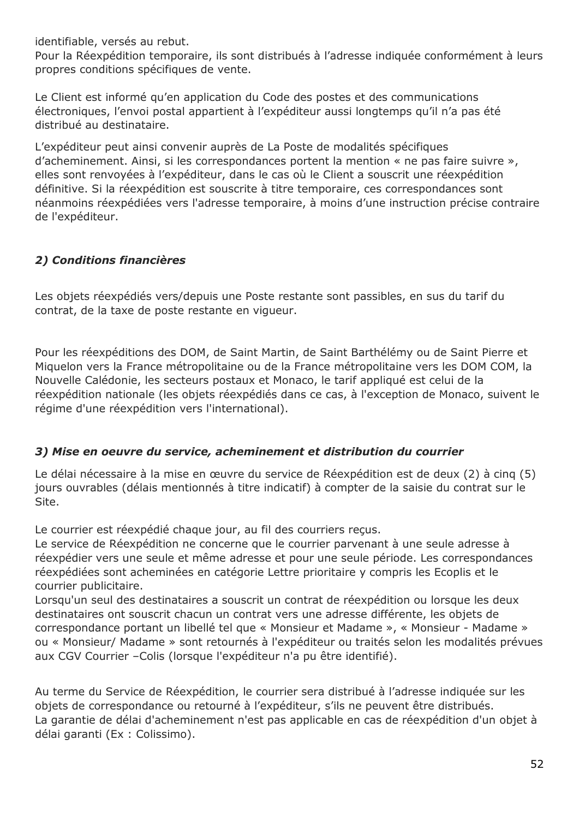identifiable, versés au rebut.

Pour la Réexpédition temporaire, ils sont distribués à l'adresse indiquée conformément à leurs propres conditions spécifiques de vente.

Le Client est informé qu'en application du Code des postes et des communications électroniques, l'envoi postal appartient à l'expéditeur aussi longtemps qu'il n'a pas été distribué au destinataire.

L'expéditeur peut ainsi convenir auprès de La Poste de modalités spécifiques d'acheminement. Ainsi, si les correspondances portent la mention « ne pas faire suivre », elles sont renvoyées à l'expéditeur, dans le cas où le Client a souscrit une réexpédition définitive. Si la réexpédition est souscrite à titre temporaire, ces correspondances sont néanmoins réexpédiées vers l'adresse temporaire, à moins d'une instruction précise contraire de l'expéditeur.

## *2) Conditions financières*

Les objets réexpédiés vers/depuis une Poste restante sont passibles, en sus du tarif du contrat, de la taxe de poste restante en vigueur.

Pour les réexpéditions des DOM, de Saint Martin, de Saint Barthélémy ou de Saint Pierre et Miquelon vers la France métropolitaine ou de la France métropolitaine vers les DOM COM, la Nouvelle Calédonie, les secteurs postaux et Monaco, le tarif appliqué est celui de la réexpédition nationale (les objets réexpédiés dans ce cas, à l'exception de Monaco, suivent le régime d'une réexpédition vers l'international).

### *3) Mise en oeuvre du service, acheminement et distribution du courrier*

Le délai nécessaire à la mise en œuvre du service de Réexpédition est de deux (2) à cinq (5) jours ouvrables (délais mentionnés à titre indicatif) à compter de la saisie du contrat sur le Site.

Le courrier est réexpédié chaque jour, au fil des courriers reçus.

Le service de Réexpédition ne concerne que le courrier parvenant à une seule adresse à réexpédier vers une seule et même adresse et pour une seule période. Les correspondances réexpédiées sont acheminées en catégorie Lettre prioritaire y compris les Ecoplis et le courrier publicitaire.

Lorsqu'un seul des destinataires a souscrit un contrat de réexpédition ou lorsque les deux destinataires ont souscrit chacun un contrat vers une adresse différente, les objets de correspondance portant un libellé tel que « Monsieur et Madame », « Monsieur - Madame » ou « Monsieur/ Madame » sont retournés à l'expéditeur ou traités selon les modalités prévues aux CGV Courrier –Colis (lorsque l'expéditeur n'a pu être identifié).

Au terme du Service de Réexpédition, le courrier sera distribué à l'adresse indiquée sur les objets de correspondance ou retourné à l'expéditeur, s'ils ne peuvent être distribués. La garantie de délai d'acheminement n'est pas applicable en cas de réexpédition d'un objet à délai garanti (Ex : Colissimo).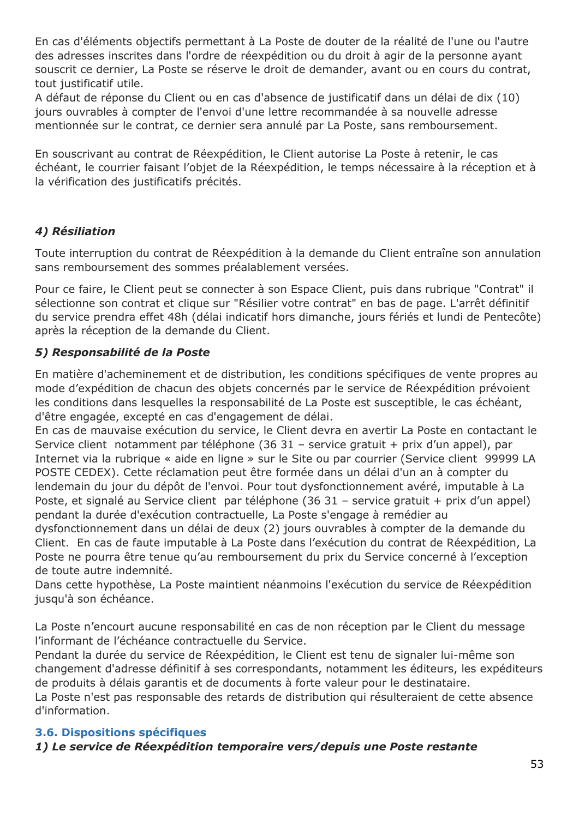En cas d'éléments objectifs permettant à La Poste de douter de la réalité de l'une ou l'autre des adresses inscrites dans l'ordre de réexpédition ou du droit à agir de la personne ayant souscrit ce dernier, La Poste se réserve le droit de demander, avant ou en cours du contrat, tout justificatif utile.

A défaut de réponse du Client ou en cas d'absence de justificatif dans un délai de dix (10) jours ouvrables à compter de l'envoi d'une lettre recommandée à sa nouvelle adresse mentionnée sur le contrat, ce dernier sera annulé par La Poste, sans remboursement.

En souscrivant au contrat de Réexpédition, le Client autorise La Poste à retenir, le cas échéant, le courrier faisant l'objet de la Réexpédition, le temps nécessaire à la réception et à la vérification des justificatifs précités.

## *4) Résiliation*

Toute interruption du contrat de Réexpédition à la demande du Client entraîne son annulation sans remboursement des sommes préalablement versées.

Pour ce faire, le Client peut se connecter à son Espace Client, puis dans rubrique "Contrat" il sélectionne son contrat et clique sur "Résilier votre contrat" en bas de page. L'arrêt définitif du service prendra effet 48h (délai indicatif hors dimanche, jours fériés et lundi de Pentecôte) après la réception de la demande du Client.

## *5) Responsabilité de la Poste*

En matière d'acheminement et de distribution, les conditions spécifiques de vente propres au mode d'expédition de chacun des objets concernés par le service de Réexpédition prévoient les conditions dans lesquelles la responsabilité de La Poste est susceptible, le cas échéant, d'être engagée, excepté en cas d'engagement de délai.

En cas de mauvaise exécution du service, le Client devra en avertir La Poste en contactant le Service client notamment par téléphone (36 31 – service gratuit + prix d'un appel), par Internet via la rubrique « aide en ligne » sur le Site ou par courrier (Service client 99999 LA POSTE CEDEX). Cette réclamation peut être formée dans un délai d'un an à compter du lendemain du jour du dépôt de l'envoi. Pour tout dysfonctionnement avéré, imputable à La Poste, et signalé au Service client par téléphone (36 31 - service gratuit + prix d'un appel) pendant la durée d'exécution contractuelle, La Poste s'engage à remédier au dysfonctionnement dans un délai de deux (2) jours ouvrables à compter de la demande du Client. En cas de faute imputable à La Poste dans l'exécution du contrat de Réexpédition, La

Poste ne pourra être tenue qu'au remboursement du prix du Service concerné à l'exception de toute autre indemnité.

Dans cette hypothèse, La Poste maintient néanmoins l'exécution du service de Réexpédition jusqu'à son échéance.

La Poste n'encourt aucune responsabilité en cas de non réception par le Client du message l'informant de l'échéance contractuelle du Service.

Pendant la durée du service de Réexpédition, le Client est tenu de signaler lui-même son changement d'adresse définitif à ses correspondants, notamment les éditeurs, les expéditeurs de produits à délais garantis et de documents à forte valeur pour le destinataire.

La Poste n'est pas responsable des retards de distribution qui résulteraient de cette absence d'information.

### **3.6. Dispositions spécifiques**

*1) Le service de Réexpédition temporaire vers/depuis une Poste restante*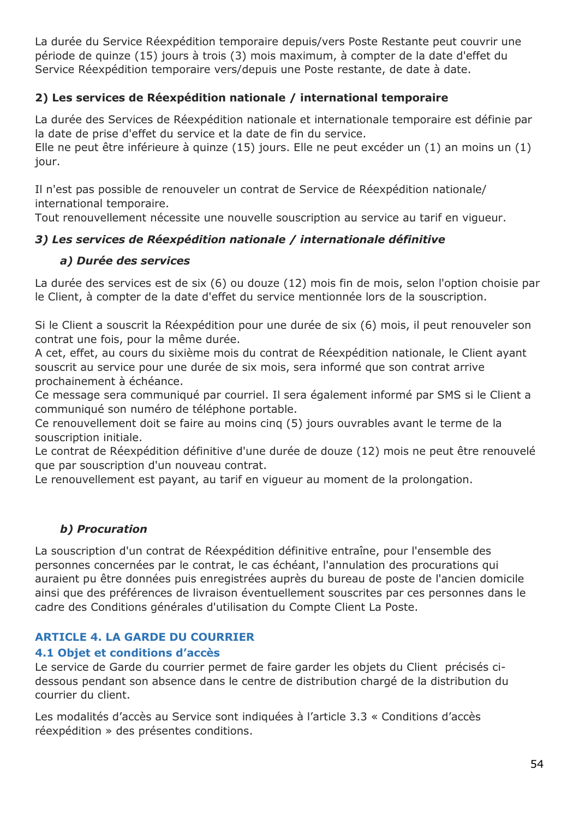La durée du Service Réexpédition temporaire depuis/vers Poste Restante peut couvrir une période de quinze (15) jours à trois (3) mois maximum, à compter de la date d'effet du Service Réexpédition temporaire vers/depuis une Poste restante, de date à date.

## **2) Les services de Réexpédition nationale / international temporaire**

La durée des Services de Réexpédition nationale et internationale temporaire est définie par la date de prise d'effet du service et la date de fin du service.

Elle ne peut être inférieure à quinze (15) jours. Elle ne peut excéder un (1) an moins un (1) jour.

Il n'est pas possible de renouveler un contrat de Service de Réexpédition nationale/ international temporaire.

Tout renouvellement nécessite une nouvelle souscription au service au tarif en vigueur.

## *3) Les services de Réexpédition nationale / internationale définitive*

### *a) Durée des services*

La durée des services est de six (6) ou douze (12) mois fin de mois, selon l'option choisie par le Client, à compter de la date d'effet du service mentionnée lors de la souscription.

Si le Client a souscrit la Réexpédition pour une durée de six (6) mois, il peut renouveler son contrat une fois, pour la même durée.

A cet, effet, au cours du sixième mois du contrat de Réexpédition nationale, le Client ayant souscrit au service pour une durée de six mois, sera informé que son contrat arrive prochainement à échéance.

Ce message sera communiqué par courriel. Il sera également informé par SMS si le Client a communiqué son numéro de téléphone portable.

Ce renouvellement doit se faire au moins cinq (5) jours ouvrables avant le terme de la souscription initiale.

Le contrat de Réexpédition définitive d'une durée de douze (12) mois ne peut être renouvelé que par souscription d'un nouveau contrat.

Le renouvellement est payant, au tarif en vigueur au moment de la prolongation.

## *b) Procuration*

La souscription d'un contrat de Réexpédition définitive entraîne, pour l'ensemble des personnes concernées par le contrat, le cas échéant, l'annulation des procurations qui auraient pu être données puis enregistrées auprès du bureau de poste de l'ancien domicile ainsi que des préférences de livraison éventuellement souscrites par ces personnes dans le cadre des Conditions générales d'utilisation du Compte Client La Poste.

## **ARTICLE 4. LA GARDE DU COURRIER**

### **4.1 Objet et conditions d'accès**

Le service de Garde du courrier permet de faire garder les objets du Client précisés cidessous pendant son absence dans le centre de distribution chargé de la distribution du courrier du client.

Les modalités d'accès au Service sont indiquées à l'article 3.3 « Conditions d'accès réexpédition » des présentes conditions.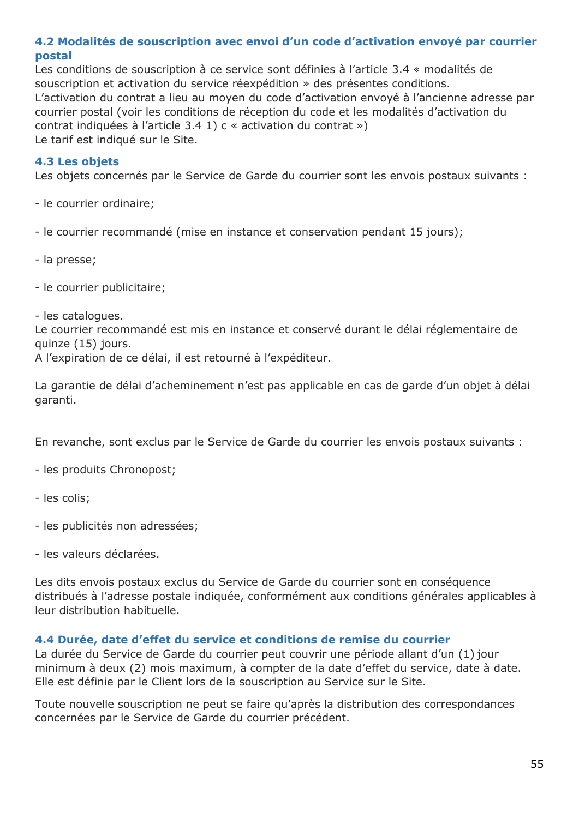## **4.2 Modalités de souscription avec envoi d'un code d'activation envoyé par courrier postal**

Les conditions de souscription à ce service sont définies à l'article 3.4 « modalités de souscription et activation du service réexpédition » des présentes conditions. L'activation du contrat a lieu au moyen du code d'activation envoyé à l'ancienne adresse par courrier postal (voir les conditions de réception du code et les modalités d'activation du contrat indiquées à l'article 3.4 1) c « activation du contrat ») Le tarif est indiqué sur le Site.

### **4.3 Les objets**

Les objets concernés par le Service de Garde du courrier sont les envois postaux suivants :

- le courrier ordinaire;

- le courrier recommandé (mise en instance et conservation pendant 15 jours);

- la presse;

- le courrier publicitaire;

- les catalogues.

Le courrier recommandé est mis en instance et conservé durant le délai réglementaire de quinze (15) jours.

A l'expiration de ce délai, il est retourné à l'expéditeur.

La garantie de délai d'acheminement n'est pas applicable en cas de garde d'un objet à délai garanti.

En revanche, sont exclus par le Service de Garde du courrier les envois postaux suivants :

- les produits Chronopost;
- les colis;
- les publicités non adressées;
- les valeurs déclarées.

Les dits envois postaux exclus du Service de Garde du courrier sont en conséquence distribués à l'adresse postale indiquée, conformément aux conditions générales applicables à leur distribution habituelle.

#### **4.4 Durée, date d'effet du service et conditions de remise du courrier**

La durée du Service de Garde du courrier peut couvrir une période allant d'un (1) jour minimum à deux (2) mois maximum, à compter de la date d'effet du service, date à date. Elle est définie par le Client lors de la souscription au Service sur le Site.

Toute nouvelle souscription ne peut se faire qu'après la distribution des correspondances concernées par le Service de Garde du courrier précédent.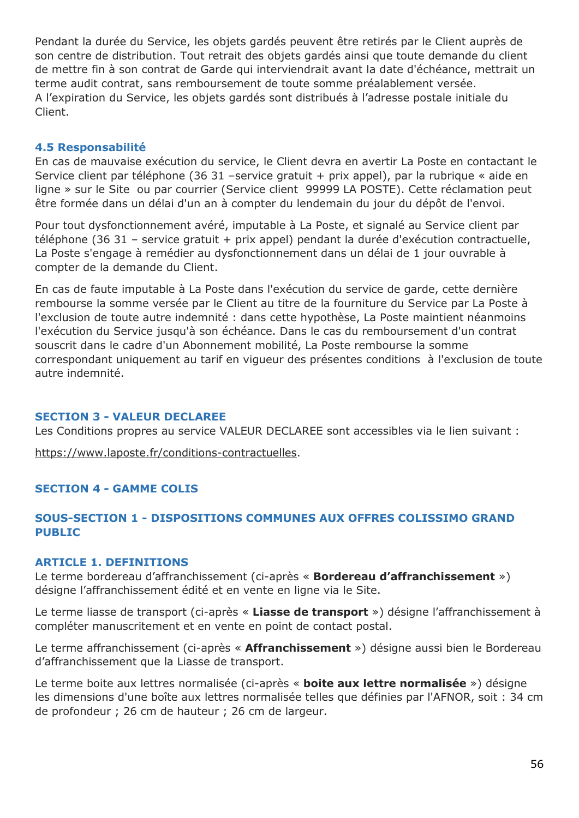Pendant la durée du Service, les objets gardés peuvent être retirés par le Client auprès de son centre de distribution. Tout retrait des objets gardés ainsi que toute demande du client de mettre fin à son contrat de Garde qui interviendrait avant la date d'échéance, mettrait un terme audit contrat, sans remboursement de toute somme préalablement versée. A l'expiration du Service, les objets gardés sont distribués à l'adresse postale initiale du Client.

#### **4.5 Responsabilité**

En cas de mauvaise exécution du service, le Client devra en avertir La Poste en contactant le Service client par téléphone (36 31 –service gratuit + prix appel), par la rubrique « aide en ligne » sur le Site ou par courrier (Service client 99999 LA POSTE). Cette réclamation peut être formée dans un délai d'un an à compter du lendemain du jour du dépôt de l'envoi.

Pour tout dysfonctionnement avéré, imputable à La Poste, et signalé au Service client par téléphone (36 31 – service gratuit + prix appel) pendant la durée d'exécution contractuelle, La Poste s'engage à remédier au dysfonctionnement dans un délai de 1 jour ouvrable à compter de la demande du Client.

En cas de faute imputable à La Poste dans l'exécution du service de garde, cette dernière rembourse la somme versée par le Client au titre de la fourniture du Service par La Poste à l'exclusion de toute autre indemnité : dans cette hypothèse, La Poste maintient néanmoins l'exécution du Service jusqu'à son échéance. Dans le cas du remboursement d'un contrat souscrit dans le cadre d'un Abonnement mobilité, La Poste rembourse la somme correspondant uniquement au tarif en vigueur des présentes conditions à l'exclusion de toute autre indemnité.

#### **SECTION 3 - VALEUR DECLAREE**

Les Conditions propres au service VALEUR DECLAREE sont accessibles via le lien suivant :

[https://www.laposte.fr/conditions-contractuelles.](https://www.laposte.fr/conditions-contractuelles)

### **SECTION 4 - GAMME COLIS**

## **SOUS-SECTION 1 - DISPOSITIONS COMMUNES AUX OFFRES COLISSIMO GRAND PUBLIC**

## **ARTICLE 1. DEFINITIONS**

Le terme bordereau d'affranchissement (ci-après « **Bordereau d'affranchissement** ») désigne l'affranchissement édité et en vente en ligne via le Site.

Le terme liasse de transport (ci-après « **Liasse de transport** ») désigne l'affranchissement à compléter manuscritement et en vente en point de contact postal.

Le terme affranchissement (ci-après « **Affranchissement** ») désigne aussi bien le Bordereau d'affranchissement que la Liasse de transport.

Le terme boite aux lettres normalisée (ci-après « **boite aux lettre normalisée** ») désigne les dimensions d'une boîte aux lettres normalisée telles que définies par l'AFNOR, soit : 34 cm de profondeur ; 26 cm de hauteur ; 26 cm de largeur.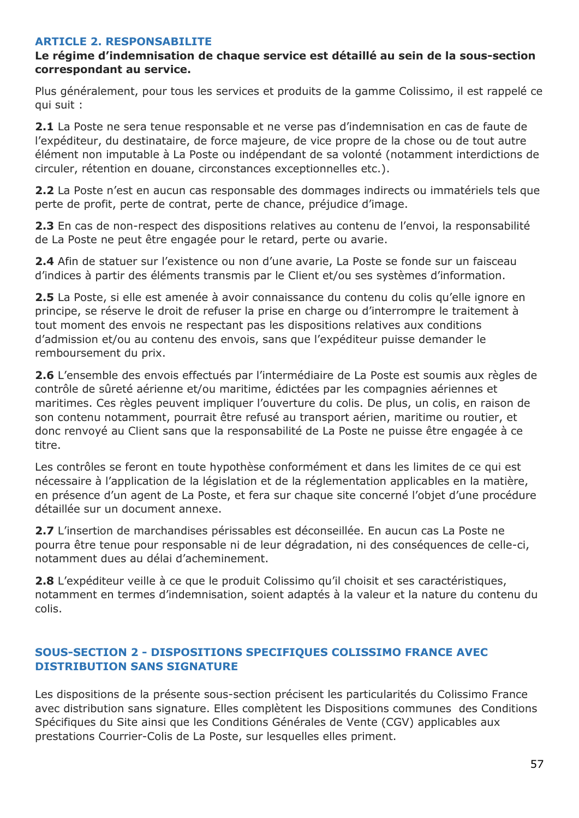#### **ARTICLE 2. RESPONSABILITE**

#### **Le régime d'indemnisation de chaque service est détaillé au sein de la sous-section correspondant au service.**

Plus généralement, pour tous les services et produits de la gamme Colissimo, il est rappelé ce qui suit :

**2.1** La Poste ne sera tenue responsable et ne verse pas d'indemnisation en cas de faute de l'expéditeur, du destinataire, de force majeure, de vice propre de la chose ou de tout autre élément non imputable à La Poste ou indépendant de sa volonté (notamment interdictions de circuler, rétention en douane, circonstances exceptionnelles etc.).

**2.2** La Poste n'est en aucun cas responsable des dommages indirects ou immatériels tels que perte de profit, perte de contrat, perte de chance, préjudice d'image.

**2.3** En cas de non-respect des dispositions relatives au contenu de l'envoi, la responsabilité de La Poste ne peut être engagée pour le retard, perte ou avarie.

**2.4** Afin de statuer sur l'existence ou non d'une avarie, La Poste se fonde sur un faisceau d'indices à partir des éléments transmis par le Client et/ou ses systèmes d'information.

**2.5** La Poste, si elle est amenée à avoir connaissance du contenu du colis qu'elle ignore en principe, se réserve le droit de refuser la prise en charge ou d'interrompre le traitement à tout moment des envois ne respectant pas les dispositions relatives aux conditions d'admission et/ou au contenu des envois, sans que l'expéditeur puisse demander le remboursement du prix.

**2.6** L'ensemble des envois effectués par l'intermédiaire de La Poste est soumis aux règles de contrôle de sûreté aérienne et/ou maritime, édictées par les compagnies aériennes et maritimes. Ces règles peuvent impliquer l'ouverture du colis. De plus, un colis, en raison de son contenu notamment, pourrait être refusé au transport aérien, maritime ou routier, et donc renvoyé au Client sans que la responsabilité de La Poste ne puisse être engagée à ce titre.

Les contrôles se feront en toute hypothèse conformément et dans les limites de ce qui est nécessaire à l'application de la législation et de la réglementation applicables en la matière, en présence d'un agent de La Poste, et fera sur chaque site concerné l'objet d'une procédure détaillée sur un document annexe.

**2.7** L'insertion de marchandises périssables est déconseillée. En aucun cas La Poste ne pourra être tenue pour responsable ni de leur dégradation, ni des conséquences de celle-ci, notamment dues au délai d'acheminement.

**2.8** L'expéditeur veille à ce que le produit Colissimo qu'il choisit et ses caractéristiques, notamment en termes d'indemnisation, soient adaptés à la valeur et la nature du contenu du colis.

### **SOUS-SECTION 2 - DISPOSITIONS SPECIFIQUES COLISSIMO FRANCE AVEC DISTRIBUTION SANS SIGNATURE**

Les dispositions de la présente sous-section précisent les particularités du Colissimo France avec distribution sans signature. Elles complètent les Dispositions communes des Conditions Spécifiques du Site ainsi que les Conditions Générales de Vente (CGV) applicables aux prestations Courrier-Colis de La Poste, sur lesquelles elles priment.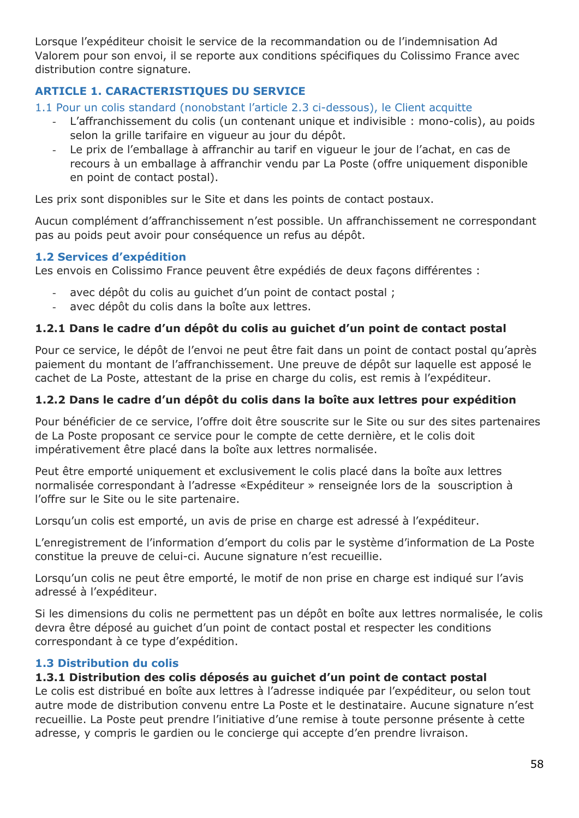Lorsque l'expéditeur choisit le service de la recommandation ou de l'indemnisation Ad Valorem pour son envoi, il se reporte aux conditions spécifiques du Colissimo France avec distribution contre signature.

# **ARTICLE 1. CARACTERISTIQUES DU SERVICE**

1.1 Pour un colis standard (nonobstant l'article 2.3 ci-dessous), le Client acquitte

- L'affranchissement du colis (un contenant unique et indivisible : mono-colis), au poids selon la grille tarifaire en vigueur au jour du dépôt.
- Le prix de l'emballage à affranchir au tarif en vigueur le jour de l'achat, en cas de recours à un emballage à affranchir vendu par La Poste (offre uniquement disponible en point de contact postal).

Les prix sont disponibles sur le Site et dans les points de contact postaux.

Aucun complément d'affranchissement n'est possible. Un affranchissement ne correspondant pas au poids peut avoir pour conséquence un refus au dépôt.

### **1.2 Services d'expédition**

Les envois en Colissimo France peuvent être expédiés de deux façons différentes :

- avec dépôt du colis au quichet d'un point de contact postal ;
- avec dépôt du colis dans la boîte aux lettres.

## **1.2.1 Dans le cadre d'un dépôt du colis au guichet d'un point de contact postal**

Pour ce service, le dépôt de l'envoi ne peut être fait dans un point de contact postal qu'après paiement du montant de l'affranchissement. Une preuve de dépôt sur laquelle est apposé le cachet de La Poste, attestant de la prise en charge du colis, est remis à l'expéditeur.

## **1.2.2 Dans le cadre d'un dépôt du colis dans la boîte aux lettres pour expédition**

Pour bénéficier de ce service, l'offre doit être souscrite sur le Site ou sur des sites partenaires de La Poste proposant ce service pour le compte de cette dernière, et le colis doit impérativement être placé dans la boîte aux lettres normalisée.

Peut être emporté uniquement et exclusivement le colis placé dans la boîte aux lettres normalisée correspondant à l'adresse «Expéditeur » renseignée lors de la souscription à l'offre sur le Site ou le site partenaire.

Lorsqu'un colis est emporté, un avis de prise en charge est adressé à l'expéditeur.

L'enregistrement de l'information d'emport du colis par le système d'information de La Poste constitue la preuve de celui-ci. Aucune signature n'est recueillie.

Lorsqu'un colis ne peut être emporté, le motif de non prise en charge est indiqué sur l'avis adressé à l'expéditeur.

Si les dimensions du colis ne permettent pas un dépôt en boîte aux lettres normalisée, le colis devra être déposé au guichet d'un point de contact postal et respecter les conditions correspondant à ce type d'expédition.

## **1.3 Distribution du colis**

### **1.3.1 Distribution des colis déposés au guichet d'un point de contact postal**

Le colis est distribué en boîte aux lettres à l'adresse indiquée par l'expéditeur, ou selon tout autre mode de distribution convenu entre La Poste et le destinataire. Aucune signature n'est recueillie. La Poste peut prendre l'initiative d'une remise à toute personne présente à cette adresse, y compris le gardien ou le concierge qui accepte d'en prendre livraison.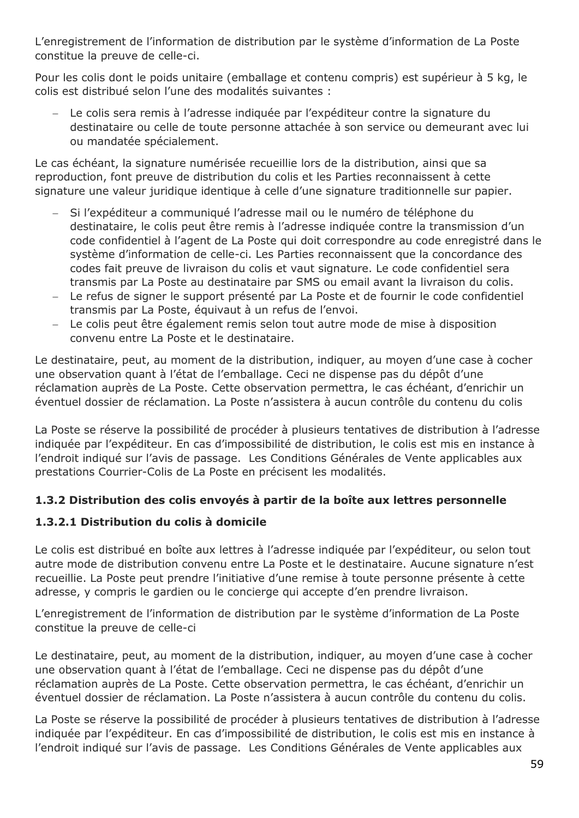L'enregistrement de l'information de distribution par le système d'information de La Poste constitue la preuve de celle-ci.

Pour les colis dont le poids unitaire (emballage et contenu compris) est supérieur à 5 kg, le colis est distribué selon l'une des modalités suivantes :

 Le colis sera remis à l'adresse indiquée par l'expéditeur contre la signature du destinataire ou celle de toute personne attachée à son service ou demeurant avec lui ou mandatée spécialement.

Le cas échéant, la signature numérisée recueillie lors de la distribution, ainsi que sa reproduction, font preuve de distribution du colis et les Parties reconnaissent à cette signature une valeur juridique identique à celle d'une signature traditionnelle sur papier.

- Si l'expéditeur a communiqué l'adresse mail ou le numéro de téléphone du destinataire, le colis peut être remis à l'adresse indiquée contre la transmission d'un code confidentiel à l'agent de La Poste qui doit correspondre au code enregistré dans le système d'information de celle-ci. Les Parties reconnaissent que la concordance des codes fait preuve de livraison du colis et vaut signature. Le code confidentiel sera transmis par La Poste au destinataire par SMS ou email avant la livraison du colis.
- Le refus de signer le support présenté par La Poste et de fournir le code confidentiel transmis par La Poste, équivaut à un refus de l'envoi.
- Le colis peut être également remis selon tout autre mode de mise à disposition convenu entre La Poste et le destinataire.

Le destinataire, peut, au moment de la distribution, indiquer, au moyen d'une case à cocher une observation quant à l'état de l'emballage. Ceci ne dispense pas du dépôt d'une réclamation auprès de La Poste. Cette observation permettra, le cas échéant, d'enrichir un éventuel dossier de réclamation. La Poste n'assistera à aucun contrôle du contenu du colis

La Poste se réserve la possibilité de procéder à plusieurs tentatives de distribution à l'adresse indiquée par l'expéditeur. En cas d'impossibilité de distribution, le colis est mis en instance à l'endroit indiqué sur l'avis de passage. Les Conditions Générales de Vente applicables aux prestations Courrier-Colis de La Poste en précisent les modalités.

## **1.3.2 Distribution des colis envoyés à partir de la boîte aux lettres personnelle**

## **1.3.2.1 Distribution du colis à domicile**

Le colis est distribué en boîte aux lettres à l'adresse indiquée par l'expéditeur, ou selon tout autre mode de distribution convenu entre La Poste et le destinataire. Aucune signature n'est recueillie. La Poste peut prendre l'initiative d'une remise à toute personne présente à cette adresse, y compris le gardien ou le concierge qui accepte d'en prendre livraison.

L'enregistrement de l'information de distribution par le système d'information de La Poste constitue la preuve de celle-ci

Le destinataire, peut, au moment de la distribution, indiquer, au moyen d'une case à cocher une observation quant à l'état de l'emballage. Ceci ne dispense pas du dépôt d'une réclamation auprès de La Poste. Cette observation permettra, le cas échéant, d'enrichir un éventuel dossier de réclamation. La Poste n'assistera à aucun contrôle du contenu du colis.

La Poste se réserve la possibilité de procéder à plusieurs tentatives de distribution à l'adresse indiquée par l'expéditeur. En cas d'impossibilité de distribution, le colis est mis en instance à l'endroit indiqué sur l'avis de passage. Les Conditions Générales de Vente applicables aux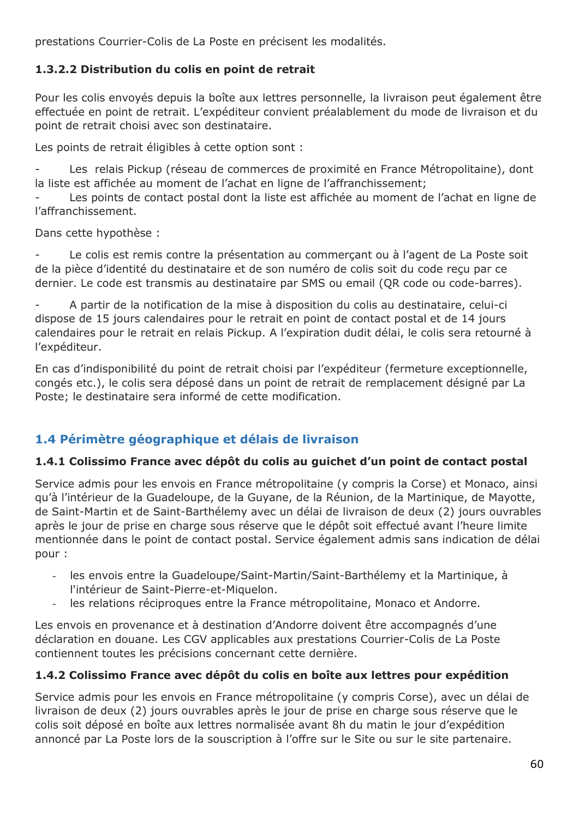prestations Courrier-Colis de La Poste en précisent les modalités.

## **1.3.2.2 Distribution du colis en point de retrait**

Pour les colis envoyés depuis la boîte aux lettres personnelle, la livraison peut également être effectuée en point de retrait. L'expéditeur convient préalablement du mode de livraison et du point de retrait choisi avec son destinataire.

Les points de retrait éligibles à cette option sont :

Les relais Pickup (réseau de commerces de proximité en France Métropolitaine), dont la liste est affichée au moment de l'achat en ligne de l'affranchissement;

Les points de contact postal dont la liste est affichée au moment de l'achat en ligne de l'affranchissement.

Dans cette hypothèse :

Le colis est remis contre la présentation au commerçant ou à l'agent de La Poste soit de la pièce d'identité du destinataire et de son numéro de colis soit du code reçu par ce dernier. Le code est transmis au destinataire par SMS ou email (QR code ou code-barres).

- A partir de la notification de la mise à disposition du colis au destinataire, celui-ci dispose de 15 jours calendaires pour le retrait en point de contact postal et de 14 jours calendaires pour le retrait en relais Pickup. A l'expiration dudit délai, le colis sera retourné à l'expéditeur.

En cas d'indisponibilité du point de retrait choisi par l'expéditeur (fermeture exceptionnelle, congés etc.), le colis sera déposé dans un point de retrait de remplacement désigné par La Poste; le destinataire sera informé de cette modification.

# **1.4 Périmètre géographique et délais de livraison**

### **1.4.1 Colissimo France avec dépôt du colis au guichet d'un point de contact postal**

Service admis pour les envois en France métropolitaine (y compris la Corse) et Monaco, ainsi qu'à l'intérieur de la Guadeloupe, de la Guyane, de la Réunion, de la Martinique, de Mayotte, de Saint-Martin et de Saint-Barthélemy avec un délai de livraison de deux (2) jours ouvrables après le jour de prise en charge sous réserve que le dépôt soit effectué avant l'heure limite mentionnée dans le point de contact postal. Service également admis sans indication de délai pour :

- les envois entre la Guadeloupe/Saint-Martin/Saint-Barthélemy et la Martinique, à l'intérieur de Saint-Pierre-et-Miquelon.
- les relations réciproques entre la France métropolitaine, Monaco et Andorre.

Les envois en provenance et à destination d'Andorre doivent être accompagnés d'une déclaration en douane. Les CGV applicables aux prestations Courrier-Colis de La Poste contiennent toutes les précisions concernant cette dernière.

## **1.4.2 Colissimo France avec dépôt du colis en boîte aux lettres pour expédition**

Service admis pour les envois en France métropolitaine (y compris Corse), avec un délai de livraison de deux (2) jours ouvrables après le jour de prise en charge sous réserve que le colis soit déposé en boîte aux lettres normalisée avant 8h du matin le jour d'expédition annoncé par La Poste lors de la souscription à l'offre sur le Site ou sur le site partenaire.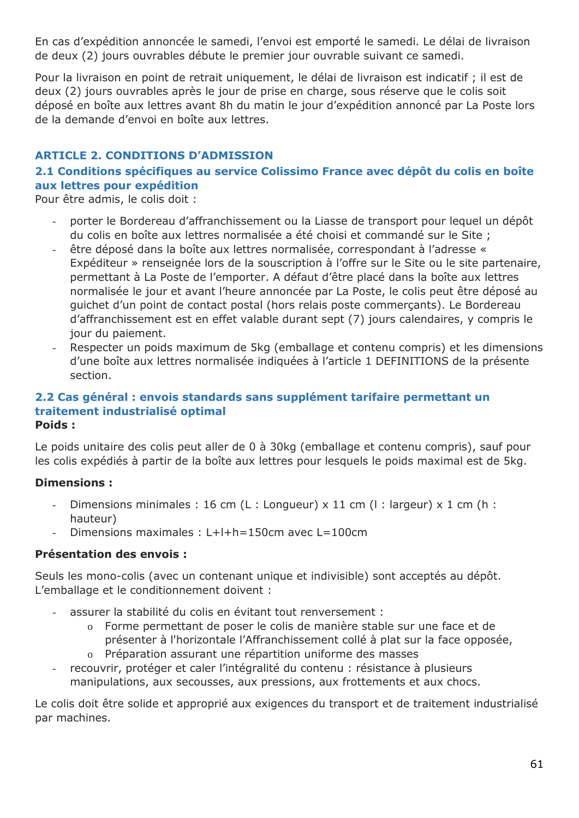En cas d'expédition annoncée le samedi, l'envoi est emporté le samedi. Le délai de livraison de deux (2) jours ouvrables débute le premier jour ouvrable suivant ce samedi.

Pour la livraison en point de retrait uniquement, le délai de livraison est indicatif ; il est de deux (2) jours ouvrables après le jour de prise en charge, sous réserve que le colis soit déposé en boîte aux lettres avant 8h du matin le jour d'expédition annoncé par La Poste lors de la demande d'envoi en boîte aux lettres.

## **ARTICLE 2. CONDITIONS D'ADMISSION**

## **2.1 Conditions spécifiques au service Colissimo France avec dépôt du colis en boîte aux lettres pour expédition**

Pour être admis, le colis doit :

- porter le Bordereau d'affranchissement ou la Liasse de transport pour lequel un dépôt du colis en boîte aux lettres normalisée a été choisi et commandé sur le Site ;
- être déposé dans la boîte aux lettres normalisée, correspondant à l'adresse « Expéditeur » renseignée lors de la souscription à l'offre sur le Site ou le site partenaire, permettant à La Poste de l'emporter. A défaut d'être placé dans la boîte aux lettres normalisée le jour et avant l'heure annoncée par La Poste, le colis peut être déposé au guichet d'un point de contact postal (hors relais poste commerçants). Le Bordereau d'affranchissement est en effet valable durant sept (7) jours calendaires, y compris le jour du paiement.
- Respecter un poids maximum de 5kg (emballage et contenu compris) et les dimensions d'une boîte aux lettres normalisée indiquées à l'article 1 DEFINITIONS de la présente section.

#### **2.2 Cas général : envois standards sans supplément tarifaire permettant un traitement industrialisé optimal Poids :**

Le poids unitaire des colis peut aller de 0 à 30kg (emballage et contenu compris), sauf pour les colis expédiés à partir de la boîte aux lettres pour lesquels le poids maximal est de 5kg.

### **Dimensions :**

- Dimensions minimales : 16 cm (L : Longueur)  $\times$  11 cm (l : largeur)  $\times$  1 cm (h : hauteur)
- Dimensions maximales : L+l+h=150cm avec L=100cm

### **Présentation des envois :**

Seuls les mono-colis (avec un contenant unique et indivisible) sont acceptés au dépôt. L'emballage et le conditionnement doivent :

- assurer la stabilité du colis en évitant tout renversement :
	- o Forme permettant de poser le colis de manière stable sur une face et de présenter à l'horizontale l'Affranchissement collé à plat sur la face opposée,
	- o Préparation assurant une répartition uniforme des masses
- recouvrir, protéger et caler l'intégralité du contenu : résistance à plusieurs manipulations, aux secousses, aux pressions, aux frottements et aux chocs.

Le colis doit être solide et approprié aux exigences du transport et de traitement industrialisé par machines.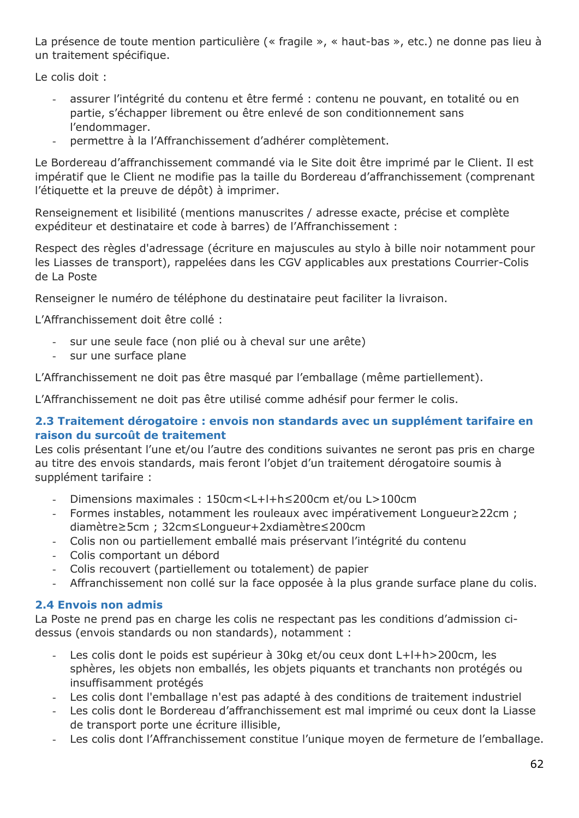La présence de toute mention particulière (« fragile », « haut-bas », etc.) ne donne pas lieu à un traitement spécifique.

Le colis doit :

- assurer l'intégrité du contenu et être fermé : contenu ne pouvant, en totalité ou en partie, s'échapper librement ou être enlevé de son conditionnement sans l'endommager.
- permettre à la l'Affranchissement d'adhérer complètement.

Le Bordereau d'affranchissement commandé via le Site doit être imprimé par le Client. Il est impératif que le Client ne modifie pas la taille du Bordereau d'affranchissement (comprenant l'étiquette et la preuve de dépôt) à imprimer.

Renseignement et lisibilité (mentions manuscrites / adresse exacte, précise et complète expéditeur et destinataire et code à barres) de l'Affranchissement :

Respect des règles d'adressage (écriture en majuscules au stylo à bille noir notamment pour les Liasses de transport), rappelées dans les CGV applicables aux prestations Courrier-Colis de La Poste

Renseigner le numéro de téléphone du destinataire peut faciliter la livraison.

L'Affranchissement doit être collé :

- sur une seule face (non plié ou à cheval sur une arête)
- sur une surface plane

L'Affranchissement ne doit pas être masqué par l'emballage (même partiellement).

L'Affranchissement ne doit pas être utilisé comme adhésif pour fermer le colis.

### **2.3 Traitement dérogatoire : envois non standards avec un supplément tarifaire en raison du surcoût de traitement**

Les colis présentant l'une et/ou l'autre des conditions suivantes ne seront pas pris en charge au titre des envois standards, mais feront l'objet d'un traitement dérogatoire soumis à supplément tarifaire :

- Dimensions maximales : 150cm<L+l+h≤200cm et/ou L>100cm
- Formes instables, notamment les rouleaux avec impérativement Longueur≥22cm ; diamètre≥5cm ; 32cm≤Longueur+2xdiamètre≤200cm
- Colis non ou partiellement emballé mais préservant l'intégrité du contenu
- Colis comportant un débord
- Colis recouvert (partiellement ou totalement) de papier
- Affranchissement non collé sur la face opposée à la plus grande surface plane du colis.

## **2.4 Envois non admis**

La Poste ne prend pas en charge les colis ne respectant pas les conditions d'admission cidessus (envois standards ou non standards), notamment :

- Les colis dont le poids est supérieur à 30kg et/ou ceux dont L+l+h>200cm, les sphères, les objets non emballés, les objets piquants et tranchants non protégés ou insuffisamment protégés
- Les colis dont l'emballage n'est pas adapté à des conditions de traitement industriel
- Les colis dont le Bordereau d'affranchissement est mal imprimé ou ceux dont la Liasse de transport porte une écriture illisible,
- Les colis dont l'Affranchissement constitue l'unique moyen de fermeture de l'emballage.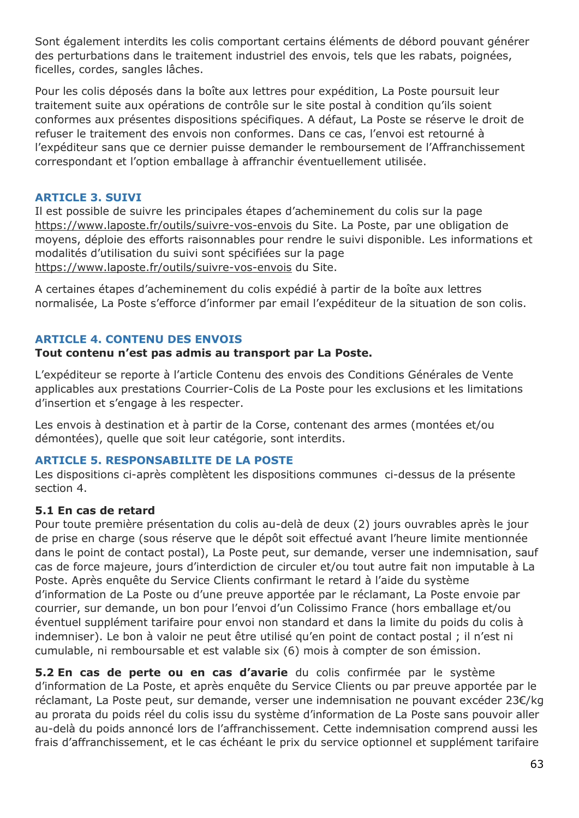Sont également interdits les colis comportant certains éléments de débord pouvant générer des perturbations dans le traitement industriel des envois, tels que les rabats, poignées, ficelles, cordes, sangles lâches.

Pour les colis déposés dans la boîte aux lettres pour expédition, La Poste poursuit leur traitement suite aux opérations de contrôle sur le site postal à condition qu'ils soient conformes aux présentes dispositions spécifiques. A défaut, La Poste se réserve le droit de refuser le traitement des envois non conformes. Dans ce cas, l'envoi est retourné à l'expéditeur sans que ce dernier puisse demander le remboursement de l'Affranchissement correspondant et l'option emballage à affranchir éventuellement utilisée.

#### **ARTICLE 3. SUIVI**

Il est possible de suivre les principales étapes d'acheminement du colis sur la page <https://www.laposte.fr/outils/suivre-vos-envois> du Site. La Poste, par une obligation de moyens, déploie des efforts raisonnables pour rendre le suivi disponible. Les informations et modalités d'utilisation du suivi sont spécifiées sur la page <https://www.laposte.fr/outils/suivre-vos-envois> du Site.

A certaines étapes d'acheminement du colis expédié à partir de la boîte aux lettres normalisée, La Poste s'efforce d'informer par email l'expéditeur de la situation de son colis.

#### **ARTICLE 4. CONTENU DES ENVOIS**

#### **Tout contenu n'est pas admis au transport par La Poste.**

L'expéditeur se reporte à l'article Contenu des envois des Conditions Générales de Vente applicables aux prestations Courrier-Colis de La Poste pour les exclusions et les limitations d'insertion et s'engage à les respecter.

Les envois à destination et à partir de la Corse, contenant des armes (montées et/ou démontées), quelle que soit leur catégorie, sont interdits.

#### **ARTICLE 5. RESPONSABILITE DE LA POSTE**

Les dispositions ci-après complètent les dispositions communes ci-dessus de la présente section 4.

#### **5.1 En cas de retard**

Pour toute première présentation du colis au-delà de deux (2) jours ouvrables après le jour de prise en charge (sous réserve que le dépôt soit effectué avant l'heure limite mentionnée dans le point de contact postal), La Poste peut, sur demande, verser une indemnisation, sauf cas de force majeure, jours d'interdiction de circuler et/ou tout autre fait non imputable à La Poste. Après enquête du Service Clients confirmant le retard à l'aide du système d'information de La Poste ou d'une preuve apportée par le réclamant, La Poste envoie par courrier, sur demande, un bon pour l'envoi d'un Colissimo France (hors emballage et/ou éventuel supplément tarifaire pour envoi non standard et dans la limite du poids du colis à indemniser). Le bon à valoir ne peut être utilisé qu'en point de contact postal ; il n'est ni cumulable, ni remboursable et est valable six (6) mois à compter de son émission.

**5.2 En cas de perte ou en cas d'avarie** du colis confirmée par le système d'information de La Poste, et après enquête du Service Clients ou par preuve apportée par le réclamant, La Poste peut, sur demande, verser une indemnisation ne pouvant excéder 23€/kg au prorata du poids réel du colis issu du système d'information de La Poste sans pouvoir aller au-delà du poids annoncé lors de l'affranchissement. Cette indemnisation comprend aussi les frais d'affranchissement, et le cas échéant le prix du service optionnel et supplément tarifaire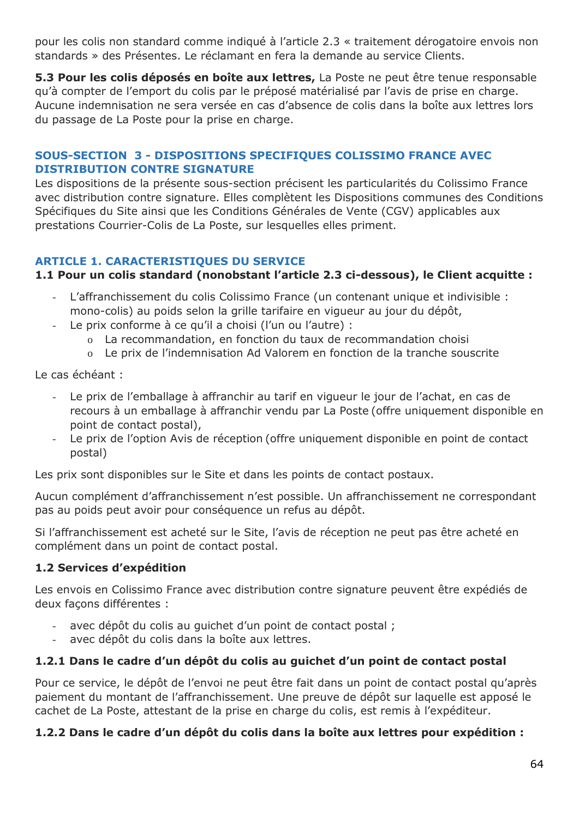pour les colis non standard comme indiqué à l'article 2.3 « traitement dérogatoire envois non standards » des Présentes. Le réclamant en fera la demande au service Clients.

**5.3 Pour les colis déposés en boîte aux lettres,** La Poste ne peut être tenue responsable qu'à compter de l'emport du colis par le préposé matérialisé par l'avis de prise en charge. Aucune indemnisation ne sera versée en cas d'absence de colis dans la boîte aux lettres lors du passage de La Poste pour la prise en charge.

### **SOUS-SECTION 3 - DISPOSITIONS SPECIFIQUES COLISSIMO FRANCE AVEC DISTRIBUTION CONTRE SIGNATURE**

Les dispositions de la présente sous-section précisent les particularités du Colissimo France avec distribution contre signature. Elles complètent les Dispositions communes des Conditions Spécifiques du Site ainsi que les Conditions Générales de Vente (CGV) applicables aux prestations Courrier-Colis de La Poste, sur lesquelles elles priment.

## **ARTICLE 1. CARACTERISTIQUES DU SERVICE**

## **1.1 Pour un colis standard (nonobstant l'article 2.3 ci-dessous), le Client acquitte :**

- L'affranchissement du colis Colissimo France (un contenant unique et indivisible : mono-colis) au poids selon la grille tarifaire en vigueur au jour du dépôt,
- Le prix conforme à ce qu'il a choisi (l'un ou l'autre) :
	- o La recommandation, en fonction du taux de recommandation choisi
	- o Le prix de l'indemnisation Ad Valorem en fonction de la tranche souscrite

Le cas échéant :

- Le prix de l'emballage à affranchir au tarif en vigueur le jour de l'achat, en cas de recours à un emballage à affranchir vendu par La Poste (offre uniquement disponible en point de contact postal),
- Le prix de l'option Avis de réception (offre uniquement disponible en point de contact postal)

Les prix sont disponibles sur le Site et dans les points de contact postaux.

Aucun complément d'affranchissement n'est possible. Un affranchissement ne correspondant pas au poids peut avoir pour conséquence un refus au dépôt.

Si l'affranchissement est acheté sur le Site, l'avis de réception ne peut pas être acheté en complément dans un point de contact postal.

## **1.2 Services d'expédition**

Les envois en Colissimo France avec distribution contre signature peuvent être expédiés de deux façons différentes :

- avec dépôt du colis au quichet d'un point de contact postal ;
- avec dépôt du colis dans la boîte aux lettres.

## **1.2.1 Dans le cadre d'un dépôt du colis au guichet d'un point de contact postal**

Pour ce service, le dépôt de l'envoi ne peut être fait dans un point de contact postal qu'après paiement du montant de l'affranchissement. Une preuve de dépôt sur laquelle est apposé le cachet de La Poste, attestant de la prise en charge du colis, est remis à l'expéditeur.

## **1.2.2 Dans le cadre d'un dépôt du colis dans la boîte aux lettres pour expédition :**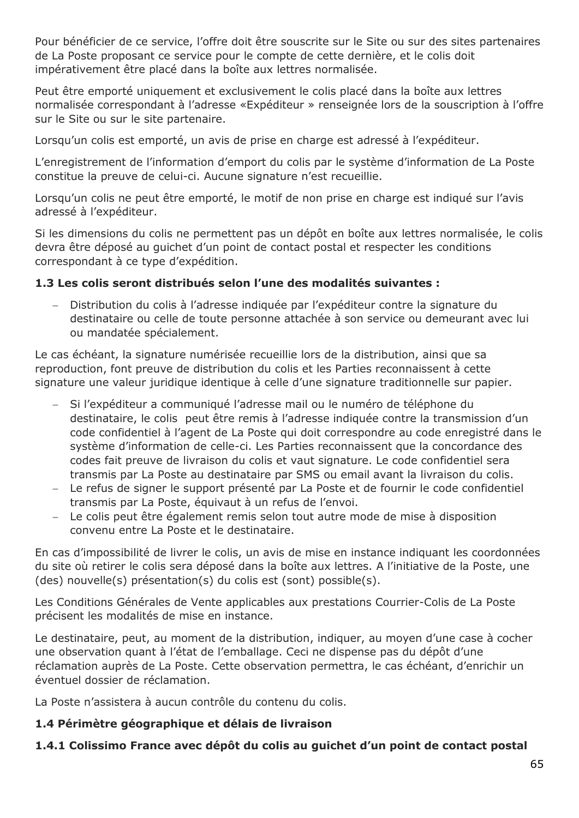Pour bénéficier de ce service, l'offre doit être souscrite sur le Site ou sur des sites partenaires de La Poste proposant ce service pour le compte de cette dernière, et le colis doit impérativement être placé dans la boîte aux lettres normalisée.

Peut être emporté uniquement et exclusivement le colis placé dans la boîte aux lettres normalisée correspondant à l'adresse «Expéditeur » renseignée lors de la souscription à l'offre sur le Site ou sur le site partenaire.

Lorsqu'un colis est emporté, un avis de prise en charge est adressé à l'expéditeur.

L'enregistrement de l'information d'emport du colis par le système d'information de La Poste constitue la preuve de celui-ci. Aucune signature n'est recueillie.

Lorsqu'un colis ne peut être emporté, le motif de non prise en charge est indiqué sur l'avis adressé à l'expéditeur.

Si les dimensions du colis ne permettent pas un dépôt en boîte aux lettres normalisée, le colis devra être déposé au guichet d'un point de contact postal et respecter les conditions correspondant à ce type d'expédition.

### **1.3 Les colis seront distribués selon l'une des modalités suivantes :**

 Distribution du colis à l'adresse indiquée par l'expéditeur contre la signature du destinataire ou celle de toute personne attachée à son service ou demeurant avec lui ou mandatée spécialement.

Le cas échéant, la signature numérisée recueillie lors de la distribution, ainsi que sa reproduction, font preuve de distribution du colis et les Parties reconnaissent à cette signature une valeur juridique identique à celle d'une signature traditionnelle sur papier.

- Si l'expéditeur a communiqué l'adresse mail ou le numéro de téléphone du destinataire, le colis peut être remis à l'adresse indiquée contre la transmission d'un code confidentiel à l'agent de La Poste qui doit correspondre au code enregistré dans le système d'information de celle-ci. Les Parties reconnaissent que la concordance des codes fait preuve de livraison du colis et vaut signature. Le code confidentiel sera transmis par La Poste au destinataire par SMS ou email avant la livraison du colis.
- Le refus de signer le support présenté par La Poste et de fournir le code confidentiel transmis par La Poste, équivaut à un refus de l'envoi.
- Le colis peut être également remis selon tout autre mode de mise à disposition convenu entre La Poste et le destinataire.

En cas d'impossibilité de livrer le colis, un avis de mise en instance indiquant les coordonnées du site où retirer le colis sera déposé dans la boîte aux lettres. A l'initiative de la Poste, une (des) nouvelle(s) présentation(s) du colis est (sont) possible(s).

Les Conditions Générales de Vente applicables aux prestations Courrier-Colis de La Poste précisent les modalités de mise en instance.

Le destinataire, peut, au moment de la distribution, indiquer, au moyen d'une case à cocher une observation quant à l'état de l'emballage. Ceci ne dispense pas du dépôt d'une réclamation auprès de La Poste. Cette observation permettra, le cas échéant, d'enrichir un éventuel dossier de réclamation.

La Poste n'assistera à aucun contrôle du contenu du colis.

### **1.4 Périmètre géographique et délais de livraison**

## **1.4.1 Colissimo France avec dépôt du colis au guichet d'un point de contact postal**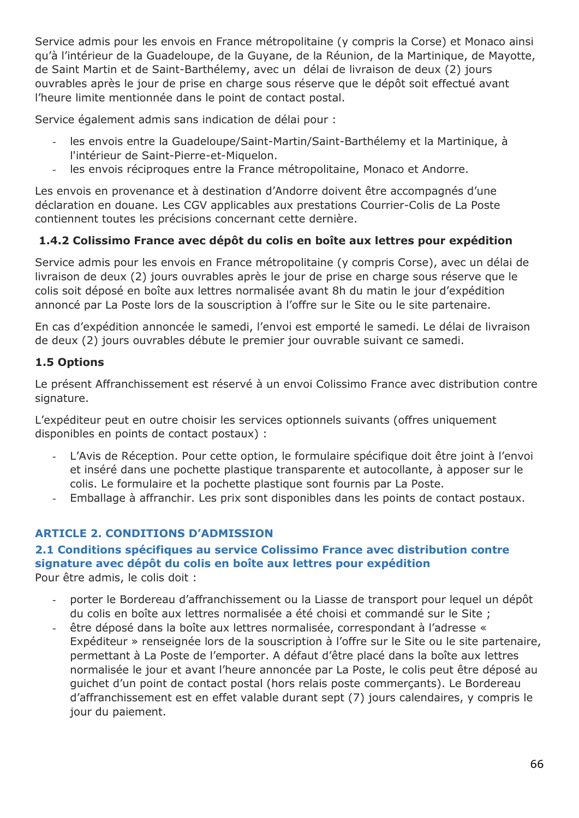Service admis pour les envois en France métropolitaine (y compris la Corse) et Monaco ainsi qu'à l'intérieur de la Guadeloupe, de la Guyane, de la Réunion, de la Martinique, de Mayotte, de Saint Martin et de Saint-Barthélemy, avec un délai de livraison de deux (2) jours ouvrables après le jour de prise en charge sous réserve que le dépôt soit effectué avant l'heure limite mentionnée dans le point de contact postal.

Service également admis sans indication de délai pour :

- les envois entre la Guadeloupe/Saint-Martin/Saint-Barthélemy et la Martinique, à l'intérieur de Saint-Pierre-et-Miquelon.
- les envois réciproques entre la France métropolitaine, Monaco et Andorre.

Les envois en provenance et à destination d'Andorre doivent être accompagnés d'une déclaration en douane. Les CGV applicables aux prestations Courrier-Colis de La Poste contiennent toutes les précisions concernant cette dernière.

# **1.4.2 Colissimo France avec dépôt du colis en boîte aux lettres pour expédition**

Service admis pour les envois en France métropolitaine (y compris Corse), avec un délai de livraison de deux (2) jours ouvrables après le jour de prise en charge sous réserve que le colis soit déposé en boîte aux lettres normalisée avant 8h du matin le jour d'expédition annoncé par La Poste lors de la souscription à l'offre sur le Site ou le site partenaire.

En cas d'expédition annoncée le samedi, l'envoi est emporté le samedi. Le délai de livraison de deux (2) jours ouvrables débute le premier jour ouvrable suivant ce samedi.

## **1.5 Options**

Le présent Affranchissement est réservé à un envoi Colissimo France avec distribution contre signature.

L'expéditeur peut en outre choisir les services optionnels suivants (offres uniquement disponibles en points de contact postaux) :

- L'Avis de Réception. Pour cette option, le formulaire spécifique doit être joint à l'envoi et inséré dans une pochette plastique transparente et autocollante, à apposer sur le colis. Le formulaire et la pochette plastique sont fournis par La Poste.
- Emballage à affranchir. Les prix sont disponibles dans les points de contact postaux.

# **ARTICLE 2. CONDITIONS D'ADMISSION**

#### **2.1 Conditions spécifiques au service Colissimo France avec distribution contre signature avec dépôt du colis en boîte aux lettres pour expédition** Pour être admis, le colis doit :

- porter le Bordereau d'affranchissement ou la Liasse de transport pour lequel un dépôt du colis en boîte aux lettres normalisée a été choisi et commandé sur le Site ;
- être déposé dans la boîte aux lettres normalisée, correspondant à l'adresse « Expéditeur » renseignée lors de la souscription à l'offre sur le Site ou le site partenaire, permettant à La Poste de l'emporter. A défaut d'être placé dans la boîte aux lettres normalisée le jour et avant l'heure annoncée par La Poste, le colis peut être déposé au guichet d'un point de contact postal (hors relais poste commerçants). Le Bordereau d'affranchissement est en effet valable durant sept (7) jours calendaires, y compris le jour du paiement.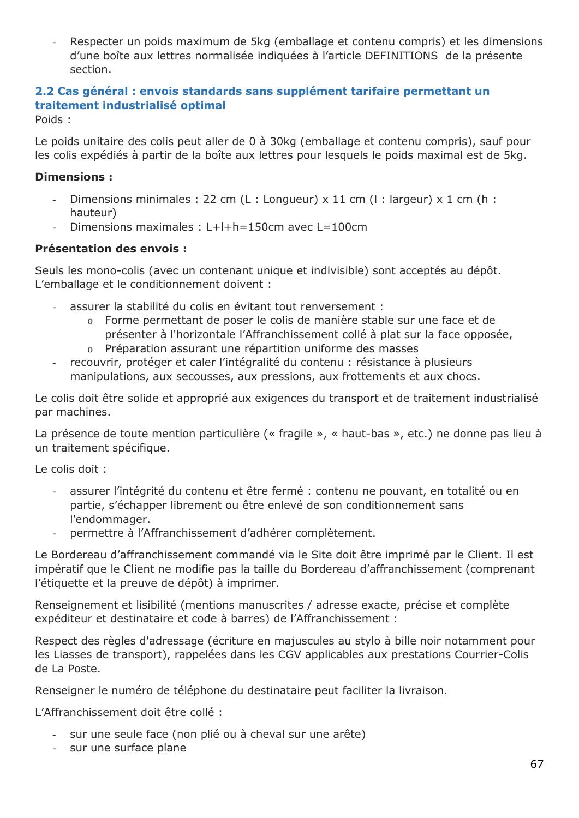Respecter un poids maximum de 5kg (emballage et contenu compris) et les dimensions d'une boîte aux lettres normalisée indiquées à l'article DEFINITIONS de la présente section.

# **2.2 Cas général : envois standards sans supplément tarifaire permettant un traitement industrialisé optimal**

Poids :

Le poids unitaire des colis peut aller de 0 à 30kg (emballage et contenu compris), sauf pour les colis expédiés à partir de la boîte aux lettres pour lesquels le poids maximal est de 5kg.

## **Dimensions :**

- Dimensions minimales : 22 cm (L : Longueur) x 11 cm (l : largeur) x 1 cm (h : hauteur)
- Dimensions maximales : L+l+h=150cm avec L=100cm

## **Présentation des envois :**

Seuls les mono-colis (avec un contenant unique et indivisible) sont acceptés au dépôt. L'emballage et le conditionnement doivent :

- assurer la stabilité du colis en évitant tout renversement :
	- o Forme permettant de poser le colis de manière stable sur une face et de présenter à l'horizontale l'Affranchissement collé à plat sur la face opposée,
	- o Préparation assurant une répartition uniforme des masses
- recouvrir, protéger et caler l'intégralité du contenu : résistance à plusieurs manipulations, aux secousses, aux pressions, aux frottements et aux chocs.

Le colis doit être solide et approprié aux exigences du transport et de traitement industrialisé par machines.

La présence de toute mention particulière (« fragile », « haut-bas », etc.) ne donne pas lieu à un traitement spécifique.

Le colis doit :

- assurer l'intégrité du contenu et être fermé : contenu ne pouvant, en totalité ou en partie, s'échapper librement ou être enlevé de son conditionnement sans l'endommager.
- permettre à l'Affranchissement d'adhérer complètement.

Le Bordereau d'affranchissement commandé via le Site doit être imprimé par le Client. Il est impératif que le Client ne modifie pas la taille du Bordereau d'affranchissement (comprenant l'étiquette et la preuve de dépôt) à imprimer.

Renseignement et lisibilité (mentions manuscrites / adresse exacte, précise et complète expéditeur et destinataire et code à barres) de l'Affranchissement :

Respect des règles d'adressage (écriture en majuscules au stylo à bille noir notamment pour les Liasses de transport), rappelées dans les CGV applicables aux prestations Courrier-Colis de La Poste.

Renseigner le numéro de téléphone du destinataire peut faciliter la livraison.

L'Affranchissement doit être collé :

- sur une seule face (non plié ou à cheval sur une arête)
- sur une surface plane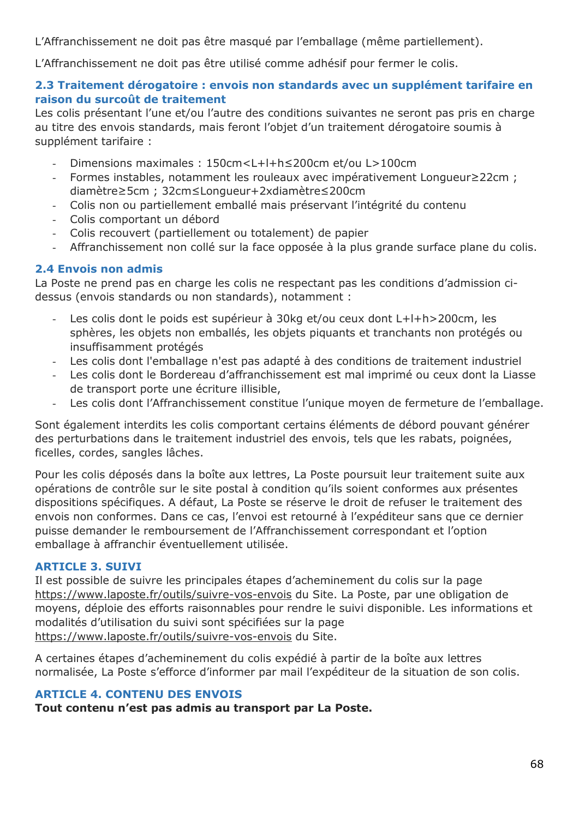L'Affranchissement ne doit pas être masqué par l'emballage (même partiellement).

L'Affranchissement ne doit pas être utilisé comme adhésif pour fermer le colis.

### **2.3 Traitement dérogatoire : envois non standards avec un supplément tarifaire en raison du surcoût de traitement**

Les colis présentant l'une et/ou l'autre des conditions suivantes ne seront pas pris en charge au titre des envois standards, mais feront l'objet d'un traitement dérogatoire soumis à supplément tarifaire :

- Dimensions maximales : 150cm<L+l+h≤200cm et/ou L>100cm
- Formes instables, notamment les rouleaux avec impérativement Longueur≥22cm ; diamètre≥5cm ; 32cm≤Longueur+2xdiamètre≤200cm
- Colis non ou partiellement emballé mais préservant l'intégrité du contenu
- Colis comportant un débord
- Colis recouvert (partiellement ou totalement) de papier
- Affranchissement non collé sur la face opposée à la plus grande surface plane du colis.

#### **2.4 Envois non admis**

La Poste ne prend pas en charge les colis ne respectant pas les conditions d'admission cidessus (envois standards ou non standards), notamment :

- Les colis dont le poids est supérieur à 30kg et/ou ceux dont L+l+h>200cm, les sphères, les objets non emballés, les objets piquants et tranchants non protégés ou insuffisamment protégés
- Les colis dont l'emballage n'est pas adapté à des conditions de traitement industriel
- Les colis dont le Bordereau d'affranchissement est mal imprimé ou ceux dont la Liasse de transport porte une écriture illisible,
- Les colis dont l'Affranchissement constitue l'unique moyen de fermeture de l'emballage.

Sont également interdits les colis comportant certains éléments de débord pouvant générer des perturbations dans le traitement industriel des envois, tels que les rabats, poignées, ficelles, cordes, sangles lâches.

Pour les colis déposés dans la boîte aux lettres, La Poste poursuit leur traitement suite aux opérations de contrôle sur le site postal à condition qu'ils soient conformes aux présentes dispositions spécifiques. A défaut, La Poste se réserve le droit de refuser le traitement des envois non conformes. Dans ce cas, l'envoi est retourné à l'expéditeur sans que ce dernier puisse demander le remboursement de l'Affranchissement correspondant et l'option emballage à affranchir éventuellement utilisée.

### **ARTICLE 3. SUIVI**

Il est possible de suivre les principales étapes d'acheminement du colis sur la page <https://www.laposte.fr/outils/suivre-vos-envois> du Site. La Poste, par une obligation de moyens, déploie des efforts raisonnables pour rendre le suivi disponible. Les informations et modalités d'utilisation du suivi sont spécifiées sur la page <https://www.laposte.fr/outils/suivre-vos-envois> du Site.

A certaines étapes d'acheminement du colis expédié à partir de la boîte aux lettres normalisée, La Poste s'efforce d'informer par mail l'expéditeur de la situation de son colis.

### **ARTICLE 4. CONTENU DES ENVOIS**

**Tout contenu n'est pas admis au transport par La Poste.**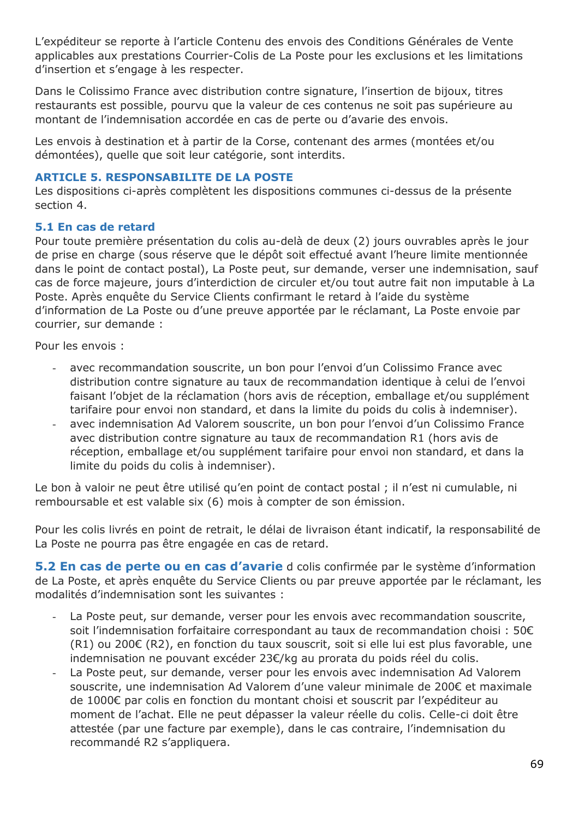L'expéditeur se reporte à l'article Contenu des envois des Conditions Générales de Vente applicables aux prestations Courrier-Colis de La Poste pour les exclusions et les limitations d'insertion et s'engage à les respecter.

Dans le Colissimo France avec distribution contre signature, l'insertion de bijoux, titres restaurants est possible, pourvu que la valeur de ces contenus ne soit pas supérieure au montant de l'indemnisation accordée en cas de perte ou d'avarie des envois.

Les envois à destination et à partir de la Corse, contenant des armes (montées et/ou démontées), quelle que soit leur catégorie, sont interdits.

#### **ARTICLE 5. RESPONSABILITE DE LA POSTE**

Les dispositions ci-après complètent les dispositions communes ci-dessus de la présente section 4.

#### **5.1 En cas de retard**

Pour toute première présentation du colis au-delà de deux (2) jours ouvrables après le jour de prise en charge (sous réserve que le dépôt soit effectué avant l'heure limite mentionnée dans le point de contact postal), La Poste peut, sur demande, verser une indemnisation, sauf cas de force majeure, jours d'interdiction de circuler et/ou tout autre fait non imputable à La Poste. Après enquête du Service Clients confirmant le retard à l'aide du système d'information de La Poste ou d'une preuve apportée par le réclamant, La Poste envoie par courrier, sur demande :

Pour les envois :

- avec recommandation souscrite, un bon pour l'envoi d'un Colissimo France avec distribution contre signature au taux de recommandation identique à celui de l'envoi faisant l'objet de la réclamation (hors avis de réception, emballage et/ou supplément tarifaire pour envoi non standard, et dans la limite du poids du colis à indemniser).
- avec indemnisation Ad Valorem souscrite, un bon pour l'envoi d'un Colissimo France avec distribution contre signature au taux de recommandation R1 (hors avis de réception, emballage et/ou supplément tarifaire pour envoi non standard, et dans la limite du poids du colis à indemniser).

Le bon à valoir ne peut être utilisé qu'en point de contact postal ; il n'est ni cumulable, ni remboursable et est valable six (6) mois à compter de son émission.

Pour les colis livrés en point de retrait, le délai de livraison étant indicatif, la responsabilité de La Poste ne pourra pas être engagée en cas de retard.

**5.2 En cas de perte ou en cas d'avarie** d colis confirmée par le système d'information de La Poste, et après enquête du Service Clients ou par preuve apportée par le réclamant, les modalités d'indemnisation sont les suivantes :

- La Poste peut, sur demande, verser pour les envois avec recommandation souscrite, soit l'indemnisation forfaitaire correspondant au taux de recommandation choisi : 50€ (R1) ou 200€ (R2), en fonction du taux souscrit, soit si elle lui est plus favorable, une indemnisation ne pouvant excéder 23€/kg au prorata du poids réel du colis.
- La Poste peut, sur demande, verser pour les envois avec indemnisation Ad Valorem souscrite, une indemnisation Ad Valorem d'une valeur minimale de 200€ et maximale de 1000€ par colis en fonction du montant choisi et souscrit par l'expéditeur au moment de l'achat. Elle ne peut dépasser la valeur réelle du colis. Celle-ci doit être attestée (par une facture par exemple), dans le cas contraire, l'indemnisation du recommandé R2 s'appliquera.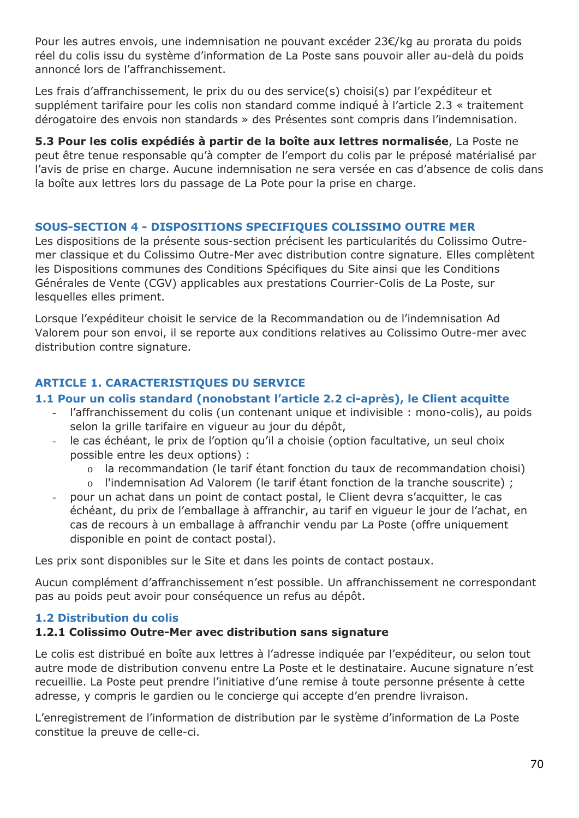Pour les autres envois, une indemnisation ne pouvant excéder 23€/kg au prorata du poids réel du colis issu du système d'information de La Poste sans pouvoir aller au-delà du poids annoncé lors de l'affranchissement.

Les frais d'affranchissement, le prix du ou des service(s) choisi(s) par l'expéditeur et supplément tarifaire pour les colis non standard comme indiqué à l'article 2.3 « traitement dérogatoire des envois non standards » des Présentes sont compris dans l'indemnisation.

**5.3 Pour les colis expédiés à partir de la boîte aux lettres normalisée**, La Poste ne peut être tenue responsable qu'à compter de l'emport du colis par le préposé matérialisé par l'avis de prise en charge. Aucune indemnisation ne sera versée en cas d'absence de colis dans la boîte aux lettres lors du passage de La Pote pour la prise en charge.

### **SOUS-SECTION 4 - DISPOSITIONS SPECIFIQUES COLISSIMO OUTRE MER**

Les dispositions de la présente sous-section précisent les particularités du Colissimo Outremer classique et du Colissimo Outre-Mer avec distribution contre signature. Elles complètent les Dispositions communes des Conditions Spécifiques du Site ainsi que les Conditions Générales de Vente (CGV) applicables aux prestations Courrier-Colis de La Poste, sur lesquelles elles priment.

Lorsque l'expéditeur choisit le service de la Recommandation ou de l'indemnisation Ad Valorem pour son envoi, il se reporte aux conditions relatives au Colissimo Outre-mer avec distribution contre signature.

## **ARTICLE 1. CARACTERISTIQUES DU SERVICE**

### **1.1 Pour un colis standard (nonobstant l'article 2.2 ci-après), le Client acquitte**

- l'affranchissement du colis (un contenant unique et indivisible : mono-colis), au poids selon la grille tarifaire en vigueur au jour du dépôt,
- le cas échéant, le prix de l'option qu'il a choisie (option facultative, un seul choix possible entre les deux options) :
	- o la recommandation (le tarif étant fonction du taux de recommandation choisi)
	- o l'indemnisation Ad Valorem (le tarif étant fonction de la tranche souscrite) ;
- pour un achat dans un point de contact postal, le Client devra s'acquitter, le cas échéant, du prix de l'emballage à affranchir, au tarif en vigueur le jour de l'achat, en cas de recours à un emballage à affranchir vendu par La Poste (offre uniquement disponible en point de contact postal).

Les prix sont disponibles sur le Site et dans les points de contact postaux.

Aucun complément d'affranchissement n'est possible. Un affranchissement ne correspondant pas au poids peut avoir pour conséquence un refus au dépôt.

### **1.2 Distribution du colis**

### **1.2.1 Colissimo Outre-Mer avec distribution sans signature**

Le colis est distribué en boîte aux lettres à l'adresse indiquée par l'expéditeur, ou selon tout autre mode de distribution convenu entre La Poste et le destinataire. Aucune signature n'est recueillie. La Poste peut prendre l'initiative d'une remise à toute personne présente à cette adresse, y compris le gardien ou le concierge qui accepte d'en prendre livraison.

L'enregistrement de l'information de distribution par le système d'information de La Poste constitue la preuve de celle-ci.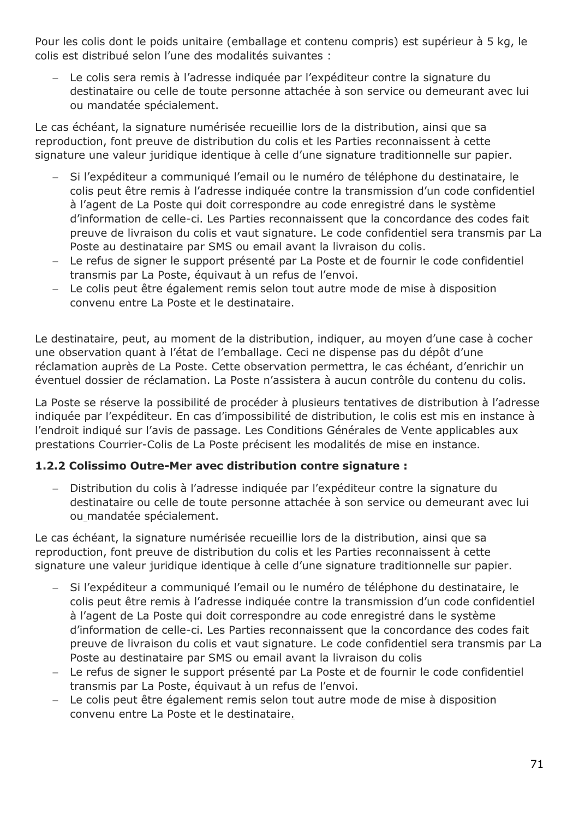Pour les colis dont le poids unitaire (emballage et contenu compris) est supérieur à 5 kg, le colis est distribué selon l'une des modalités suivantes :

 Le colis sera remis à l'adresse indiquée par l'expéditeur contre la signature du destinataire ou celle de toute personne attachée à son service ou demeurant avec lui ou mandatée spécialement.

Le cas échéant, la signature numérisée recueillie lors de la distribution, ainsi que sa reproduction, font preuve de distribution du colis et les Parties reconnaissent à cette signature une valeur juridique identique à celle d'une signature traditionnelle sur papier.

- Si l'expéditeur a communiqué l'email ou le numéro de téléphone du destinataire, le colis peut être remis à l'adresse indiquée contre la transmission d'un code confidentiel à l'agent de La Poste qui doit correspondre au code enregistré dans le système d'information de celle-ci. Les Parties reconnaissent que la concordance des codes fait preuve de livraison du colis et vaut signature. Le code confidentiel sera transmis par La Poste au destinataire par SMS ou email avant la livraison du colis.
- Le refus de signer le support présenté par La Poste et de fournir le code confidentiel transmis par La Poste, équivaut à un refus de l'envoi.
- Le colis peut être également remis selon tout autre mode de mise à disposition convenu entre La Poste et le destinataire.

Le destinataire, peut, au moment de la distribution, indiquer, au moyen d'une case à cocher une observation quant à l'état de l'emballage. Ceci ne dispense pas du dépôt d'une réclamation auprès de La Poste. Cette observation permettra, le cas échéant, d'enrichir un éventuel dossier de réclamation. La Poste n'assistera à aucun contrôle du contenu du colis.

La Poste se réserve la possibilité de procéder à plusieurs tentatives de distribution à l'adresse indiquée par l'expéditeur. En cas d'impossibilité de distribution, le colis est mis en instance à l'endroit indiqué sur l'avis de passage. Les Conditions Générales de Vente applicables aux prestations Courrier-Colis de La Poste précisent les modalités de mise en instance.

### **1.2.2 Colissimo Outre-Mer avec distribution contre signature :**

 Distribution du colis à l'adresse indiquée par l'expéditeur contre la signature du destinataire ou celle de toute personne attachée à son service ou demeurant avec lui ou mandatée spécialement.

Le cas échéant, la signature numérisée recueillie lors de la distribution, ainsi que sa reproduction, font preuve de distribution du colis et les Parties reconnaissent à cette signature une valeur juridique identique à celle d'une signature traditionnelle sur papier.

- Si l'expéditeur a communiqué l'email ou le numéro de téléphone du destinataire, le colis peut être remis à l'adresse indiquée contre la transmission d'un code confidentiel à l'agent de La Poste qui doit correspondre au code enregistré dans le système d'information de celle-ci. Les Parties reconnaissent que la concordance des codes fait preuve de livraison du colis et vaut signature. Le code confidentiel sera transmis par La Poste au destinataire par SMS ou email avant la livraison du colis
- Le refus de signer le support présenté par La Poste et de fournir le code confidentiel transmis par La Poste, équivaut à un refus de l'envoi.
- Le colis peut être également remis selon tout autre mode de mise à disposition convenu entre La Poste et le destinataire.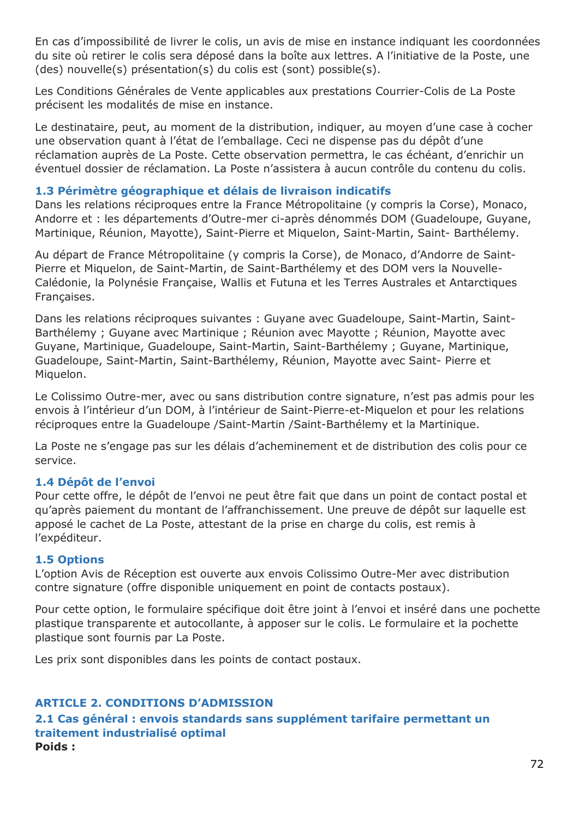En cas d'impossibilité de livrer le colis, un avis de mise en instance indiquant les coordonnées du site où retirer le colis sera déposé dans la boîte aux lettres. A l'initiative de la Poste, une (des) nouvelle(s) présentation(s) du colis est (sont) possible(s).

Les Conditions Générales de Vente applicables aux prestations Courrier-Colis de La Poste précisent les modalités de mise en instance.

Le destinataire, peut, au moment de la distribution, indiquer, au moyen d'une case à cocher une observation quant à l'état de l'emballage. Ceci ne dispense pas du dépôt d'une réclamation auprès de La Poste. Cette observation permettra, le cas échéant, d'enrichir un éventuel dossier de réclamation. La Poste n'assistera à aucun contrôle du contenu du colis.

### **1.3 Périmètre géographique et délais de livraison indicatifs**

Dans les relations réciproques entre la France Métropolitaine (y compris la Corse), Monaco, Andorre et : les départements d'Outre-mer ci-après dénommés DOM (Guadeloupe, Guyane, Martinique, Réunion, Mayotte), Saint-Pierre et Miquelon, Saint-Martin, Saint- Barthélemy.

Au départ de France Métropolitaine (y compris la Corse), de Monaco, d'Andorre de Saint-Pierre et Miquelon, de Saint-Martin, de Saint-Barthélemy et des DOM vers la Nouvelle-Calédonie, la Polynésie Française, Wallis et Futuna et les Terres Australes et Antarctiques Françaises.

Dans les relations réciproques suivantes : Guyane avec Guadeloupe, Saint-Martin, Saint-Barthélemy ; Guyane avec Martinique ; Réunion avec Mayotte ; Réunion, Mayotte avec Guyane, Martinique, Guadeloupe, Saint-Martin, Saint-Barthélemy ; Guyane, Martinique, Guadeloupe, Saint-Martin, Saint-Barthélemy, Réunion, Mayotte avec Saint- Pierre et Miquelon.

Le Colissimo Outre-mer, avec ou sans distribution contre signature, n'est pas admis pour les envois à l'intérieur d'un DOM, à l'intérieur de Saint-Pierre-et-Miquelon et pour les relations réciproques entre la Guadeloupe /Saint-Martin /Saint-Barthélemy et la Martinique.

La Poste ne s'engage pas sur les délais d'acheminement et de distribution des colis pour ce service.

#### **1.4 Dépôt de l'envoi**

Pour cette offre, le dépôt de l'envoi ne peut être fait que dans un point de contact postal et qu'après paiement du montant de l'affranchissement. Une preuve de dépôt sur laquelle est apposé le cachet de La Poste, attestant de la prise en charge du colis, est remis à l'expéditeur.

#### **1.5 Options**

L'option Avis de Réception est ouverte aux envois Colissimo Outre-Mer avec distribution contre signature (offre disponible uniquement en point de contacts postaux).

Pour cette option, le formulaire spécifique doit être joint à l'envoi et inséré dans une pochette plastique transparente et autocollante, à apposer sur le colis. Le formulaire et la pochette plastique sont fournis par La Poste.

Les prix sont disponibles dans les points de contact postaux.

### **ARTICLE 2. CONDITIONS D'ADMISSION**

**2.1 Cas général : envois standards sans supplément tarifaire permettant un traitement industrialisé optimal Poids :**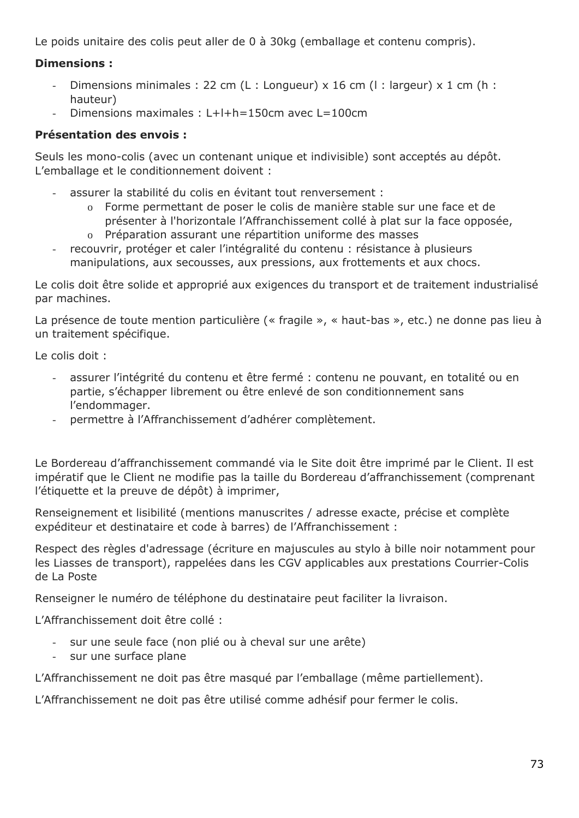Le poids unitaire des colis peut aller de 0 à 30kg (emballage et contenu compris).

## **Dimensions :**

- Dimensions minimales : 22 cm (L : Longueur) x 16 cm (l : largeur) x 1 cm (h : hauteur)
- Dimensions maximales : L+l+h=150cm avec L=100cm

## **Présentation des envois :**

Seuls les mono-colis (avec un contenant unique et indivisible) sont acceptés au dépôt. L'emballage et le conditionnement doivent :

- assurer la stabilité du colis en évitant tout renversement :
	- o Forme permettant de poser le colis de manière stable sur une face et de présenter à l'horizontale l'Affranchissement collé à plat sur la face opposée,
	- o Préparation assurant une répartition uniforme des masses
- recouvrir, protéger et caler l'intégralité du contenu : résistance à plusieurs manipulations, aux secousses, aux pressions, aux frottements et aux chocs.

Le colis doit être solide et approprié aux exigences du transport et de traitement industrialisé par machines.

La présence de toute mention particulière (« fragile », « haut-bas », etc.) ne donne pas lieu à un traitement spécifique.

Le colis doit :

- assurer l'intégrité du contenu et être fermé : contenu ne pouvant, en totalité ou en partie, s'échapper librement ou être enlevé de son conditionnement sans l'endommager.
- permettre à l'Affranchissement d'adhérer complètement.

Le Bordereau d'affranchissement commandé via le Site doit être imprimé par le Client. Il est impératif que le Client ne modifie pas la taille du Bordereau d'affranchissement (comprenant l'étiquette et la preuve de dépôt) à imprimer,

Renseignement et lisibilité (mentions manuscrites / adresse exacte, précise et complète expéditeur et destinataire et code à barres) de l'Affranchissement :

Respect des règles d'adressage (écriture en majuscules au stylo à bille noir notamment pour les Liasses de transport), rappelées dans les CGV applicables aux prestations Courrier-Colis de La Poste

Renseigner le numéro de téléphone du destinataire peut faciliter la livraison.

L'Affranchissement doit être collé :

- sur une seule face (non plié ou à cheval sur une arête)
- sur une surface plane

L'Affranchissement ne doit pas être masqué par l'emballage (même partiellement).

L'Affranchissement ne doit pas être utilisé comme adhésif pour fermer le colis.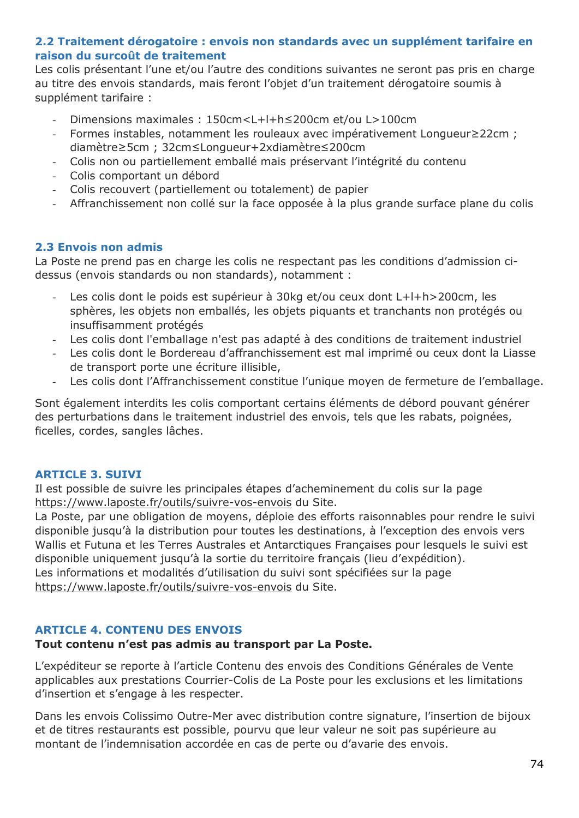### **2.2 Traitement dérogatoire : envois non standards avec un supplément tarifaire en raison du surcoût de traitement**

Les colis présentant l'une et/ou l'autre des conditions suivantes ne seront pas pris en charge au titre des envois standards, mais feront l'objet d'un traitement dérogatoire soumis à supplément tarifaire :

- Dimensions maximales : 150cm<L+l+h≤200cm et/ou L>100cm
- Formes instables, notamment les rouleaux avec impérativement Longueur≥22cm ; diamètre≥5cm ; 32cm≤Longueur+2xdiamètre≤200cm
- Colis non ou partiellement emballé mais préservant l'intégrité du contenu
- Colis comportant un débord
- Colis recouvert (partiellement ou totalement) de papier
- Affranchissement non collé sur la face opposée à la plus grande surface plane du colis

## **2.3 Envois non admis**

La Poste ne prend pas en charge les colis ne respectant pas les conditions d'admission cidessus (envois standards ou non standards), notamment :

- Les colis dont le poids est supérieur à 30kg et/ou ceux dont L+l+h>200cm, les sphères, les objets non emballés, les objets piquants et tranchants non protégés ou insuffisamment protégés
- Les colis dont l'emballage n'est pas adapté à des conditions de traitement industriel
- Les colis dont le Bordereau d'affranchissement est mal imprimé ou ceux dont la Liasse de transport porte une écriture illisible,
- Les colis dont l'Affranchissement constitue l'unique moyen de fermeture de l'emballage.

Sont également interdits les colis comportant certains éléments de débord pouvant générer des perturbations dans le traitement industriel des envois, tels que les rabats, poignées, ficelles, cordes, sangles lâches.

#### **ARTICLE 3. SUIVI**

Il est possible de suivre les principales étapes d'acheminement du colis sur la page <https://www.laposte.fr/outils/suivre-vos-envois> du Site.

La Poste, par une obligation de moyens, déploie des efforts raisonnables pour rendre le suivi disponible jusqu'à la distribution pour toutes les destinations, à l'exception des envois vers Wallis et Futuna et les Terres Australes et Antarctiques Françaises pour lesquels le suivi est disponible uniquement jusqu'à la sortie du territoire français (lieu d'expédition). Les informations et modalités d'utilisation du suivi sont spécifiées sur la page <https://www.laposte.fr/outils/suivre-vos-envois> du Site.

#### **ARTICLE 4. CONTENU DES ENVOIS**

#### **Tout contenu n'est pas admis au transport par La Poste.**

L'expéditeur se reporte à l'article Contenu des envois des Conditions Générales de Vente applicables aux prestations Courrier-Colis de La Poste pour les exclusions et les limitations d'insertion et s'engage à les respecter.

Dans les envois Colissimo Outre-Mer avec distribution contre signature, l'insertion de bijoux et de titres restaurants est possible, pourvu que leur valeur ne soit pas supérieure au montant de l'indemnisation accordée en cas de perte ou d'avarie des envois.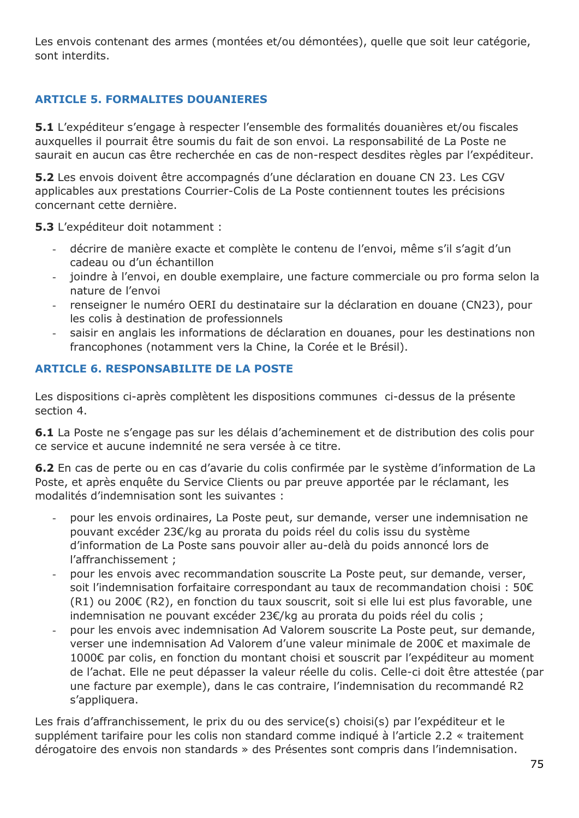Les envois contenant des armes (montées et/ou démontées), quelle que soit leur catégorie, sont interdits.

## **ARTICLE 5. FORMALITES DOUANIERES**

**5.1** L'expéditeur s'engage à respecter l'ensemble des formalités douanières et/ou fiscales auxquelles il pourrait être soumis du fait de son envoi. La responsabilité de La Poste ne saurait en aucun cas être recherchée en cas de non-respect desdites règles par l'expéditeur.

**5.2** Les envois doivent être accompagnés d'une déclaration en douane CN 23. Les CGV applicables aux prestations Courrier-Colis de La Poste contiennent toutes les précisions concernant cette dernière.

**5.3** L'expéditeur doit notamment :

- décrire de manière exacte et complète le contenu de l'envoi, même s'il s'agit d'un cadeau ou d'un échantillon
- joindre à l'envoi, en double exemplaire, une facture commerciale ou pro forma selon la nature de l'envoi
- renseigner le numéro OERI du destinataire sur la déclaration en douane (CN23), pour les colis à destination de professionnels
- saisir en anglais les informations de déclaration en douanes, pour les destinations non francophones (notamment vers la Chine, la Corée et le Brésil).

## **ARTICLE 6. RESPONSABILITE DE LA POSTE**

Les dispositions ci-après complètent les dispositions communes ci-dessus de la présente section 4.

**6.1** La Poste ne s'engage pas sur les délais d'acheminement et de distribution des colis pour ce service et aucune indemnité ne sera versée à ce titre.

**6.2** En cas de perte ou en cas d'avarie du colis confirmée par le système d'information de La Poste, et après enquête du Service Clients ou par preuve apportée par le réclamant, les modalités d'indemnisation sont les suivantes :

- pour les envois ordinaires, La Poste peut, sur demande, verser une indemnisation ne pouvant excéder 23€/kg au prorata du poids réel du colis issu du système d'information de La Poste sans pouvoir aller au-delà du poids annoncé lors de l'affranchissement ;
- pour les envois avec recommandation souscrite La Poste peut, sur demande, verser, soit l'indemnisation forfaitaire correspondant au taux de recommandation choisi : 50€ (R1) ou 200€ (R2), en fonction du taux souscrit, soit si elle lui est plus favorable, une indemnisation ne pouvant excéder 23€/kg au prorata du poids réel du colis ;
- pour les envois avec indemnisation Ad Valorem souscrite La Poste peut, sur demande, verser une indemnisation Ad Valorem d'une valeur minimale de 200€ et maximale de 1000€ par colis, en fonction du montant choisi et souscrit par l'expéditeur au moment de l'achat. Elle ne peut dépasser la valeur réelle du colis. Celle-ci doit être attestée (par une facture par exemple), dans le cas contraire, l'indemnisation du recommandé R2 s'appliquera.

Les frais d'affranchissement, le prix du ou des service(s) choisi(s) par l'expéditeur et le supplément tarifaire pour les colis non standard comme indiqué à l'article 2.2 « traitement dérogatoire des envois non standards » des Présentes sont compris dans l'indemnisation.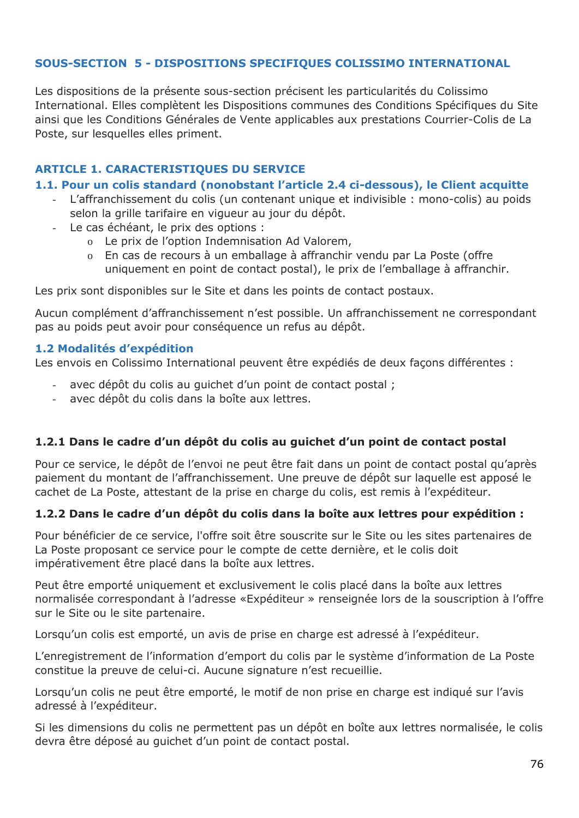### **SOUS-SECTION 5 - DISPOSITIONS SPECIFIQUES COLISSIMO INTERNATIONAL**

Les dispositions de la présente sous-section précisent les particularités du Colissimo International. Elles complètent les Dispositions communes des Conditions Spécifiques du Site ainsi que les Conditions Générales de Vente applicables aux prestations Courrier-Colis de La Poste, sur lesquelles elles priment.

#### **ARTICLE 1. CARACTERISTIQUES DU SERVICE**

#### **1.1. Pour un colis standard (nonobstant l'article 2.4 ci-dessous), le Client acquitte**

- L'affranchissement du colis (un contenant unique et indivisible : mono-colis) au poids selon la grille tarifaire en vigueur au jour du dépôt.
- Le cas échéant, le prix des options :
	- o Le prix de l'option Indemnisation Ad Valorem,
	- o En cas de recours à un emballage à affranchir vendu par La Poste (offre uniquement en point de contact postal), le prix de l'emballage à affranchir.

Les prix sont disponibles sur le Site et dans les points de contact postaux.

Aucun complément d'affranchissement n'est possible. Un affranchissement ne correspondant pas au poids peut avoir pour conséquence un refus au dépôt.

#### **1.2 Modalités d'expédition**

Les envois en Colissimo International peuvent être expédiés de deux façons différentes :

- avec dépôt du colis au quichet d'un point de contact postal ;
- avec dépôt du colis dans la boîte aux lettres.

#### **1.2.1 Dans le cadre d'un dépôt du colis au guichet d'un point de contact postal**

Pour ce service, le dépôt de l'envoi ne peut être fait dans un point de contact postal qu'après paiement du montant de l'affranchissement. Une preuve de dépôt sur laquelle est apposé le cachet de La Poste, attestant de la prise en charge du colis, est remis à l'expéditeur.

#### **1.2.2 Dans le cadre d'un dépôt du colis dans la boîte aux lettres pour expédition :**

Pour bénéficier de ce service, l'offre soit être souscrite sur le Site ou les sites partenaires de La Poste proposant ce service pour le compte de cette dernière, et le colis doit impérativement être placé dans la boîte aux lettres.

Peut être emporté uniquement et exclusivement le colis placé dans la boîte aux lettres normalisée correspondant à l'adresse «Expéditeur » renseignée lors de la souscription à l'offre sur le Site ou le site partenaire.

Lorsqu'un colis est emporté, un avis de prise en charge est adressé à l'expéditeur.

L'enregistrement de l'information d'emport du colis par le système d'information de La Poste constitue la preuve de celui-ci. Aucune signature n'est recueillie.

Lorsqu'un colis ne peut être emporté, le motif de non prise en charge est indiqué sur l'avis adressé à l'expéditeur.

Si les dimensions du colis ne permettent pas un dépôt en boîte aux lettres normalisée, le colis devra être déposé au guichet d'un point de contact postal.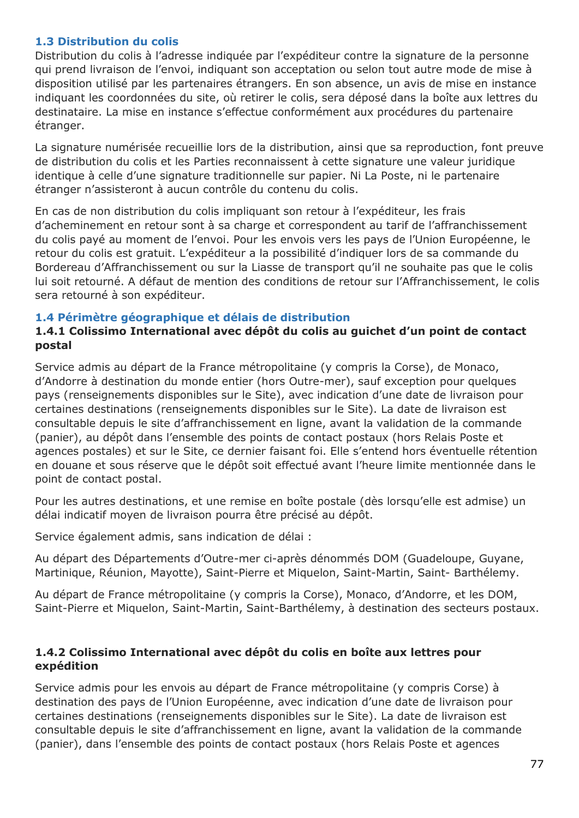### **1.3 Distribution du colis**

Distribution du colis à l'adresse indiquée par l'expéditeur contre la signature de la personne qui prend livraison de l'envoi, indiquant son acceptation ou selon tout autre mode de mise à disposition utilisé par les partenaires étrangers. En son absence, un avis de mise en instance indiquant les coordonnées du site, où retirer le colis, sera déposé dans la boîte aux lettres du destinataire. La mise en instance s'effectue conformément aux procédures du partenaire étranger.

La signature numérisée recueillie lors de la distribution, ainsi que sa reproduction, font preuve de distribution du colis et les Parties reconnaissent à cette signature une valeur juridique identique à celle d'une signature traditionnelle sur papier. Ni La Poste, ni le partenaire étranger n'assisteront à aucun contrôle du contenu du colis.

En cas de non distribution du colis impliquant son retour à l'expéditeur, les frais d'acheminement en retour sont à sa charge et correspondent au tarif de l'affranchissement du colis payé au moment de l'envoi. Pour les envois vers les pays de l'Union Européenne, le retour du colis est gratuit. L'expéditeur a la possibilité d'indiquer lors de sa commande du Bordereau d'Affranchissement ou sur la Liasse de transport qu'il ne souhaite pas que le colis lui soit retourné. A défaut de mention des conditions de retour sur l'Affranchissement, le colis sera retourné à son expéditeur.

### **1.4 Périmètre géographique et délais de distribution**

### **1.4.1 Colissimo International avec dépôt du colis au guichet d'un point de contact postal**

Service admis au départ de la France métropolitaine (y compris la Corse), de Monaco, d'Andorre à destination du monde entier (hors Outre-mer), sauf exception pour quelques pays (renseignements disponibles sur le Site), avec indication d'une date de livraison pour certaines destinations (renseignements disponibles sur le Site). La date de livraison est consultable depuis le site d'affranchissement en ligne, avant la validation de la commande (panier), au dépôt dans l'ensemble des points de contact postaux (hors Relais Poste et agences postales) et sur le Site, ce dernier faisant foi. Elle s'entend hors éventuelle rétention en douane et sous réserve que le dépôt soit effectué avant l'heure limite mentionnée dans le point de contact postal.

Pour les autres destinations, et une remise en boîte postale (dès lorsqu'elle est admise) un délai indicatif moyen de livraison pourra être précisé au dépôt.

Service également admis, sans indication de délai :

Au départ des Départements d'Outre-mer ci-après dénommés DOM (Guadeloupe, Guyane, Martinique, Réunion, Mayotte), Saint-Pierre et Miquelon, Saint-Martin, Saint- Barthélemy.

Au départ de France métropolitaine (y compris la Corse), Monaco, d'Andorre, et les DOM, Saint-Pierre et Miquelon, Saint-Martin, Saint-Barthélemy, à destination des secteurs postaux.

#### **1.4.2 Colissimo International avec dépôt du colis en boîte aux lettres pour expédition**

Service admis pour les envois au départ de France métropolitaine (y compris Corse) à destination des pays de l'Union Européenne, avec indication d'une date de livraison pour certaines destinations (renseignements disponibles sur le Site). La date de livraison est consultable depuis le site d'affranchissement en ligne, avant la validation de la commande (panier), dans l'ensemble des points de contact postaux (hors Relais Poste et agences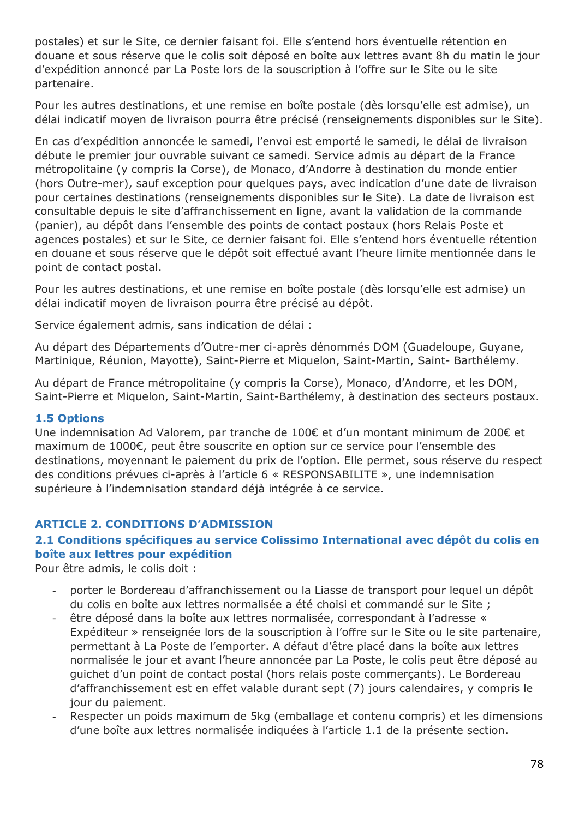postales) et sur le Site, ce dernier faisant foi. Elle s'entend hors éventuelle rétention en douane et sous réserve que le colis soit déposé en boîte aux lettres avant 8h du matin le jour d'expédition annoncé par La Poste lors de la souscription à l'offre sur le Site ou le site partenaire.

Pour les autres destinations, et une remise en boîte postale (dès lorsqu'elle est admise), un délai indicatif moyen de livraison pourra être précisé (renseignements disponibles sur le Site).

En cas d'expédition annoncée le samedi, l'envoi est emporté le samedi, le délai de livraison débute le premier jour ouvrable suivant ce samedi. Service admis au départ de la France métropolitaine (y compris la Corse), de Monaco, d'Andorre à destination du monde entier (hors Outre-mer), sauf exception pour quelques pays, avec indication d'une date de livraison pour certaines destinations (renseignements disponibles sur le Site). La date de livraison est consultable depuis le site d'affranchissement en ligne, avant la validation de la commande (panier), au dépôt dans l'ensemble des points de contact postaux (hors Relais Poste et agences postales) et sur le Site, ce dernier faisant foi. Elle s'entend hors éventuelle rétention en douane et sous réserve que le dépôt soit effectué avant l'heure limite mentionnée dans le point de contact postal.

Pour les autres destinations, et une remise en boîte postale (dès lorsqu'elle est admise) un délai indicatif moyen de livraison pourra être précisé au dépôt.

Service également admis, sans indication de délai :

Au départ des Départements d'Outre-mer ci-après dénommés DOM (Guadeloupe, Guyane, Martinique, Réunion, Mayotte), Saint-Pierre et Miquelon, Saint-Martin, Saint- Barthélemy.

Au départ de France métropolitaine (y compris la Corse), Monaco, d'Andorre, et les DOM, Saint-Pierre et Miquelon, Saint-Martin, Saint-Barthélemy, à destination des secteurs postaux.

#### **1.5 Options**

Une indemnisation Ad Valorem, par tranche de 100€ et d'un montant minimum de 200€ et maximum de 1000€, peut être souscrite en option sur ce service pour l'ensemble des destinations, moyennant le paiement du prix de l'option. Elle permet, sous réserve du respect des conditions prévues ci-après à l'article 6 « RESPONSABILITE », une indemnisation supérieure à l'indemnisation standard déjà intégrée à ce service.

## **ARTICLE 2. CONDITIONS D'ADMISSION**

## **2.1 Conditions spécifiques au service Colissimo International avec dépôt du colis en boîte aux lettres pour expédition**

Pour être admis, le colis doit :

- porter le Bordereau d'affranchissement ou la Liasse de transport pour lequel un dépôt du colis en boîte aux lettres normalisée a été choisi et commandé sur le Site ;
- être déposé dans la boîte aux lettres normalisée, correspondant à l'adresse « Expéditeur » renseignée lors de la souscription à l'offre sur le Site ou le site partenaire, permettant à La Poste de l'emporter. A défaut d'être placé dans la boîte aux lettres normalisée le jour et avant l'heure annoncée par La Poste, le colis peut être déposé au guichet d'un point de contact postal (hors relais poste commerçants). Le Bordereau d'affranchissement est en effet valable durant sept (7) jours calendaires, y compris le jour du paiement.
- Respecter un poids maximum de 5kg (emballage et contenu compris) et les dimensions d'une boîte aux lettres normalisée indiquées à l'article 1.1 de la présente section.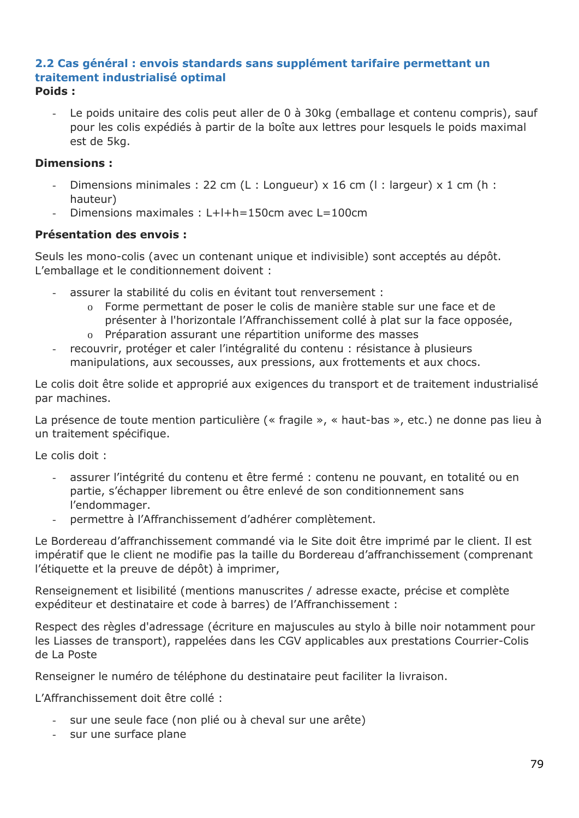#### **2.2 Cas général : envois standards sans supplément tarifaire permettant un traitement industrialisé optimal Poids :**

Le poids unitaire des colis peut aller de 0 à 30kg (emballage et contenu compris), sauf pour les colis expédiés à partir de la boîte aux lettres pour lesquels le poids maximal est de 5kg.

### **Dimensions :**

- Dimensions minimales : 22 cm (L : Longueur) x 16 cm (l : largeur) x 1 cm (h : hauteur)
- Dimensions maximales : L+l+h=150cm avec L=100cm

#### **Présentation des envois :**

Seuls les mono-colis (avec un contenant unique et indivisible) sont acceptés au dépôt. L'emballage et le conditionnement doivent :

- assurer la stabilité du colis en évitant tout renversement :
	- o Forme permettant de poser le colis de manière stable sur une face et de présenter à l'horizontale l'Affranchissement collé à plat sur la face opposée,
	- o Préparation assurant une répartition uniforme des masses
- recouvrir, protéger et caler l'intégralité du contenu : résistance à plusieurs manipulations, aux secousses, aux pressions, aux frottements et aux chocs.

Le colis doit être solide et approprié aux exigences du transport et de traitement industrialisé par machines.

La présence de toute mention particulière (« fragile », « haut-bas », etc.) ne donne pas lieu à un traitement spécifique.

Le colis doit :

- assurer l'intégrité du contenu et être fermé : contenu ne pouvant, en totalité ou en partie, s'échapper librement ou être enlevé de son conditionnement sans l'endommager.
- permettre à l'Affranchissement d'adhérer complètement.

Le Bordereau d'affranchissement commandé via le Site doit être imprimé par le client. Il est impératif que le client ne modifie pas la taille du Bordereau d'affranchissement (comprenant l'étiquette et la preuve de dépôt) à imprimer,

Renseignement et lisibilité (mentions manuscrites / adresse exacte, précise et complète expéditeur et destinataire et code à barres) de l'Affranchissement :

Respect des règles d'adressage (écriture en majuscules au stylo à bille noir notamment pour les Liasses de transport), rappelées dans les CGV applicables aux prestations Courrier-Colis de La Poste

Renseigner le numéro de téléphone du destinataire peut faciliter la livraison.

L'Affranchissement doit être collé :

- sur une seule face (non plié ou à cheval sur une arête)
- sur une surface plane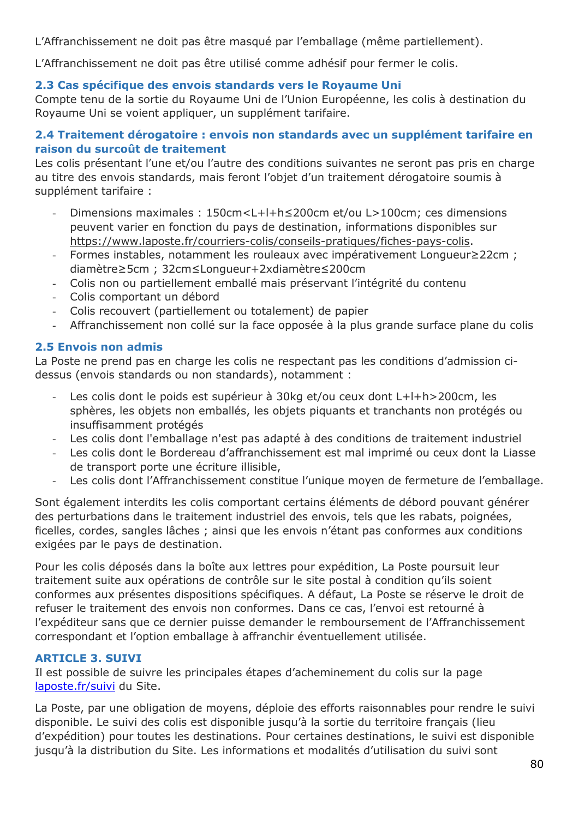L'Affranchissement ne doit pas être masqué par l'emballage (même partiellement).

L'Affranchissement ne doit pas être utilisé comme adhésif pour fermer le colis.

## **2.3 Cas spécifique des envois standards vers le Royaume Uni**

Compte tenu de la sortie du Royaume Uni de l'Union Européenne, les colis à destination du Royaume Uni se voient appliquer, un supplément tarifaire.

### **2.4 Traitement dérogatoire : envois non standards avec un supplément tarifaire en raison du surcoût de traitement**

Les colis présentant l'une et/ou l'autre des conditions suivantes ne seront pas pris en charge au titre des envois standards, mais feront l'objet d'un traitement dérogatoire soumis à supplément tarifaire :

- Dimensions maximales : 150cm<L+l+h≤200cm et/ou L>100cm; ces dimensions peuvent varier en fonction du pays de destination, informations disponibles sur [https://www.laposte.fr/courriers-colis/conseils-pratiques/fiches-pays-colis.](https://www.laposte.fr/courriers-colis/conseils-pratiques/fiches-pays-colis)
- Formes instables, notamment les rouleaux avec impérativement Longueur≥22cm ; diamètre≥5cm ; 32cm≤Longueur+2xdiamètre≤200cm
- Colis non ou partiellement emballé mais préservant l'intégrité du contenu
- Colis comportant un débord
- Colis recouvert (partiellement ou totalement) de papier
- Affranchissement non collé sur la face opposée à la plus grande surface plane du colis

### **2.5 Envois non admis**

La Poste ne prend pas en charge les colis ne respectant pas les conditions d'admission cidessus (envois standards ou non standards), notamment :

- Les colis dont le poids est supérieur à 30kg et/ou ceux dont L+l+h>200cm, les sphères, les objets non emballés, les objets piquants et tranchants non protégés ou insuffisamment protégés
- Les colis dont l'emballage n'est pas adapté à des conditions de traitement industriel
- Les colis dont le Bordereau d'affranchissement est mal imprimé ou ceux dont la Liasse de transport porte une écriture illisible,
- Les colis dont l'Affranchissement constitue l'unique moyen de fermeture de l'emballage.

Sont également interdits les colis comportant certains éléments de débord pouvant générer des perturbations dans le traitement industriel des envois, tels que les rabats, poignées, ficelles, cordes, sangles lâches ; ainsi que les envois n'étant pas conformes aux conditions exigées par le pays de destination.

Pour les colis déposés dans la boîte aux lettres pour expédition, La Poste poursuit leur traitement suite aux opérations de contrôle sur le site postal à condition qu'ils soient conformes aux présentes dispositions spécifiques. A défaut, La Poste se réserve le droit de refuser le traitement des envois non conformes. Dans ce cas, l'envoi est retourné à l'expéditeur sans que ce dernier puisse demander le remboursement de l'Affranchissement correspondant et l'option emballage à affranchir éventuellement utilisée.

#### **ARTICLE 3. SUIVI**

Il est possible de suivre les principales étapes d'acheminement du colis sur la page [laposte.fr/suivi](https://www.laposte.fr/outils/suivre-vos-envois) du Site.

La Poste, par une obligation de moyens, déploie des efforts raisonnables pour rendre le suivi disponible. Le suivi des colis est disponible jusqu'à la sortie du territoire français (lieu d'expédition) pour toutes les destinations. Pour certaines destinations, le suivi est disponible jusqu'à la distribution du Site. Les informations et modalités d'utilisation du suivi sont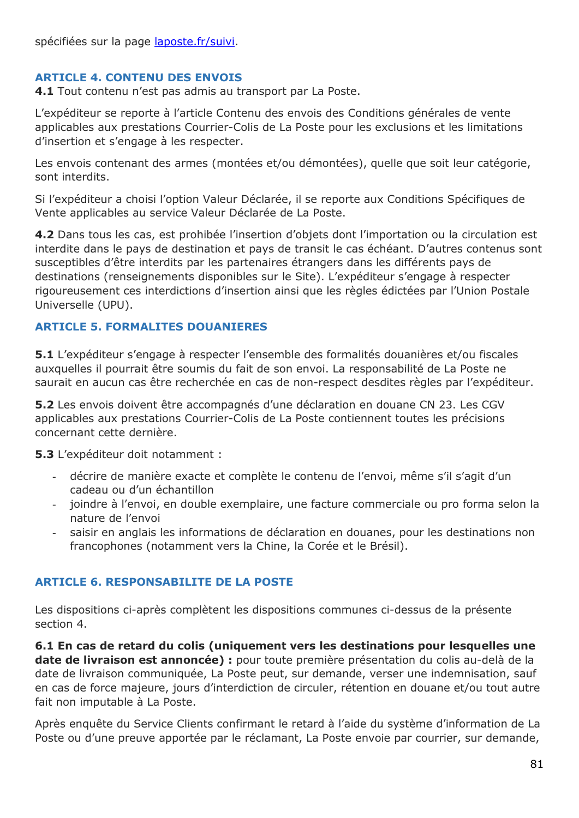## **ARTICLE 4. CONTENU DES ENVOIS**

**4.1** Tout contenu n'est pas admis au transport par La Poste.

L'expéditeur se reporte à l'article Contenu des envois des Conditions générales de vente applicables aux prestations Courrier-Colis de La Poste pour les exclusions et les limitations d'insertion et s'engage à les respecter.

Les envois contenant des armes (montées et/ou démontées), quelle que soit leur catégorie, sont interdits.

Si l'expéditeur a choisi l'option Valeur Déclarée, il se reporte aux Conditions Spécifiques de Vente applicables au service Valeur Déclarée de La Poste.

**4.2** Dans tous les cas, est prohibée l'insertion d'objets dont l'importation ou la circulation est interdite dans le pays de destination et pays de transit le cas échéant. D'autres contenus sont susceptibles d'être interdits par les partenaires étrangers dans les différents pays de destinations (renseignements disponibles sur le Site). L'expéditeur s'engage à respecter rigoureusement ces interdictions d'insertion ainsi que les règles édictées par l'Union Postale Universelle (UPU).

## **ARTICLE 5. FORMALITES DOUANIERES**

**5.1** L'expéditeur s'engage à respecter l'ensemble des formalités douanières et/ou fiscales auxquelles il pourrait être soumis du fait de son envoi. La responsabilité de La Poste ne saurait en aucun cas être recherchée en cas de non-respect desdites règles par l'expéditeur.

**5.2** Les envois doivent être accompagnés d'une déclaration en douane CN 23. Les CGV applicables aux prestations Courrier-Colis de La Poste contiennent toutes les précisions concernant cette dernière.

**5.3** L'expéditeur doit notamment :

- décrire de manière exacte et complète le contenu de l'envoi, même s'il s'agit d'un cadeau ou d'un échantillon
- joindre à l'envoi, en double exemplaire, une facture commerciale ou pro forma selon la nature de l'envoi
- saisir en anglais les informations de déclaration en douanes, pour les destinations non francophones (notamment vers la Chine, la Corée et le Brésil).

## **ARTICLE 6. RESPONSABILITE DE LA POSTE**

Les dispositions ci-après complètent les dispositions communes ci-dessus de la présente section 4.

**6.1 En cas de retard du colis (uniquement vers les destinations pour lesquelles une date de livraison est annoncée) :** pour toute première présentation du colis au-delà de la date de livraison communiquée, La Poste peut, sur demande, verser une indemnisation, sauf en cas de force majeure, jours d'interdiction de circuler, rétention en douane et/ou tout autre fait non imputable à La Poste.

Après enquête du Service Clients confirmant le retard à l'aide du système d'information de La Poste ou d'une preuve apportée par le réclamant, La Poste envoie par courrier, sur demande,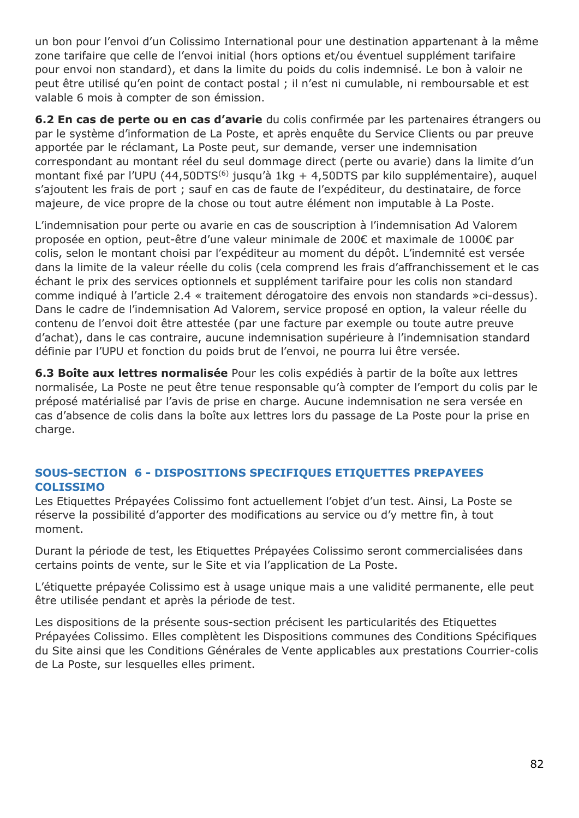un bon pour l'envoi d'un Colissimo International pour une destination appartenant à la même zone tarifaire que celle de l'envoi initial (hors options et/ou éventuel supplément tarifaire pour envoi non standard), et dans la limite du poids du colis indemnisé. Le bon à valoir ne peut être utilisé qu'en point de contact postal ; il n'est ni cumulable, ni remboursable et est valable 6 mois à compter de son émission.

**6.2 En cas de perte ou en cas d'avarie** du colis confirmée par les partenaires étrangers ou par le système d'information de La Poste, et après enquête du Service Clients ou par preuve apportée par le réclamant, La Poste peut, sur demande, verser une indemnisation correspondant au montant réel du seul dommage direct (perte ou avarie) dans la limite d'un montant fixé par l'UPU (44,50DTS<sup>(6)</sup> jusqu'à 1kg + 4,50DTS par kilo supplémentaire), auquel s'ajoutent les frais de port ; sauf en cas de faute de l'expéditeur, du destinataire, de force majeure, de vice propre de la chose ou tout autre élément non imputable à La Poste.

L'indemnisation pour perte ou avarie en cas de souscription à l'indemnisation Ad Valorem proposée en option, peut-être d'une valeur minimale de 200€ et maximale de 1000€ par colis, selon le montant choisi par l'expéditeur au moment du dépôt. L'indemnité est versée dans la limite de la valeur réelle du colis (cela comprend les frais d'affranchissement et le cas échant le prix des services optionnels et supplément tarifaire pour les colis non standard comme indiqué à l'article 2.4 « traitement dérogatoire des envois non standards »ci-dessus). Dans le cadre de l'indemnisation Ad Valorem, service proposé en option, la valeur réelle du contenu de l'envoi doit être attestée (par une facture par exemple ou toute autre preuve d'achat), dans le cas contraire, aucune indemnisation supérieure à l'indemnisation standard définie par l'UPU et fonction du poids brut de l'envoi, ne pourra lui être versée.

**6.3 Boîte aux lettres normalisée** Pour les colis expédiés à partir de la boîte aux lettres normalisée, La Poste ne peut être tenue responsable qu'à compter de l'emport du colis par le préposé matérialisé par l'avis de prise en charge. Aucune indemnisation ne sera versée en cas d'absence de colis dans la boîte aux lettres lors du passage de La Poste pour la prise en charge.

## **SOUS-SECTION 6 - DISPOSITIONS SPECIFIQUES ETIQUETTES PREPAYEES COLISSIMO**

Les Etiquettes Prépayées Colissimo font actuellement l'objet d'un test. Ainsi, La Poste se réserve la possibilité d'apporter des modifications au service ou d'y mettre fin, à tout moment.

Durant la période de test, les Etiquettes Prépayées Colissimo seront commercialisées dans certains points de vente, sur le Site et via l'application de La Poste.

L'étiquette prépayée Colissimo est à usage unique mais a une validité permanente, elle peut être utilisée pendant et après la période de test.

Les dispositions de la présente sous-section précisent les particularités des Etiquettes Prépayées Colissimo. Elles complètent les Dispositions communes des Conditions Spécifiques du Site ainsi que les Conditions Générales de Vente applicables aux prestations Courrier-colis de La Poste, sur lesquelles elles priment.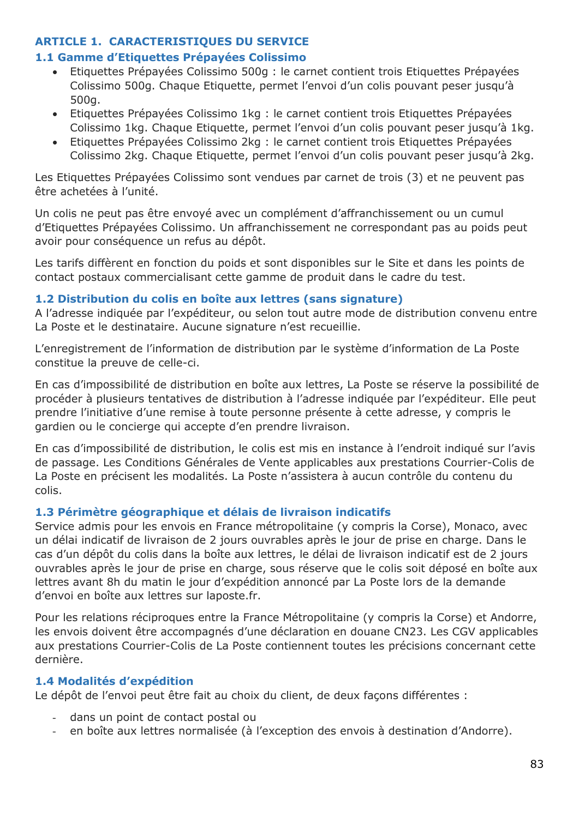### **ARTICLE 1. CARACTERISTIQUES DU SERVICE**

#### **1.1 Gamme d'Etiquettes Prépayées Colissimo**

- Etiquettes Prépayées Colissimo 500g : le carnet contient trois Etiquettes Prépayées Colissimo 500g. Chaque Etiquette, permet l'envoi d'un colis pouvant peser jusqu'à 500g.
- Etiquettes Prépayées Colissimo 1kg : le carnet contient trois Etiquettes Prépayées Colissimo 1kg. Chaque Etiquette, permet l'envoi d'un colis pouvant peser jusqu'à 1kg.
- Etiquettes Prépayées Colissimo 2kg : le carnet contient trois Etiquettes Prépayées Colissimo 2kg. Chaque Etiquette, permet l'envoi d'un colis pouvant peser jusqu'à 2kg.

Les Etiquettes Prépayées Colissimo sont vendues par carnet de trois (3) et ne peuvent pas être achetées à l'unité.

Un colis ne peut pas être envoyé avec un complément d'affranchissement ou un cumul d'Etiquettes Prépayées Colissimo. Un affranchissement ne correspondant pas au poids peut avoir pour conséquence un refus au dépôt.

Les tarifs diffèrent en fonction du poids et sont disponibles sur le Site et dans les points de contact postaux commercialisant cette gamme de produit dans le cadre du test.

#### **1.2 Distribution du colis en boîte aux lettres (sans signature)**

A l'adresse indiquée par l'expéditeur, ou selon tout autre mode de distribution convenu entre La Poste et le destinataire. Aucune signature n'est recueillie.

L'enregistrement de l'information de distribution par le système d'information de La Poste constitue la preuve de celle-ci.

En cas d'impossibilité de distribution en boîte aux lettres, La Poste se réserve la possibilité de procéder à plusieurs tentatives de distribution à l'adresse indiquée par l'expéditeur. Elle peut prendre l'initiative d'une remise à toute personne présente à cette adresse, y compris le gardien ou le concierge qui accepte d'en prendre livraison.

En cas d'impossibilité de distribution, le colis est mis en instance à l'endroit indiqué sur l'avis de passage. Les Conditions Générales de Vente applicables aux prestations Courrier-Colis de La Poste en précisent les modalités. La Poste n'assistera à aucun contrôle du contenu du colis.

#### **1.3 Périmètre géographique et délais de livraison indicatifs**

Service admis pour les envois en France métropolitaine (y compris la Corse), Monaco, avec un délai indicatif de livraison de 2 jours ouvrables après le jour de prise en charge. Dans le cas d'un dépôt du colis dans la boîte aux lettres, le délai de livraison indicatif est de 2 jours ouvrables après le jour de prise en charge, sous réserve que le colis soit déposé en boîte aux lettres avant 8h du matin le jour d'expédition annoncé par La Poste lors de la demande d'envoi en boîte aux lettres sur laposte.fr.

Pour les relations réciproques entre la France Métropolitaine (y compris la Corse) et Andorre, les envois doivent être accompagnés d'une déclaration en douane CN23. Les CGV applicables aux prestations Courrier-Colis de La Poste contiennent toutes les précisions concernant cette dernière.

#### **1.4 Modalités d'expédition**

Le dépôt de l'envoi peut être fait au choix du client, de deux façons différentes :

- dans un point de contact postal ou
- en boîte aux lettres normalisée (à l'exception des envois à destination d'Andorre).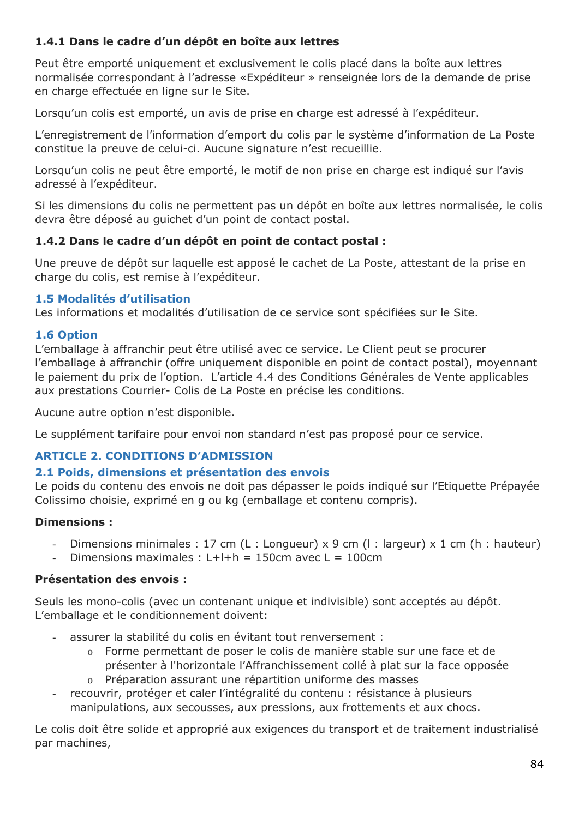## **1.4.1 Dans le cadre d'un dépôt en boîte aux lettres**

Peut être emporté uniquement et exclusivement le colis placé dans la boîte aux lettres normalisée correspondant à l'adresse «Expéditeur » renseignée lors de la demande de prise en charge effectuée en ligne sur le Site.

Lorsqu'un colis est emporté, un avis de prise en charge est adressé à l'expéditeur.

L'enregistrement de l'information d'emport du colis par le système d'information de La Poste constitue la preuve de celui-ci. Aucune signature n'est recueillie.

Lorsqu'un colis ne peut être emporté, le motif de non prise en charge est indiqué sur l'avis adressé à l'expéditeur.

Si les dimensions du colis ne permettent pas un dépôt en boîte aux lettres normalisée, le colis devra être déposé au guichet d'un point de contact postal.

## **1.4.2 Dans le cadre d'un dépôt en point de contact postal :**

Une preuve de dépôt sur laquelle est apposé le cachet de La Poste, attestant de la prise en charge du colis, est remise à l'expéditeur.

## **1.5 Modalités d'utilisation**

Les informations et modalités d'utilisation de ce service sont spécifiées sur le Site.

### **1.6 Option**

L'emballage à affranchir peut être utilisé avec ce service. Le Client peut se procurer l'emballage à affranchir (offre uniquement disponible en point de contact postal), moyennant le paiement du prix de l'option. L'article 4.4 des Conditions Générales de Vente applicables aux prestations Courrier- Colis de La Poste en précise les conditions.

Aucune autre option n'est disponible.

Le supplément tarifaire pour envoi non standard n'est pas proposé pour ce service.

## **ARTICLE 2. CONDITIONS D'ADMISSION**

#### **2.1 Poids, dimensions et présentation des envois**

Le poids du contenu des envois ne doit pas dépasser le poids indiqué sur l'Etiquette Prépayée Colissimo choisie, exprimé en g ou kg (emballage et contenu compris).

## **Dimensions :**

- Dimensions minimales : 17 cm (L : Longueur)  $x$  9 cm (I : largeur)  $x$  1 cm (h : hauteur)
- Dimensions maximales : L+l+h = 150cm avec L = 100cm

## **Présentation des envois :**

Seuls les mono-colis (avec un contenant unique et indivisible) sont acceptés au dépôt. L'emballage et le conditionnement doivent:

- assurer la stabilité du colis en évitant tout renversement :
	- o Forme permettant de poser le colis de manière stable sur une face et de présenter à l'horizontale l'Affranchissement collé à plat sur la face opposée
	- o Préparation assurant une répartition uniforme des masses
- recouvrir, protéger et caler l'intégralité du contenu : résistance à plusieurs manipulations, aux secousses, aux pressions, aux frottements et aux chocs.

Le colis doit être solide et approprié aux exigences du transport et de traitement industrialisé par machines,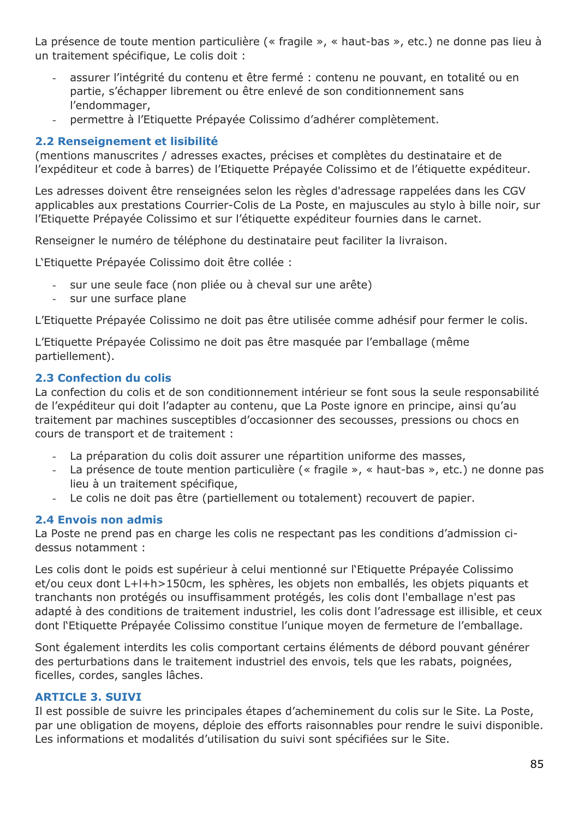La présence de toute mention particulière (« fragile », « haut-bas », etc.) ne donne pas lieu à un traitement spécifique, Le colis doit :

- assurer l'intégrité du contenu et être fermé : contenu ne pouvant, en totalité ou en partie, s'échapper librement ou être enlevé de son conditionnement sans l'endommager,
- permettre à l'Etiquette Prépayée Colissimo d'adhérer complètement.

## **2.2 Renseignement et lisibilité**

(mentions manuscrites / adresses exactes, précises et complètes du destinataire et de l'expéditeur et code à barres) de l'Etiquette Prépayée Colissimo et de l'étiquette expéditeur.

Les adresses doivent être renseignées selon les règles d'adressage rappelées dans les CGV applicables aux prestations Courrier-Colis de La Poste, en majuscules au stylo à bille noir, sur l'Etiquette Prépayée Colissimo et sur l'étiquette expéditeur fournies dans le carnet.

Renseigner le numéro de téléphone du destinataire peut faciliter la livraison.

L'Etiquette Prépayée Colissimo doit être collée :

- sur une seule face (non pliée ou à cheval sur une arête)
- sur une surface plane

L'Etiquette Prépayée Colissimo ne doit pas être utilisée comme adhésif pour fermer le colis.

L'Etiquette Prépayée Colissimo ne doit pas être masquée par l'emballage (même partiellement).

## **2.3 Confection du colis**

La confection du colis et de son conditionnement intérieur se font sous la seule responsabilité de l'expéditeur qui doit l'adapter au contenu, que La Poste ignore en principe, ainsi qu'au traitement par machines susceptibles d'occasionner des secousses, pressions ou chocs en cours de transport et de traitement :

- La préparation du colis doit assurer une répartition uniforme des masses,
- La présence de toute mention particulière (« fragile », « haut-bas », etc.) ne donne pas lieu à un traitement spécifique,
- Le colis ne doit pas être (partiellement ou totalement) recouvert de papier.

#### **2.4 Envois non admis**

La Poste ne prend pas en charge les colis ne respectant pas les conditions d'admission cidessus notamment :

Les colis dont le poids est supérieur à celui mentionné sur l'Etiquette Prépayée Colissimo et/ou ceux dont L+l+h>150cm, les sphères, les objets non emballés, les objets piquants et tranchants non protégés ou insuffisamment protégés, les colis dont l'emballage n'est pas adapté à des conditions de traitement industriel, les colis dont l'adressage est illisible, et ceux dont l'Etiquette Prépayée Colissimo constitue l'unique moyen de fermeture de l'emballage.

Sont également interdits les colis comportant certains éléments de débord pouvant générer des perturbations dans le traitement industriel des envois, tels que les rabats, poignées, ficelles, cordes, sangles lâches.

### **ARTICLE 3. SUIVI**

Il est possible de suivre les principales étapes d'acheminement du colis sur le Site. La Poste, par une obligation de moyens, déploie des efforts raisonnables pour rendre le suivi disponible. Les informations et modalités d'utilisation du suivi sont spécifiées sur le Site.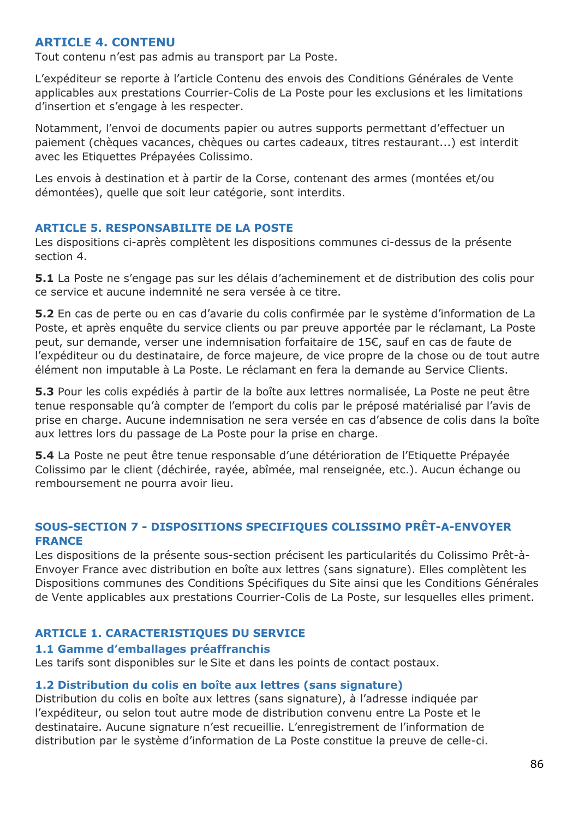## **ARTICLE 4. CONTENU**

Tout contenu n'est pas admis au transport par La Poste.

L'expéditeur se reporte à l'article Contenu des envois des Conditions Générales de Vente applicables aux prestations Courrier-Colis de La Poste pour les exclusions et les limitations d'insertion et s'engage à les respecter.

Notamment, l'envoi de documents papier ou autres supports permettant d'effectuer un paiement (chèques vacances, chèques ou cartes cadeaux, titres restaurant...) est interdit avec les Etiquettes Prépayées Colissimo.

Les envois à destination et à partir de la Corse, contenant des armes (montées et/ou démontées), quelle que soit leur catégorie, sont interdits.

### **ARTICLE 5. RESPONSABILITE DE LA POSTE**

Les dispositions ci-après complètent les dispositions communes ci-dessus de la présente section 4.

**5.1** La Poste ne s'engage pas sur les délais d'acheminement et de distribution des colis pour ce service et aucune indemnité ne sera versée à ce titre.

**5.2** En cas de perte ou en cas d'avarie du colis confirmée par le système d'information de La Poste, et après enquête du service clients ou par preuve apportée par le réclamant, La Poste peut, sur demande, verser une indemnisation forfaitaire de 15€, sauf en cas de faute de l'expéditeur ou du destinataire, de force majeure, de vice propre de la chose ou de tout autre élément non imputable à La Poste. Le réclamant en fera la demande au Service Clients.

**5.3** Pour les colis expédiés à partir de la boîte aux lettres normalisée, La Poste ne peut être tenue responsable qu'à compter de l'emport du colis par le préposé matérialisé par l'avis de prise en charge. Aucune indemnisation ne sera versée en cas d'absence de colis dans la boîte aux lettres lors du passage de La Poste pour la prise en charge.

**5.4** La Poste ne peut être tenue responsable d'une détérioration de l'Etiquette Prépayée Colissimo par le client (déchirée, rayée, abîmée, mal renseignée, etc.). Aucun échange ou remboursement ne pourra avoir lieu.

### **SOUS-SECTION 7 - DISPOSITIONS SPECIFIQUES COLISSIMO PRÊT-A-ENVOYER FRANCE**

Les dispositions de la présente sous-section précisent les particularités du Colissimo Prêt-à-Envoyer France avec distribution en boîte aux lettres (sans signature). Elles complètent les Dispositions communes des Conditions Spécifiques du Site ainsi que les Conditions Générales de Vente applicables aux prestations Courrier-Colis de La Poste, sur lesquelles elles priment.

## **ARTICLE 1. CARACTERISTIQUES DU SERVICE**

#### **1.1 Gamme d'emballages préaffranchis**

Les tarifs sont disponibles sur le Site et dans les points de contact postaux.

#### **1.2 Distribution du colis en boîte aux lettres (sans signature)**

Distribution du colis en boîte aux lettres (sans signature), à l'adresse indiquée par l'expéditeur, ou selon tout autre mode de distribution convenu entre La Poste et le destinataire. Aucune signature n'est recueillie. L'enregistrement de l'information de distribution par le système d'information de La Poste constitue la preuve de celle-ci.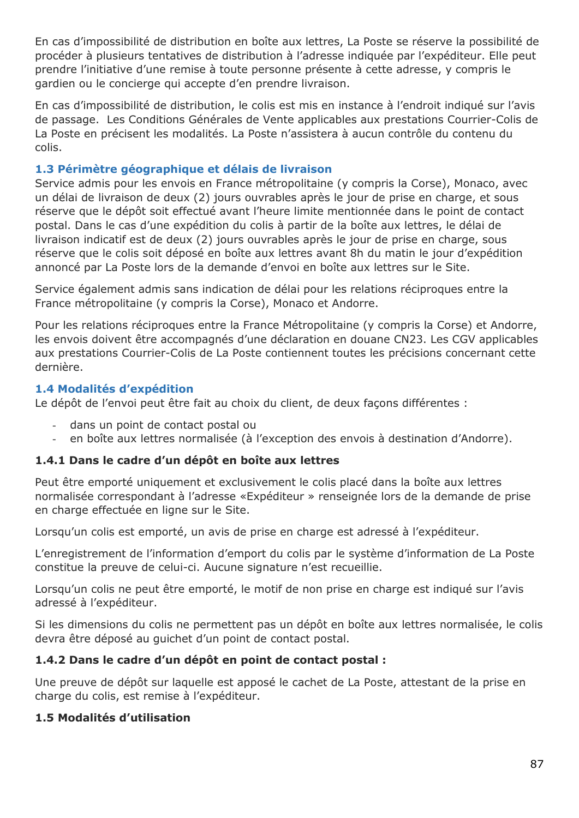En cas d'impossibilité de distribution en boîte aux lettres, La Poste se réserve la possibilité de procéder à plusieurs tentatives de distribution à l'adresse indiquée par l'expéditeur. Elle peut prendre l'initiative d'une remise à toute personne présente à cette adresse, y compris le gardien ou le concierge qui accepte d'en prendre livraison.

En cas d'impossibilité de distribution, le colis est mis en instance à l'endroit indiqué sur l'avis de passage. Les Conditions Générales de Vente applicables aux prestations Courrier-Colis de La Poste en précisent les modalités. La Poste n'assistera à aucun contrôle du contenu du colis.

### **1.3 Périmètre géographique et délais de livraison**

Service admis pour les envois en France métropolitaine (y compris la Corse), Monaco, avec un délai de livraison de deux (2) jours ouvrables après le jour de prise en charge, et sous réserve que le dépôt soit effectué avant l'heure limite mentionnée dans le point de contact postal. Dans le cas d'une expédition du colis à partir de la boîte aux lettres, le délai de livraison indicatif est de deux (2) jours ouvrables après le jour de prise en charge, sous réserve que le colis soit déposé en boîte aux lettres avant 8h du matin le jour d'expédition annoncé par La Poste lors de la demande d'envoi en boîte aux lettres sur le Site.

Service également admis sans indication de délai pour les relations réciproques entre la France métropolitaine (y compris la Corse), Monaco et Andorre.

Pour les relations réciproques entre la France Métropolitaine (y compris la Corse) et Andorre, les envois doivent être accompagnés d'une déclaration en douane CN23. Les CGV applicables aux prestations Courrier-Colis de La Poste contiennent toutes les précisions concernant cette dernière.

### **1.4 Modalités d'expédition**

Le dépôt de l'envoi peut être fait au choix du client, de deux façons différentes :

- dans un point de contact postal ou
- en boîte aux lettres normalisée (à l'exception des envois à destination d'Andorre).

## **1.4.1 Dans le cadre d'un dépôt en boîte aux lettres**

Peut être emporté uniquement et exclusivement le colis placé dans la boîte aux lettres normalisée correspondant à l'adresse «Expéditeur » renseignée lors de la demande de prise en charge effectuée en ligne sur le Site.

Lorsqu'un colis est emporté, un avis de prise en charge est adressé à l'expéditeur.

L'enregistrement de l'information d'emport du colis par le système d'information de La Poste constitue la preuve de celui-ci. Aucune signature n'est recueillie.

Lorsqu'un colis ne peut être emporté, le motif de non prise en charge est indiqué sur l'avis adressé à l'expéditeur.

Si les dimensions du colis ne permettent pas un dépôt en boîte aux lettres normalisée, le colis devra être déposé au guichet d'un point de contact postal.

## **1.4.2 Dans le cadre d'un dépôt en point de contact postal :**

Une preuve de dépôt sur laquelle est apposé le cachet de La Poste, attestant de la prise en charge du colis, est remise à l'expéditeur.

## **1.5 Modalités d'utilisation**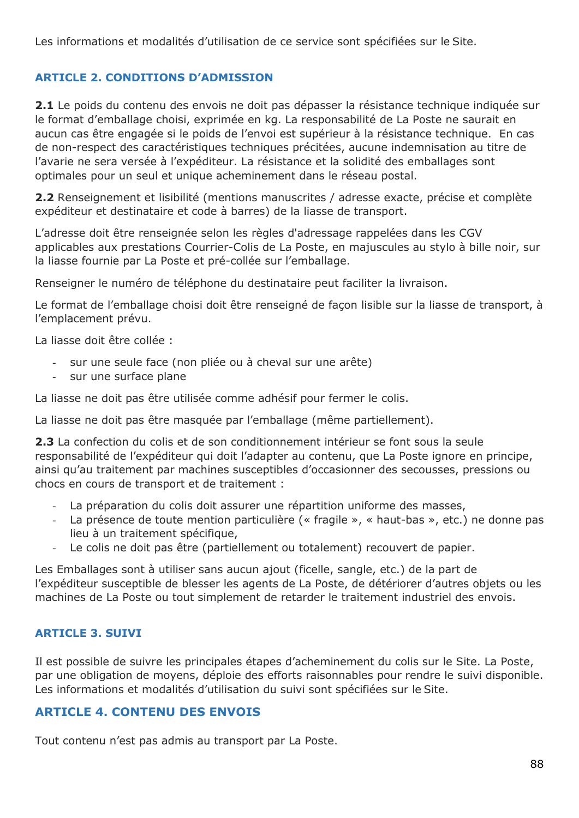Les informations et modalités d'utilisation de ce service sont spécifiées sur le Site.

## **ARTICLE 2. CONDITIONS D'ADMISSION**

2.1 Le poids du contenu des envois ne doit pas dépasser la résistance technique indiquée sur le format d'emballage choisi, exprimée en kg. La responsabilité de La Poste ne saurait en aucun cas être engagée si le poids de l'envoi est supérieur à la résistance technique. En cas de non-respect des caractéristiques techniques précitées, aucune indemnisation au titre de l'avarie ne sera versée à l'expéditeur. La résistance et la solidité des emballages sont optimales pour un seul et unique acheminement dans le réseau postal.

**2.2** Renseignement et lisibilité (mentions manuscrites / adresse exacte, précise et complète expéditeur et destinataire et code à barres) de la liasse de transport.

L'adresse doit être renseignée selon les règles d'adressage rappelées dans les CGV applicables aux prestations Courrier-Colis de La Poste, en majuscules au stylo à bille noir, sur la liasse fournie par La Poste et pré-collée sur l'emballage.

Renseigner le numéro de téléphone du destinataire peut faciliter la livraison.

Le format de l'emballage choisi doit être renseigné de façon lisible sur la liasse de transport, à l'emplacement prévu.

La liasse doit être collée :

- sur une seule face (non pliée ou à cheval sur une arête)
- sur une surface plane

La liasse ne doit pas être utilisée comme adhésif pour fermer le colis.

La liasse ne doit pas être masquée par l'emballage (même partiellement).

**2.3** La confection du colis et de son conditionnement intérieur se font sous la seule responsabilité de l'expéditeur qui doit l'adapter au contenu, que La Poste ignore en principe, ainsi qu'au traitement par machines susceptibles d'occasionner des secousses, pressions ou chocs en cours de transport et de traitement :

- La préparation du colis doit assurer une répartition uniforme des masses,
- La présence de toute mention particulière (« fragile », « haut-bas », etc.) ne donne pas lieu à un traitement spécifique,
- Le colis ne doit pas être (partiellement ou totalement) recouvert de papier.

Les Emballages sont à utiliser sans aucun ajout (ficelle, sangle, etc.) de la part de l'expéditeur susceptible de blesser les agents de La Poste, de détériorer d'autres objets ou les machines de La Poste ou tout simplement de retarder le traitement industriel des envois.

#### **ARTICLE 3. SUIVI**

Il est possible de suivre les principales étapes d'acheminement du colis sur le Site. La Poste, par une obligation de moyens, déploie des efforts raisonnables pour rendre le suivi disponible. Les informations et modalités d'utilisation du suivi sont spécifiées sur le Site.

## **ARTICLE 4. CONTENU DES ENVOIS**

Tout contenu n'est pas admis au transport par La Poste.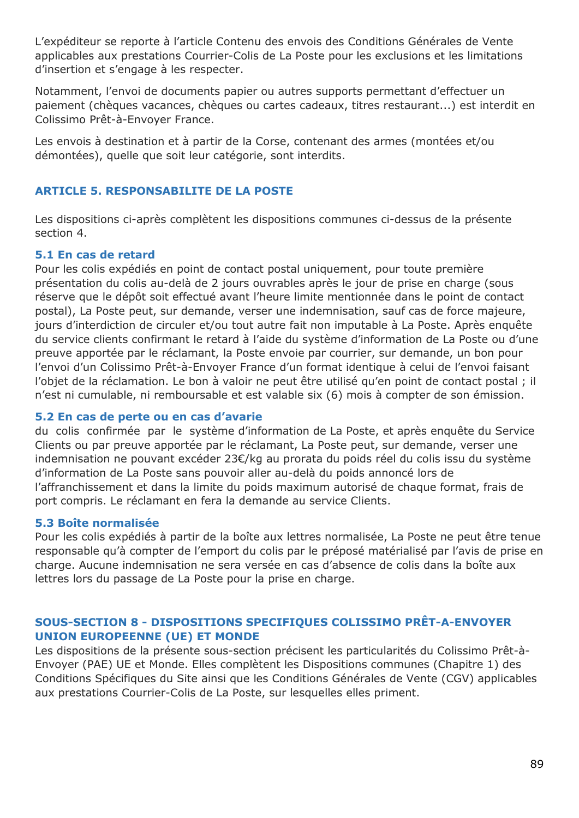L'expéditeur se reporte à l'article Contenu des envois des Conditions Générales de Vente applicables aux prestations Courrier-Colis de La Poste pour les exclusions et les limitations d'insertion et s'engage à les respecter.

Notamment, l'envoi de documents papier ou autres supports permettant d'effectuer un paiement (chèques vacances, chèques ou cartes cadeaux, titres restaurant...) est interdit en Colissimo Prêt-à-Envoyer France.

Les envois à destination et à partir de la Corse, contenant des armes (montées et/ou démontées), quelle que soit leur catégorie, sont interdits.

#### **ARTICLE 5. RESPONSABILITE DE LA POSTE**

Les dispositions ci-après complètent les dispositions communes ci-dessus de la présente section 4.

#### **5.1 En cas de retard**

Pour les colis expédiés en point de contact postal uniquement, pour toute première présentation du colis au-delà de 2 jours ouvrables après le jour de prise en charge (sous réserve que le dépôt soit effectué avant l'heure limite mentionnée dans le point de contact postal), La Poste peut, sur demande, verser une indemnisation, sauf cas de force majeure, jours d'interdiction de circuler et/ou tout autre fait non imputable à La Poste. Après enquête du service clients confirmant le retard à l'aide du système d'information de La Poste ou d'une preuve apportée par le réclamant, la Poste envoie par courrier, sur demande, un bon pour l'envoi d'un Colissimo Prêt-à-Envoyer France d'un format identique à celui de l'envoi faisant l'objet de la réclamation. Le bon à valoir ne peut être utilisé qu'en point de contact postal ; il n'est ni cumulable, ni remboursable et est valable six (6) mois à compter de son émission.

#### **5.2 En cas de perte ou en cas d'avarie**

du colis confirmée par le système d'information de La Poste, et après enquête du Service Clients ou par preuve apportée par le réclamant, La Poste peut, sur demande, verser une indemnisation ne pouvant excéder 23€/kg au prorata du poids réel du colis issu du système d'information de La Poste sans pouvoir aller au-delà du poids annoncé lors de l'affranchissement et dans la limite du poids maximum autorisé de chaque format, frais de port compris. Le réclamant en fera la demande au service Clients.

#### **5.3 Boîte normalisée**

Pour les colis expédiés à partir de la boîte aux lettres normalisée, La Poste ne peut être tenue responsable qu'à compter de l'emport du colis par le préposé matérialisé par l'avis de prise en charge. Aucune indemnisation ne sera versée en cas d'absence de colis dans la boîte aux lettres lors du passage de La Poste pour la prise en charge.

### **SOUS-SECTION 8 - DISPOSITIONS SPECIFIQUES COLISSIMO PRÊT-A-ENVOYER UNION EUROPEENNE (UE) ET MONDE**

Les dispositions de la présente sous-section précisent les particularités du Colissimo Prêt-à-Envoyer (PAE) UE et Monde. Elles complètent les Dispositions communes (Chapitre 1) des Conditions Spécifiques du Site ainsi que les Conditions Générales de Vente (CGV) applicables aux prestations Courrier-Colis de La Poste, sur lesquelles elles priment.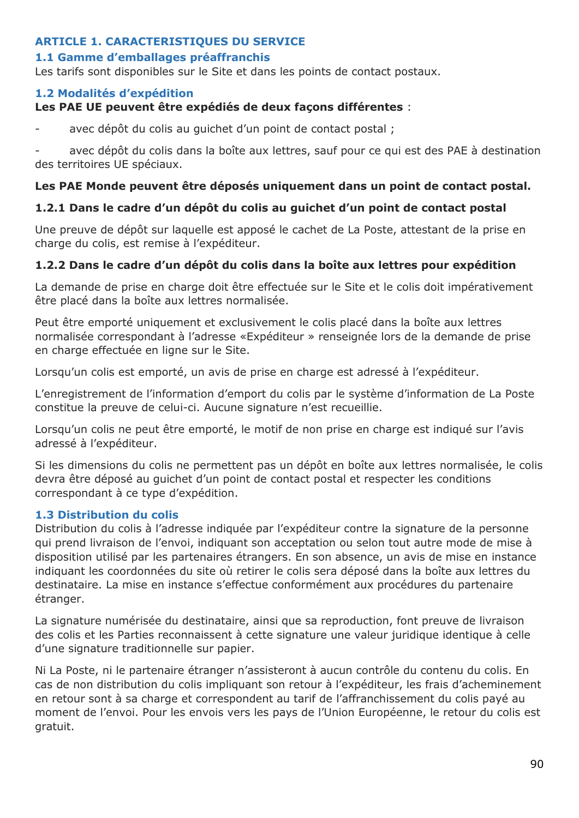## **ARTICLE 1. CARACTERISTIQUES DU SERVICE**

## **1.1 Gamme d'emballages préaffranchis**

Les tarifs sont disponibles sur le Site et dans les points de contact postaux.

## **1.2 Modalités d'expédition**

## **Les PAE UE peuvent être expédiés de deux façons différentes** :

avec dépôt du colis au quichet d'un point de contact postal ;

avec dépôt du colis dans la boîte aux lettres, sauf pour ce qui est des PAE à destination des territoires UE spéciaux.

## **Les PAE Monde peuvent être déposés uniquement dans un point de contact postal.**

## **1.2.1 Dans le cadre d'un dépôt du colis au guichet d'un point de contact postal**

Une preuve de dépôt sur laquelle est apposé le cachet de La Poste, attestant de la prise en charge du colis, est remise à l'expéditeur.

# **1.2.2 Dans le cadre d'un dépôt du colis dans la boîte aux lettres pour expédition**

La demande de prise en charge doit être effectuée sur le Site et le colis doit impérativement être placé dans la boîte aux lettres normalisée.

Peut être emporté uniquement et exclusivement le colis placé dans la boîte aux lettres normalisée correspondant à l'adresse «Expéditeur » renseignée lors de la demande de prise en charge effectuée en ligne sur le Site.

Lorsqu'un colis est emporté, un avis de prise en charge est adressé à l'expéditeur.

L'enregistrement de l'information d'emport du colis par le système d'information de La Poste constitue la preuve de celui-ci. Aucune signature n'est recueillie.

Lorsqu'un colis ne peut être emporté, le motif de non prise en charge est indiqué sur l'avis adressé à l'expéditeur.

Si les dimensions du colis ne permettent pas un dépôt en boîte aux lettres normalisée, le colis devra être déposé au guichet d'un point de contact postal et respecter les conditions correspondant à ce type d'expédition.

## **1.3 Distribution du colis**

Distribution du colis à l'adresse indiquée par l'expéditeur contre la signature de la personne qui prend livraison de l'envoi, indiquant son acceptation ou selon tout autre mode de mise à disposition utilisé par les partenaires étrangers. En son absence, un avis de mise en instance indiquant les coordonnées du site où retirer le colis sera déposé dans la boîte aux lettres du destinataire. La mise en instance s'effectue conformément aux procédures du partenaire étranger.

La signature numérisée du destinataire, ainsi que sa reproduction, font preuve de livraison des colis et les Parties reconnaissent à cette signature une valeur juridique identique à celle d'une signature traditionnelle sur papier.

Ni La Poste, ni le partenaire étranger n'assisteront à aucun contrôle du contenu du colis. En cas de non distribution du colis impliquant son retour à l'expéditeur, les frais d'acheminement en retour sont à sa charge et correspondent au tarif de l'affranchissement du colis payé au moment de l'envoi. Pour les envois vers les pays de l'Union Européenne, le retour du colis est gratuit.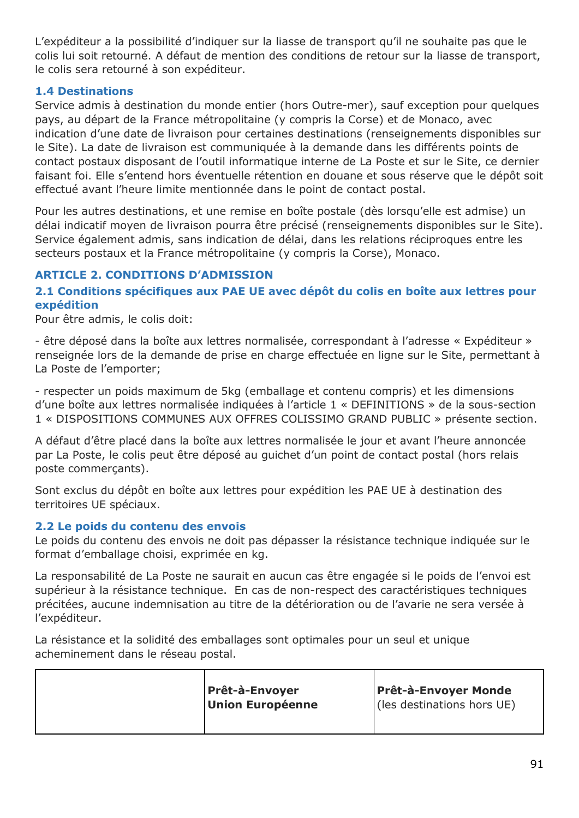L'expéditeur a la possibilité d'indiquer sur la liasse de transport qu'il ne souhaite pas que le colis lui soit retourné. A défaut de mention des conditions de retour sur la liasse de transport, le colis sera retourné à son expéditeur.

## **1.4 Destinations**

Service admis à destination du monde entier (hors Outre-mer), sauf exception pour quelques pays, au départ de la France métropolitaine (y compris la Corse) et de Monaco, avec indication d'une date de livraison pour certaines destinations (renseignements disponibles sur le Site). La date de livraison est communiquée à la demande dans les différents points de contact postaux disposant de l'outil informatique interne de La Poste et sur le Site, ce dernier faisant foi. Elle s'entend hors éventuelle rétention en douane et sous réserve que le dépôt soit effectué avant l'heure limite mentionnée dans le point de contact postal.

Pour les autres destinations, et une remise en boîte postale (dès lorsqu'elle est admise) un délai indicatif moyen de livraison pourra être précisé (renseignements disponibles sur le Site). Service également admis, sans indication de délai, dans les relations réciproques entre les secteurs postaux et la France métropolitaine (y compris la Corse), Monaco.

## **ARTICLE 2. CONDITIONS D'ADMISSION**

## **2.1 Conditions spécifiques aux PAE UE avec dépôt du colis en boîte aux lettres pour expédition**

Pour être admis, le colis doit:

- être déposé dans la boîte aux lettres normalisée, correspondant à l'adresse « Expéditeur » renseignée lors de la demande de prise en charge effectuée en ligne sur le Site, permettant à La Poste de l'emporter;

- respecter un poids maximum de 5kg (emballage et contenu compris) et les dimensions d'une boîte aux lettres normalisée indiquées à l'article 1 « DEFINITIONS » de la sous-section 1 « DISPOSITIONS COMMUNES AUX OFFRES COLISSIMO GRAND PUBLIC » présente section.

A défaut d'être placé dans la boîte aux lettres normalisée le jour et avant l'heure annoncée par La Poste, le colis peut être déposé au guichet d'un point de contact postal (hors relais poste commerçants).

Sont exclus du dépôt en boîte aux lettres pour expédition les PAE UE à destination des territoires UE spéciaux.

## **2.2 Le poids du contenu des envois**

Le poids du contenu des envois ne doit pas dépasser la résistance technique indiquée sur le format d'emballage choisi, exprimée en kg.

La responsabilité de La Poste ne saurait en aucun cas être engagée si le poids de l'envoi est supérieur à la résistance technique. En cas de non-respect des caractéristiques techniques précitées, aucune indemnisation au titre de la détérioration ou de l'avarie ne sera versée à l'expéditeur.

La résistance et la solidité des emballages sont optimales pour un seul et unique acheminement dans le réseau postal.

| <b>Prêt-à-Envoyer</b>   | <b>Prêt-à-Envoyer Monde</b> |
|-------------------------|-----------------------------|
| <b>Union Européenne</b> | (les destinations hors UE)  |
|                         |                             |
|                         |                             |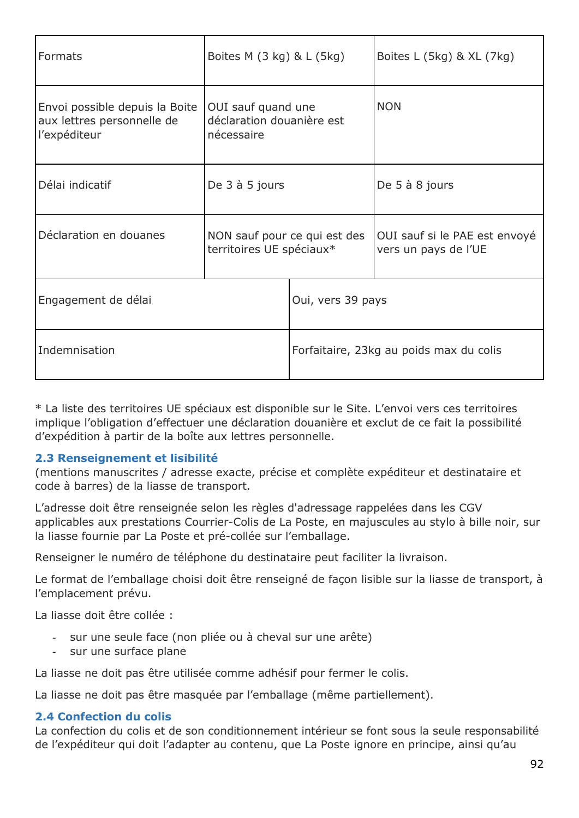| Formats                                                                      | Boites M $(3 \text{ kg})$ & L $(5 \text{ kg})$                |                                         | Boites L (5kg) & XL (7kg)                             |  |
|------------------------------------------------------------------------------|---------------------------------------------------------------|-----------------------------------------|-------------------------------------------------------|--|
| Envoi possible depuis la Boite<br>aux lettres personnelle de<br>l'expéditeur | OUI sauf quand une<br>déclaration douanière est<br>nécessaire |                                         | <b>NON</b>                                            |  |
| Délai indicatif                                                              | De 3 à 5 jours                                                |                                         | De 5 à 8 jours                                        |  |
| Déclaration en douanes                                                       | NON sauf pour ce qui est des<br>territoires UE spéciaux*      |                                         | OUI sauf si le PAE est envoyé<br>vers un pays de l'UE |  |
| Engagement de délai                                                          |                                                               | Oui, vers 39 pays                       |                                                       |  |
| Indemnisation                                                                |                                                               | Forfaitaire, 23kg au poids max du colis |                                                       |  |

\* La liste des territoires UE spéciaux est disponible sur le Site. L'envoi vers ces territoires implique l'obligation d'effectuer une déclaration douanière et exclut de ce fait la possibilité d'expédition à partir de la boîte aux lettres personnelle.

## **2.3 Renseignement et lisibilité**

(mentions manuscrites / adresse exacte, précise et complète expéditeur et destinataire et code à barres) de la liasse de transport.

L'adresse doit être renseignée selon les règles d'adressage rappelées dans les CGV applicables aux prestations Courrier-Colis de La Poste, en majuscules au stylo à bille noir, sur la liasse fournie par La Poste et pré-collée sur l'emballage.

Renseigner le numéro de téléphone du destinataire peut faciliter la livraison.

Le format de l'emballage choisi doit être renseigné de façon lisible sur la liasse de transport, à l'emplacement prévu.

La liasse doit être collée :

- sur une seule face (non pliée ou à cheval sur une arête)
- sur une surface plane

La liasse ne doit pas être utilisée comme adhésif pour fermer le colis.

La liasse ne doit pas être masquée par l'emballage (même partiellement).

#### **2.4 Confection du colis**

La confection du colis et de son conditionnement intérieur se font sous la seule responsabilité de l'expéditeur qui doit l'adapter au contenu, que La Poste ignore en principe, ainsi qu'au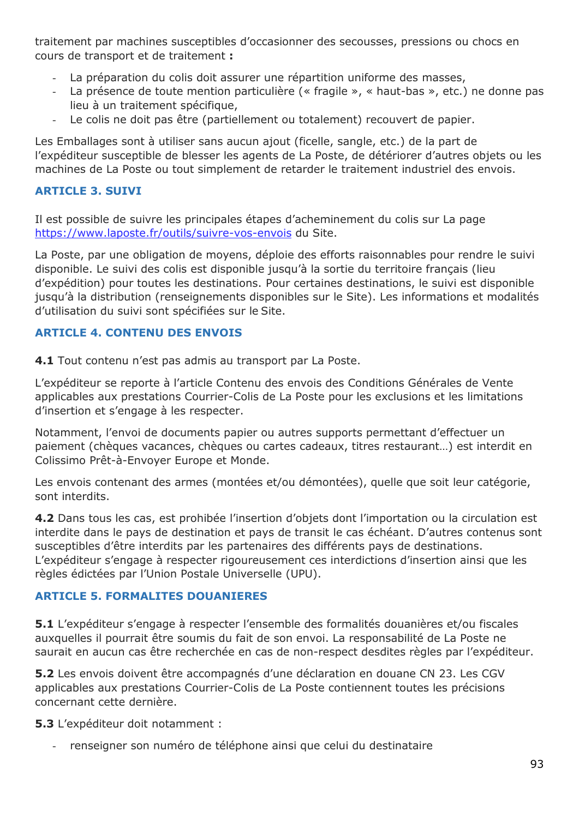traitement par machines susceptibles d'occasionner des secousses, pressions ou chocs en cours de transport et de traitement **:**

- La préparation du colis doit assurer une répartition uniforme des masses,
- La présence de toute mention particulière (« fragile », « haut-bas », etc.) ne donne pas lieu à un traitement spécifique,
- Le colis ne doit pas être (partiellement ou totalement) recouvert de papier.

Les Emballages sont à utiliser sans aucun ajout (ficelle, sangle, etc.) de la part de l'expéditeur susceptible de blesser les agents de La Poste, de détériorer d'autres objets ou les machines de La Poste ou tout simplement de retarder le traitement industriel des envois.

### **ARTICLE 3. SUIVI**

Il est possible de suivre les principales étapes d'acheminement du colis sur La page <https://www.laposte.fr/outils/suivre-vos-envois> du Site.

La Poste, par une obligation de moyens, déploie des efforts raisonnables pour rendre le suivi disponible. Le suivi des colis est disponible jusqu'à la sortie du territoire français (lieu d'expédition) pour toutes les destinations. Pour certaines destinations, le suivi est disponible jusqu'à la distribution (renseignements disponibles sur le Site). Les informations et modalités d'utilisation du suivi sont spécifiées sur le Site.

## **ARTICLE 4. CONTENU DES ENVOIS**

**4.1** Tout contenu n'est pas admis au transport par La Poste.

L'expéditeur se reporte à l'article Contenu des envois des Conditions Générales de Vente applicables aux prestations Courrier-Colis de La Poste pour les exclusions et les limitations d'insertion et s'engage à les respecter.

Notamment, l'envoi de documents papier ou autres supports permettant d'effectuer un paiement (chèques vacances, chèques ou cartes cadeaux, titres restaurant…) est interdit en Colissimo Prêt-à-Envoyer Europe et Monde.

Les envois contenant des armes (montées et/ou démontées), quelle que soit leur catégorie, sont interdits.

**4.2** Dans tous les cas, est prohibée l'insertion d'objets dont l'importation ou la circulation est interdite dans le pays de destination et pays de transit le cas échéant. D'autres contenus sont susceptibles d'être interdits par les partenaires des différents pays de destinations. L'expéditeur s'engage à respecter rigoureusement ces interdictions d'insertion ainsi que les règles édictées par l'Union Postale Universelle (UPU).

## **ARTICLE 5. FORMALITES DOUANIERES**

**5.1** L'expéditeur s'engage à respecter l'ensemble des formalités douanières et/ou fiscales auxquelles il pourrait être soumis du fait de son envoi. La responsabilité de La Poste ne saurait en aucun cas être recherchée en cas de non-respect desdites règles par l'expéditeur.

**5.2** Les envois doivent être accompagnés d'une déclaration en douane CN 23. Les CGV applicables aux prestations Courrier-Colis de La Poste contiennent toutes les précisions concernant cette dernière.

**5.3** L'expéditeur doit notamment :

renseigner son numéro de téléphone ainsi que celui du destinataire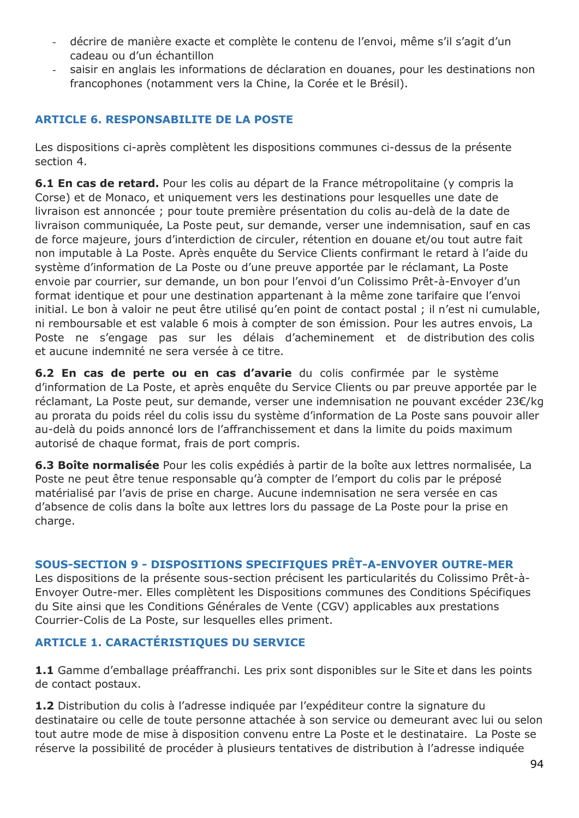- décrire de manière exacte et complète le contenu de l'envoi, même s'il s'agit d'un cadeau ou d'un échantillon
- saisir en anglais les informations de déclaration en douanes, pour les destinations non francophones (notamment vers la Chine, la Corée et le Brésil).

### **ARTICLE 6. RESPONSABILITE DE LA POSTE**

Les dispositions ci-après complètent les dispositions communes ci-dessus de la présente section 4.

**6.1 En cas de retard.** Pour les colis au départ de la France métropolitaine (y compris la Corse) et de Monaco, et uniquement vers les destinations pour lesquelles une date de livraison est annoncée ; pour toute première présentation du colis au-delà de la date de livraison communiquée, La Poste peut, sur demande, verser une indemnisation, sauf en cas de force majeure, jours d'interdiction de circuler, rétention en douane et/ou tout autre fait non imputable à La Poste. Après enquête du Service Clients confirmant le retard à l'aide du système d'information de La Poste ou d'une preuve apportée par le réclamant, La Poste envoie par courrier, sur demande, un bon pour l'envoi d'un Colissimo Prêt-à-Envoyer d'un format identique et pour une destination appartenant à la même zone tarifaire que l'envoi initial. Le bon à valoir ne peut être utilisé qu'en point de contact postal ; il n'est ni cumulable, ni remboursable et est valable 6 mois à compter de son émission. Pour les autres envois, La Poste ne s'engage pas sur les délais d'acheminement et de distribution des colis et aucune indemnité ne sera versée à ce titre.

**6.2 En cas de perte ou en cas d'avarie** du colis confirmée par le système d'information de La Poste, et après enquête du Service Clients ou par preuve apportée par le réclamant, La Poste peut, sur demande, verser une indemnisation ne pouvant excéder 23€/kg au prorata du poids réel du colis issu du système d'information de La Poste sans pouvoir aller au-delà du poids annoncé lors de l'affranchissement et dans la limite du poids maximum autorisé de chaque format, frais de port compris.

**6.3 Boîte normalisée** Pour les colis expédiés à partir de la boîte aux lettres normalisée, La Poste ne peut être tenue responsable qu'à compter de l'emport du colis par le préposé matérialisé par l'avis de prise en charge. Aucune indemnisation ne sera versée en cas d'absence de colis dans la boîte aux lettres lors du passage de La Poste pour la prise en charge.

#### **SOUS-SECTION 9 - DISPOSITIONS SPECIFIQUES PRÊT-A-ENVOYER OUTRE-MER**

Les dispositions de la présente sous-section précisent les particularités du Colissimo Prêt-à-Envoyer Outre-mer. Elles complètent les Dispositions communes des Conditions Spécifiques du Site ainsi que les Conditions Générales de Vente (CGV) applicables aux prestations Courrier-Colis de La Poste, sur lesquelles elles priment.

## **ARTICLE 1. CARACTÉRISTIQUES DU SERVICE**

**1.1** Gamme d'emballage préaffranchi. Les prix sont disponibles sur le Site et dans les points de contact postaux.

**1.2** Distribution du colis à l'adresse indiquée par l'expéditeur contre la signature du destinataire ou celle de toute personne attachée à son service ou demeurant avec lui ou selon tout autre mode de mise à disposition convenu entre La Poste et le destinataire. La Poste se réserve la possibilité de procéder à plusieurs tentatives de distribution à l'adresse indiquée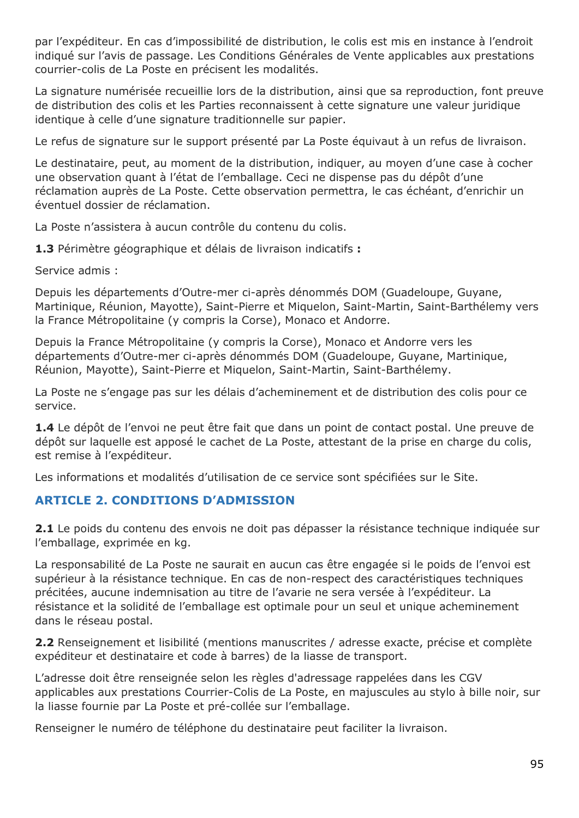par l'expéditeur. En cas d'impossibilité de distribution, le colis est mis en instance à l'endroit indiqué sur l'avis de passage. Les Conditions Générales de Vente applicables aux prestations courrier-colis de La Poste en précisent les modalités.

La signature numérisée recueillie lors de la distribution, ainsi que sa reproduction, font preuve de distribution des colis et les Parties reconnaissent à cette signature une valeur juridique identique à celle d'une signature traditionnelle sur papier.

Le refus de signature sur le support présenté par La Poste équivaut à un refus de livraison.

Le destinataire, peut, au moment de la distribution, indiquer, au moyen d'une case à cocher une observation quant à l'état de l'emballage. Ceci ne dispense pas du dépôt d'une réclamation auprès de La Poste. Cette observation permettra, le cas échéant, d'enrichir un éventuel dossier de réclamation.

La Poste n'assistera à aucun contrôle du contenu du colis.

**1.3** Périmètre géographique et délais de livraison indicatifs **:**

Service admis :

Depuis les départements d'Outre-mer ci-après dénommés DOM (Guadeloupe, Guyane, Martinique, Réunion, Mayotte), Saint-Pierre et Miquelon, Saint-Martin, Saint-Barthélemy vers la France Métropolitaine (y compris la Corse), Monaco et Andorre.

Depuis la France Métropolitaine (y compris la Corse), Monaco et Andorre vers les départements d'Outre-mer ci-après dénommés DOM (Guadeloupe, Guyane, Martinique, Réunion, Mayotte), Saint-Pierre et Miquelon, Saint-Martin, Saint-Barthélemy.

La Poste ne s'engage pas sur les délais d'acheminement et de distribution des colis pour ce service.

**1.4** Le dépôt de l'envoi ne peut être fait que dans un point de contact postal. Une preuve de dépôt sur laquelle est apposé le cachet de La Poste, attestant de la prise en charge du colis, est remise à l'expéditeur.

Les informations et modalités d'utilisation de ce service sont spécifiées sur le Site.

## **ARTICLE 2. CONDITIONS D'ADMISSION**

**2.1** Le poids du contenu des envois ne doit pas dépasser la résistance technique indiquée sur l'emballage, exprimée en kg.

La responsabilité de La Poste ne saurait en aucun cas être engagée si le poids de l'envoi est supérieur à la résistance technique. En cas de non-respect des caractéristiques techniques précitées, aucune indemnisation au titre de l'avarie ne sera versée à l'expéditeur. La résistance et la solidité de l'emballage est optimale pour un seul et unique acheminement dans le réseau postal.

**2.2** Renseignement et lisibilité (mentions manuscrites / adresse exacte, précise et complète expéditeur et destinataire et code à barres) de la liasse de transport.

L'adresse doit être renseignée selon les règles d'adressage rappelées dans les CGV applicables aux prestations Courrier-Colis de La Poste, en majuscules au stylo à bille noir, sur la liasse fournie par La Poste et pré-collée sur l'emballage.

Renseigner le numéro de téléphone du destinataire peut faciliter la livraison.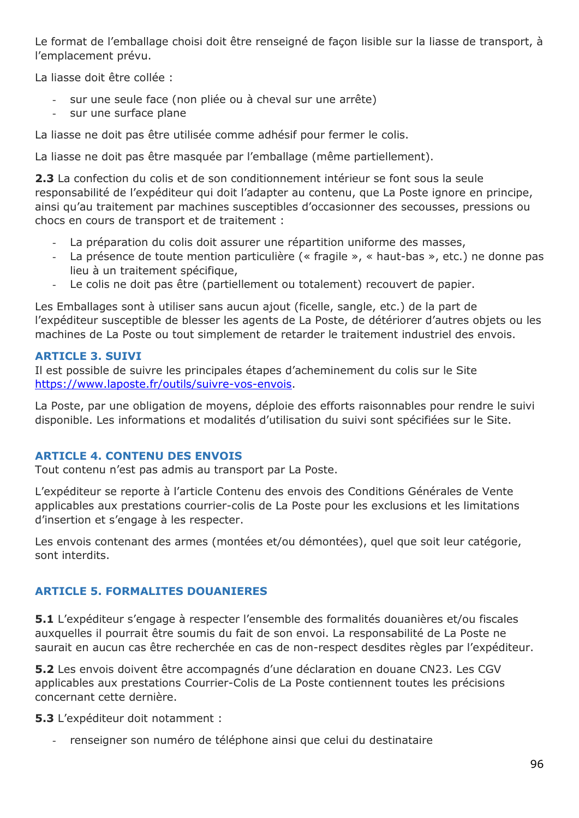Le format de l'emballage choisi doit être renseigné de façon lisible sur la liasse de transport, à l'emplacement prévu.

La liasse doit être collée :

- sur une seule face (non pliée ou à cheval sur une arrête)
- sur une surface plane

La liasse ne doit pas être utilisée comme adhésif pour fermer le colis.

La liasse ne doit pas être masquée par l'emballage (même partiellement).

**2.3** La confection du colis et de son conditionnement intérieur se font sous la seule responsabilité de l'expéditeur qui doit l'adapter au contenu, que La Poste ignore en principe, ainsi qu'au traitement par machines susceptibles d'occasionner des secousses, pressions ou chocs en cours de transport et de traitement :

- La préparation du colis doit assurer une répartition uniforme des masses,
- La présence de toute mention particulière (« fragile », « haut-bas », etc.) ne donne pas lieu à un traitement spécifique,
- Le colis ne doit pas être (partiellement ou totalement) recouvert de papier.

Les Emballages sont à utiliser sans aucun ajout (ficelle, sangle, etc.) de la part de l'expéditeur susceptible de blesser les agents de La Poste, de détériorer d'autres objets ou les machines de La Poste ou tout simplement de retarder le traitement industriel des envois.

## **ARTICLE 3. SUIVI**

Il est possible de suivre les principales étapes d'acheminement du colis sur le Site [https://www.laposte.fr/outils/suivre-vos-envois.](https://www.laposte.fr/outils/suivre-vos-envois)

La Poste, par une obligation de moyens, déploie des efforts raisonnables pour rendre le suivi disponible. Les informations et modalités d'utilisation du suivi sont spécifiées sur le Site.

## **ARTICLE 4. CONTENU DES ENVOIS**

Tout contenu n'est pas admis au transport par La Poste.

L'expéditeur se reporte à l'article Contenu des envois des Conditions Générales de Vente applicables aux prestations courrier-colis de La Poste pour les exclusions et les limitations d'insertion et s'engage à les respecter.

Les envois contenant des armes (montées et/ou démontées), quel que soit leur catégorie, sont interdits.

## **ARTICLE 5. FORMALITES DOUANIERES**

**5.1** L'expéditeur s'engage à respecter l'ensemble des formalités douanières et/ou fiscales auxquelles il pourrait être soumis du fait de son envoi. La responsabilité de La Poste ne saurait en aucun cas être recherchée en cas de non-respect desdites règles par l'expéditeur.

**5.2** Les envois doivent être accompagnés d'une déclaration en douane CN23. Les CGV applicables aux prestations Courrier-Colis de La Poste contiennent toutes les précisions concernant cette dernière.

**5.3** L'expéditeur doit notamment :

renseigner son numéro de téléphone ainsi que celui du destinataire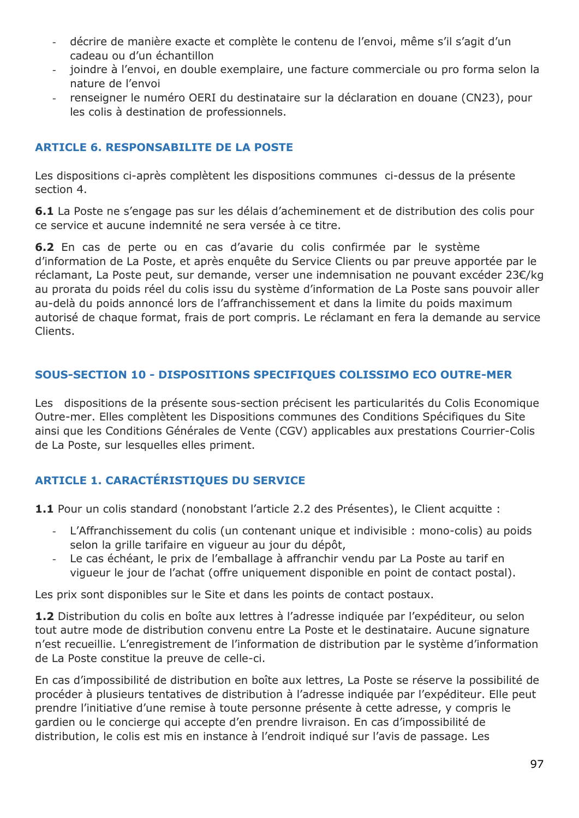- décrire de manière exacte et complète le contenu de l'envoi, même s'il s'agit d'un cadeau ou d'un échantillon
- joindre à l'envoi, en double exemplaire, une facture commerciale ou pro forma selon la nature de l'envoi
- renseigner le numéro OERI du destinataire sur la déclaration en douane (CN23), pour les colis à destination de professionnels.

## **ARTICLE 6. RESPONSABILITE DE LA POSTE**

Les dispositions ci-après complètent les dispositions communes ci-dessus de la présente section 4.

**6.1** La Poste ne s'engage pas sur les délais d'acheminement et de distribution des colis pour ce service et aucune indemnité ne sera versée à ce titre.

**6.2** En cas de perte ou en cas d'avariedu colis confirmée par le système d'information de La Poste, et après enquête du Service Clients ou par preuve apportée par le réclamant, La Poste peut, sur demande, verser une indemnisation ne pouvant excéder 23€/kg au prorata du poids réel du colis issu du système d'information de La Poste sans pouvoir aller au-delà du poids annoncé lors de l'affranchissement et dans la limite du poids maximum autorisé de chaque format, frais de port compris. Le réclamant en fera la demande au service Clients.

## **SOUS-SECTION 10 - DISPOSITIONS SPECIFIQUES COLISSIMO ECO OUTRE-MER**

Les dispositions de la présente sous-section précisent les particularités du Colis Economique Outre-mer. Elles complètent les Dispositions communes des Conditions Spécifiques du Site ainsi que les Conditions Générales de Vente (CGV) applicables aux prestations Courrier-Colis de La Poste, sur lesquelles elles priment.

## **ARTICLE 1. CARACTÉRISTIQUES DU SERVICE**

1.1 Pour un colis standard (nonobstant l'article 2.2 des Présentes), le Client acquitte :

- L'Affranchissement du colis (un contenant unique et indivisible : mono-colis) au poids selon la grille tarifaire en vigueur au jour du dépôt,
- Le cas échéant, le prix de l'emballage à affranchir vendu par La Poste au tarif en vigueur le jour de l'achat (offre uniquement disponible en point de contact postal).

Les prix sont disponibles sur le Site et dans les points de contact postaux.

**1.2** Distribution du colis en boîte aux lettres à l'adresse indiquée par l'expéditeur, ou selon tout autre mode de distribution convenu entre La Poste et le destinataire. Aucune signature n'est recueillie. L'enregistrement de l'information de distribution par le système d'information de La Poste constitue la preuve de celle-ci.

En cas d'impossibilité de distribution en boîte aux lettres, La Poste se réserve la possibilité de procéder à plusieurs tentatives de distribution à l'adresse indiquée par l'expéditeur. Elle peut prendre l'initiative d'une remise à toute personne présente à cette adresse, y compris le gardien ou le concierge qui accepte d'en prendre livraison. En cas d'impossibilité de distribution, le colis est mis en instance à l'endroit indiqué sur l'avis de passage. Les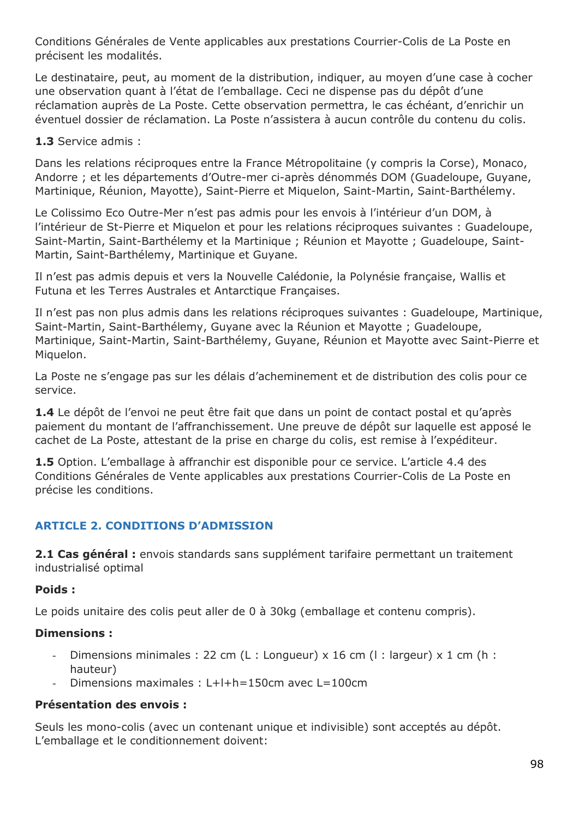Conditions Générales de Vente applicables aux prestations Courrier-Colis de La Poste en précisent les modalités.

Le destinataire, peut, au moment de la distribution, indiquer, au moyen d'une case à cocher une observation quant à l'état de l'emballage. Ceci ne dispense pas du dépôt d'une réclamation auprès de La Poste. Cette observation permettra, le cas échéant, d'enrichir un éventuel dossier de réclamation. La Poste n'assistera à aucun contrôle du contenu du colis.

**1.3** Service admis :

Dans les relations réciproques entre la France Métropolitaine (y compris la Corse), Monaco, Andorre ; et les départements d'Outre-mer ci-après dénommés DOM (Guadeloupe, Guyane, Martinique, Réunion, Mayotte), Saint-Pierre et Miquelon, Saint-Martin, Saint-Barthélemy.

Le Colissimo Eco Outre-Mer n'est pas admis pour les envois à l'intérieur d'un DOM, à l'intérieur de St-Pierre et Miquelon et pour les relations réciproques suivantes : Guadeloupe, Saint-Martin, Saint-Barthélemy et la Martinique ; Réunion et Mayotte ; Guadeloupe, Saint-Martin, Saint-Barthélemy, Martinique et Guyane.

Il n'est pas admis depuis et vers la Nouvelle Calédonie, la Polynésie française, Wallis et Futuna et les Terres Australes et Antarctique Françaises.

Il n'est pas non plus admis dans les relations réciproques suivantes : Guadeloupe, Martinique, Saint-Martin, Saint-Barthélemy, Guyane avec la Réunion et Mayotte ; Guadeloupe, Martinique, Saint-Martin, Saint-Barthélemy, Guyane, Réunion et Mayotte avec Saint-Pierre et Miquelon.

La Poste ne s'engage pas sur les délais d'acheminement et de distribution des colis pour ce service.

**1.4** Le dépôt de l'envoi ne peut être fait que dans un point de contact postal et qu'après paiement du montant de l'affranchissement. Une preuve de dépôt sur laquelle est apposé le cachet de La Poste, attestant de la prise en charge du colis, est remise à l'expéditeur.

**1.5** Option. L'emballage à affranchir est disponible pour ce service. L'article 4.4 des Conditions Générales de Vente applicables aux prestations Courrier-Colis de La Poste en précise les conditions.

## **ARTICLE 2. CONDITIONS D'ADMISSION**

**2.1 Cas général :** envois standards sans supplément tarifaire permettant un traitement industrialisé optimal

## **Poids :**

Le poids unitaire des colis peut aller de 0 à 30kg (emballage et contenu compris).

## **Dimensions :**

- Dimensions minimales : 22 cm (L : Longueur) x 16 cm (l : largeur) x 1 cm (h : hauteur)
- Dimensions maximales : L+l+h=150cm avec L=100cm

## **Présentation des envois :**

Seuls les mono-colis (avec un contenant unique et indivisible) sont acceptés au dépôt. L'emballage et le conditionnement doivent: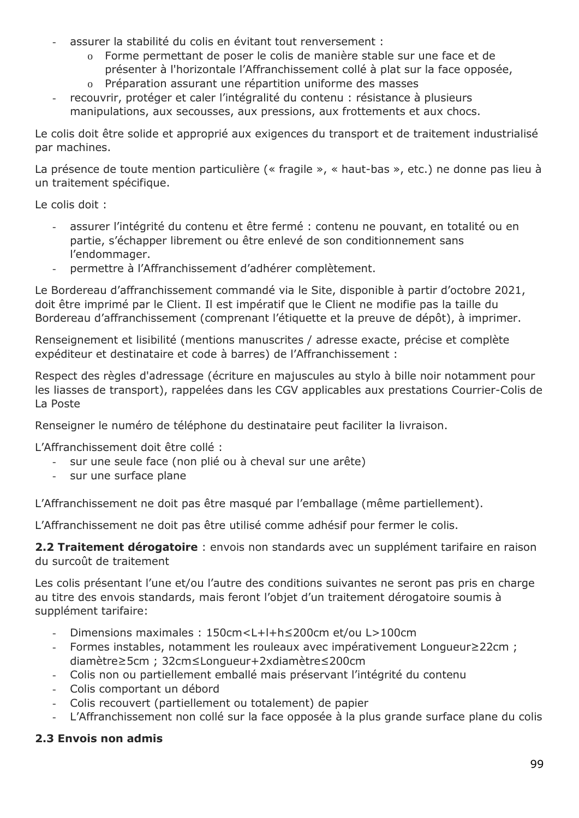- assurer la stabilité du colis en évitant tout renversement :
	- o Forme permettant de poser le colis de manière stable sur une face et de
	- présenter à l'horizontale l'Affranchissement collé à plat sur la face opposée,
	- o Préparation assurant une répartition uniforme des masses
- recouvrir, protéger et caler l'intégralité du contenu : résistance à plusieurs manipulations, aux secousses, aux pressions, aux frottements et aux chocs.

Le colis doit être solide et approprié aux exigences du transport et de traitement industrialisé par machines.

La présence de toute mention particulière (« fragile », « haut-bas », etc.) ne donne pas lieu à un traitement spécifique.

Le colis doit :

- assurer l'intégrité du contenu et être fermé : contenu ne pouvant, en totalité ou en partie, s'échapper librement ou être enlevé de son conditionnement sans l'endommager.
- permettre à l'Affranchissement d'adhérer complètement.

Le Bordereau d'affranchissement commandé via le Site, disponible à partir d'octobre 2021, doit être imprimé par le Client. Il est impératif que le Client ne modifie pas la taille du Bordereau d'affranchissement (comprenant l'étiquette et la preuve de dépôt), à imprimer.

Renseignement et lisibilité (mentions manuscrites / adresse exacte, précise et complète expéditeur et destinataire et code à barres) de l'Affranchissement :

Respect des règles d'adressage (écriture en majuscules au stylo à bille noir notamment pour les liasses de transport), rappelées dans les CGV applicables aux prestations Courrier-Colis de La Poste

Renseigner le numéro de téléphone du destinataire peut faciliter la livraison.

L'Affranchissement doit être collé :

- sur une seule face (non plié ou à cheval sur une arête)
- sur une surface plane

L'Affranchissement ne doit pas être masqué par l'emballage (même partiellement).

L'Affranchissement ne doit pas être utilisé comme adhésif pour fermer le colis.

**2.2 Traitement dérogatoire** : envois non standards avec un supplément tarifaire en raison du surcoût de traitement

Les colis présentant l'une et/ou l'autre des conditions suivantes ne seront pas pris en charge au titre des envois standards, mais feront l'objet d'un traitement dérogatoire soumis à supplément tarifaire:

- Dimensions maximales : 150cm<L+l+h≤200cm et/ou L>100cm
- Formes instables, notamment les rouleaux avec impérativement Longueur≥22cm ; diamètre≥5cm ; 32cm≤Longueur+2xdiamètre≤200cm
- Colis non ou partiellement emballé mais préservant l'intégrité du contenu
- Colis comportant un débord
- Colis recouvert (partiellement ou totalement) de papier
- L'Affranchissement non collé sur la face opposée à la plus grande surface plane du colis

## **2.3 Envois non admis**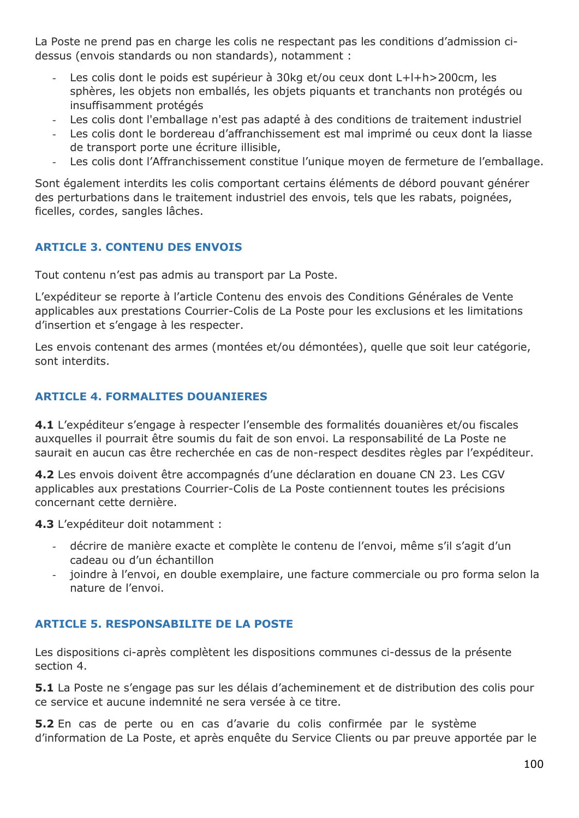La Poste ne prend pas en charge les colis ne respectant pas les conditions d'admission cidessus (envois standards ou non standards), notamment :

- Les colis dont le poids est supérieur à 30kg et/ou ceux dont L+l+h>200cm, les sphères, les objets non emballés, les objets piquants et tranchants non protégés ou insuffisamment protégés
- Les colis dont l'emballage n'est pas adapté à des conditions de traitement industriel
- Les colis dont le bordereau d'affranchissement est mal imprimé ou ceux dont la liasse de transport porte une écriture illisible,
- Les colis dont l'Affranchissement constitue l'unique moyen de fermeture de l'emballage.

Sont également interdits les colis comportant certains éléments de débord pouvant générer des perturbations dans le traitement industriel des envois, tels que les rabats, poignées, ficelles, cordes, sangles lâches.

## **ARTICLE 3. CONTENU DES ENVOIS**

Tout contenu n'est pas admis au transport par La Poste.

L'expéditeur se reporte à l'article Contenu des envois des Conditions Générales de Vente applicables aux prestations Courrier-Colis de La Poste pour les exclusions et les limitations d'insertion et s'engage à les respecter.

Les envois contenant des armes (montées et/ou démontées), quelle que soit leur catégorie, sont interdits.

### **ARTICLE 4. FORMALITES DOUANIERES**

**4.1** L'expéditeur s'engage à respecter l'ensemble des formalités douanières et/ou fiscales auxquelles il pourrait être soumis du fait de son envoi. La responsabilité de La Poste ne saurait en aucun cas être recherchée en cas de non-respect desdites règles par l'expéditeur.

**4.2** Les envois doivent être accompagnés d'une déclaration en douane CN 23. Les CGV applicables aux prestations Courrier-Colis de La Poste contiennent toutes les précisions concernant cette dernière.

**4.3** L'expéditeur doit notamment :

- décrire de manière exacte et complète le contenu de l'envoi, même s'il s'agit d'un cadeau ou d'un échantillon
- joindre à l'envoi, en double exemplaire, une facture commerciale ou pro forma selon la nature de l'envoi.

## **ARTICLE 5. RESPONSABILITE DE LA POSTE**

Les dispositions ci-après complètent les dispositions communes ci-dessus de la présente section 4.

**5.1** La Poste ne s'engage pas sur les délais d'acheminement et de distribution des colis pour ce service et aucune indemnité ne sera versée à ce titre.

**5.2** En cas de perte ou en cas d'avarie du colis confirmée par le système d'information de La Poste, et après enquête du Service Clients ou par preuve apportée par le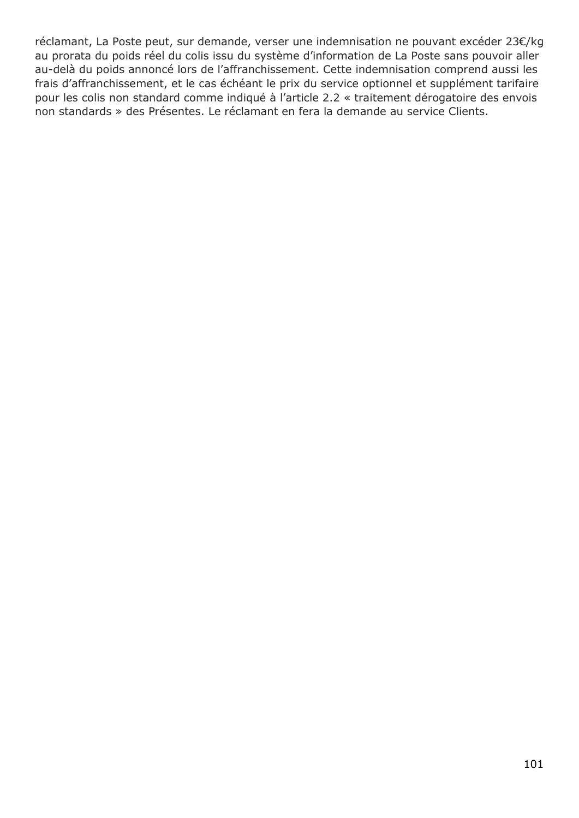réclamant, La Poste peut, sur demande, verser une indemnisation ne pouvant excéder 23€/kg au prorata du poids réel du colis issu du système d'information de La Poste sans pouvoir aller au-delà du poids annoncé lors de l'affranchissement. Cette indemnisation comprend aussi les frais d'affranchissement, et le cas échéant le prix du service optionnel et supplément tarifaire pour les colis non standard comme indiqué à l'article 2.2 « traitement dérogatoire des envois non standards » des Présentes. Le réclamant en fera la demande au service Clients.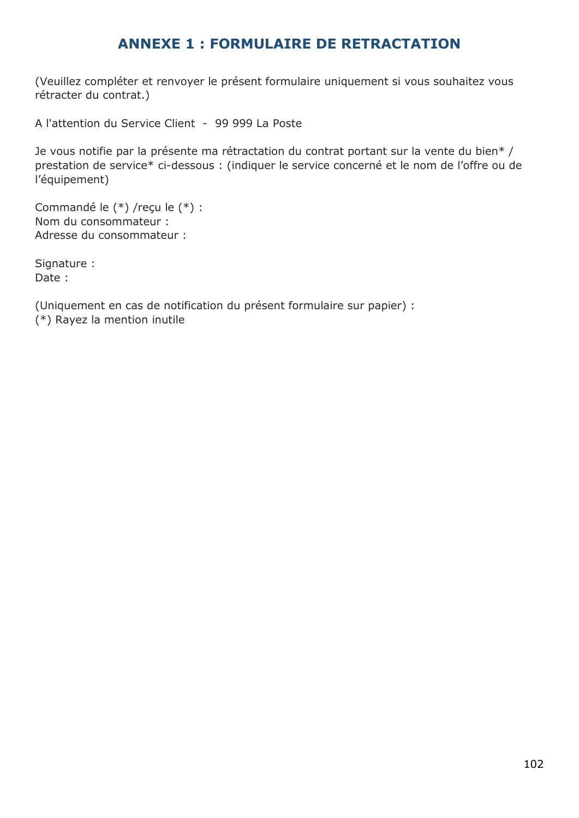# **ANNEXE 1 : FORMULAIRE DE RETRACTATION**

(Veuillez compléter et renvoyer le présent formulaire uniquement si vous souhaitez vous rétracter du contrat.)

A l'attention du Service Client - 99 999 La Poste

Je vous notifie par la présente ma rétractation du contrat portant sur la vente du bien\* / prestation de service\* ci-dessous : (indiquer le service concerné et le nom de l'offre ou de l'équipement)

Commandé le (\*) /reçu le (\*) : Nom du consommateur : Adresse du consommateur :

Signature : Date :

(Uniquement en cas de notification du présent formulaire sur papier) : (\*) Rayez la mention inutile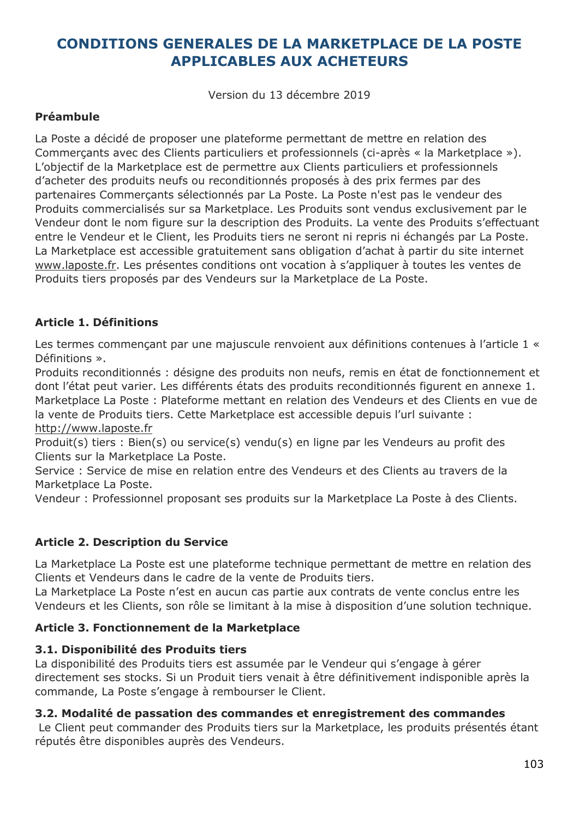# **CONDITIONS GENERALES DE LA MARKETPLACE DE LA POSTE APPLICABLES AUX ACHETEURS**

Version du 13 décembre 2019

### **Préambule**

La Poste a décidé de proposer une plateforme permettant de mettre en relation des Commerçants avec des Clients particuliers et professionnels (ci-après « la Marketplace »). L'objectif de la Marketplace est de permettre aux Clients particuliers et professionnels d'acheter des produits neufs ou reconditionnés proposés à des prix fermes par des partenaires Commerçants sélectionnés par La Poste. La Poste n'est pas le vendeur des Produits commercialisés sur sa Marketplace. Les Produits sont vendus exclusivement par le Vendeur dont le nom figure sur la description des Produits. La vente des Produits s'effectuant entre le Vendeur et le Client, les Produits tiers ne seront ni repris ni échangés par La Poste. La Marketplace est accessible gratuitement sans obligation d'achat à partir du site internet [www.laposte.fr.](file:///C:/Users/PSZX448/AppData/Local/Microsoft/Windows/INetCache/Content.Outlook/49H3BVPE/CG%20des%20produits/www.laposte.fr) Les présentes conditions ont vocation à s'appliquer à toutes les ventes de Produits tiers proposés par des Vendeurs sur la Marketplace de La Poste.

## **Article 1. Définitions**

Les termes commençant par une majuscule renvoient aux définitions contenues à l'article 1 « Définitions ».

Produits reconditionnés : désigne des produits non neufs, remis en état de fonctionnement et dont l'état peut varier. Les différents états des produits reconditionnés figurent en annexe 1. Marketplace La Poste : Plateforme mettant en relation des Vendeurs et des Clients en vue de la vente de Produits tiers. Cette Marketplace est accessible depuis l'url suivante : [http://www.laposte.fr](http://www.laposte.fr/)

Produit(s) tiers : Bien(s) ou service(s) vendu(s) en ligne par les Vendeurs au profit des Clients sur la Marketplace La Poste.

Service : Service de mise en relation entre des Vendeurs et des Clients au travers de la Marketplace La Poste.

Vendeur : Professionnel proposant ses produits sur la Marketplace La Poste à des Clients.

## **Article 2. Description du Service**

La Marketplace La Poste est une plateforme technique permettant de mettre en relation des Clients et Vendeurs dans le cadre de la vente de Produits tiers.

La Marketplace La Poste n'est en aucun cas partie aux contrats de vente conclus entre les Vendeurs et les Clients, son rôle se limitant à la mise à disposition d'une solution technique.

## **Article 3. Fonctionnement de la Marketplace**

## **3.1. Disponibilité des Produits tiers**

La disponibilité des Produits tiers est assumée par le Vendeur qui s'engage à gérer directement ses stocks. Si un Produit tiers venait à être définitivement indisponible après la commande, La Poste s'engage à rembourser le Client.

#### **3.2. Modalité de passation des commandes et enregistrement des commandes**

Le Client peut commander des Produits tiers sur la Marketplace, les produits présentés étant réputés être disponibles auprès des Vendeurs.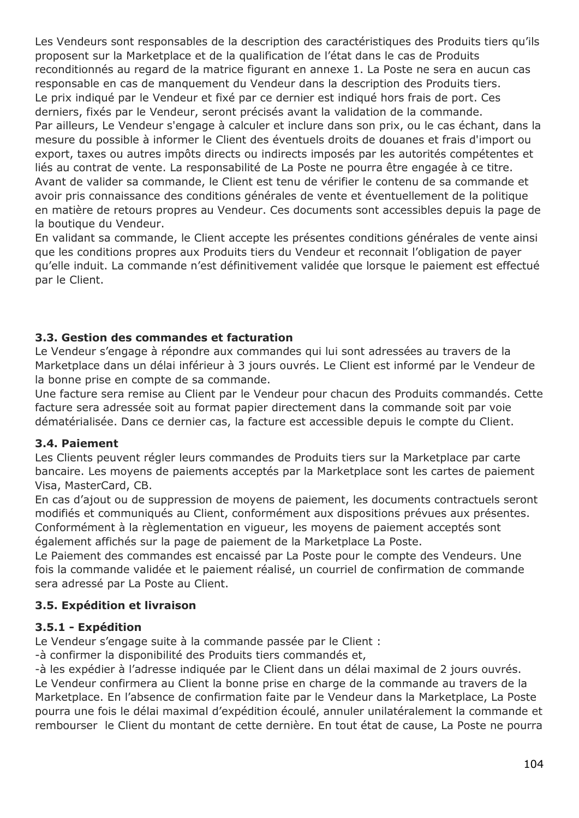Les Vendeurs sont responsables de la description des caractéristiques des Produits tiers qu'ils proposent sur la Marketplace et de la qualification de l'état dans le cas de Produits reconditionnés au regard de la matrice figurant en annexe 1. La Poste ne sera en aucun cas responsable en cas de manquement du Vendeur dans la description des Produits tiers. Le prix indiqué par le Vendeur et fixé par ce dernier est indiqué hors frais de port. Ces derniers, fixés par le Vendeur, seront précisés avant la validation de la commande. Par ailleurs, Le Vendeur s'engage à calculer et inclure dans son prix, ou le cas échant, dans la mesure du possible à informer le Client des éventuels droits de douanes et frais d'import ou export, taxes ou autres impôts directs ou indirects imposés par les autorités compétentes et liés au contrat de vente. La responsabilité de La Poste ne pourra être engagée à ce titre. Avant de valider sa commande, le Client est tenu de vérifier le contenu de sa commande et avoir pris connaissance des conditions générales de vente et éventuellement de la politique en matière de retours propres au Vendeur. Ces documents sont accessibles depuis la page de la boutique du Vendeur.

En validant sa commande, le Client accepte les présentes conditions générales de vente ainsi que les conditions propres aux Produits tiers du Vendeur et reconnait l'obligation de payer qu'elle induit. La commande n'est définitivement validée que lorsque le paiement est effectué par le Client.

## **3.3. Gestion des commandes et facturation**

Le Vendeur s'engage à répondre aux commandes qui lui sont adressées au travers de la Marketplace dans un délai inférieur à 3 jours ouvrés. Le Client est informé par le Vendeur de la bonne prise en compte de sa commande.

Une facture sera remise au Client par le Vendeur pour chacun des Produits commandés. Cette facture sera adressée soit au format papier directement dans la commande soit par voie dématérialisée. Dans ce dernier cas, la facture est accessible depuis le compte du Client.

## **3.4. Paiement**

Les Clients peuvent régler leurs commandes de Produits tiers sur la Marketplace par carte bancaire. Les moyens de paiements acceptés par la Marketplace sont les cartes de paiement Visa, MasterCard, CB.

En cas d'ajout ou de suppression de moyens de paiement, les documents contractuels seront modifiés et communiqués au Client, conformément aux dispositions prévues aux présentes. Conformément à la règlementation en vigueur, les moyens de paiement acceptés sont également affichés sur la page de paiement de la Marketplace La Poste.

Le Paiement des commandes est encaissé par La Poste pour le compte des Vendeurs. Une fois la commande validée et le paiement réalisé, un courriel de confirmation de commande sera adressé par La Poste au Client.

## **3.5. Expédition et livraison**

## **3.5.1 - Expédition**

Le Vendeur s'engage suite à la commande passée par le Client :

-à confirmer la disponibilité des Produits tiers commandés et,

-à les expédier à l'adresse indiquée par le Client dans un délai maximal de 2 jours ouvrés. Le Vendeur confirmera au Client la bonne prise en charge de la commande au travers de la Marketplace. En l'absence de confirmation faite par le Vendeur dans la Marketplace, La Poste pourra une fois le délai maximal d'expédition écoulé, annuler unilatéralement la commande et rembourser le Client du montant de cette dernière. En tout état de cause, La Poste ne pourra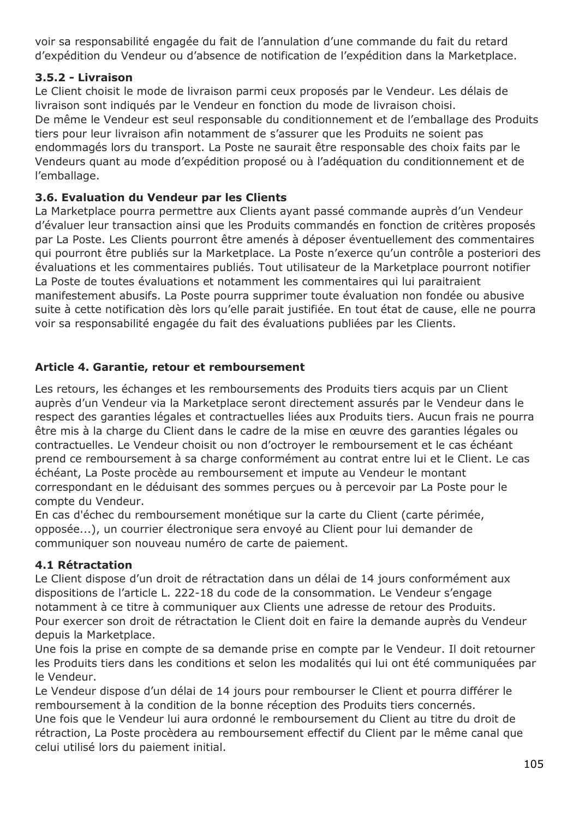voir sa responsabilité engagée du fait de l'annulation d'une commande du fait du retard d'expédition du Vendeur ou d'absence de notification de l'expédition dans la Marketplace.

## **3.5.2 - Livraison**

Le Client choisit le mode de livraison parmi ceux proposés par le Vendeur. Les délais de livraison sont indiqués par le Vendeur en fonction du mode de livraison choisi. De même le Vendeur est seul responsable du conditionnement et de l'emballage des Produits tiers pour leur livraison afin notamment de s'assurer que les Produits ne soient pas endommagés lors du transport. La Poste ne saurait être responsable des choix faits par le Vendeurs quant au mode d'expédition proposé ou à l'adéquation du conditionnement et de l'emballage.

## **3.6. Evaluation du Vendeur par les Clients**

La Marketplace pourra permettre aux Clients ayant passé commande auprès d'un Vendeur d'évaluer leur transaction ainsi que les Produits commandés en fonction de critères proposés par La Poste. Les Clients pourront être amenés à déposer éventuellement des commentaires qui pourront être publiés sur la Marketplace. La Poste n'exerce qu'un contrôle a posteriori des évaluations et les commentaires publiés. Tout utilisateur de la Marketplace pourront notifier La Poste de toutes évaluations et notamment les commentaires qui lui paraitraient manifestement abusifs. La Poste pourra supprimer toute évaluation non fondée ou abusive suite à cette notification dès lors qu'elle parait justifiée. En tout état de cause, elle ne pourra voir sa responsabilité engagée du fait des évaluations publiées par les Clients.

## **Article 4. Garantie, retour et remboursement**

Les retours, les échanges et les remboursements des Produits tiers acquis par un Client auprès d'un Vendeur via la Marketplace seront directement assurés par le Vendeur dans le respect des garanties légales et contractuelles liées aux Produits tiers. Aucun frais ne pourra être mis à la charge du Client dans le cadre de la mise en œuvre des garanties légales ou contractuelles. Le Vendeur choisit ou non d'octroyer le remboursement et le cas échéant prend ce remboursement à sa charge conformément au contrat entre lui et le Client. Le cas échéant, La Poste procède au remboursement et impute au Vendeur le montant correspondant en le déduisant des sommes perçues ou à percevoir par La Poste pour le compte du Vendeur.

En cas d'échec du remboursement monétique sur la carte du Client (carte périmée, opposée...), un courrier électronique sera envoyé au Client pour lui demander de communiquer son nouveau numéro de carte de paiement.

## **4.1 Rétractation**

Le Client dispose d'un droit de rétractation dans un délai de 14 jours conformément aux dispositions de l'article L. 222-18 du code de la consommation. Le Vendeur s'engage notamment à ce titre à communiquer aux Clients une adresse de retour des Produits. Pour exercer son droit de rétractation le Client doit en faire la demande auprès du Vendeur depuis la Marketplace.

Une fois la prise en compte de sa demande prise en compte par le Vendeur. Il doit retourner les Produits tiers dans les conditions et selon les modalités qui lui ont été communiquées par le Vendeur.

Le Vendeur dispose d'un délai de 14 jours pour rembourser le Client et pourra différer le remboursement à la condition de la bonne réception des Produits tiers concernés. Une fois que le Vendeur lui aura ordonné le remboursement du Client au titre du droit de rétraction, La Poste procèdera au remboursement effectif du Client par le même canal que celui utilisé lors du paiement initial.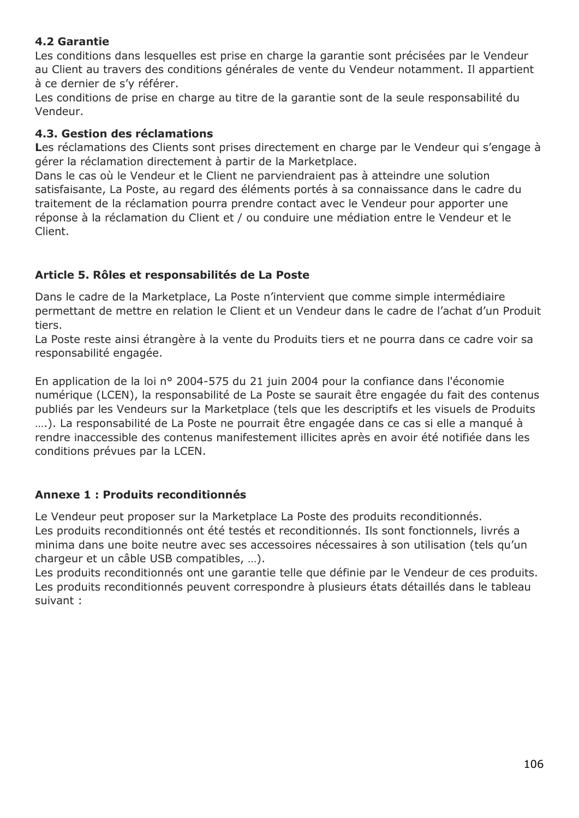## **4.2 Garantie**

Les conditions dans lesquelles est prise en charge la garantie sont précisées par le Vendeur au Client au travers des conditions générales de vente du Vendeur notamment. Il appartient à ce dernier de s'y référer.

Les conditions de prise en charge au titre de la garantie sont de la seule responsabilité du Vendeur.

## **4.3. Gestion des réclamations**

Les réclamations des Clients sont prises directement en charge par le Vendeur qui s'engage à gérer la réclamation directement à partir de la Marketplace.

Dans le cas où le Vendeur et le Client ne parviendraient pas à atteindre une solution satisfaisante, La Poste, au regard des éléments portés à sa connaissance dans le cadre du traitement de la réclamation pourra prendre contact avec le Vendeur pour apporter une réponse à la réclamation du Client et / ou conduire une médiation entre le Vendeur et le Client.

## **Article 5. Rôles et responsabilités de La Poste**

Dans le cadre de la Marketplace, La Poste n'intervient que comme simple intermédiaire permettant de mettre en relation le Client et un Vendeur dans le cadre de l'achat d'un Produit tiers.

La Poste reste ainsi étrangère à la vente du Produits tiers et ne pourra dans ce cadre voir sa responsabilité engagée.

En application de la loi n° 2004-575 du 21 juin 2004 pour la confiance dans l'économie numérique (LCEN), la responsabilité de La Poste se saurait être engagée du fait des contenus publiés par les Vendeurs sur la Marketplace (tels que les descriptifs et les visuels de Produits ….). La responsabilité de La Poste ne pourrait être engagée dans ce cas si elle a manqué à rendre inaccessible des contenus manifestement illicites après en avoir été notifiée dans les conditions prévues par la LCEN.

## **Annexe 1 : Produits reconditionnés**

Le Vendeur peut proposer sur la Marketplace La Poste des produits reconditionnés. Les produits reconditionnés ont été testés et reconditionnés. Ils sont fonctionnels, livrés a minima dans une boite neutre avec ses accessoires nécessaires à son utilisation (tels qu'un chargeur et un câble USB compatibles, …).

Les produits reconditionnés ont une garantie telle que définie par le Vendeur de ces produits. Les produits reconditionnés peuvent correspondre à plusieurs états détaillés dans le tableau suivant :